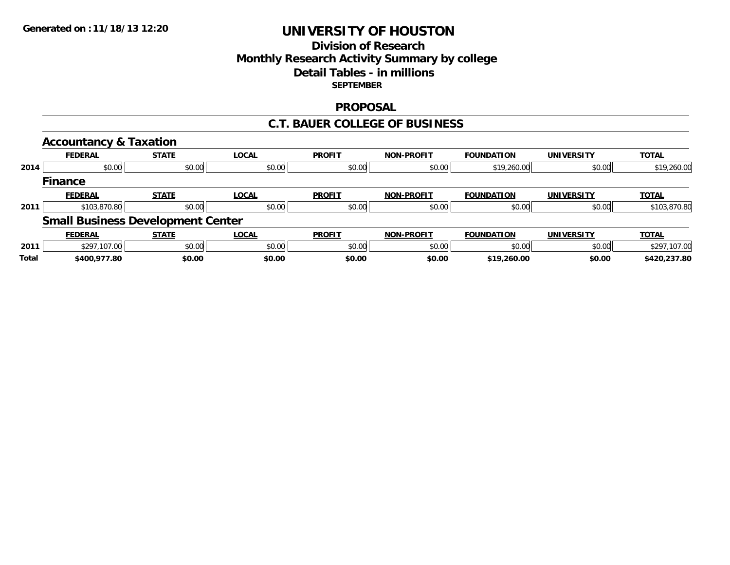## **Division of ResearchMonthly Research Activity Summary by college Detail Tables - in millions SEPTEMBER**

#### **PROPOSAL**

#### **C.T. BAUER COLLEGE OF BUSINESS**

|       | <b>Accountancy &amp; Taxation</b>        |              |              |               |                   |                   |                   |              |
|-------|------------------------------------------|--------------|--------------|---------------|-------------------|-------------------|-------------------|--------------|
|       | <b>FEDERAL</b>                           | <b>STATE</b> | <b>LOCAL</b> | <b>PROFIT</b> | <b>NON-PROFIT</b> | <b>FOUNDATION</b> | <b>UNIVERSITY</b> | <b>TOTAL</b> |
| 2014  | \$0.00                                   | \$0.00       | \$0.00       | \$0.00        | \$0.00            | \$19,260.00       | \$0.00            | \$19,260.00  |
|       | <b>Finance</b>                           |              |              |               |                   |                   |                   |              |
|       | <b>FEDERAL</b>                           | <b>STATE</b> | <b>LOCAL</b> | <b>PROFIT</b> | <b>NON-PROFIT</b> | <b>FOUNDATION</b> | <b>UNIVERSITY</b> | <b>TOTAL</b> |
| 2011  | \$103,870.80                             | \$0.00       | \$0.00       | \$0.00        | \$0.00            | \$0.00            | \$0.00            | \$103,870.80 |
|       | <b>Small Business Development Center</b> |              |              |               |                   |                   |                   |              |
|       | <b>FEDERAL</b>                           | <b>STATE</b> | <b>LOCAL</b> | <b>PROFIT</b> | <b>NON-PROFIT</b> | <b>FOUNDATION</b> | <b>UNIVERSITY</b> | <b>TOTAL</b> |
| 2011  | \$297,107.00                             | \$0.00       | \$0.00       | \$0.00        | \$0.00            | \$0.00            | \$0.00            | \$297,107.00 |
| Total | \$400.977.80                             | \$0.00       | \$0.00       | \$0.00        | \$0.00            | \$19,260.00       | \$0.00            | \$420,237.80 |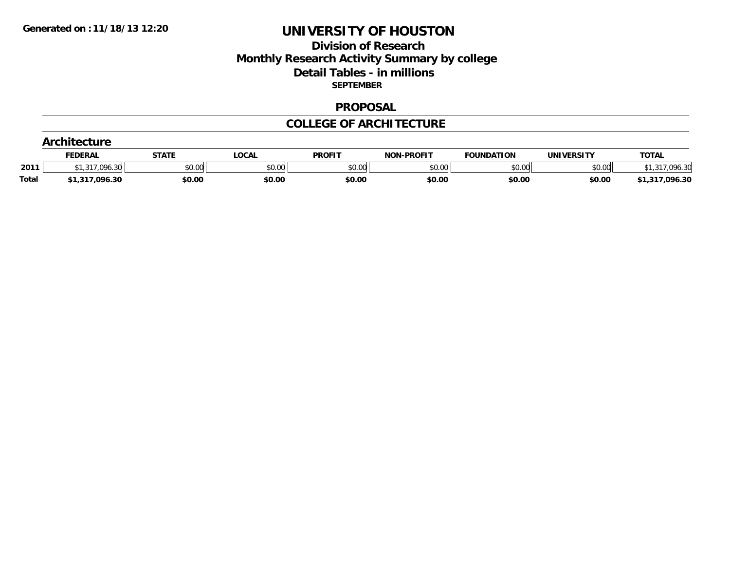### **Division of Research Monthly Research Activity Summary by college Detail Tables - in millions SEPTEMBER**

#### **PROPOSAL**

#### **COLLEGE OF ARCHITECTURE**

|              | tecture        |              |              |               |                   |                   |                   |              |  |  |  |  |
|--------------|----------------|--------------|--------------|---------------|-------------------|-------------------|-------------------|--------------|--|--|--|--|
|              | <b>FEDERAL</b> | <b>STATE</b> | <u>_OCAL</u> | <b>PROFIT</b> | <b>NON-PROFIT</b> | <b>FOUNDATION</b> | <b>UNIVERSITY</b> | <b>TOTAL</b> |  |  |  |  |
| 2011         | $17.096$ .     | \$0.00       | \$0.00       | \$0.00        | \$0.00            | \$0.00            | \$0.00            | . รบ         |  |  |  |  |
| <b>Total</b> | \$1,317,096.30 | \$0.00       | \$0.00       | \$0.00        | \$0.00            | \$0.00            | \$0.00            | 7,096.30     |  |  |  |  |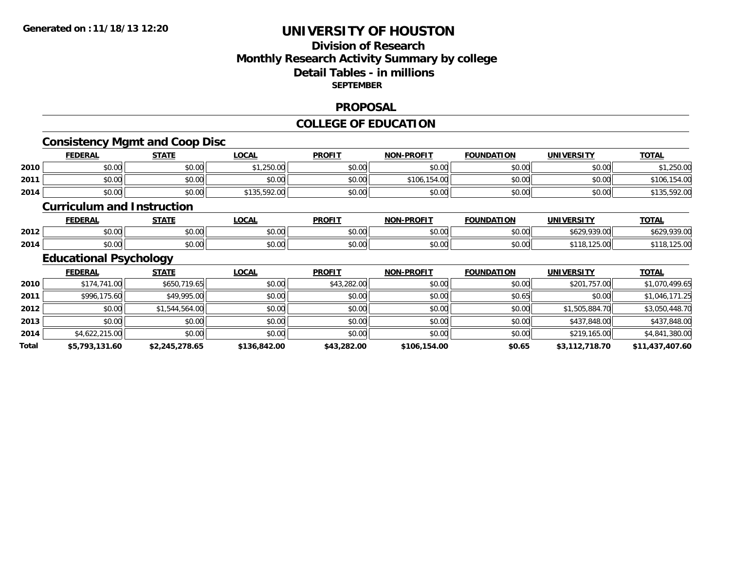## **Division of ResearchMonthly Research Activity Summary by college Detail Tables - in millions SEPTEMBER**

#### **PROPOSAL**

### **COLLEGE OF EDUCATION**

## **Consistency Mgmt and Coop Disc**

|      | <b>FEDERAL</b> | <b>STATE</b> | <b>LOCAL</b> | <b>PROFIT</b> | <b>NON-PROFIT</b> | <b>FOUNDATION</b> | <b>UNIVERSITY</b> | <b>TOTAL</b>      |
|------|----------------|--------------|--------------|---------------|-------------------|-------------------|-------------------|-------------------|
| 2010 | \$0.00         | \$0.00       | \$1,250.00   | \$0.00        | \$0.00            | \$0.00            | \$0.00            | ,250.00           |
| 2011 | \$0.00         | \$0.00       | \$0.00       | \$0.00        | \$106.<br>.154.00 | \$0.00            | \$0.00            | .154.00<br>\$106. |
| 2014 | \$0.00         | \$0.00       | \$135,592.00 | \$0.00        | \$0.00            | \$0.00            | \$0.00            | \$135,592.00      |

#### **Curriculum and Instruction**

|      | <b>FEDERAL</b> | <b>STATE</b>   | LOCAI              | <b>PROFIT</b> | <b>N-PROFIT</b><br><b>BIABI</b> | <b>FOUNDATION</b> | <b>UNIVERSITY</b>                               | <b>TOTA</b>                               |
|------|----------------|----------------|--------------------|---------------|---------------------------------|-------------------|-------------------------------------------------|-------------------------------------------|
| 2012 | 0000<br>⊋U.UU  | 40.00<br>JU.UU | 0000<br>JU.UU      | \$0.00        | \$0.00                          | \$0.00            | \$629,939,00<br>DUZ.                            | ,939.00<br>$\sim$ 0.0<br>∠ט               |
| 2014 | 0000<br>DU.UU  | en uu<br>JU.UU | $\sim$ 00<br>DU.UU | \$0.00        | \$0.00                          | \$0.00            | 125 $\Omega$<br>0.110<br><b>ILLO</b> .UU<br>10. | <b>¢110</b><br>1050<br>الر10 اب<br>120.UU |

### **Educational Psychology**

|       | <b>FEDERAL</b> | <b>STATE</b>   | <b>LOCAL</b> | <b>PROFIT</b> | <b>NON-PROFIT</b> | <b>FOUNDATION</b> | <b>UNIVERSITY</b> | <b>TOTAL</b>    |
|-------|----------------|----------------|--------------|---------------|-------------------|-------------------|-------------------|-----------------|
| 2010  | \$174,741.00   | \$650,719.65   | \$0.00       | \$43,282.00   | \$0.00            | \$0.00            | \$201,757.00      | \$1,070,499.65  |
| 2011  | \$996,175.60   | \$49,995.00    | \$0.00       | \$0.00        | \$0.00            | \$0.65            | \$0.00            | \$1,046,171.25  |
| 2012  | \$0.00         | \$1,544,564.00 | \$0.00       | \$0.00        | \$0.00            | \$0.00            | \$1,505,884.70    | \$3,050,448.70  |
| 2013  | \$0.00         | \$0.00         | \$0.00       | \$0.00        | \$0.00            | \$0.00            | \$437,848.00      | \$437,848.00    |
| 2014  | \$4,622,215.00 | \$0.00         | \$0.00       | \$0.00        | \$0.00            | \$0.00            | \$219,165.00      | \$4,841,380.00  |
| Total | \$5,793,131.60 | \$2,245,278.65 | \$136,842.00 | \$43,282.00   | \$106,154.00      | \$0.65            | \$3,112,718.70    | \$11,437,407.60 |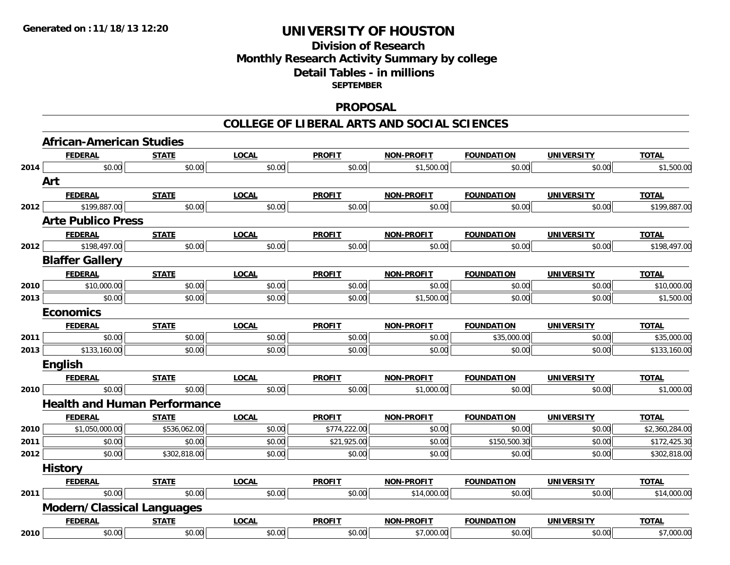### **Division of Research Monthly Research Activity Summary by college Detail Tables - in millions SEPTEMBER**

#### **PROPOSAL**

#### **COLLEGE OF LIBERAL ARTS AND SOCIAL SCIENCES**

|      | <b>African-American Studies</b>     |              |              |               |                   |                   |                   |                |
|------|-------------------------------------|--------------|--------------|---------------|-------------------|-------------------|-------------------|----------------|
|      | <b>FEDERAL</b>                      | <b>STATE</b> | <b>LOCAL</b> | <b>PROFIT</b> | <b>NON-PROFIT</b> | <b>FOUNDATION</b> | <b>UNIVERSITY</b> | <b>TOTAL</b>   |
| 2014 | \$0.00                              | \$0.00       | \$0.00       | \$0.00        | \$1,500.00        | \$0.00            | \$0.00            | \$1,500.00     |
|      | Art                                 |              |              |               |                   |                   |                   |                |
|      | <b>FEDERAL</b>                      | <b>STATE</b> | <b>LOCAL</b> | <b>PROFIT</b> | NON-PROFIT        | <b>FOUNDATION</b> | <b>UNIVERSITY</b> | <b>TOTAL</b>   |
| 2012 | \$199,887.00                        | \$0.00       | \$0.00       | \$0.00        | \$0.00            | \$0.00            | \$0.00            | \$199,887.00   |
|      | <b>Arte Publico Press</b>           |              |              |               |                   |                   |                   |                |
|      | <b>FEDERAL</b>                      | <b>STATE</b> | <b>LOCAL</b> | <b>PROFIT</b> | NON-PROFIT        | <b>FOUNDATION</b> | <b>UNIVERSITY</b> | <b>TOTAL</b>   |
| 2012 | \$198,497.00                        | \$0.00       | \$0.00       | \$0.00        | \$0.00            | \$0.00            | \$0.00            | \$198,497.00   |
|      | <b>Blaffer Gallery</b>              |              |              |               |                   |                   |                   |                |
|      | <b>FEDERAL</b>                      | <b>STATE</b> | <b>LOCAL</b> | <b>PROFIT</b> | NON-PROFIT        | <b>FOUNDATION</b> | <b>UNIVERSITY</b> | <b>TOTAL</b>   |
| 2010 | \$10,000.00                         | \$0.00       | \$0.00       | \$0.00        | \$0.00            | \$0.00            | \$0.00            | \$10,000.00    |
| 2013 | \$0.00                              | \$0.00       | \$0.00       | \$0.00        | \$1,500.00        | \$0.00            | \$0.00            | \$1,500.00     |
|      | <b>Economics</b>                    |              |              |               |                   |                   |                   |                |
|      | <b>FEDERAL</b>                      | <b>STATE</b> | <b>LOCAL</b> | <b>PROFIT</b> | NON-PROFIT        | <b>FOUNDATION</b> | <b>UNIVERSITY</b> | <b>TOTAL</b>   |
| 2011 | \$0.00                              | \$0.00       | \$0.00       | \$0.00        | \$0.00            | \$35,000.00       | \$0.00            | \$35,000.00    |
| 2013 | \$133,160.00                        | \$0.00       | \$0.00       | \$0.00        | \$0.00            | \$0.00            | \$0.00            | \$133,160.00   |
|      | English                             |              |              |               |                   |                   |                   |                |
|      | <b>FEDERAL</b>                      | <b>STATE</b> | <b>LOCAL</b> | <b>PROFIT</b> | NON-PROFIT        | <b>FOUNDATION</b> | <b>UNIVERSITY</b> | <b>TOTAL</b>   |
| 2010 | \$0.00                              | \$0.00       | \$0.00       | \$0.00        | \$1,000.00        | \$0.00            | \$0.00            | \$1,000.00     |
|      | <b>Health and Human Performance</b> |              |              |               |                   |                   |                   |                |
|      | <b>FEDERAL</b>                      | <b>STATE</b> | <b>LOCAL</b> | <b>PROFIT</b> | NON-PROFIT        | <b>FOUNDATION</b> | <b>UNIVERSITY</b> | <b>TOTAL</b>   |
| 2010 | \$1,050,000.00                      | \$536,062.00 | \$0.00       | \$774,222.00  | \$0.00            | \$0.00            | \$0.00            | \$2,360,284.00 |
| 2011 | \$0.00                              | \$0.00       | \$0.00       | \$21,925.00   | \$0.00            | \$150,500.30      | \$0.00            | \$172,425.30   |
| 2012 | \$0.00                              | \$302,818.00 | \$0.00       | \$0.00        | \$0.00            | \$0.00            | \$0.00            | \$302,818.00   |
|      | <b>History</b>                      |              |              |               |                   |                   |                   |                |
|      | <b>FEDERAL</b>                      | <b>STATE</b> | <b>LOCAL</b> | <b>PROFIT</b> | NON-PROFIT        | <b>FOUNDATION</b> | <b>UNIVERSITY</b> | <b>TOTAL</b>   |
| 2011 | \$0.00                              | \$0.00       | \$0.00       | \$0.00        | \$14,000.00       | \$0.00            | \$0.00            | \$14,000.00    |
|      | <b>Modern/Classical Languages</b>   |              |              |               |                   |                   |                   |                |
|      | <b>FEDERAL</b>                      | <b>STATE</b> | <b>LOCAL</b> | <b>PROFIT</b> | NON-PROFIT        | <b>FOUNDATION</b> | <b>UNIVERSITY</b> | <b>TOTAL</b>   |
| 2010 | \$0.00                              | \$0.00       | \$0.00       | \$0.00        | \$7,000.00        | \$0.00            | \$0.00            | \$7,000.00     |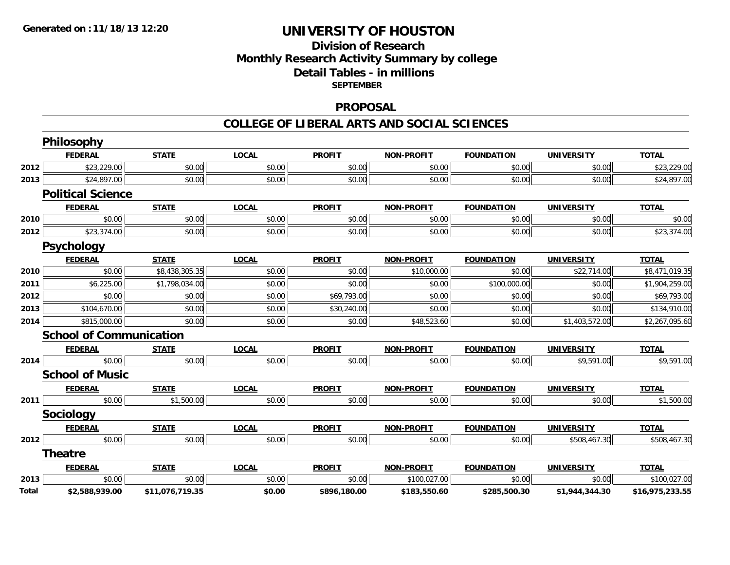### **Division of Research Monthly Research Activity Summary by college Detail Tables - in millions SEPTEMBER**

#### **PROPOSAL**

#### **COLLEGE OF LIBERAL ARTS AND SOCIAL SCIENCES**

|       | <b>Philosophy</b>              |                 |              |               |                   |                   |                   |                 |
|-------|--------------------------------|-----------------|--------------|---------------|-------------------|-------------------|-------------------|-----------------|
|       | <b>FEDERAL</b>                 | <b>STATE</b>    | <b>LOCAL</b> | <b>PROFIT</b> | <b>NON-PROFIT</b> | <b>FOUNDATION</b> | <b>UNIVERSITY</b> | <b>TOTAL</b>    |
| 2012  | \$23,229.00                    | \$0.00          | \$0.00       | \$0.00        | \$0.00            | \$0.00            | \$0.00            | \$23,229.00     |
| 2013  | \$24,897.00                    | \$0.00          | \$0.00       | \$0.00        | \$0.00            | \$0.00            | \$0.00            | \$24,897.00     |
|       | <b>Political Science</b>       |                 |              |               |                   |                   |                   |                 |
|       | <b>FEDERAL</b>                 | <b>STATE</b>    | <b>LOCAL</b> | <b>PROFIT</b> | <b>NON-PROFIT</b> | <b>FOUNDATION</b> | <b>UNIVERSITY</b> | <b>TOTAL</b>    |
| 2010  | \$0.00                         | \$0.00          | \$0.00       | \$0.00        | \$0.00            | \$0.00            | \$0.00            | \$0.00          |
| 2012  | \$23,374.00                    | \$0.00          | \$0.00       | \$0.00        | \$0.00            | \$0.00            | \$0.00            | \$23,374.00     |
|       | <b>Psychology</b>              |                 |              |               |                   |                   |                   |                 |
|       | <b>FEDERAL</b>                 | <b>STATE</b>    | <b>LOCAL</b> | <b>PROFIT</b> | <b>NON-PROFIT</b> | <b>FOUNDATION</b> | <b>UNIVERSITY</b> | <b>TOTAL</b>    |
| 2010  | \$0.00                         | \$8,438,305.35  | \$0.00       | \$0.00        | \$10,000.00       | \$0.00            | \$22,714.00       | \$8,471,019.35  |
| 2011  | \$6,225.00                     | \$1,798,034.00  | \$0.00       | \$0.00        | \$0.00            | \$100,000.00      | \$0.00            | \$1,904,259.00  |
| 2012  | \$0.00                         | \$0.00          | \$0.00       | \$69,793.00   | \$0.00            | \$0.00            | \$0.00            | \$69,793.00     |
| 2013  | \$104,670.00                   | \$0.00          | \$0.00       | \$30,240.00   | \$0.00            | \$0.00            | \$0.00            | \$134,910.00    |
| 2014  | \$815,000.00                   | \$0.00          | \$0.00       | \$0.00        | \$48,523.60       | \$0.00            | \$1,403,572.00    | \$2,267,095.60  |
|       | <b>School of Communication</b> |                 |              |               |                   |                   |                   |                 |
|       | <b>FEDERAL</b>                 | <b>STATE</b>    | <b>LOCAL</b> | <b>PROFIT</b> | <b>NON-PROFIT</b> | <b>FOUNDATION</b> | <b>UNIVERSITY</b> | <b>TOTAL</b>    |
| 2014  | \$0.00                         | \$0.00          | \$0.00       | \$0.00        | \$0.00            | \$0.00            | \$9,591.00        | \$9,591.00      |
|       | <b>School of Music</b>         |                 |              |               |                   |                   |                   |                 |
|       | <b>FEDERAL</b>                 | <b>STATE</b>    | <b>LOCAL</b> | <b>PROFIT</b> | <b>NON-PROFIT</b> | <b>FOUNDATION</b> | <b>UNIVERSITY</b> | <b>TOTAL</b>    |
| 2011  | \$0.00                         | \$1,500.00      | \$0.00       | \$0.00        | \$0.00            | \$0.00            | \$0.00            | \$1,500.00      |
|       | Sociology                      |                 |              |               |                   |                   |                   |                 |
|       | <b>FEDERAL</b>                 | <b>STATE</b>    | <b>LOCAL</b> | <b>PROFIT</b> | <b>NON-PROFIT</b> | <b>FOUNDATION</b> | <b>UNIVERSITY</b> | <b>TOTAL</b>    |
| 2012  | \$0.00                         | \$0.00          | \$0.00       | \$0.00        | \$0.00            | \$0.00            | \$508,467.30      | \$508,467.30    |
|       | <b>Theatre</b>                 |                 |              |               |                   |                   |                   |                 |
|       | <b>FEDERAL</b>                 | <b>STATE</b>    | <b>LOCAL</b> | <b>PROFIT</b> | NON-PROFIT        | <b>FOUNDATION</b> | <b>UNIVERSITY</b> | <b>TOTAL</b>    |
| 2013  | \$0.00                         | \$0.00          | \$0.00       | \$0.00        | \$100,027.00      | \$0.00            | \$0.00            | \$100,027.00    |
| Total | \$2,588,939.00                 | \$11,076,719.35 | \$0.00       | \$896,180.00  | \$183,550.60      | \$285,500.30      | \$1,944,344.30    | \$16,975,233.55 |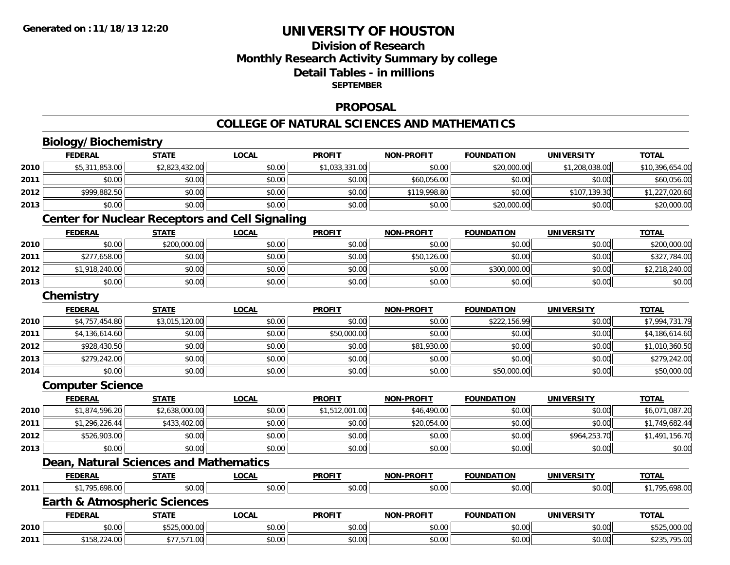## **Division of ResearchMonthly Research Activity Summary by college Detail Tables - in millions SEPTEMBER**

#### **PROPOSAL**

#### **COLLEGE OF NATURAL SCIENCES AND MATHEMATICS**

## **Biology/Biochemistry**

|      | <b>FEDERAL</b>                                         | <b>STATE</b>   | <b>LOCAL</b> | <b>PROFIT</b>  | <b>NON-PROFIT</b> | <b>FOUNDATION</b> | <b>UNIVERSITY</b> | <b>TOTAL</b>    |
|------|--------------------------------------------------------|----------------|--------------|----------------|-------------------|-------------------|-------------------|-----------------|
| 2010 | \$5,311,853.00                                         | \$2,823,432.00 | \$0.00       | \$1,033,331.00 | \$0.00            | \$20,000.00       | \$1,208,038.00    | \$10,396,654.00 |
| 2011 | \$0.00                                                 | \$0.00         | \$0.00       | \$0.00         | \$60,056.00       | \$0.00            | \$0.00            | \$60,056.00     |
| 2012 | \$999,882.50                                           | \$0.00         | \$0.00       | \$0.00         | \$119,998.80      | \$0.00            | \$107,139.30      | \$1,227,020.60  |
| 2013 | \$0.00                                                 | \$0.00         | \$0.00       | \$0.00         | \$0.00            | \$20,000.00       | \$0.00            | \$20,000.00     |
|      | <b>Center for Nuclear Receptors and Cell Signaling</b> |                |              |                |                   |                   |                   |                 |
|      | <b>FEDERAL</b>                                         | <b>STATE</b>   | <b>LOCAL</b> | <b>PROFIT</b>  | <b>NON-PROFIT</b> | <b>FOUNDATION</b> | <b>UNIVERSITY</b> | <b>TOTAL</b>    |
| 2010 | \$0.00                                                 | \$200,000.00   | \$0.00       | \$0.00         | \$0.00            | \$0.00            | \$0.00            | \$200,000.00    |
| 2011 | \$277,658.00                                           | \$0.00         | \$0.00       | \$0.00         | \$50,126.00       | \$0.00            | \$0.00            | \$327,784.00    |
| 2012 | \$1,918,240.00                                         | \$0.00         | \$0.00       | \$0.00         | \$0.00            | \$300,000.00      | \$0.00            | \$2,218,240.00  |
| 2013 | \$0.00                                                 | \$0.00         | \$0.00       | \$0.00         | \$0.00            | \$0.00            | \$0.00            | \$0.00          |
|      | Chemistry                                              |                |              |                |                   |                   |                   |                 |
|      | <b>FEDERAL</b>                                         | <b>STATE</b>   | <b>LOCAL</b> | <b>PROFIT</b>  | <b>NON-PROFIT</b> | <b>FOUNDATION</b> | <b>UNIVERSITY</b> | <b>TOTAL</b>    |
| 2010 | \$4,757,454.80                                         | \$3,015,120.00 | \$0.00       | \$0.00         | \$0.00            | \$222,156.99      | \$0.00            | \$7,994,731.79  |
| 2011 | \$4,136,614.60                                         | \$0.00         | \$0.00       | \$50,000.00    | \$0.00            | \$0.00            | \$0.00            | \$4,186,614.60  |
| 2012 | \$928,430.50                                           | \$0.00         | \$0.00       | \$0.00         | \$81,930.00       | \$0.00            | \$0.00            | \$1,010,360.50  |
| 2013 | \$279,242.00                                           | \$0.00         | \$0.00       | \$0.00         | \$0.00            | \$0.00            | \$0.00            | \$279,242.00    |
| 2014 | \$0.00                                                 | \$0.00         | \$0.00       | \$0.00         | \$0.00            | \$50,000.00       | \$0.00            | \$50,000.00     |
|      | <b>Computer Science</b>                                |                |              |                |                   |                   |                   |                 |
|      | <b>FEDERAL</b>                                         | <b>STATE</b>   | <b>LOCAL</b> | <b>PROFIT</b>  | <b>NON-PROFIT</b> | <b>FOUNDATION</b> | <b>UNIVERSITY</b> | <b>TOTAL</b>    |
| 2010 | \$1,874,596.20                                         | \$2,638,000.00 | \$0.00       | \$1,512,001.00 | \$46,490.00       | \$0.00            | \$0.00            | \$6,071,087.20  |
| 2011 | \$1,296,226.44                                         | \$433,402.00   | \$0.00       | \$0.00         | \$20,054.00       | \$0.00            | \$0.00            | \$1,749,682.44  |
| 2012 | \$526,903.00                                           | \$0.00         | \$0.00       | \$0.00         | \$0.00            | \$0.00            | \$964,253.70      | \$1,491,156.70  |
| 2013 | \$0.00                                                 | \$0.00         | \$0.00       | \$0.00         | \$0.00            | \$0.00            | \$0.00            | \$0.00          |
|      | Dean, Natural Sciences and Mathematics                 |                |              |                |                   |                   |                   |                 |
|      | <b>FEDERAL</b>                                         | <b>STATE</b>   | <b>LOCAL</b> | <b>PROFIT</b>  | <b>NON-PROFIT</b> | <b>FOUNDATION</b> | <b>UNIVERSITY</b> | <b>TOTAL</b>    |
| 2011 | \$1,795,698.00                                         | \$0.00         | \$0.00       | \$0.00         | \$0.00            | \$0.00            | \$0.00            | \$1,795,698.00  |
|      | <b>Earth &amp; Atmospheric Sciences</b>                |                |              |                |                   |                   |                   |                 |
|      | <b>FEDERAL</b>                                         | <b>STATE</b>   | <b>LOCAL</b> | <b>PROFIT</b>  | <b>NON-PROFIT</b> | <b>FOUNDATION</b> | <b>UNIVERSITY</b> | <b>TOTAL</b>    |
| 2010 | \$0.00                                                 | \$525,000.00   | \$0.00       | \$0.00         | \$0.00            | \$0.00            | \$0.00            | \$525,000.00    |
| 2011 | \$158,224.00                                           | \$77,571.00    | \$0.00       | \$0.00         | \$0.00            | \$0.00            | \$0.00            | \$235,795.00    |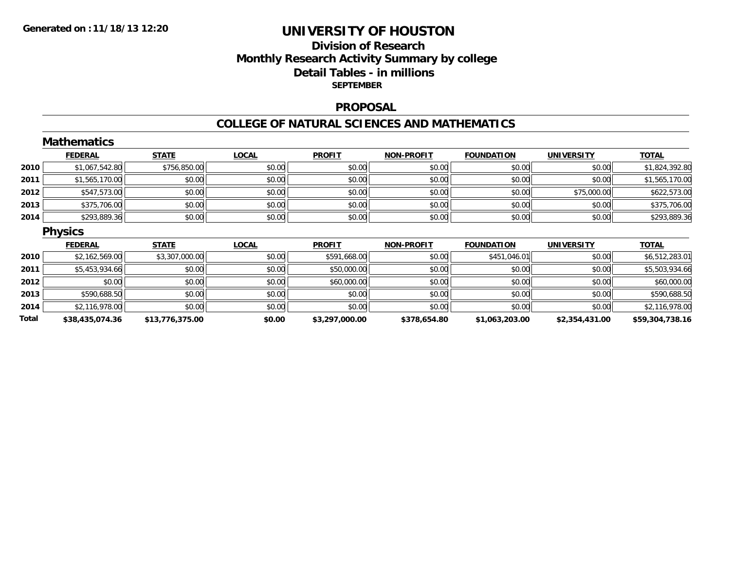## **Division of ResearchMonthly Research Activity Summary by college Detail Tables - in millions SEPTEMBER**

#### **PROPOSAL**

#### **COLLEGE OF NATURAL SCIENCES AND MATHEMATICS**

|       | <b>Mathematics</b> |                |              |               |                   |                   |                   |                |  |  |
|-------|--------------------|----------------|--------------|---------------|-------------------|-------------------|-------------------|----------------|--|--|
|       | <b>FEDERAL</b>     | <b>STATE</b>   | <b>LOCAL</b> | <b>PROFIT</b> | <b>NON-PROFIT</b> | <b>FOUNDATION</b> | <b>UNIVERSITY</b> | <b>TOTAL</b>   |  |  |
| 2010  | \$1,067,542.80     | \$756,850.00   | \$0.00       | \$0.00        | \$0.00            | \$0.00            | \$0.00            | \$1,824,392.80 |  |  |
| 2011  | \$1,565,170.00     | \$0.00         | \$0.00       | \$0.00        | \$0.00            | \$0.00            | \$0.00            | \$1,565,170.00 |  |  |
| 2012  | \$547,573.00       | \$0.00         | \$0.00       | \$0.00        | \$0.00            | \$0.00            | \$75,000.00       | \$622,573.00   |  |  |
| 2013  | \$375,706.00       | \$0.00         | \$0.00       | \$0.00        | \$0.00            | \$0.00            | \$0.00            | \$375,706.00   |  |  |
| 2014  | \$293,889.36       | \$0.00         | \$0.00       | \$0.00        | \$0.00            | \$0.00            | \$0.00            | \$293,889.36   |  |  |
|       | <b>Physics</b>     |                |              |               |                   |                   |                   |                |  |  |
|       | <b>FEDERAL</b>     | <b>STATE</b>   | <b>LOCAL</b> | <b>PROFIT</b> | <b>NON-PROFIT</b> | <b>FOUNDATION</b> | <b>UNIVERSITY</b> | <b>TOTAL</b>   |  |  |
| 2010  | \$2,162,569.00     | \$3,307,000.00 | \$0.00       | \$591,668.00  | \$0.00            | \$451,046.01      | \$0.00            | \$6,512,283.01 |  |  |
| 2011  | \$5,453,934.66     | \$0.00         | \$0.00       | \$50,000.00   | \$0.00            | \$0.00            | \$0.00            | \$5,503,934.66 |  |  |
| 2012  | \$0.00             | \$0.00         | \$0.00       | \$60,000.00   | \$0.00            | \$0.00            | \$0.00            | \$60,000.00    |  |  |
| 2013  | \$590,688.50       | \$0.00         | \$0.00       | \$0.00        | \$0.00            | \$0.00            | \$0.00            | \$590,688.50   |  |  |
| 2014  | \$2,116,978.00     | \$0.00         | \$0.00       | \$0.00        | \$0.00            | \$0.00            | \$0.00            | \$2,116,978.00 |  |  |
| Total | \$38,435,074.36    |                |              |               |                   |                   |                   |                |  |  |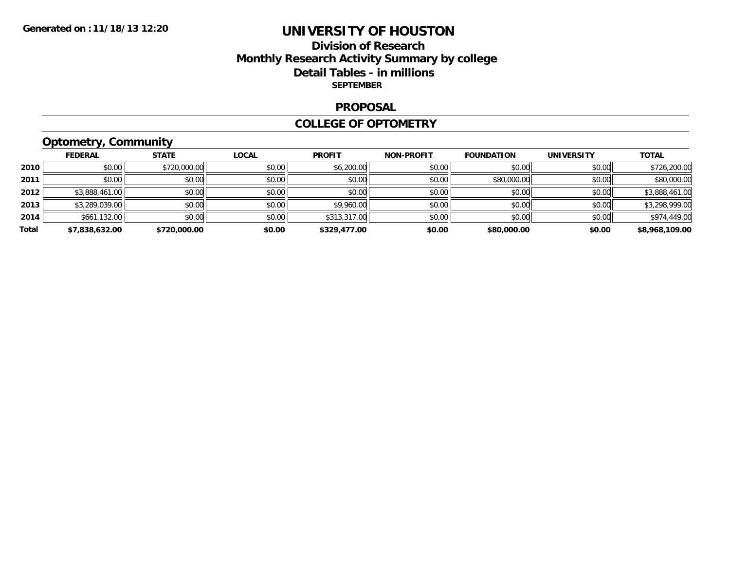### **Division of Research Monthly Research Activity Summary by college Detail Tables - in millions SEPTEMBER**

#### **PROPOSAL**

#### **COLLEGE OF OPTOMETRY**

## **Optometry, Community**

|       | <b>FEDERAL</b> | <b>STATE</b> | <b>LOCAL</b> | <b>PROFIT</b> | <b>NON-PROFIT</b> | <b>FOUNDATION</b> | <b>UNIVERSITY</b> | <b>TOTAL</b>   |
|-------|----------------|--------------|--------------|---------------|-------------------|-------------------|-------------------|----------------|
| 2010  | \$0.00         | \$720,000.00 | \$0.00       | \$6,200.00    | \$0.00            | \$0.00            | \$0.00            | \$726,200.00   |
| 2011  | \$0.00         | \$0.00       | \$0.00       | \$0.00        | \$0.00            | \$80,000.00       | \$0.00            | \$80,000.00    |
| 2012  | \$3,888,461.00 | \$0.00       | \$0.00       | \$0.00        | \$0.00            | \$0.00            | \$0.00            | \$3,888,461.00 |
| 2013  | \$3,289,039.00 | \$0.00       | \$0.00       | \$9,960.00    | \$0.00            | \$0.00            | \$0.00            | \$3,298,999.00 |
| 2014  | \$661,132.00   | \$0.00       | \$0.00       | \$313,317.00  | \$0.00            | \$0.00            | \$0.00            | \$974,449.00   |
| Total | \$7,838,632.00 | \$720,000.00 | \$0.00       | \$329,477.00  | \$0.00            | \$80,000.00       | \$0.00            | \$8,968,109.00 |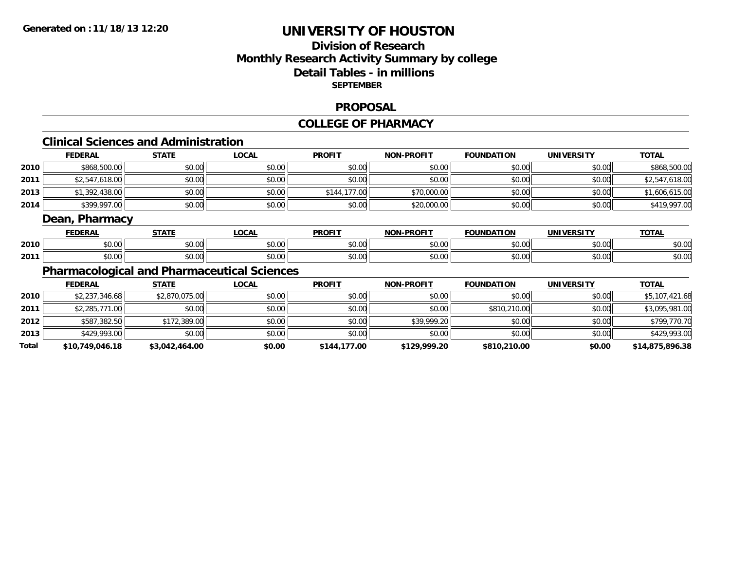## **Division of ResearchMonthly Research Activity Summary by college Detail Tables - in millions SEPTEMBER**

#### **PROPOSAL**

### **COLLEGE OF PHARMACY**

## **Clinical Sciences and Administration**

|      | <b>FEDERAL</b> | <u>STATE</u> | <u>LOCAL</u> | <b>PROFIT</b> | <b>NON-PROFIT</b> | <b>FOUNDATION</b> | <b>UNIVERSITY</b> | <b>TOTAL</b>   |
|------|----------------|--------------|--------------|---------------|-------------------|-------------------|-------------------|----------------|
| 2010 | \$868,500.00   | \$0.00       | \$0.00       | \$0.00        | \$0.00            | \$0.00            | \$0.00            | \$868,500.00   |
| 2011 | \$2,547,618.00 | \$0.00       | \$0.00       | \$0.00        | \$0.00            | \$0.00            | \$0.00            | \$2,547,618.00 |
| 2013 | \$1,392,438.00 | \$0.00       | \$0.00       | \$144, 177.00 | \$70,000.00       | \$0.00            | \$0.00            | \$1,606,615.00 |
| 2014 | \$399,997.00   | \$0.00       | \$0.00       | \$0.00        | \$20,000.00       | \$0.00            | \$0.00            | \$419,997.00   |

### **Dean, Pharmacy**

|      | EENEDAI<br>-JERAL  | <b>STATE</b>                                                | <b>LOCAL</b>  | <b>PROFIT</b>           | <b>-PROFIT</b><br>NON | ΠΟΝ<br><b>EQUINDA</b> | $T$ Posity<br>`JNI\<br>$\cdot$ | TOTA.         |
|------|--------------------|-------------------------------------------------------------|---------------|-------------------------|-----------------------|-----------------------|--------------------------------|---------------|
| 2010 | $\sim$ 00<br>pv.uu | $\mathfrak{g} \cap \mathfrak{g} \cap \mathfrak{g}$<br>pu.uu | 0.00<br>JU.UU | 0000<br>JU.UL           | 0000<br>vv.vv         | \$0.00                | 0000<br>PU.UU                  | 0000<br>DU.UU |
| 2011 | 0.00<br>DU.UU      | 0.00<br>JU.UU                                               | \$0.00        | 0 <sub>n</sub><br>JU.UU | 0000<br>JU.UU         | \$0.00                | 0000<br>JU.UU                  | 0000<br>DU.UU |

## **Pharmacological and Pharmaceutical Sciences**

|       | <b>FEDERAL</b>  | <b>STATE</b>   | <b>LOCAL</b> | <b>PROFIT</b> | <b>NON-PROFIT</b> | <b>FOUNDATION</b> | <b>UNIVERSITY</b> | <b>TOTAL</b>    |
|-------|-----------------|----------------|--------------|---------------|-------------------|-------------------|-------------------|-----------------|
| 2010  | \$2,237,346.68  | \$2,870,075.00 | \$0.00       | \$0.00        | \$0.00            | \$0.00            | \$0.00            | \$5,107,421.68  |
| 2011  | \$2,285,771.00  | \$0.00         | \$0.00       | \$0.00        | \$0.00            | \$810,210.00      | \$0.00            | \$3,095,981.00  |
| 2012  | \$587,382.50    | \$172,389.00   | \$0.00       | \$0.00        | \$39,999.20       | \$0.00            | \$0.00            | \$799,770.70    |
| 2013  | \$429,993.00    | \$0.00         | \$0.00       | \$0.00        | \$0.00            | \$0.00            | \$0.00            | \$429,993.00    |
| Total | \$10,749,046.18 | \$3,042,464.00 | \$0.00       | \$144,177.00  | \$129,999.20      | \$810,210.00      | \$0.00            | \$14,875,896.38 |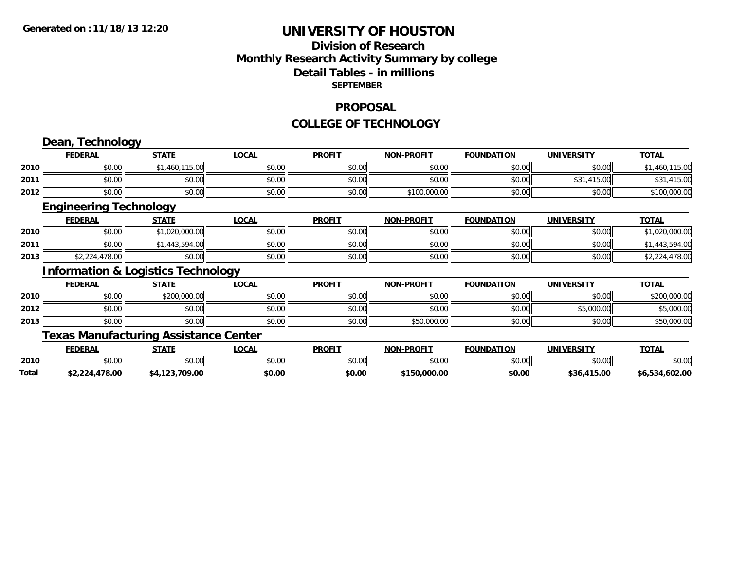## **Division of ResearchMonthly Research Activity Summary by college Detail Tables - in millions SEPTEMBER**

#### **PROPOSAL**

#### **COLLEGE OF TECHNOLOGY**

|       | Dean, Technology                              |                |              |               |                   |                   |                   |                |
|-------|-----------------------------------------------|----------------|--------------|---------------|-------------------|-------------------|-------------------|----------------|
|       | <b>FEDERAL</b>                                | <b>STATE</b>   | <b>LOCAL</b> | <b>PROFIT</b> | <b>NON-PROFIT</b> | <b>FOUNDATION</b> | <b>UNIVERSITY</b> | <b>TOTAL</b>   |
| 2010  | \$0.00                                        | \$1,460,115.00 | \$0.00       | \$0.00        | \$0.00            | \$0.00            | \$0.00            | \$1,460,115.00 |
| 2011  | \$0.00                                        | \$0.00         | \$0.00       | \$0.00        | \$0.00            | \$0.00            | \$31,415.00       | \$31,415.00    |
| 2012  | \$0.00                                        | \$0.00         | \$0.00       | \$0.00        | \$100,000.00      | \$0.00            | \$0.00            | \$100,000.00   |
|       | <b>Engineering Technology</b>                 |                |              |               |                   |                   |                   |                |
|       | <b>FEDERAL</b>                                | <b>STATE</b>   | <b>LOCAL</b> | <b>PROFIT</b> | <b>NON-PROFIT</b> | <b>FOUNDATION</b> | <b>UNIVERSITY</b> | <b>TOTAL</b>   |
| 2010  | \$0.00                                        | \$1,020,000.00 | \$0.00       | \$0.00        | \$0.00            | \$0.00            | \$0.00            | \$1,020,000.00 |
| 2011  | \$0.00                                        | \$1,443,594.00 | \$0.00       | \$0.00        | \$0.00            | \$0.00            | \$0.00            | \$1,443,594.00 |
| 2013  | \$2,224,478.00                                | \$0.00         | \$0.00       | \$0.00        | \$0.00            | \$0.00            | \$0.00            | \$2,224,478.00 |
|       | <b>Information &amp; Logistics Technology</b> |                |              |               |                   |                   |                   |                |
|       | <b>FEDERAL</b>                                | <b>STATE</b>   | <b>LOCAL</b> | <b>PROFIT</b> | <b>NON-PROFIT</b> | <b>FOUNDATION</b> | <b>UNIVERSITY</b> | <b>TOTAL</b>   |
| 2010  | \$0.00                                        | \$200,000.00   | \$0.00       | \$0.00        | \$0.00            | \$0.00            | \$0.00            | \$200,000.00   |
| 2012  | \$0.00                                        | \$0.00         | \$0.00       | \$0.00        | \$0.00            | \$0.00            | \$5,000.00        | \$5,000.00     |
| 2013  | \$0.00                                        | \$0.00         | \$0.00       | \$0.00        | \$50,000.00       | \$0.00            | \$0.00            | \$50,000.00    |
|       | <b>Texas Manufacturing Assistance Center</b>  |                |              |               |                   |                   |                   |                |
|       | <b>FEDERAL</b>                                | <b>STATE</b>   | <b>LOCAL</b> | <b>PROFIT</b> | <b>NON-PROFIT</b> | <b>FOUNDATION</b> | <b>UNIVERSITY</b> | <b>TOTAL</b>   |
| 2010  | \$0.00                                        | \$0.00         | \$0.00       | \$0.00        | \$0.00            | \$0.00            | \$0.00            | \$0.00         |
| Total | \$2,224,478.00                                | \$4,123,709.00 | \$0.00       | \$0.00        | \$150,000.00      | \$0.00            | \$36,415.00       | \$6,534,602.00 |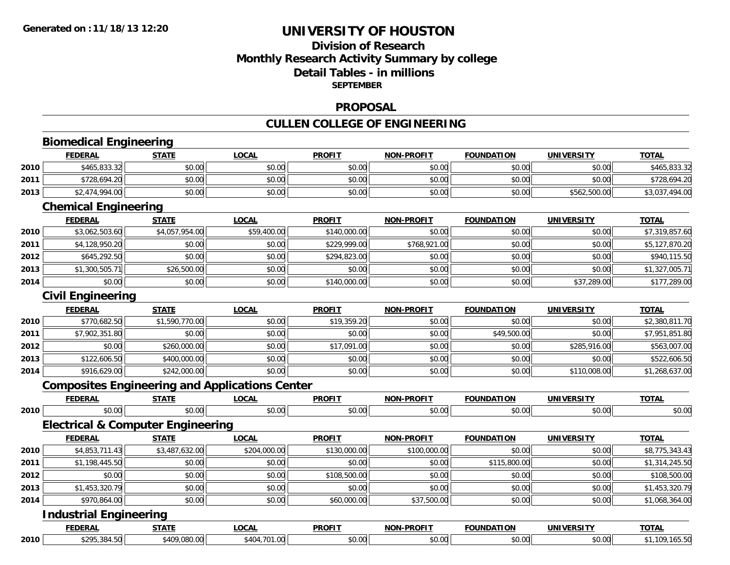## **Division of ResearchMonthly Research Activity Summary by college Detail Tables - in millions SEPTEMBER**

#### **PROPOSAL**

## **CULLEN COLLEGE OF ENGINEERING**

|      | <b>Biomedical Engineering</b>                         |                |              |               |                   |                   |                   |                |
|------|-------------------------------------------------------|----------------|--------------|---------------|-------------------|-------------------|-------------------|----------------|
|      | <b>FEDERAL</b>                                        | <b>STATE</b>   | <b>LOCAL</b> | <b>PROFIT</b> | NON-PROFIT        | <b>FOUNDATION</b> | <b>UNIVERSITY</b> | <b>TOTAL</b>   |
| 2010 | \$465,833.32                                          | \$0.00         | \$0.00       | \$0.00        | \$0.00            | \$0.00            | \$0.00            | \$465,833.32   |
| 2011 | \$728,694.20                                          | \$0.00         | \$0.00       | \$0.00        | \$0.00            | \$0.00            | \$0.00            | \$728,694.20   |
| 2013 | \$2,474,994.00                                        | \$0.00         | \$0.00       | \$0.00        | \$0.00            | \$0.00            | \$562,500.00      | \$3,037,494.00 |
|      | <b>Chemical Engineering</b>                           |                |              |               |                   |                   |                   |                |
|      | <b>FEDERAL</b>                                        | <b>STATE</b>   | <b>LOCAL</b> | <b>PROFIT</b> | <b>NON-PROFIT</b> | <b>FOUNDATION</b> | <b>UNIVERSITY</b> | <b>TOTAL</b>   |
| 2010 | \$3,062,503.60                                        | \$4,057,954.00 | \$59,400.00  | \$140,000.00  | \$0.00            | \$0.00            | \$0.00            | \$7,319,857.60 |
| 2011 | \$4,128,950.20                                        | \$0.00         | \$0.00       | \$229,999.00  | \$768,921.00      | \$0.00            | \$0.00            | \$5,127,870.20 |
| 2012 | \$645,292.50                                          | \$0.00         | \$0.00       | \$294,823.00  | \$0.00            | \$0.00            | \$0.00            | \$940,115.50   |
| 2013 | \$1,300,505.71                                        | \$26,500.00    | \$0.00       | \$0.00        | \$0.00            | \$0.00            | \$0.00            | \$1,327,005.71 |
| 2014 | \$0.00                                                | \$0.00         | \$0.00       | \$140,000.00  | \$0.00            | \$0.00            | \$37,289.00       | \$177,289.00   |
|      | <b>Civil Engineering</b>                              |                |              |               |                   |                   |                   |                |
|      | <b>FEDERAL</b>                                        | <b>STATE</b>   | <b>LOCAL</b> | <b>PROFIT</b> | <b>NON-PROFIT</b> | <b>FOUNDATION</b> | <b>UNIVERSITY</b> | <b>TOTAL</b>   |
| 2010 | \$770,682.50                                          | \$1,590,770.00 | \$0.00       | \$19,359.20   | \$0.00            | \$0.00            | \$0.00            | \$2,380,811.70 |
| 2011 | \$7,902,351.80                                        | \$0.00         | \$0.00       | \$0.00        | \$0.00            | \$49,500.00       | \$0.00            | \$7,951,851.80 |
| 2012 | \$0.00                                                | \$260,000.00   | \$0.00       | \$17,091.00   | \$0.00            | \$0.00            | \$285,916.00      | \$563,007.00   |
| 2013 | \$122,606.50                                          | \$400,000.00   | \$0.00       | \$0.00        | \$0.00            | \$0.00            | \$0.00            | \$522,606.50   |
| 2014 | \$916,629.00                                          | \$242,000.00   | \$0.00       | \$0.00        | \$0.00            | \$0.00            | \$110,008.00      | \$1,268,637.00 |
|      | <b>Composites Engineering and Applications Center</b> |                |              |               |                   |                   |                   |                |
|      | <b>FEDERAL</b>                                        | <b>STATE</b>   | <b>LOCAL</b> | <b>PROFIT</b> | <b>NON-PROFIT</b> | <b>FOUNDATION</b> | <b>UNIVERSITY</b> | <b>TOTAL</b>   |
| 2010 | \$0.00                                                | \$0.00         | \$0.00       | \$0.00        | \$0.00            | \$0.00            | \$0.00            | \$0.00         |
|      | <b>Electrical &amp; Computer Engineering</b>          |                |              |               |                   |                   |                   |                |
|      | <b>FEDERAL</b>                                        | <b>STATE</b>   | <b>LOCAL</b> | <b>PROFIT</b> | <b>NON-PROFIT</b> | <b>FOUNDATION</b> | <b>UNIVERSITY</b> | <b>TOTAL</b>   |
| 2010 | \$4,853,711.43                                        | \$3,487,632.00 | \$204,000.00 | \$130,000.00  | \$100,000.00      | \$0.00            | \$0.00            | \$8,775,343.43 |
| 2011 | \$1,198,445.50                                        | \$0.00         | \$0.00       | \$0.00        | \$0.00            | \$115,800.00      | \$0.00            | \$1,314,245.50 |
| 2012 | \$0.00                                                | \$0.00         | \$0.00       | \$108,500.00  | \$0.00            | \$0.00            | \$0.00            | \$108,500.00   |
| 2013 | \$1,453,320.79                                        | \$0.00         | \$0.00       | \$0.00        | \$0.00            | \$0.00            | \$0.00            | \$1,453,320.79 |
| 2014 | \$970,864.00                                          | \$0.00         | \$0.00       | \$60,000.00   | \$37,500.00       | \$0.00            | \$0.00            | \$1,068,364.00 |
|      | <b>Industrial Engineering</b>                         |                |              |               |                   |                   |                   |                |
|      | <b>FEDERAL</b>                                        | <b>STATE</b>   | <b>LOCAL</b> | <b>PROFIT</b> | <b>NON-PROFIT</b> | <b>FOUNDATION</b> | <b>UNIVERSITY</b> | <b>TOTAL</b>   |
| 2010 | \$295,384.50                                          | \$409,080.00   | \$404,701.00 | \$0.00        | \$0.00            | \$0.00            | \$0.00            | \$1,109,165.50 |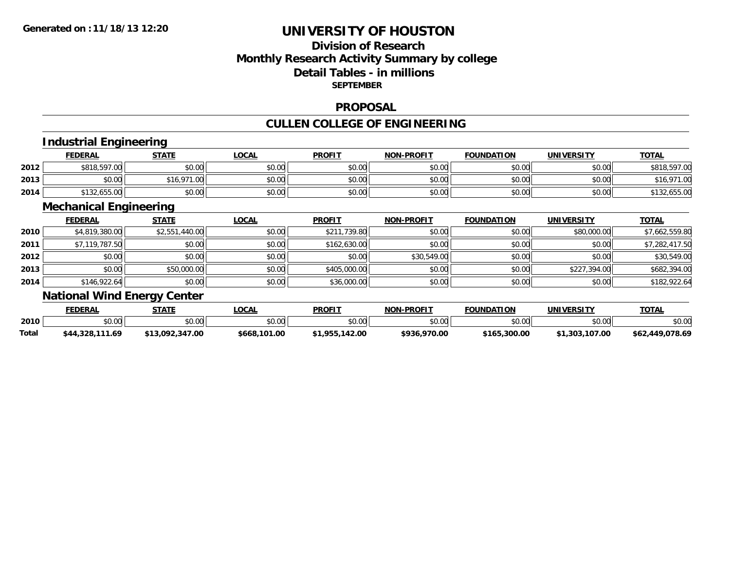## **Division of ResearchMonthly Research Activity Summary by college Detail Tables - in millions SEPTEMBER**

#### **PROPOSAL**

## **CULLEN COLLEGE OF ENGINEERING**

## **Industrial Engineering**

|      | <b>FEDERAL</b> | STATE       | <b>_OCAL</b> | <b>PROFIT</b> | <b>NON-PROFIT</b> | <b>FOUNDATION</b> | UNIVERSITY | <b>TOTAL</b> |
|------|----------------|-------------|--------------|---------------|-------------------|-------------------|------------|--------------|
| 2012 | \$818,597.00   | \$0.00      | \$0.00       | \$0.00        | \$0.00            | \$0.00            | \$0.00     | \$818,597.00 |
| 2013 | \$0.00         | \$16,971.00 | \$0.00       | \$0.00        | \$0.00            | \$0.00            | \$0.00     | 16,971.00    |
| 2014 | \$132,655.00   | \$0.00      | \$0.00       | \$0.00        | \$0.00            | \$0.00            | \$0.00     | \$132,655.00 |

<u> 1989 - Johann Stoff, amerikansk politiker (d. 1989)</u>

## **Mechanical Engineering**

|      | <b>FEDERAL</b> | <b>STATE</b>   | <u>LOCAL</u> | <b>PROFIT</b> | <b>NON-PROFIT</b> | <b>FOUNDATION</b> | <b>UNIVERSITY</b> | <b>TOTAL</b>   |
|------|----------------|----------------|--------------|---------------|-------------------|-------------------|-------------------|----------------|
| 2010 | \$4,819,380.00 | \$2,551,440.00 | \$0.00       | \$211,739.80  | \$0.00            | \$0.00            | \$80,000.00       | \$7,662,559.80 |
| 2011 | \$7,119,787.50 | \$0.00         | \$0.00       | \$162,630.00  | \$0.00            | \$0.00            | \$0.00            | \$7,282,417.50 |
| 2012 | \$0.00         | \$0.00         | \$0.00       | \$0.00        | \$30,549.00       | \$0.00            | \$0.00            | \$30,549.00    |
| 2013 | \$0.00         | \$50,000.00    | \$0.00       | \$405,000.00  | \$0.00            | \$0.00            | \$227,394.00      | \$682,394.00   |
| 2014 | \$146,922.64   | \$0.00         | \$0.00       | \$36,000.00   | \$0.00            | \$0.00            | \$0.00            | \$182,922.64   |

#### **National Wind Energy Center**

|       | <b>FEDERAL</b>  | STATE           | .OCAL        | <b>PROFIT</b>       | <b>NON-PROFIT</b> | <b>FOUNDATION</b> | <b>UNIVERSITY</b> | <b>TOTAL</b>         |
|-------|-----------------|-----------------|--------------|---------------------|-------------------|-------------------|-------------------|----------------------|
| 2010  | ቀስ ሰስ<br>DU.UL  | \$0.00          | \$0.00       | \$0.00              | \$0.00            | \$0.00            | \$0.00            | \$0.00               |
| Total | \$44,328,111.69 | \$13,092,347.00 | \$668,101.00 | .142.00<br>\$1.955. | \$936,970.00      | \$165.300.00      | .303.107.00       | 449,078.69.<br>\$62. |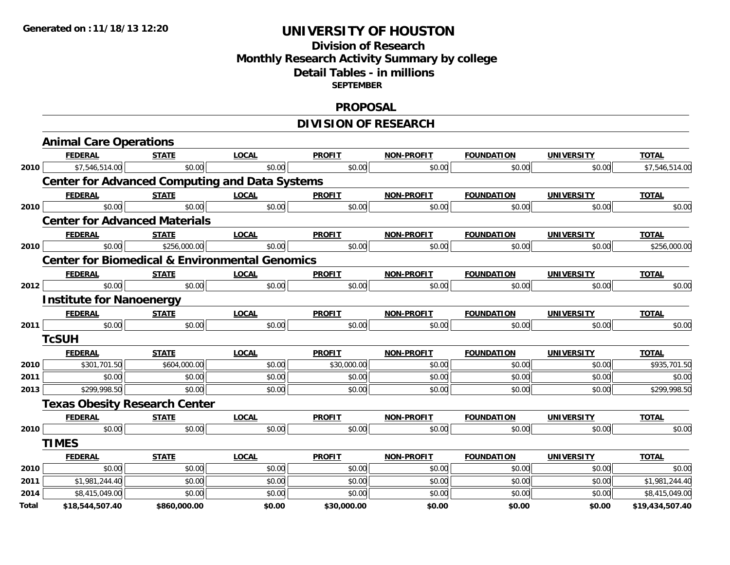## **Division of ResearchMonthly Research Activity Summary by college Detail Tables - in millions SEPTEMBER**

#### **PROPOSAL**

## **DIVISION OF RESEARCH**

|       | <b>Animal Care Operations</b>                             |              |              |               |                   |                   |                   |                 |  |  |
|-------|-----------------------------------------------------------|--------------|--------------|---------------|-------------------|-------------------|-------------------|-----------------|--|--|
|       | <b>FEDERAL</b>                                            | <b>STATE</b> | <b>LOCAL</b> | <b>PROFIT</b> | NON-PROFIT        | <b>FOUNDATION</b> | <b>UNIVERSITY</b> | <b>TOTAL</b>    |  |  |
| 2010  | \$7,546,514.00                                            | \$0.00       | \$0.00       | \$0.00        | \$0.00            | \$0.00            | \$0.00            | \$7,546,514.00  |  |  |
|       | <b>Center for Advanced Computing and Data Systems</b>     |              |              |               |                   |                   |                   |                 |  |  |
|       | <b>FEDERAL</b>                                            | <b>STATE</b> | <b>LOCAL</b> | <b>PROFIT</b> | <b>NON-PROFIT</b> | <b>FOUNDATION</b> | <b>UNIVERSITY</b> | <b>TOTAL</b>    |  |  |
| 2010  | \$0.00                                                    | \$0.00       | \$0.00       | \$0.00        | \$0.00            | \$0.00            | \$0.00            | \$0.00          |  |  |
|       | <b>Center for Advanced Materials</b>                      |              |              |               |                   |                   |                   |                 |  |  |
|       | <b>FEDERAL</b>                                            | <b>STATE</b> | <b>LOCAL</b> | <b>PROFIT</b> | <b>NON-PROFIT</b> | <b>FOUNDATION</b> | <b>UNIVERSITY</b> | <b>TOTAL</b>    |  |  |
| 2010  | \$0.00                                                    | \$256,000.00 | \$0.00       | \$0.00        | \$0.00            | \$0.00            | \$0.00            | \$256,000.00    |  |  |
|       | <b>Center for Biomedical &amp; Environmental Genomics</b> |              |              |               |                   |                   |                   |                 |  |  |
|       | <b>FEDERAL</b>                                            | <b>STATE</b> | <b>LOCAL</b> | <b>PROFIT</b> | <b>NON-PROFIT</b> | <b>FOUNDATION</b> | <b>UNIVERSITY</b> | <b>TOTAL</b>    |  |  |
| 2012  | \$0.00                                                    | \$0.00       | \$0.00       | \$0.00        | \$0.00            | \$0.00            | \$0.00            | \$0.00          |  |  |
|       | <b>Institute for Nanoenergy</b>                           |              |              |               |                   |                   |                   |                 |  |  |
|       | <b>FEDERAL</b>                                            | <b>STATE</b> | <b>LOCAL</b> | <b>PROFIT</b> | <b>NON-PROFIT</b> | <b>FOUNDATION</b> | <b>UNIVERSITY</b> | <b>TOTAL</b>    |  |  |
| 2011  | \$0.00                                                    | \$0.00       | \$0.00       | \$0.00        | \$0.00            | \$0.00            | \$0.00            | \$0.00          |  |  |
|       | <b>TcSUH</b>                                              |              |              |               |                   |                   |                   |                 |  |  |
|       | <b>FEDERAL</b>                                            | <b>STATE</b> | <b>LOCAL</b> | <b>PROFIT</b> | NON-PROFIT        | <b>FOUNDATION</b> | <b>UNIVERSITY</b> | <b>TOTAL</b>    |  |  |
| 2010  | \$301,701.50                                              | \$604,000.00 | \$0.00       | \$30,000.00   | \$0.00            | \$0.00            | \$0.00            | \$935,701.50    |  |  |
| 2011  | \$0.00                                                    | \$0.00       | \$0.00       | \$0.00        | \$0.00            | \$0.00            | \$0.00            | \$0.00          |  |  |
| 2013  | \$299,998.50                                              | \$0.00       | \$0.00       | \$0.00        | \$0.00            | \$0.00            | \$0.00            | \$299,998.50    |  |  |
|       | <b>Texas Obesity Research Center</b>                      |              |              |               |                   |                   |                   |                 |  |  |
|       | <b>FEDERAL</b>                                            | <b>STATE</b> | <b>LOCAL</b> | <b>PROFIT</b> | <b>NON-PROFIT</b> | <b>FOUNDATION</b> | <b>UNIVERSITY</b> | <b>TOTAL</b>    |  |  |
| 2010  | \$0.00                                                    | \$0.00       | \$0.00       | \$0.00        | \$0.00            | \$0.00            | \$0.00            | \$0.00          |  |  |
|       | <b>TIMES</b>                                              |              |              |               |                   |                   |                   |                 |  |  |
|       | <b>FEDERAL</b>                                            | <b>STATE</b> | <b>LOCAL</b> | <b>PROFIT</b> | <b>NON-PROFIT</b> | <b>FOUNDATION</b> | <b>UNIVERSITY</b> | <b>TOTAL</b>    |  |  |
| 2010  | \$0.00                                                    | \$0.00       | \$0.00       | \$0.00        | \$0.00            | \$0.00            | \$0.00            | \$0.00          |  |  |
| 2011  | \$1,981,244.40                                            | \$0.00       | \$0.00       | \$0.00        | \$0.00            | \$0.00            | \$0.00            | \$1,981,244.40  |  |  |
| 2014  | \$8,415,049.00                                            | \$0.00       | \$0.00       | \$0.00        | \$0.00            | \$0.00            | \$0.00            | \$8,415,049.00  |  |  |
| Total | \$18,544,507.40                                           | \$860,000.00 | \$0.00       | \$30,000.00   | \$0.00            | \$0.00            | \$0.00            | \$19,434,507.40 |  |  |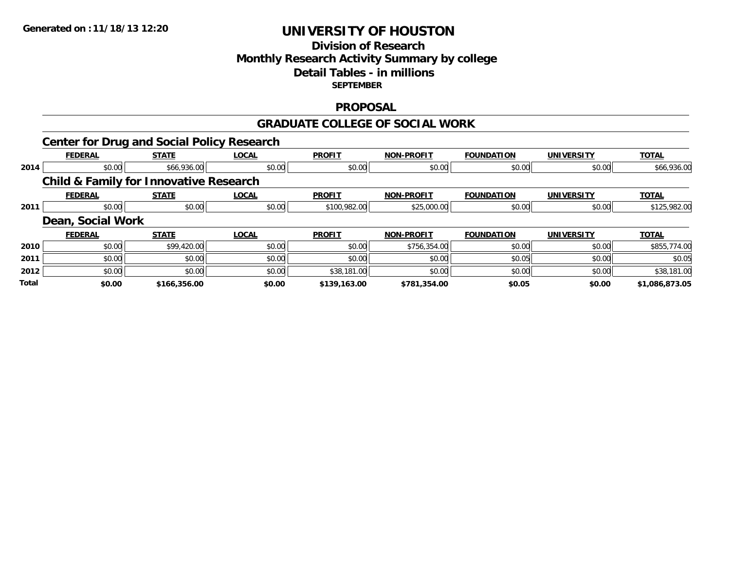### **Division of Research Monthly Research Activity Summary by college Detail Tables - in millions SEPTEMBER**

#### **PROPOSAL**

#### **GRADUATE COLLEGE OF SOCIAL WORK**

|              | <b>Center for Drug and Social Policy Research</b> |              |              |               |                   |                   |                   |                |
|--------------|---------------------------------------------------|--------------|--------------|---------------|-------------------|-------------------|-------------------|----------------|
|              | <b>FEDERAL</b>                                    | <b>STATE</b> | <b>LOCAL</b> | <b>PROFIT</b> | <b>NON-PROFIT</b> | <b>FOUNDATION</b> | <b>UNIVERSITY</b> | <b>TOTAL</b>   |
| 2014         | \$0.00                                            | \$66,936.00  | \$0.00       | \$0.00        | \$0.00            | \$0.00            | \$0.00            | \$66,936.00    |
|              | <b>Child &amp; Family for Innovative Research</b> |              |              |               |                   |                   |                   |                |
|              | <b>FEDERAL</b>                                    | <b>STATE</b> | <b>LOCAL</b> | <b>PROFIT</b> | <b>NON-PROFIT</b> | <b>FOUNDATION</b> | <b>UNIVERSITY</b> | <b>TOTAL</b>   |
| 2011         | \$0.00                                            | \$0.00       | \$0.00       | \$100,982.00  | \$25,000.00       | \$0.00            | \$0.00            | \$125,982.00   |
|              | Dean, Social Work                                 |              |              |               |                   |                   |                   |                |
|              | <b>FEDERAL</b>                                    | <b>STATE</b> | <b>LOCAL</b> | <b>PROFIT</b> | <b>NON-PROFIT</b> | <b>FOUNDATION</b> | <b>UNIVERSITY</b> | <b>TOTAL</b>   |
| 2010         | \$0.00                                            | \$99,420.00  | \$0.00       | \$0.00        | \$756,354.00      | \$0.00            | \$0.00            | \$855,774.00   |
| 2011         | \$0.00                                            | \$0.00       | \$0.00       | \$0.00        | \$0.00            | \$0.05            | \$0.00            | \$0.05         |
| 2012         | \$0.00                                            | \$0.00       | \$0.00       | \$38,181.00   | \$0.00            | \$0.00            | \$0.00            | \$38,181.00    |
| <b>Total</b> | \$0.00                                            | \$166,356.00 | \$0.00       | \$139,163.00  | \$781,354.00      | \$0.05            | \$0.00            | \$1,086,873.05 |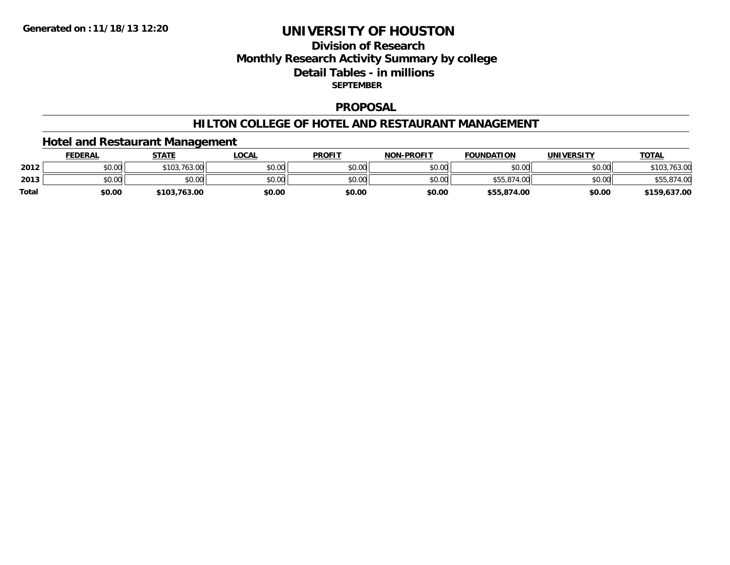## **Division of ResearchMonthly Research Activity Summary by college Detail Tables - in millions SEPTEMBER**

#### **PROPOSAL**

#### **HILTON COLLEGE OF HOTEL AND RESTAURANT MANAGEMENT**

### **Hotel and Restaurant Management**

|              | <u>FEDERAL</u> | <b>STATE</b>               | <u>LOCAL</u> | <b>PROFIT</b> | <b>NON-PROFIT</b> | <b>FOUNDATION</b> | UNIVERSITY | <b>TOTAL</b>    |
|--------------|----------------|----------------------------|--------------|---------------|-------------------|-------------------|------------|-----------------|
| 2012         | \$0.00         | $^{\circ}$ 763.00<br>\$103 | \$0.00       | \$0.00        | \$0.00            | \$0.00            | \$0.00     | \$103<br>703.UU |
| 2013         | \$0.00         | \$0.00                     | \$0.00       | \$0.00        | \$0.00            | \$55,874.00       | \$0.00     | 4.V             |
| <b>Total</b> | \$0.00         | \$103,763.00               | \$0.00       | \$0.00        | \$0.00            | \$55,874.00       | \$0.00     | \$159,637.00    |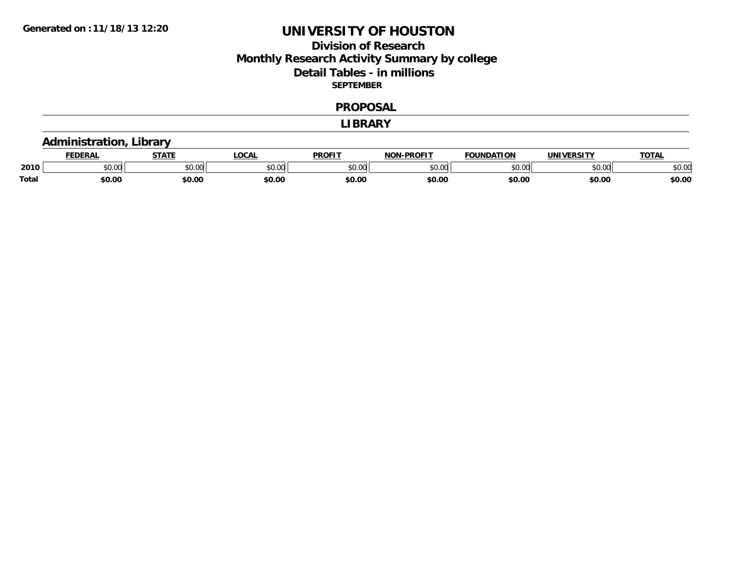### **Division of Research Monthly Research Activity Summary by college Detail Tables - in millions SEPTEMBER**

#### **PROPOSAL**

#### **LIBRARY**

### **Administration, Library**

|              | <b>FDERAI</b>   | <b>CTATE</b> | <b>OCAL</b> | <b>PROFIT</b>  | <b>DDOCLT</b><br>NIAR | <b>FOUNDATION</b>       | UNIVERSITY | <b>TOTAL</b>   |
|--------------|-----------------|--------------|-------------|----------------|-----------------------|-------------------------|------------|----------------|
| 2010         | $\sim$<br>JU.UU | JU.UU        | \$0.00      | ტი იი<br>JU.UU | 0.00<br>וטטוע         | $\sim$ 00 $\mu$<br>u.uu | \$0.00     | ልስ አር<br>JU.UU |
| <b>Total</b> | \$0.00          | \$0.00       | \$0.00      | \$0.00         | \$0.00                | \$0.00                  | \$0.00     | \$0.00         |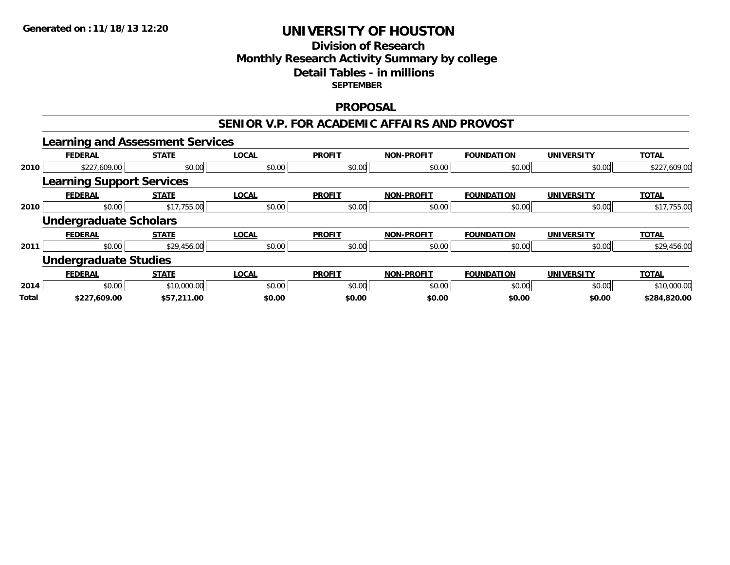### **Division of Research Monthly Research Activity Summary by college Detail Tables - in millions SEPTEMBER**

#### **PROPOSAL**

#### **SENIOR V.P. FOR ACADEMIC AFFAIRS AND PROVOST**

|              | <b>Learning and Assessment Services</b> |              |              |               |                   |                   |                   |              |
|--------------|-----------------------------------------|--------------|--------------|---------------|-------------------|-------------------|-------------------|--------------|
|              | <b>FEDERAL</b>                          | <b>STATE</b> | <b>LOCAL</b> | <b>PROFIT</b> | <b>NON-PROFIT</b> | <b>FOUNDATION</b> | <b>UNIVERSITY</b> | <b>TOTAL</b> |
| 2010         | \$227,609.00                            | \$0.00       | \$0.00       | \$0.00        | \$0.00            | \$0.00            | \$0.00            | \$227,609.00 |
|              | <b>Learning Support Services</b>        |              |              |               |                   |                   |                   |              |
|              | <b>FEDERAL</b>                          | <b>STATE</b> | <b>LOCAL</b> | <b>PROFIT</b> | <b>NON-PROFIT</b> | <b>FOUNDATION</b> | <b>UNIVERSITY</b> | <b>TOTAL</b> |
| 2010         | \$0.00                                  | \$17,755.00  | \$0.00       | \$0.00        | \$0.00            | \$0.00            | \$0.00            | \$17,755.00  |
|              | <b>Undergraduate Scholars</b>           |              |              |               |                   |                   |                   |              |
|              | <b>FEDERAL</b>                          | <b>STATE</b> | <b>LOCAL</b> | <b>PROFIT</b> | <b>NON-PROFIT</b> | <b>FOUNDATION</b> | <b>UNIVERSITY</b> | <b>TOTAL</b> |
| 2011         | \$0.00                                  | \$29,456.00  | \$0.00       | \$0.00        | \$0.00            | \$0.00            | \$0.00            | \$29,456.00  |
|              | <b>Undergraduate Studies</b>            |              |              |               |                   |                   |                   |              |
|              | <b>FEDERAL</b>                          | <b>STATE</b> | <b>LOCAL</b> | <b>PROFIT</b> | <b>NON-PROFIT</b> | <b>FOUNDATION</b> | <b>UNIVERSITY</b> | <b>TOTAL</b> |
| 2014         | \$0.00                                  | \$10,000.00  | \$0.00       | \$0.00        | \$0.00            | \$0.00            | \$0.00            | \$10,000.00  |
| <b>Total</b> | \$227,609.00                            | \$57,211.00  | \$0.00       | \$0.00        | \$0.00            | \$0.00            | \$0.00            | \$284,820.00 |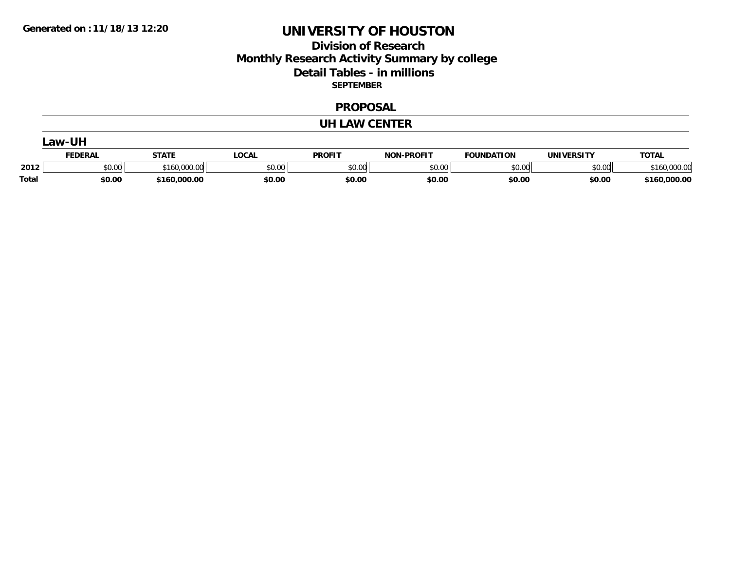## **Division of Research Monthly Research Activity Summary by college Detail Tables - in millions SEPTEMBER**

#### **PROPOSAL**

#### **UH LAW CENTER**

|              | _aw-UH  |              |              |               |                 |                   |            |              |  |  |
|--------------|---------|--------------|--------------|---------------|-----------------|-------------------|------------|--------------|--|--|
|              | FEDERAL | <b>STATE</b> | <b>LOCAL</b> | <b>PROFIT</b> | <b>N-PROFIT</b> | <b>FOUNDATION</b> | UNIVERSITY | <b>TOTAL</b> |  |  |
| 2012         | \$0.00  | \$160,000.00 | \$0.00       | \$0.00        | \$0.00          | \$0.00            | \$0.00     | \$160,000.00 |  |  |
| <b>Total</b> | \$0.00  | \$160,000.00 | \$0.00       | \$0.00        | \$0.00          | \$0.00            | \$0.00     | \$160,000.00 |  |  |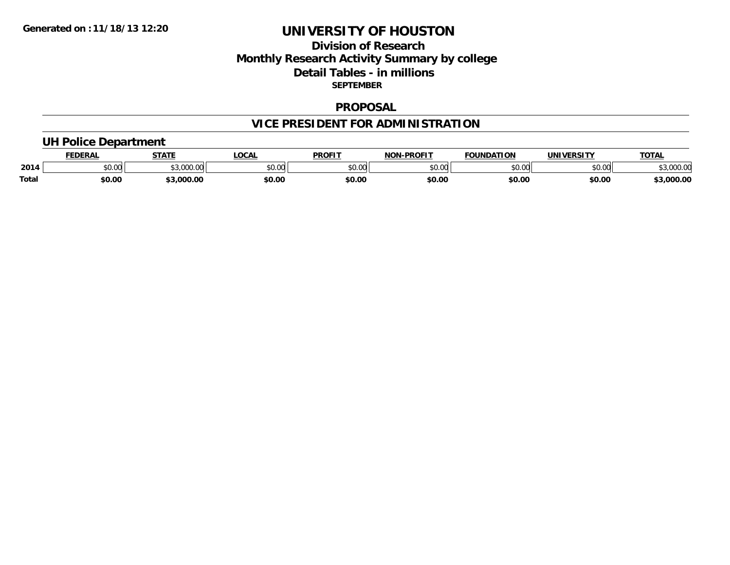### **Division of Research Monthly Research Activity Summary by college Detail Tables - in millions SEPTEMBER**

#### **PROPOSAL**

## **VICE PRESIDENT FOR ADMINISTRATION**

### **UH Police Department**

|              | <b>FEDERAL</b> | <b>STATE</b>                  | LOCAL         | <b>PROFIT</b> | <b>LPROFIT</b><br>NON | <b>FOUNDATION</b> | UNIVERSITY | <b>TOTAL</b>       |
|--------------|----------------|-------------------------------|---------------|---------------|-----------------------|-------------------|------------|--------------------|
| 2014         | vv.vv          | 62.000C <sup>2</sup><br>uuu.u | 0000<br>PO.OO | 0000<br>JU.UU | 0000<br>vu.uu -       | \$0.00            | \$0.00     | 00000<br>99,UUU.UU |
| <b>Total</b> | \$0.00         | 3.000.00                      | \$0.00        | \$0.00        | \$0.00                | \$0.00            | \$0.00     | 3,000.00           |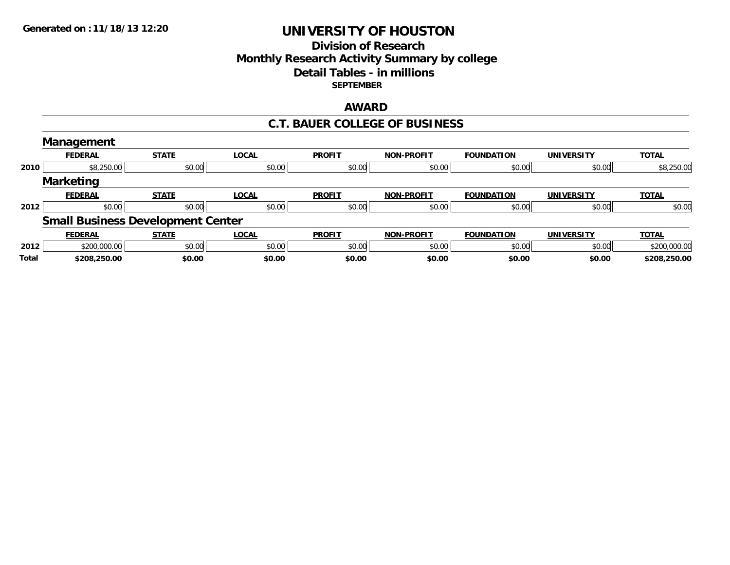## **Division of ResearchMonthly Research Activity Summary by college Detail Tables - in millions SEPTEMBER**

### **AWARD**

#### **C.T. BAUER COLLEGE OF BUSINESS**

|              | Management                               |              |              |               |                   |                   |                   |              |
|--------------|------------------------------------------|--------------|--------------|---------------|-------------------|-------------------|-------------------|--------------|
|              | <b>FEDERAL</b>                           | <b>STATE</b> | <b>LOCAL</b> | <b>PROFIT</b> | <b>NON-PROFIT</b> | <b>FOUNDATION</b> | <b>UNIVERSITY</b> | <b>TOTAL</b> |
| 2010         | \$8,250.00                               | \$0.00       | \$0.00       | \$0.00        | \$0.00            | \$0.00            | \$0.00            | \$8,250.00   |
|              | <b>Marketing</b>                         |              |              |               |                   |                   |                   |              |
|              | <b>FEDERAL</b>                           | <b>STATE</b> | <b>LOCAL</b> | <b>PROFIT</b> | <b>NON-PROFIT</b> | <b>FOUNDATION</b> | <b>UNIVERSITY</b> | <b>TOTAL</b> |
| 2012         | \$0.00                                   | \$0.00       | \$0.00       | \$0.00        | \$0.00            | \$0.00            | \$0.00            | \$0.00       |
|              | <b>Small Business Development Center</b> |              |              |               |                   |                   |                   |              |
|              | <b>FEDERAL</b>                           | <b>STATE</b> | <b>LOCAL</b> | <b>PROFIT</b> | <b>NON-PROFIT</b> | <b>FOUNDATION</b> | <b>UNIVERSITY</b> | <b>TOTAL</b> |
| 2012         | \$200,000.00                             | \$0.00       | \$0.00       | \$0.00        | \$0.00            | \$0.00            | \$0.00            | \$200,000.00 |
| <b>Total</b> | \$208,250.00                             | \$0.00       | \$0.00       | \$0.00        | \$0.00            | \$0.00            | \$0.00            | \$208,250.00 |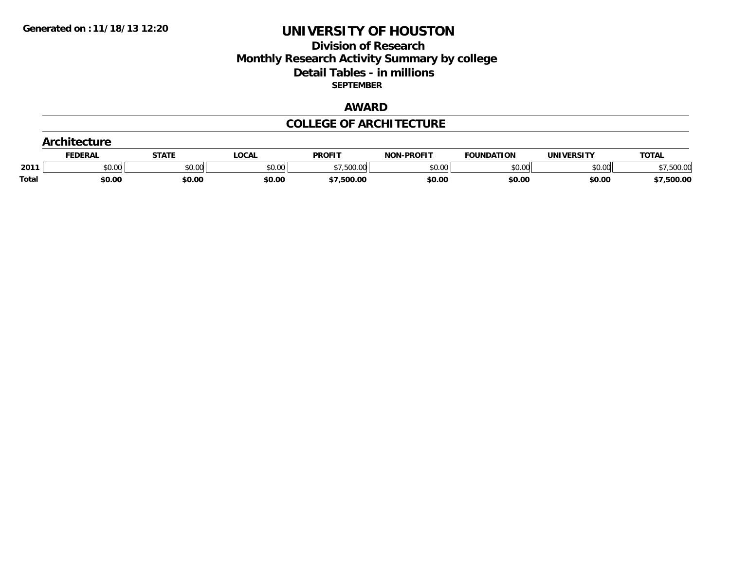### **Division of Research Monthly Research Activity Summary by college Detail Tables - in millions SEPTEMBER**

### **AWARD**

#### **COLLEGE OF ARCHITECTURE**

|       | tactura        |              |              |               |                   |                   |            |              |  |  |
|-------|----------------|--------------|--------------|---------------|-------------------|-------------------|------------|--------------|--|--|
|       | <b>FEDERAL</b> | <b>STATE</b> | <b>LOCAL</b> | <b>PROFIT</b> | <b>NON-PROFIT</b> | <b>FOUNDATION</b> | UNIVERSITY | <b>TOTAL</b> |  |  |
| 201'  | \$0.00         | \$0.00       | \$0.00       | \$7,500.00    | \$0.00            | \$0.00            | \$0.00     | ,500.00      |  |  |
| Total | \$0.00         | \$0.00       | \$0.00       | \$7,500.00    | \$0.00            | \$0.00            | \$0.00     | \$7,500.00   |  |  |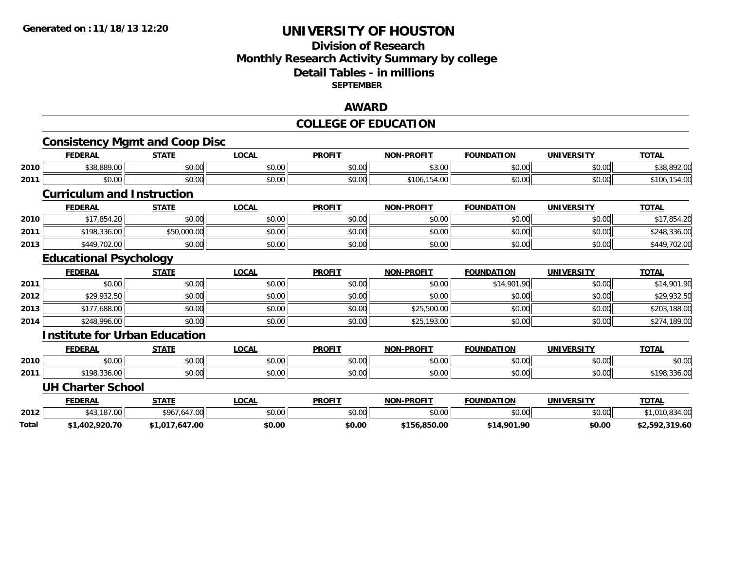## **Division of Research Monthly Research Activity Summary by college Detail Tables - in millions SEPTEMBER**

### **AWARD**

#### **COLLEGE OF EDUCATION**

|       | <b>Consistency Mgmt and Coop Disc</b> |                |              |               |                   |                   |                   |                |
|-------|---------------------------------------|----------------|--------------|---------------|-------------------|-------------------|-------------------|----------------|
|       | <b>FEDERAL</b>                        | <b>STATE</b>   | <b>LOCAL</b> | <b>PROFIT</b> | <b>NON-PROFIT</b> | <b>FOUNDATION</b> | <b>UNIVERSITY</b> | <b>TOTAL</b>   |
| 2010  | \$38,889.00                           | \$0.00         | \$0.00       | \$0.00        | \$3.00            | \$0.00            | \$0.00            | \$38,892.00    |
| 2011  | \$0.00                                | \$0.00         | \$0.00       | \$0.00        | \$106,154.00      | \$0.00            | \$0.00            | \$106,154.00   |
|       | <b>Curriculum and Instruction</b>     |                |              |               |                   |                   |                   |                |
|       | <b>FEDERAL</b>                        | <b>STATE</b>   | <b>LOCAL</b> | <b>PROFIT</b> | <b>NON-PROFIT</b> | <b>FOUNDATION</b> | <b>UNIVERSITY</b> | <b>TOTAL</b>   |
| 2010  | \$17,854.20                           | \$0.00         | \$0.00       | \$0.00        | \$0.00            | \$0.00            | \$0.00            | \$17,854.20    |
| 2011  | \$198,336.00                          | \$50,000.00    | \$0.00       | \$0.00        | \$0.00            | \$0.00            | \$0.00            | \$248,336.00   |
| 2013  | \$449,702.00                          | \$0.00         | \$0.00       | \$0.00        | \$0.00            | \$0.00            | \$0.00            | \$449,702.00   |
|       | <b>Educational Psychology</b>         |                |              |               |                   |                   |                   |                |
|       | <b>FEDERAL</b>                        | <b>STATE</b>   | <b>LOCAL</b> | <b>PROFIT</b> | <b>NON-PROFIT</b> | <b>FOUNDATION</b> | <b>UNIVERSITY</b> | <b>TOTAL</b>   |
| 2011  | \$0.00                                | \$0.00         | \$0.00       | \$0.00        | \$0.00            | \$14,901.90       | \$0.00            | \$14,901.90    |
| 2012  | \$29,932.50                           | \$0.00         | \$0.00       | \$0.00        | \$0.00            | \$0.00            | \$0.00            | \$29,932.50    |
| 2013  | \$177,688.00                          | \$0.00         | \$0.00       | \$0.00        | \$25,500.00       | \$0.00            | \$0.00            | \$203,188.00   |
| 2014  | \$248,996.00                          | \$0.00         | \$0.00       | \$0.00        | \$25,193.00       | \$0.00            | \$0.00            | \$274,189.00   |
|       | <b>Institute for Urban Education</b>  |                |              |               |                   |                   |                   |                |
|       | <b>FEDERAL</b>                        | <b>STATE</b>   | <b>LOCAL</b> | <b>PROFIT</b> | <b>NON-PROFIT</b> | <b>FOUNDATION</b> | <b>UNIVERSITY</b> | <b>TOTAL</b>   |
| 2010  | \$0.00                                | \$0.00         | \$0.00       | \$0.00        | \$0.00            | \$0.00            | \$0.00            | \$0.00         |
| 2011  | \$198,336.00                          | \$0.00         | \$0.00       | \$0.00        | \$0.00            | \$0.00            | \$0.00            | \$198,336.00   |
|       | <b>UH Charter School</b>              |                |              |               |                   |                   |                   |                |
|       | <b>FEDERAL</b>                        | <b>STATE</b>   | <b>LOCAL</b> | <b>PROFIT</b> | <b>NON-PROFIT</b> | <b>FOUNDATION</b> | <b>UNIVERSITY</b> | <b>TOTAL</b>   |
| 2012  | \$43,187.00                           | \$967,647.00   | \$0.00       | \$0.00        | \$0.00            | \$0.00            | \$0.00            | \$1,010,834.00 |
| Total | \$1,402,920.70                        | \$1,017,647.00 | \$0.00       | \$0.00        | \$156,850.00      | \$14,901.90       | \$0.00            | \$2,592,319.60 |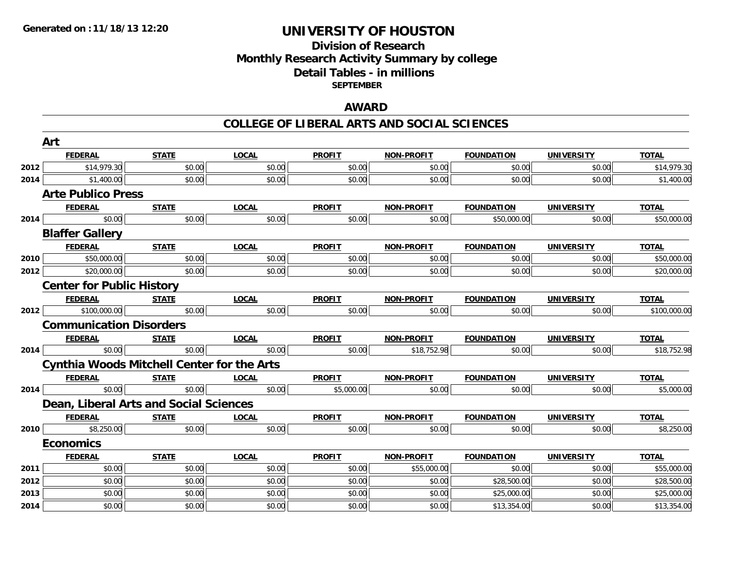## **Division of ResearchMonthly Research Activity Summary by college Detail Tables - in millions SEPTEMBER**

### **AWARD**

#### **COLLEGE OF LIBERAL ARTS AND SOCIAL SCIENCES**

|      | Art                                               |              |              |               |                   |                   |                   |              |
|------|---------------------------------------------------|--------------|--------------|---------------|-------------------|-------------------|-------------------|--------------|
|      | <b>FEDERAL</b>                                    | <b>STATE</b> | <b>LOCAL</b> | <b>PROFIT</b> | <b>NON-PROFIT</b> | <b>FOUNDATION</b> | UNIVERSITY        | <b>TOTAL</b> |
| 2012 | \$14,979.30                                       | \$0.00       | \$0.00       | \$0.00        | \$0.00            | \$0.00            | \$0.00            | \$14,979.30  |
| 2014 | \$1,400.00                                        | \$0.00       | \$0.00       | \$0.00        | \$0.00            | \$0.00            | \$0.00            | \$1,400.00   |
|      | <b>Arte Publico Press</b>                         |              |              |               |                   |                   |                   |              |
|      | <b>FEDERAL</b>                                    | <b>STATE</b> | <b>LOCAL</b> | <b>PROFIT</b> | <b>NON-PROFIT</b> | <b>FOUNDATION</b> | <b>UNIVERSITY</b> | <b>TOTAL</b> |
| 2014 | \$0.00                                            | \$0.00       | \$0.00       | \$0.00        | \$0.00            | \$50,000.00       | \$0.00            | \$50,000.00  |
|      | <b>Blaffer Gallery</b>                            |              |              |               |                   |                   |                   |              |
|      | <b>FEDERAL</b>                                    | <b>STATE</b> | <b>LOCAL</b> | <b>PROFIT</b> | <b>NON-PROFIT</b> | <b>FOUNDATION</b> | <b>UNIVERSITY</b> | <b>TOTAL</b> |
| 2010 | \$50,000.00                                       | \$0.00       | \$0.00       | \$0.00        | \$0.00            | \$0.00            | \$0.00            | \$50,000.00  |
| 2012 | \$20,000.00                                       | \$0.00       | \$0.00       | \$0.00        | \$0.00            | \$0.00            | \$0.00            | \$20,000.00  |
|      | <b>Center for Public History</b>                  |              |              |               |                   |                   |                   |              |
|      | <b>FEDERAL</b>                                    | <b>STATE</b> | <b>LOCAL</b> | <b>PROFIT</b> | <b>NON-PROFIT</b> | <b>FOUNDATION</b> | <b>UNIVERSITY</b> | <b>TOTAL</b> |
| 2012 | \$100,000.00                                      | \$0.00       | \$0.00       | \$0.00        | \$0.00            | \$0.00            | \$0.00            | \$100,000.00 |
|      | <b>Communication Disorders</b>                    |              |              |               |                   |                   |                   |              |
|      | <b>FEDERAL</b>                                    | <b>STATE</b> | <b>LOCAL</b> | <b>PROFIT</b> | <b>NON-PROFIT</b> | <b>FOUNDATION</b> | <b>UNIVERSITY</b> | <b>TOTAL</b> |
| 2014 | \$0.00                                            | \$0.00       | \$0.00       | \$0.00        | \$18,752.98       | \$0.00            | \$0.00            | \$18,752.98  |
|      | <b>Cynthia Woods Mitchell Center for the Arts</b> |              |              |               |                   |                   |                   |              |
|      | <b>FEDERAL</b>                                    | <b>STATE</b> | <b>LOCAL</b> | <b>PROFIT</b> | <b>NON-PROFIT</b> | <b>FOUNDATION</b> | <b>UNIVERSITY</b> | <b>TOTAL</b> |
| 2014 | \$0.00                                            | \$0.00       | \$0.00       | \$5,000.00    | \$0.00            | \$0.00            | \$0.00            | \$5,000.00   |
|      | Dean, Liberal Arts and Social Sciences            |              |              |               |                   |                   |                   |              |
|      | <b>FEDERAL</b>                                    | <b>STATE</b> | <b>LOCAL</b> | <b>PROFIT</b> | <b>NON-PROFIT</b> | <b>FOUNDATION</b> | <b>UNIVERSITY</b> | <b>TOTAL</b> |
| 2010 | \$8,250.00                                        | \$0.00       | \$0.00       | \$0.00        | \$0.00            | \$0.00            | \$0.00            | \$8,250.00   |
|      | <b>Economics</b>                                  |              |              |               |                   |                   |                   |              |
|      | <b>FEDERAL</b>                                    | <b>STATE</b> | <b>LOCAL</b> | <b>PROFIT</b> | <b>NON-PROFIT</b> | <b>FOUNDATION</b> | <b>UNIVERSITY</b> | <b>TOTAL</b> |
| 2011 | \$0.00                                            | \$0.00       | \$0.00       | \$0.00        | \$55,000.00       | \$0.00            | \$0.00            | \$55,000.00  |
| 2012 | \$0.00                                            | \$0.00       | \$0.00       | \$0.00        | \$0.00            | \$28,500.00       | \$0.00            | \$28,500.00  |
| 2013 | \$0.00                                            | \$0.00       | \$0.00       | \$0.00        | \$0.00            | \$25,000.00       | \$0.00            | \$25,000.00  |
| 2014 | \$0.00                                            | \$0.00       | \$0.00       | \$0.00        | \$0.00            | \$13,354.00       | \$0.00            | \$13,354.00  |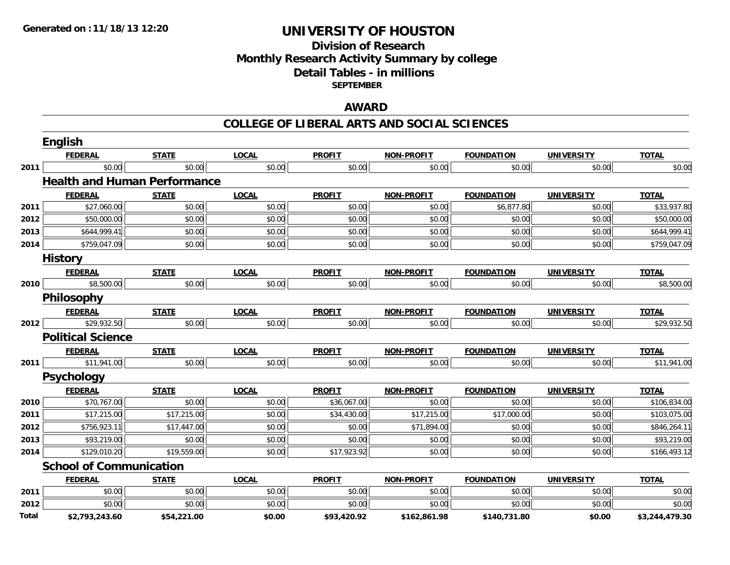## **Division of ResearchMonthly Research Activity Summary by college Detail Tables - in millions SEPTEMBER**

### **AWARD**

#### **COLLEGE OF LIBERAL ARTS AND SOCIAL SCIENCES**

|              | <b>English</b>                      |              |              |               |                   |                   |                   |                |
|--------------|-------------------------------------|--------------|--------------|---------------|-------------------|-------------------|-------------------|----------------|
|              | <b>FEDERAL</b>                      | <b>STATE</b> | <b>LOCAL</b> | <b>PROFIT</b> | <b>NON-PROFIT</b> | <b>FOUNDATION</b> | <b>UNIVERSITY</b> | <b>TOTAL</b>   |
| 2011         | \$0.00                              | \$0.00       | \$0.00       | \$0.00        | \$0.00            | \$0.00            | \$0.00            | \$0.00         |
|              | <b>Health and Human Performance</b> |              |              |               |                   |                   |                   |                |
|              | <b>FEDERAL</b>                      | <b>STATE</b> | <b>LOCAL</b> | <b>PROFIT</b> | <b>NON-PROFIT</b> | <b>FOUNDATION</b> | <b>UNIVERSITY</b> | <b>TOTAL</b>   |
| 2011         | \$27,060.00                         | \$0.00       | \$0.00       | \$0.00        | \$0.00            | \$6,877.80        | \$0.00            | \$33,937.80    |
| 2012         | \$50,000.00                         | \$0.00       | \$0.00       | \$0.00        | \$0.00            | \$0.00            | \$0.00            | \$50,000.00    |
| 2013         | \$644,999.41                        | \$0.00       | \$0.00       | \$0.00        | \$0.00            | \$0.00            | \$0.00            | \$644,999.41   |
| 2014         | \$759,047.09                        | \$0.00       | \$0.00       | \$0.00        | \$0.00            | \$0.00            | \$0.00            | \$759,047.09   |
|              | <b>History</b>                      |              |              |               |                   |                   |                   |                |
|              | <b>FEDERAL</b>                      | <b>STATE</b> | <b>LOCAL</b> | <b>PROFIT</b> | <b>NON-PROFIT</b> | <b>FOUNDATION</b> | <b>UNIVERSITY</b> | <b>TOTAL</b>   |
| 2010         | \$8,500.00                          | \$0.00       | \$0.00       | \$0.00        | \$0.00            | \$0.00            | \$0.00            | \$8,500.00     |
|              | <b>Philosophy</b>                   |              |              |               |                   |                   |                   |                |
|              | <b>FEDERAL</b>                      | <b>STATE</b> | <b>LOCAL</b> | <b>PROFIT</b> | <b>NON-PROFIT</b> | <b>FOUNDATION</b> | <b>UNIVERSITY</b> | <b>TOTAL</b>   |
| 2012         | \$29,932.50                         | \$0.00       | \$0.00       | \$0.00        | \$0.00            | \$0.00            | \$0.00            | \$29,932.50    |
|              | <b>Political Science</b>            |              |              |               |                   |                   |                   |                |
|              | <b>FEDERAL</b>                      | <b>STATE</b> | <b>LOCAL</b> | <b>PROFIT</b> | NON-PROFIT        | <b>FOUNDATION</b> | <b>UNIVERSITY</b> | <b>TOTAL</b>   |
| 2011         | \$11,941.00                         | \$0.00       | \$0.00       | \$0.00        | \$0.00            | \$0.00            | \$0.00            | \$11,941.00    |
|              | <b>Psychology</b>                   |              |              |               |                   |                   |                   |                |
|              | <b>FEDERAL</b>                      | <b>STATE</b> | <b>LOCAL</b> | <b>PROFIT</b> | <b>NON-PROFIT</b> | <b>FOUNDATION</b> | <b>UNIVERSITY</b> | <b>TOTAL</b>   |
| 2010         | \$70,767.00                         | \$0.00       | \$0.00       | \$36,067.00   | \$0.00            | \$0.00            | \$0.00            | \$106,834.00   |
| 2011         | \$17,215.00                         | \$17,215.00  | \$0.00       | \$34,430.00   | \$17,215.00       | \$17,000.00       | \$0.00            | \$103,075.00   |
| 2012         | \$756,923.11                        | \$17,447.00  | \$0.00       | \$0.00        | \$71,894.00       | \$0.00            | \$0.00            | \$846,264.11   |
| 2013         | \$93,219.00                         | \$0.00       | \$0.00       | \$0.00        | \$0.00            | \$0.00            | \$0.00            | \$93,219.00    |
| 2014         | \$129,010.20                        | \$19,559.00  | \$0.00       | \$17,923.92   | \$0.00            | \$0.00            | \$0.00            | \$166,493.12   |
|              | <b>School of Communication</b>      |              |              |               |                   |                   |                   |                |
|              | <b>FEDERAL</b>                      | <b>STATE</b> | <b>LOCAL</b> | <b>PROFIT</b> | <b>NON-PROFIT</b> | <b>FOUNDATION</b> | <b>UNIVERSITY</b> | <b>TOTAL</b>   |
| 2011         | \$0.00                              | \$0.00       | \$0.00       | \$0.00        | \$0.00            | \$0.00            | \$0.00            | \$0.00         |
| 2012         | \$0.00                              | \$0.00       | \$0.00       | \$0.00        | \$0.00            | \$0.00            | \$0.00            | \$0.00         |
| <b>Total</b> | \$2,793,243.60                      | \$54,221.00  | \$0.00       | \$93,420.92   | \$162,861.98      | \$140,731.80      | \$0.00            | \$3,244,479.30 |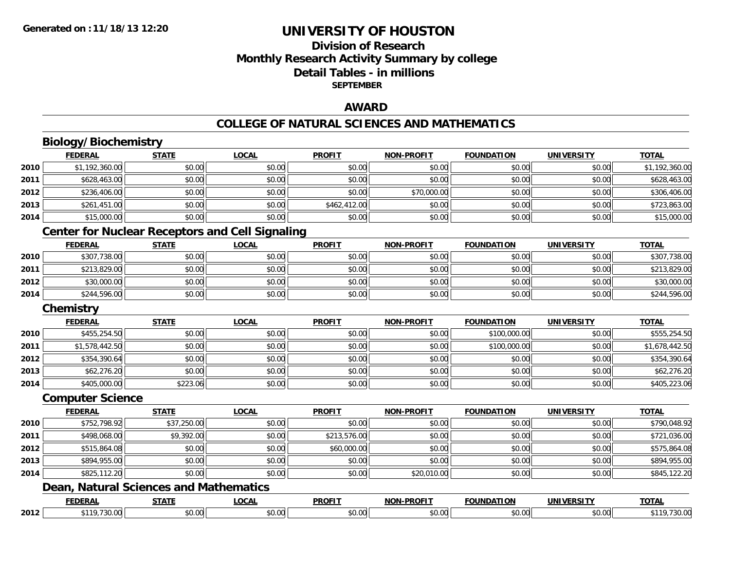### **Division of Research Monthly Research Activity Summary by college Detail Tables - in millions SEPTEMBER**

### **AWARD**

#### **COLLEGE OF NATURAL SCIENCES AND MATHEMATICS**

# **Biology/Biochemistry**

|      | <b>FEDERAL</b>                                | <b>STATE</b> | <b>LOCAL</b>                                           | <b>PROFIT</b> | <b>NON-PROFIT</b> | <b>FOUNDATION</b> | <b>UNIVERSITY</b> | <b>TOTAL</b>   |
|------|-----------------------------------------------|--------------|--------------------------------------------------------|---------------|-------------------|-------------------|-------------------|----------------|
| 2010 | \$1,192,360.00                                | \$0.00       | \$0.00                                                 | \$0.00        | \$0.00            | \$0.00            | \$0.00            | \$1,192,360.00 |
| 2011 | \$628,463.00                                  | \$0.00       | \$0.00                                                 | \$0.00        | \$0.00            | \$0.00            | \$0.00            | \$628,463.00   |
| 2012 | \$236,406.00                                  | \$0.00       | \$0.00                                                 | \$0.00        | \$70,000.00       | \$0.00            | \$0.00            | \$306,406.00   |
| 2013 | \$261,451.00                                  | \$0.00       | \$0.00                                                 | \$462,412.00  | \$0.00            | \$0.00            | \$0.00            | \$723,863.00   |
| 2014 | \$15,000.00                                   | \$0.00       | \$0.00                                                 | \$0.00        | \$0.00            | \$0.00            | \$0.00            | \$15,000.00    |
|      |                                               |              | <b>Center for Nuclear Receptors and Cell Signaling</b> |               |                   |                   |                   |                |
|      | <b>FEDERAL</b>                                | <b>STATE</b> | <b>LOCAL</b>                                           | <b>PROFIT</b> | <b>NON-PROFIT</b> | <b>FOUNDATION</b> | <b>UNIVERSITY</b> | <b>TOTAL</b>   |
| 2010 | \$307,738.00                                  | \$0.00       | \$0.00                                                 | \$0.00        | \$0.00            | \$0.00            | \$0.00            | \$307,738.00   |
| 2011 | \$213,829.00                                  | \$0.00       | \$0.00                                                 | \$0.00        | \$0.00            | \$0.00            | \$0.00            | \$213,829.00   |
| 2012 | \$30,000.00                                   | \$0.00       | \$0.00                                                 | \$0.00        | \$0.00            | \$0.00            | \$0.00            | \$30,000.00    |
| 2014 | \$244,596.00                                  | \$0.00       | \$0.00                                                 | \$0.00        | \$0.00            | \$0.00            | \$0.00            | \$244,596.00   |
|      | Chemistry                                     |              |                                                        |               |                   |                   |                   |                |
|      | <b>FEDERAL</b>                                | <b>STATE</b> | <b>LOCAL</b>                                           | <b>PROFIT</b> | <b>NON-PROFIT</b> | <b>FOUNDATION</b> | <b>UNIVERSITY</b> | <b>TOTAL</b>   |
| 2010 | \$455,254.50                                  | \$0.00       | \$0.00                                                 | \$0.00        | \$0.00            | \$100,000.00      | \$0.00            | \$555,254.50   |
| 2011 | \$1,578,442.50                                | \$0.00       | \$0.00                                                 | \$0.00        | \$0.00            | \$100,000.00      | \$0.00            | \$1,678,442.50 |
| 2012 | \$354,390.64                                  | \$0.00       | \$0.00                                                 | \$0.00        | \$0.00            | \$0.00            | \$0.00            | \$354,390.64   |
| 2013 | \$62,276.20                                   | \$0.00       | \$0.00                                                 | \$0.00        | \$0.00            | \$0.00            | \$0.00            | \$62,276.20    |
| 2014 | \$405,000.00                                  | \$223.06     | \$0.00                                                 | \$0.00        | \$0.00            | \$0.00            | \$0.00            | \$405,223.06   |
|      | <b>Computer Science</b>                       |              |                                                        |               |                   |                   |                   |                |
|      | <b>FEDERAL</b>                                | <b>STATE</b> | <b>LOCAL</b>                                           | <b>PROFIT</b> | <b>NON-PROFIT</b> | <b>FOUNDATION</b> | <b>UNIVERSITY</b> | <b>TOTAL</b>   |
| 2010 | \$752,798.92                                  | \$37,250.00  | \$0.00                                                 | \$0.00        | \$0.00            | \$0.00            | \$0.00            | \$790,048.92   |
| 2011 | \$498,068.00                                  | \$9,392.00   | \$0.00                                                 | \$213,576.00  | \$0.00            | \$0.00            | \$0.00            | \$721,036.00   |
| 2012 | \$515,864.08                                  | \$0.00       | \$0.00                                                 | \$60,000.00   | \$0.00            | \$0.00            | \$0.00            | \$575,864.08   |
| 2013 | \$894,955.00                                  | \$0.00       | \$0.00                                                 | \$0.00        | \$0.00            | \$0.00            | \$0.00            | \$894,955.00   |
| 2014 | \$825,112.20                                  | \$0.00       | \$0.00                                                 | \$0.00        | \$20,010.00       | \$0.00            | \$0.00            | \$845,122.20   |
|      | <b>Dean, Natural Sciences and Mathematics</b> |              |                                                        |               |                   |                   |                   |                |

|      | ------<br><b>EDERAL</b> | <b>STATE</b><br>$\cdots$ | <b>LOCAL</b> | <b>PROFIT</b> | -PROFIT<br><b>NON</b> | <b>FOUNDATION</b>        | UNIVERSITY     | <b>TOTA</b> |
|------|-------------------------|--------------------------|--------------|---------------|-----------------------|--------------------------|----------------|-------------|
| 2012 | $\cdot$                 | $\sim$ $\sim$<br>ט.ט     | \$0.00       | 0.00<br>JU.UU | $\sim$ 00<br>טט.טט    | $\sim$ 00 $\sim$<br>v.vv | nn nn<br>งบ.บบ |             |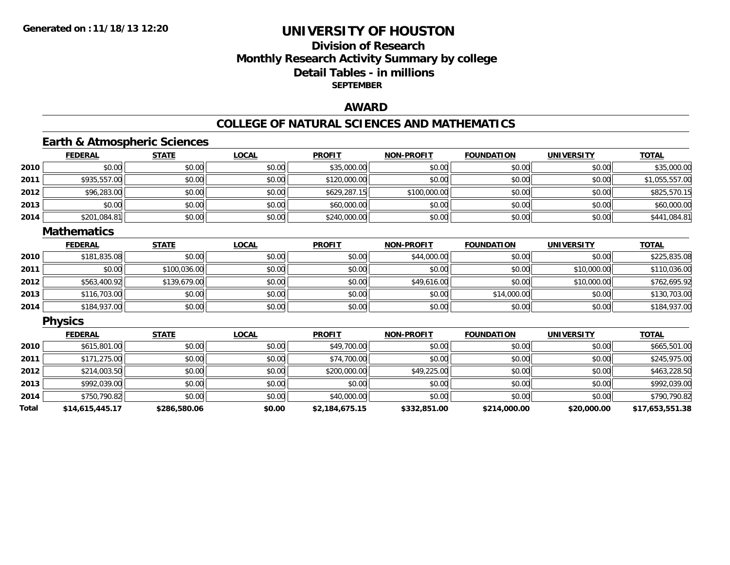## **Division of ResearchMonthly Research Activity Summary by college Detail Tables - in millions SEPTEMBER**

### **AWARD**

#### **COLLEGE OF NATURAL SCIENCES AND MATHEMATICS**

### **Earth & Atmospheric Sciences**

|      | <b>FEDERAL</b> | <b>STATE</b> | <b>LOCAL</b> | <b>PROFIT</b> | <b>NON-PROFIT</b> | <b>FOUNDATION</b> | <b>UNIVERSITY</b> | <b>TOTAL</b>   |
|------|----------------|--------------|--------------|---------------|-------------------|-------------------|-------------------|----------------|
| 2010 | \$0.00         | \$0.00       | \$0.00       | \$35,000.00   | \$0.00            | \$0.00            | \$0.00            | \$35,000.00    |
| 2011 | \$935,557.00   | \$0.00       | \$0.00       | \$120,000.00  | \$0.00            | \$0.00            | \$0.00            | \$1,055,557.00 |
| 2012 | \$96,283.00    | \$0.00       | \$0.00       | \$629,287.15  | \$100,000.00      | \$0.00            | \$0.00            | \$825,570.15   |
| 2013 | \$0.00         | \$0.00       | \$0.00       | \$60,000.00   | \$0.00            | \$0.00            | \$0.00            | \$60,000.00    |
| 2014 | \$201,084.81   | \$0.00       | \$0.00       | \$240,000.00  | \$0.00            | \$0.00            | \$0.00            | \$441,084.81   |

#### **Mathematics**

|      | <b>FEDERAL</b> | <b>STATE</b> | <b>LOCAL</b> | <b>PROFIT</b> | <b>NON-PROFIT</b> | <b>FOUNDATION</b> | <b>UNIVERSITY</b> | <b>TOTAL</b> |
|------|----------------|--------------|--------------|---------------|-------------------|-------------------|-------------------|--------------|
| 2010 | \$181,835.08   | \$0.00       | \$0.00       | \$0.00        | \$44,000.00       | \$0.00            | \$0.00            | \$225,835.08 |
| 2011 | \$0.00         | \$100,036.00 | \$0.00       | \$0.00        | \$0.00            | \$0.00            | \$10,000.00       | \$110,036.00 |
| 2012 | \$563,400.92   | \$139,679.00 | \$0.00       | \$0.00        | \$49,616.00       | \$0.00            | \$10,000.00       | \$762,695.92 |
| 2013 | \$116,703.00   | \$0.00       | \$0.00       | \$0.00        | \$0.00            | \$14,000.00       | \$0.00            | \$130,703.00 |
| 2014 | \$184,937.00   | \$0.00       | \$0.00       | \$0.00        | \$0.00            | \$0.00            | \$0.00            | \$184,937.00 |

### **Physics**

|       | <b>FEDERAL</b>  | <b>STATE</b> | <b>LOCAL</b> | <b>PROFIT</b>  | <b>NON-PROFIT</b> | <b>FOUNDATION</b> | <b>UNIVERSITY</b> | <b>TOTAL</b>    |
|-------|-----------------|--------------|--------------|----------------|-------------------|-------------------|-------------------|-----------------|
| 2010  | \$615,801.00    | \$0.00       | \$0.00       | \$49,700.00    | \$0.00            | \$0.00            | \$0.00            | \$665,501.00    |
| 2011  | \$171,275.00    | \$0.00       | \$0.00       | \$74,700.00    | \$0.00            | \$0.00            | \$0.00            | \$245,975.00    |
| 2012  | \$214,003.50    | \$0.00       | \$0.00       | \$200,000.00   | \$49,225.00       | \$0.00            | \$0.00            | \$463,228.50    |
| 2013  | \$992,039.00    | \$0.00       | \$0.00       | \$0.00         | \$0.00            | \$0.00            | \$0.00            | \$992,039.00    |
| 2014  | \$750,790.82    | \$0.00       | \$0.00       | \$40,000.00    | \$0.00            | \$0.00            | \$0.00            | \$790,790.82    |
| Total | \$14,615,445.17 | \$286,580.06 | \$0.00       | \$2,184,675.15 | \$332,851.00      | \$214,000.00      | \$20,000.00       | \$17,653,551.38 |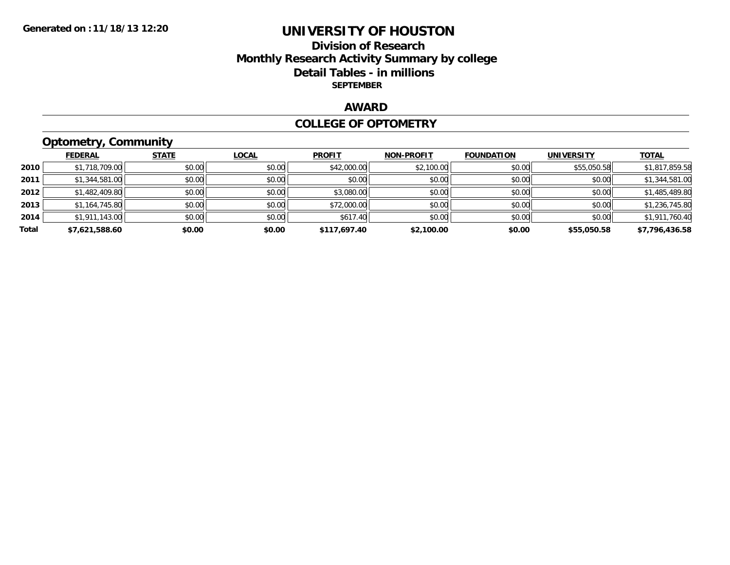### **Division of Research Monthly Research Activity Summary by college Detail Tables - in millions SEPTEMBER**

### **AWARD**

#### **COLLEGE OF OPTOMETRY**

## **Optometry, Community**

|       | <b>FEDERAL</b> | <b>STATE</b> | <b>LOCAL</b> | <b>PROFIT</b> | <b>NON-PROFIT</b> | <b>FOUNDATION</b> | <b>UNIVERSITY</b> | <b>TOTAL</b>   |
|-------|----------------|--------------|--------------|---------------|-------------------|-------------------|-------------------|----------------|
| 2010  | \$1,718,709.00 | \$0.00       | \$0.00       | \$42,000.00   | \$2,100.00        | \$0.00            | \$55,050.58       | \$1,817,859.58 |
| 2011  | \$1,344,581.00 | \$0.00       | \$0.00       | \$0.00        | \$0.00            | \$0.00            | \$0.00            | \$1,344,581.00 |
| 2012  | \$1,482,409.80 | \$0.00       | \$0.00       | \$3,080.00    | \$0.00            | \$0.00            | \$0.00            | \$1,485,489.80 |
| 2013  | \$1,164,745.80 | \$0.00       | \$0.00       | \$72,000.00   | \$0.00            | \$0.00            | \$0.00            | \$1,236,745.80 |
| 2014  | \$1,911,143.00 | \$0.00       | \$0.00       | \$617.40      | \$0.00            | \$0.00            | \$0.00            | \$1,911,760.40 |
| Total | \$7,621,588.60 | \$0.00       | \$0.00       | \$117,697.40  | \$2,100.00        | \$0.00            | \$55,050.58       | \$7,796,436.58 |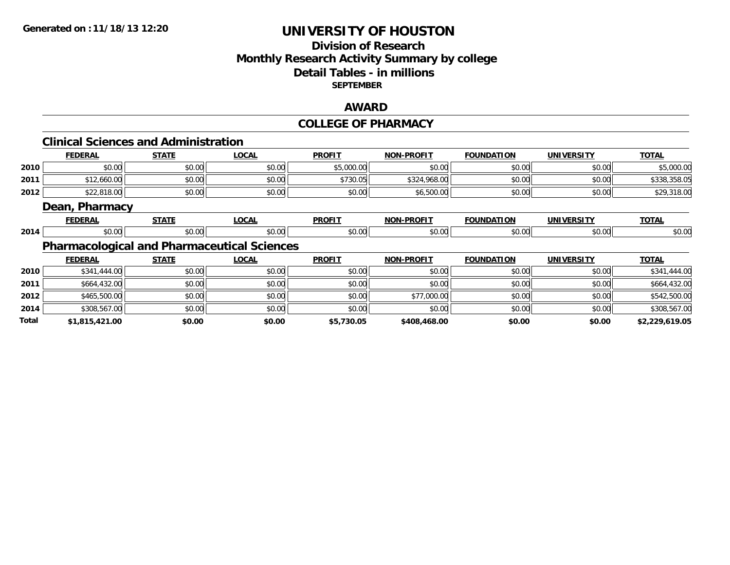## **Division of Research Monthly Research Activity Summary by college Detail Tables - in millions SEPTEMBER**

### **AWARD**

#### **COLLEGE OF PHARMACY**

|       | <b>Clinical Sciences and Administration</b>        |              |              |               |                   |                   |                   |                |
|-------|----------------------------------------------------|--------------|--------------|---------------|-------------------|-------------------|-------------------|----------------|
|       | <b>FEDERAL</b>                                     | <b>STATE</b> | <b>LOCAL</b> | <b>PROFIT</b> | <b>NON-PROFIT</b> | <b>FOUNDATION</b> | <b>UNIVERSITY</b> | <b>TOTAL</b>   |
| 2010  | \$0.00                                             | \$0.00       | \$0.00       | \$5,000.00    | \$0.00            | \$0.00            | \$0.00            | \$5,000.00     |
| 2011  | \$12,660.00                                        | \$0.00       | \$0.00       | \$730.05      | \$324,968.00      | \$0.00            | \$0.00            | \$338,358.05   |
| 2012  | \$22,818.00                                        | \$0.00       | \$0.00       | \$0.00        | \$6,500.00        | \$0.00            | \$0.00            | \$29,318.00    |
|       | Dean, Pharmacy                                     |              |              |               |                   |                   |                   |                |
|       | <b>FEDERAL</b>                                     | <b>STATE</b> | <b>LOCAL</b> | <b>PROFIT</b> | <b>NON-PROFIT</b> | <b>FOUNDATION</b> | <b>UNIVERSITY</b> | <b>TOTAL</b>   |
| 2014  | \$0.00                                             | \$0.00       | \$0.00       | \$0.00        | \$0.00            | \$0.00            | \$0.00            | \$0.00         |
|       | <b>Pharmacological and Pharmaceutical Sciences</b> |              |              |               |                   |                   |                   |                |
|       | <b>FEDERAL</b>                                     | <b>STATE</b> | <b>LOCAL</b> | <b>PROFIT</b> | <b>NON-PROFIT</b> | <b>FOUNDATION</b> | <b>UNIVERSITY</b> | <b>TOTAL</b>   |
| 2010  | \$341,444.00                                       | \$0.00       | \$0.00       | \$0.00        | \$0.00            | \$0.00            | \$0.00            | \$341,444.00   |
| 2011  | \$664,432.00                                       | \$0.00       | \$0.00       | \$0.00        | \$0.00            | \$0.00            | \$0.00            | \$664,432.00   |
| 2012  | \$465,500.00                                       | \$0.00       | \$0.00       | \$0.00        | \$77,000.00       | \$0.00            | \$0.00            | \$542,500.00   |
| 2014  | \$308,567.00                                       | \$0.00       | \$0.00       | \$0.00        | \$0.00            | \$0.00            | \$0.00            | \$308,567.00   |
| Total | \$1,815,421.00                                     | \$0.00       | \$0.00       | \$5,730.05    | \$408,468.00      | \$0.00            | \$0.00            | \$2,229,619.05 |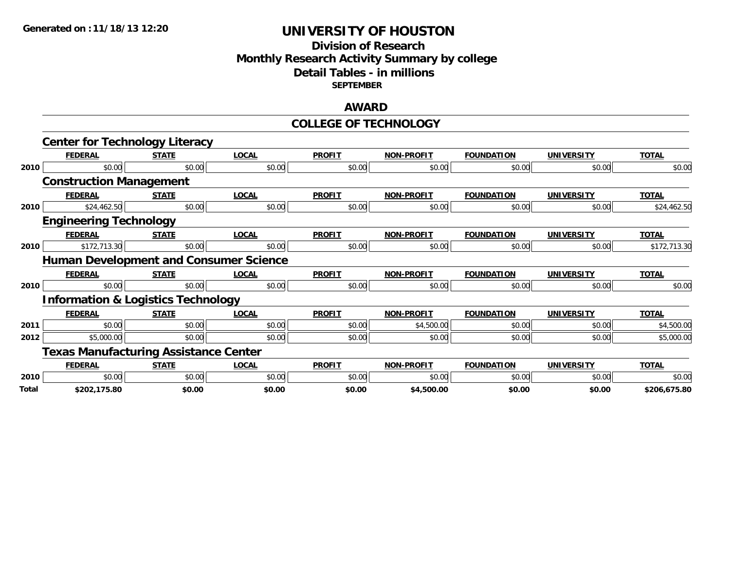### **Division of Research Monthly Research Activity Summary by college Detail Tables - in millions SEPTEMBER**

### **AWARD**

#### **COLLEGE OF TECHNOLOGY**

|       | <b>Center for Technology Literacy</b>         |              |              |               |                   |                   |                   |              |
|-------|-----------------------------------------------|--------------|--------------|---------------|-------------------|-------------------|-------------------|--------------|
|       | <b>FEDERAL</b>                                | <b>STATE</b> | <b>LOCAL</b> | <b>PROFIT</b> | <b>NON-PROFIT</b> | <b>FOUNDATION</b> | <b>UNIVERSITY</b> | <b>TOTAL</b> |
| 2010  | \$0.00                                        | \$0.00       | \$0.00       | \$0.00        | \$0.00            | \$0.00            | \$0.00            | \$0.00       |
|       | <b>Construction Management</b>                |              |              |               |                   |                   |                   |              |
|       | <b>FEDERAL</b>                                | <b>STATE</b> | <b>LOCAL</b> | <b>PROFIT</b> | <b>NON-PROFIT</b> | <b>FOUNDATION</b> | <b>UNIVERSITY</b> | <b>TOTAL</b> |
| 2010  | \$24,462.50                                   | \$0.00       | \$0.00       | \$0.00        | \$0.00            | \$0.00            | \$0.00            | \$24,462.50  |
|       | <b>Engineering Technology</b>                 |              |              |               |                   |                   |                   |              |
|       | <b>FEDERAL</b>                                | <b>STATE</b> | <b>LOCAL</b> | <b>PROFIT</b> | <b>NON-PROFIT</b> | <b>FOUNDATION</b> | <b>UNIVERSITY</b> | <b>TOTAL</b> |
| 2010  | \$172,713.30                                  | \$0.00       | \$0.00       | \$0.00        | \$0.00            | \$0.00            | \$0.00            | \$172,713.30 |
|       | <b>Human Development and Consumer Science</b> |              |              |               |                   |                   |                   |              |
|       | <b>FEDERAL</b>                                | <b>STATE</b> | <b>LOCAL</b> | <b>PROFIT</b> | <b>NON-PROFIT</b> | <b>FOUNDATION</b> | <b>UNIVERSITY</b> | <b>TOTAL</b> |
| 2010  | \$0.00                                        | \$0.00       | \$0.00       | \$0.00        | \$0.00            | \$0.00            | \$0.00            | \$0.00       |
|       | <b>Information &amp; Logistics Technology</b> |              |              |               |                   |                   |                   |              |
|       | <b>FEDERAL</b>                                | <b>STATE</b> | <b>LOCAL</b> | <b>PROFIT</b> | <b>NON-PROFIT</b> | <b>FOUNDATION</b> | <b>UNIVERSITY</b> | <b>TOTAL</b> |
| 2011  | \$0.00                                        | \$0.00       | \$0.00       | \$0.00        | \$4,500.00        | \$0.00            | \$0.00            | \$4,500.00   |
| 2012  | \$5,000.00                                    | \$0.00       | \$0.00       | \$0.00        | \$0.00            | \$0.00            | \$0.00            | \$5,000.00   |
|       | <b>Texas Manufacturing Assistance Center</b>  |              |              |               |                   |                   |                   |              |
|       | <b>FEDERAL</b>                                | <b>STATE</b> | <b>LOCAL</b> | <b>PROFIT</b> | <b>NON-PROFIT</b> | <b>FOUNDATION</b> | <b>UNIVERSITY</b> | <b>TOTAL</b> |
| 2010  | \$0.00                                        | \$0.00       | \$0.00       | \$0.00        | \$0.00            | \$0.00            | \$0.00            | \$0.00       |
| Total | \$202,175.80                                  | \$0.00       | \$0.00       | \$0.00        | \$4,500.00        |                   | \$0.00            | \$206,675.80 |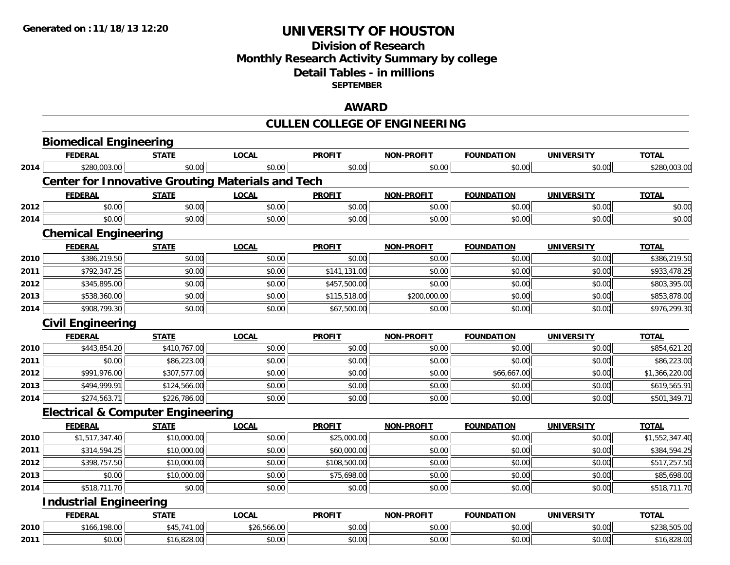### **Division of Research Monthly Research Activity Summary by college Detail Tables - in millions SEPTEMBER**

### **AWARD**

#### **CULLEN COLLEGE OF ENGINEERING**

|      | <b>Biomedical Engineering</b>                |              |                                                          |               |                   |                   |                   |                |
|------|----------------------------------------------|--------------|----------------------------------------------------------|---------------|-------------------|-------------------|-------------------|----------------|
|      | <b>FEDERAL</b>                               | <b>STATE</b> | <b>LOCAL</b>                                             | <b>PROFIT</b> | <b>NON-PROFIT</b> | <b>FOUNDATION</b> | <b>UNIVERSITY</b> | <b>TOTAL</b>   |
| 2014 | \$280,003.00                                 | \$0.00       | \$0.00                                                   | \$0.00        | \$0.00            | \$0.00            | \$0.00            | \$280,003.00   |
|      |                                              |              | <b>Center for Innovative Grouting Materials and Tech</b> |               |                   |                   |                   |                |
|      | <b>FEDERAL</b>                               | <b>STATE</b> | <b>LOCAL</b>                                             | <b>PROFIT</b> | <b>NON-PROFIT</b> | <b>FOUNDATION</b> | <b>UNIVERSITY</b> | <b>TOTAL</b>   |
| 2012 | \$0.00                                       | \$0.00       | \$0.00                                                   | \$0.00        | \$0.00            | \$0.00            | \$0.00            | \$0.00         |
| 2014 | \$0.00                                       | \$0.00       | \$0.00                                                   | \$0.00        | \$0.00            | \$0.00            | \$0.00            | \$0.00         |
|      | <b>Chemical Engineering</b>                  |              |                                                          |               |                   |                   |                   |                |
|      | <b>FEDERAL</b>                               | <b>STATE</b> | <b>LOCAL</b>                                             | <b>PROFIT</b> | <b>NON-PROFIT</b> | <b>FOUNDATION</b> | <b>UNIVERSITY</b> | <b>TOTAL</b>   |
| 2010 | \$386,219.50                                 | \$0.00       | \$0.00                                                   | \$0.00        | \$0.00            | \$0.00            | \$0.00            | \$386,219.50   |
| 2011 | \$792,347.25                                 | \$0.00       | \$0.00                                                   | \$141,131.00  | \$0.00            | \$0.00            | \$0.00            | \$933,478.25   |
| 2012 | \$345,895.00                                 | \$0.00       | \$0.00                                                   | \$457,500.00  | \$0.00            | \$0.00            | \$0.00            | \$803,395.00   |
| 2013 | \$538,360.00                                 | \$0.00       | \$0.00                                                   | \$115,518.00  | \$200,000.00      | \$0.00            | \$0.00            | \$853,878.00   |
| 2014 | \$908,799.30                                 | \$0.00       | \$0.00                                                   | \$67,500.00   | \$0.00            | \$0.00            | \$0.00            | \$976,299.30   |
|      | <b>Civil Engineering</b>                     |              |                                                          |               |                   |                   |                   |                |
|      | <b>FEDERAL</b>                               | <b>STATE</b> | <b>LOCAL</b>                                             | <b>PROFIT</b> | <b>NON-PROFIT</b> | <b>FOUNDATION</b> | <b>UNIVERSITY</b> | <b>TOTAL</b>   |
| 2010 | \$443,854.20                                 | \$410,767.00 | \$0.00                                                   | \$0.00        | \$0.00            | \$0.00            | \$0.00            | \$854,621.20   |
| 2011 | \$0.00                                       | \$86,223.00  | \$0.00                                                   | \$0.00        | \$0.00            | \$0.00            | \$0.00            | \$86,223.00    |
| 2012 | \$991,976.00                                 | \$307,577.00 | \$0.00                                                   | \$0.00        | \$0.00            | \$66,667.00       | \$0.00            | \$1,366,220.00 |
| 2013 | \$494,999.91                                 | \$124,566.00 | \$0.00                                                   | \$0.00        | \$0.00            | \$0.00            | \$0.00            | \$619,565.91   |
| 2014 | \$274,563.71                                 | \$226,786.00 | \$0.00                                                   | \$0.00        | \$0.00            | \$0.00            | \$0.00            | \$501,349.71   |
|      | <b>Electrical &amp; Computer Engineering</b> |              |                                                          |               |                   |                   |                   |                |
|      | <b>FEDERAL</b>                               | <b>STATE</b> | <b>LOCAL</b>                                             | <b>PROFIT</b> | <b>NON-PROFIT</b> | <b>FOUNDATION</b> | <b>UNIVERSITY</b> | <b>TOTAL</b>   |
| 2010 | \$1,517,347.40                               | \$10,000.00  | \$0.00                                                   | \$25,000.00   | \$0.00            | \$0.00            | \$0.00            | \$1,552,347.40 |
| 2011 | \$314,594.25                                 | \$10,000.00  | \$0.00                                                   | \$60,000.00   | \$0.00            | \$0.00            | \$0.00            | \$384,594.25   |
| 2012 | \$398,757.50                                 | \$10,000.00  | \$0.00                                                   | \$108,500.00  | \$0.00            | \$0.00            | \$0.00            | \$517,257.50   |
| 2013 | \$0.00                                       | \$10,000.00  | \$0.00                                                   | \$75,698.00   | \$0.00            | \$0.00            | \$0.00            | \$85,698.00    |
| 2014 | \$518,711.70                                 | \$0.00       | \$0.00                                                   | \$0.00        | \$0.00            | \$0.00            | \$0.00            | \$518,711.70   |
|      | <b>Industrial Engineering</b>                |              |                                                          |               |                   |                   |                   |                |
|      | <b>FEDERAL</b>                               | <b>STATE</b> | <b>LOCAL</b>                                             | <b>PROFIT</b> | <b>NON-PROFIT</b> | <b>FOUNDATION</b> | <b>UNIVERSITY</b> | <b>TOTAL</b>   |
| 2010 | \$166,198.00                                 | \$45,741.00  | \$26,566.00                                              | \$0.00        | \$0.00            | \$0.00            | \$0.00            | \$238,505.00   |
| 2011 | \$0.00                                       | \$16,828.00  | \$0.00                                                   | \$0.00        | \$0.00            | \$0.00            | \$0.00            | \$16,828.00    |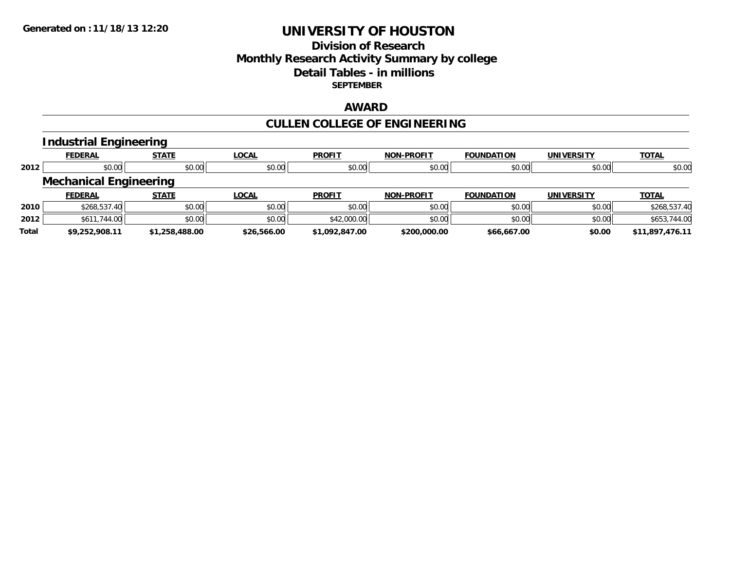### **Division of ResearchMonthly Research Activity Summary by college Detail Tables - in millions SEPTEMBER**

### **AWARD**

## **CULLEN COLLEGE OF ENGINEERING**

#### **Industrial Engineering FEDERAL STATE LOCAL PROFIT NON-PROFIT FOUNDATION UNIVERSITY TOTALTOTAL 2012**2 | \$0.00 \$0.00 \$0.00 \$0.00 \$0.00 \$0.00 \$0.00 \$0.00 \$0.00 \$0.00 \$0.00 \$0.00 \$0.00 \$0.00 \$0.00 \$0.00 \$0.00 \$0.0 **Mechanical Engineering FEDERAL STATE LOCAL PROFIT NON-PROFIT FOUNDATION UNIVERSITY TOTALTOTAL 2010** \$268,537.40 \$0.00 \$0.00 \$0.00 \$0.00 \$0.00 \$0.00 \$268,537.40 **2012** \$611,744.00 \$0.00 \$0.00 \$42,000.00 \$0.00 \$0.00 \$0.00 \$653,744.00 **Total\$9,252,908.11 \$1,258,488.00 \$26,566.00 \$1,092,847.00 \$200,000.00 \$66,667.00 \$0.00 \$11,897,476.11**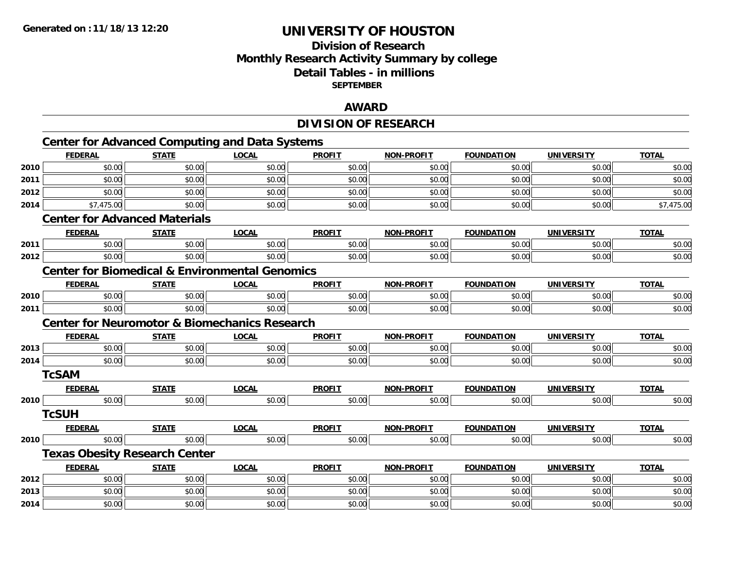### **Division of Research Monthly Research Activity Summary by college Detail Tables - in millions SEPTEMBER**

### **AWARD**

## **DIVISION OF RESEARCH**

|      | <b>Center for Advanced Computing and Data Systems</b>     |              |              |               |                   |                   |                   |              |
|------|-----------------------------------------------------------|--------------|--------------|---------------|-------------------|-------------------|-------------------|--------------|
|      | <b>FEDERAL</b>                                            | <b>STATE</b> | <b>LOCAL</b> | <b>PROFIT</b> | <b>NON-PROFIT</b> | <b>FOUNDATION</b> | <b>UNIVERSITY</b> | <b>TOTAL</b> |
| 2010 | \$0.00                                                    | \$0.00       | \$0.00       | \$0.00        | \$0.00            | \$0.00            | \$0.00            | \$0.00       |
| 2011 | \$0.00                                                    | \$0.00       | \$0.00       | \$0.00        | \$0.00            | \$0.00            | \$0.00            | \$0.00       |
| 2012 | \$0.00                                                    | \$0.00       | \$0.00       | \$0.00        | \$0.00            | \$0.00            | \$0.00            | \$0.00       |
| 2014 | \$7,475.00                                                | \$0.00       | \$0.00       | \$0.00        | \$0.00            | \$0.00            | \$0.00            | \$7,475.00   |
|      | <b>Center for Advanced Materials</b>                      |              |              |               |                   |                   |                   |              |
|      | <b>FEDERAL</b>                                            | <b>STATE</b> | <b>LOCAL</b> | <b>PROFIT</b> | <b>NON-PROFIT</b> | <b>FOUNDATION</b> | <b>UNIVERSITY</b> | <b>TOTAL</b> |
| 2011 | \$0.00                                                    | \$0.00       | \$0.00       | \$0.00        | \$0.00            | \$0.00            | \$0.00            | \$0.00       |
| 2012 | \$0.00                                                    | \$0.00       | \$0.00       | \$0.00        | \$0.00            | \$0.00            | \$0.00            | \$0.00       |
|      | <b>Center for Biomedical &amp; Environmental Genomics</b> |              |              |               |                   |                   |                   |              |
|      | <b>FEDERAL</b>                                            | <b>STATE</b> | <b>LOCAL</b> | <b>PROFIT</b> | <b>NON-PROFIT</b> | <b>FOUNDATION</b> | <b>UNIVERSITY</b> | <b>TOTAL</b> |
| 2010 | \$0.00                                                    | \$0.00       | \$0.00       | \$0.00        | \$0.00            | \$0.00            | \$0.00            | \$0.00       |
| 2011 | \$0.00                                                    | \$0.00       | \$0.00       | \$0.00        | \$0.00            | \$0.00            | \$0.00            | \$0.00       |
|      | <b>Center for Neuromotor &amp; Biomechanics Research</b>  |              |              |               |                   |                   |                   |              |
|      | <b>FEDERAL</b>                                            | <b>STATE</b> | <b>LOCAL</b> | <b>PROFIT</b> | <b>NON-PROFIT</b> | <b>FOUNDATION</b> | <b>UNIVERSITY</b> | <b>TOTAL</b> |
| 2013 | \$0.00                                                    | \$0.00       | \$0.00       | \$0.00        | \$0.00            | \$0.00            | \$0.00            | \$0.00       |
| 2014 | \$0.00                                                    | \$0.00       | \$0.00       | \$0.00        | \$0.00            | \$0.00            | \$0.00            | \$0.00       |
|      | <b>TcSAM</b>                                              |              |              |               |                   |                   |                   |              |
|      | <b>FEDERAL</b>                                            | <b>STATE</b> | <b>LOCAL</b> | <b>PROFIT</b> | NON-PROFIT        | <b>FOUNDATION</b> | <b>UNIVERSITY</b> | <b>TOTAL</b> |
| 2010 | \$0.00                                                    | \$0.00       | \$0.00       | \$0.00        | \$0.00            | \$0.00            | \$0.00            | \$0.00       |
|      | <b>TcSUH</b>                                              |              |              |               |                   |                   |                   |              |
|      | <b>FEDERAL</b>                                            | <b>STATE</b> | <b>LOCAL</b> | <b>PROFIT</b> | <b>NON-PROFIT</b> | <b>FOUNDATION</b> | <b>UNIVERSITY</b> | <b>TOTAL</b> |
| 2010 | \$0.00                                                    | \$0.00       | \$0.00       | \$0.00        | \$0.00            | \$0.00            | \$0.00            | \$0.00       |
|      | <b>Texas Obesity Research Center</b>                      |              |              |               |                   |                   |                   |              |
|      | <b>FEDERAL</b>                                            | <b>STATE</b> | <b>LOCAL</b> | <b>PROFIT</b> | NON-PROFIT        | <b>FOUNDATION</b> | <b>UNIVERSITY</b> | <b>TOTAL</b> |
| 2012 | \$0.00                                                    | \$0.00       | \$0.00       | \$0.00        | \$0.00            | \$0.00            | \$0.00            | \$0.00       |
| 2013 | \$0.00                                                    | \$0.00       | \$0.00       | \$0.00        | \$0.00            | \$0.00            | \$0.00            | \$0.00       |
| 2014 | \$0.00                                                    | \$0.00       | \$0.00       | \$0.00        | \$0.00            | \$0.00            | \$0.00            | \$0.00       |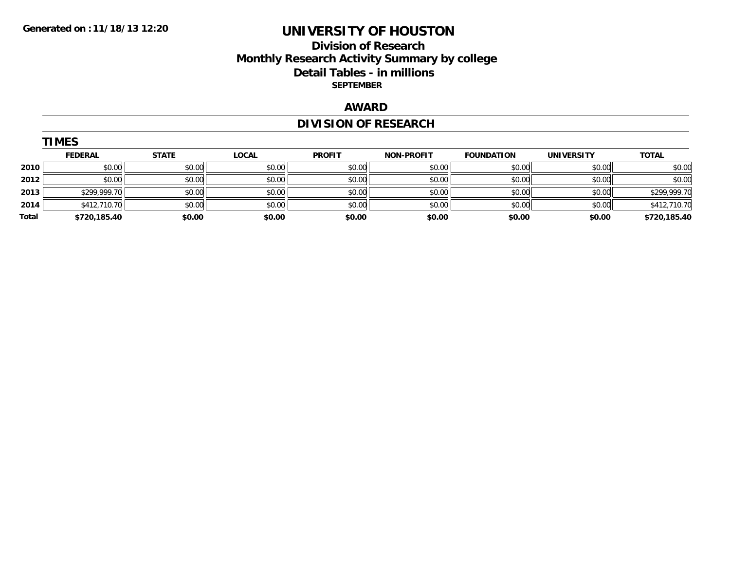### **Division of Research Monthly Research Activity Summary by college Detail Tables - in millions SEPTEMBER**

### **AWARD**

## **DIVISION OF RESEARCH**

|       | <b>TIMES</b>   |              |              |               |                   |                   |                   |              |
|-------|----------------|--------------|--------------|---------------|-------------------|-------------------|-------------------|--------------|
|       | <b>FEDERAL</b> | <b>STATE</b> | <b>LOCAL</b> | <b>PROFIT</b> | <b>NON-PROFIT</b> | <b>FOUNDATION</b> | <b>UNIVERSITY</b> | <b>TOTAL</b> |
| 2010  | \$0.00         | \$0.00       | \$0.00       | \$0.00        | \$0.00            | \$0.00            | \$0.00            | \$0.00       |
| 2012  | \$0.00         | \$0.00       | \$0.00       | \$0.00        | \$0.00            | \$0.00            | \$0.00            | \$0.00       |
| 2013  | \$299,999.70   | \$0.00       | \$0.00       | \$0.00        | \$0.00            | \$0.00            | \$0.00            | \$299,999.70 |
| 2014  | \$412,710.70   | \$0.00       | \$0.00       | \$0.00        | \$0.00            | \$0.00            | \$0.00            | \$412,710.70 |
| Total | \$720,185.40   | \$0.00       | \$0.00       | \$0.00        | \$0.00            | \$0.00            | \$0.00            | \$720,185.40 |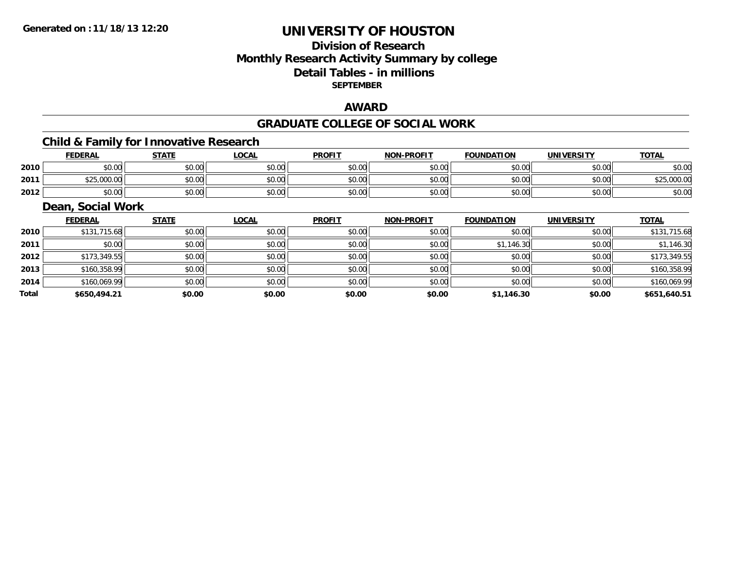## **Division of ResearchMonthly Research Activity Summary by college Detail Tables - in millions SEPTEMBER**

### **AWARD**

#### **GRADUATE COLLEGE OF SOCIAL WORK**

## **Child & Family for Innovative Research**

|      | <b>FEDERAL</b>                       | <b>STATE</b> | LOCAI          | <b>PROFIT</b> | <b>NON-PROFIT</b> | <b>FOUNDATION</b> | <b>UNIVERSITY</b> | <b>TOTAL</b> |
|------|--------------------------------------|--------------|----------------|---------------|-------------------|-------------------|-------------------|--------------|
| 2010 | \$0.00                               | \$0.00       | \$0.00         | \$0.00        | \$0.00            | \$0.00            | \$0.00            | \$0.00       |
| 2011 | <b>COL OOO OO</b><br>, JUJ.UUU, C.S. | \$0.00       | ልስ ሀህ<br>ง∪.∪บ | \$0.00        | \$0.00            | en uu<br>JU.UU    | \$0.00            | \$25,000.00  |
| 2012 | \$0.00                               | \$0.00       | \$0.00         | \$0.00        | \$0.00            | \$0.00            | \$0.00            | \$0.00       |

#### **Dean, Social Work**

|       | <b>FEDERAL</b> | <b>STATE</b> | <b>LOCAL</b> | <b>PROFIT</b> | <b>NON-PROFIT</b> | <b>FOUNDATION</b> | <b>UNIVERSITY</b> | <b>TOTAL</b> |
|-------|----------------|--------------|--------------|---------------|-------------------|-------------------|-------------------|--------------|
| 2010  | \$131,715.68   | \$0.00       | \$0.00       | \$0.00        | \$0.00            | \$0.00            | \$0.00            | \$131,715.68 |
| 2011  | \$0.00         | \$0.00       | \$0.00       | \$0.00        | \$0.00            | \$1,146.30        | \$0.00            | \$1,146.30   |
| 2012  | \$173,349.55   | \$0.00       | \$0.00       | \$0.00        | \$0.00            | \$0.00            | \$0.00            | \$173,349.55 |
| 2013  | \$160,358.99   | \$0.00       | \$0.00       | \$0.00        | \$0.00            | \$0.00            | \$0.00            | \$160,358.99 |
| 2014  | \$160,069.99   | \$0.00       | \$0.00       | \$0.00        | \$0.00            | \$0.00            | \$0.00            | \$160,069.99 |
| Total | \$650,494.21   | \$0.00       | \$0.00       | \$0.00        | \$0.00            | \$1,146.30        | \$0.00            | \$651,640.51 |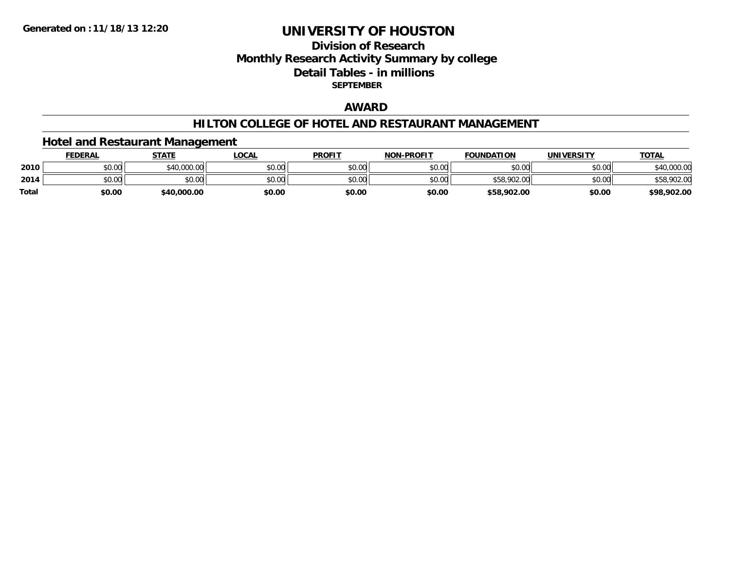## **Division of ResearchMonthly Research Activity Summary by college Detail Tables - in millions SEPTEMBER**

### **AWARD**

#### **HILTON COLLEGE OF HOTEL AND RESTAURANT MANAGEMENT**

### **Hotel and Restaurant Management**

|              | <u>FEDERAL</u> | <b>STATE</b> | LOCAL  | <b>PROFIT</b> | <b>NON-PROFIT</b> | <b>FOUNDATION</b> | UNIVERSITY | <b>TOTAL</b> |
|--------------|----------------|--------------|--------|---------------|-------------------|-------------------|------------|--------------|
| 2010         | \$0.00         | \$40,000.00  | \$0.00 | \$0.00        | \$0.00            | \$0.00            | \$0.00     | 00.000.00 ه  |
| 2014         | \$0.00         | \$0.00       | \$0.00 | \$0.00        | \$0.00            | \$58,902.00       | \$0.00     | \$58,902.00  |
| <b>Total</b> | \$0.00         | \$40,000.00  | \$0.00 | \$0.00        | \$0.00            | \$58,902.00       | \$0.00     | \$98,902.00  |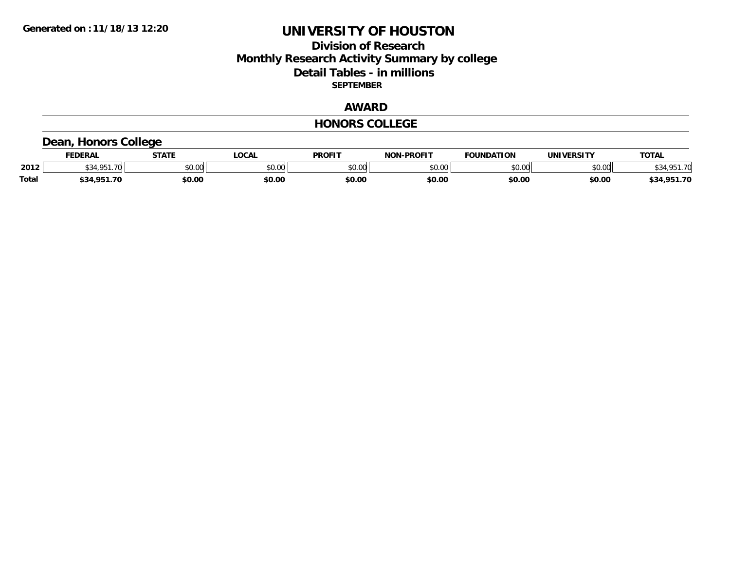### **Division of Research Monthly Research Activity Summary by college Detail Tables - in millions SEPTEMBER**

### **AWARD**

#### **HONORS COLLEGE**

## **Dean, Honors College**

|              | <b>FEDERAL</b>                           | C T A T C<br>" | <b>OCAL</b>            | <b>PROFIT</b> | -PROFIT<br>NON. | <b>FOUNDATION</b> | <b>UNIVERSITY</b> | <b>TOTAL</b>      |
|--------------|------------------------------------------|----------------|------------------------|---------------|-----------------|-------------------|-------------------|-------------------|
| 2012         | $\mathbf{z}$<br>$\overline{\phantom{a}}$ | 0.00<br>JU.UU  | $\sim$ $\sim$<br>JU.UU | \$0.00        | 0000<br>vv.vv   | 0000<br>,u.uu     | \$0.00            | 1.951.70          |
| <b>Total</b> | 1.70<br>- 05                             | \$0.00         | \$0.00                 | \$0.00        | \$0.00          | \$0.00            | \$0.00            | 4,951.70<br>\$34, |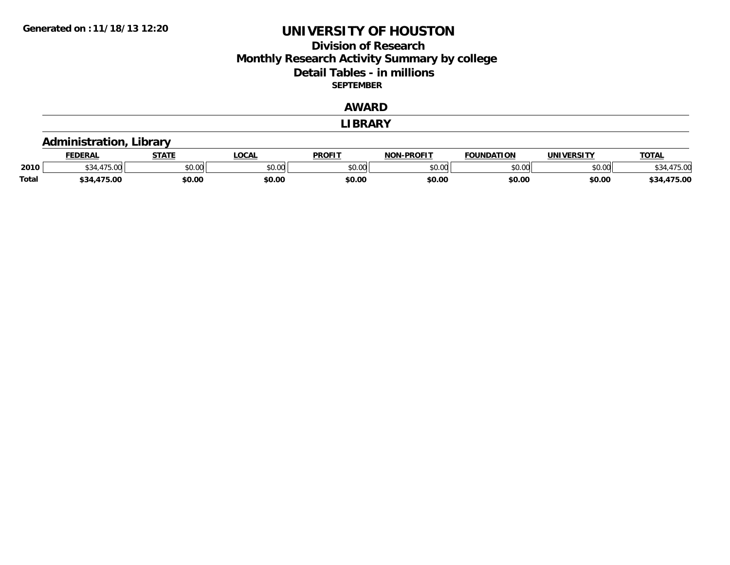## **Division of Research Monthly Research Activity Summary by college Detail Tables - in millions SEPTEMBER**

### **AWARD**

#### **LIBRARY**

## **Administration, Library**

|              | <b>FEDERAL</b>  | <b>CTATE</b>  | LOCAI  | <b>PROFIT</b> | <b>NON-PROFIT</b> | <b>FOUNDATION</b> |               | <b>TOTAL</b>         |
|--------------|-----------------|---------------|--------|---------------|-------------------|-------------------|---------------|----------------------|
| 2010         | J.VV            | 0000<br>DU.UU | \$0.00 | JU.UU         | 0000<br>งบ.บบ     | 0000<br>JU.UU     | 0000<br>PO.OO | $7F$ $00$<br>. 70.UV |
| <b>Total</b> | 175.00<br>4.4در | \$0.00        | \$0.00 | \$0.00        | \$0.00            | \$0.00            | \$0.00        | 475.00<br>\$34       |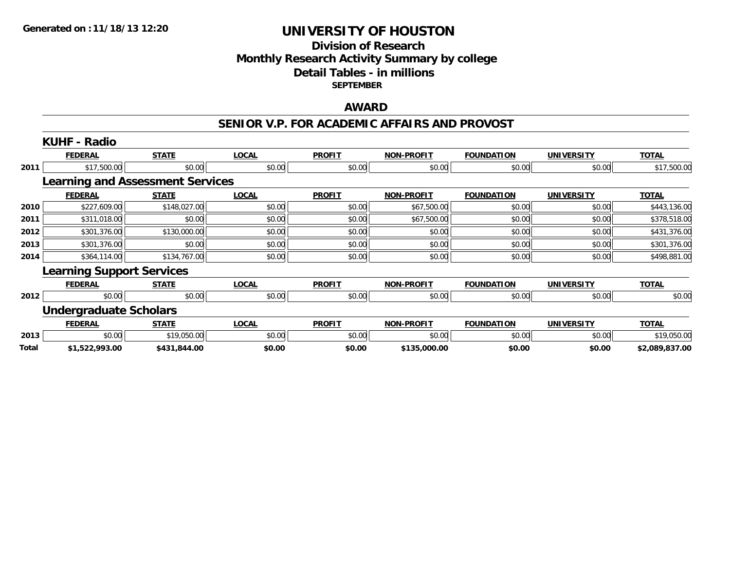## **Division of Research Monthly Research Activity Summary by college Detail Tables - in millions SEPTEMBER**

### **AWARD**

### **SENIOR V.P. FOR ACADEMIC AFFAIRS AND PROVOST**

|       | <b>KUHF - Radio</b>                     |              |              |               |                   |                   |                   |                |
|-------|-----------------------------------------|--------------|--------------|---------------|-------------------|-------------------|-------------------|----------------|
|       | <b>FEDERAL</b>                          | <b>STATE</b> | <b>LOCAL</b> | <b>PROFIT</b> | <b>NON-PROFIT</b> | <b>FOUNDATION</b> | <b>UNIVERSITY</b> | <b>TOTAL</b>   |
| 2011  | \$17,500.00                             | \$0.00       | \$0.00       | \$0.00        | \$0.00            | \$0.00            | \$0.00            | \$17,500.00    |
|       | <b>Learning and Assessment Services</b> |              |              |               |                   |                   |                   |                |
|       | <b>FEDERAL</b>                          | <b>STATE</b> | <b>LOCAL</b> | <b>PROFIT</b> | <b>NON-PROFIT</b> | <b>FOUNDATION</b> | <b>UNIVERSITY</b> | <b>TOTAL</b>   |
| 2010  | \$227,609.00                            | \$148,027.00 | \$0.00       | \$0.00        | \$67,500.00       | \$0.00            | \$0.00            | \$443,136.00   |
| 2011  | \$311,018.00                            | \$0.00       | \$0.00       | \$0.00        | \$67,500.00       | \$0.00            | \$0.00            | \$378,518.00   |
| 2012  | \$301,376.00                            | \$130,000.00 | \$0.00       | \$0.00        | \$0.00            | \$0.00            | \$0.00            | \$431,376.00   |
| 2013  | \$301,376.00                            | \$0.00       | \$0.00       | \$0.00        | \$0.00            | \$0.00            | \$0.00            | \$301,376.00   |
| 2014  | \$364,114.00                            | \$134,767.00 | \$0.00       | \$0.00        | \$0.00            | \$0.00            | \$0.00            | \$498,881.00   |
|       | <b>Learning Support Services</b>        |              |              |               |                   |                   |                   |                |
|       | <b>FEDERAL</b>                          | <b>STATE</b> | <b>LOCAL</b> | <b>PROFIT</b> | <b>NON-PROFIT</b> | <b>FOUNDATION</b> | <b>UNIVERSITY</b> | <b>TOTAL</b>   |
| 2012  | \$0.00                                  | \$0.00       | \$0.00       | \$0.00        | \$0.00            | \$0.00            | \$0.00            | \$0.00         |
|       | <b>Undergraduate Scholars</b>           |              |              |               |                   |                   |                   |                |
|       | <b>FEDERAL</b>                          | <b>STATE</b> | <b>LOCAL</b> | <b>PROFIT</b> | <b>NON-PROFIT</b> | <b>FOUNDATION</b> | <b>UNIVERSITY</b> | <b>TOTAL</b>   |
| 2013  | \$0.00                                  | \$19,050.00  | \$0.00       | \$0.00        | \$0.00            | \$0.00            | \$0.00            | \$19,050.00    |
| Total | \$1,522,993.00                          | \$431,844.00 | \$0.00       | \$0.00        | \$135,000.00      | \$0.00            | \$0.00            | \$2,089,837.00 |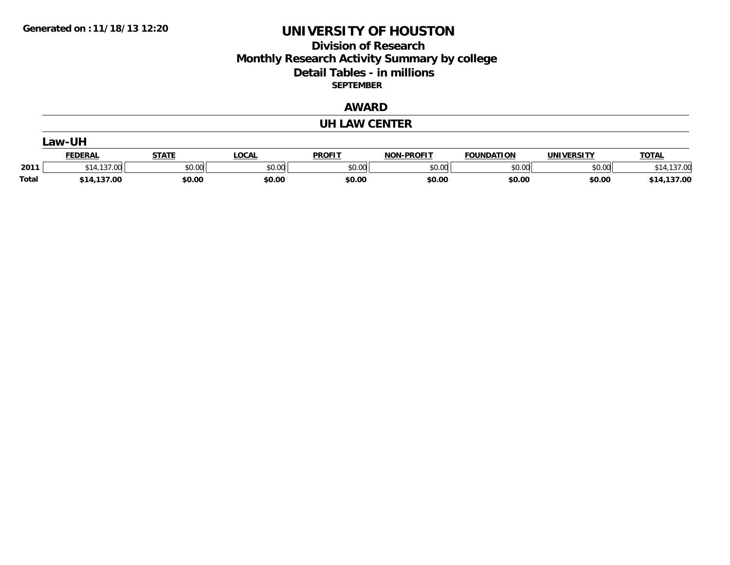# **Division of Research Monthly Research Activity Summary by college Detail Tables - in millions SEPTEMBER**

## **AWARD**

### **UH LAW CENTER**

|       | _aw-UH                             |                       |        |               |                   |                   |            |                 |  |  |
|-------|------------------------------------|-----------------------|--------|---------------|-------------------|-------------------|------------|-----------------|--|--|
|       | <b>FEDERAL</b>                     | <b>STATE</b><br>SIAIE | LOCAL  | <b>PROFIT</b> | <b>NON-PROFIT</b> | <b>FOUNDATION</b> | UNIVERSITY | <b>TOTAL</b>    |  |  |
| 2011  | $\overline{\phantom{a}}$<br>$\sim$ | \$0.00                | \$0.00 | \$0.00        | \$0.00            | \$0.00            | \$0.00     | .137.00         |  |  |
| Total | \$14,137.00                        | \$0.00                | \$0.00 | \$0.00        | \$0.00            | \$0.00            | \$0.00     | 137.00<br>\$14. |  |  |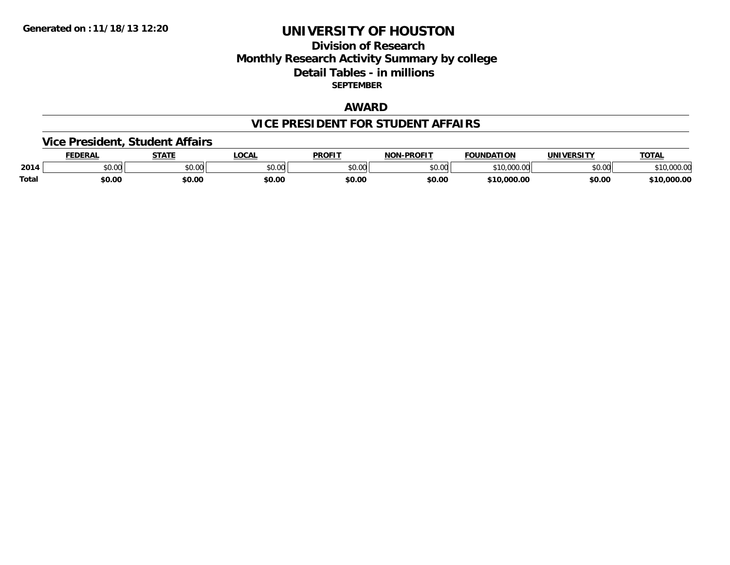## **Division of Research Monthly Research Activity Summary by college Detail Tables - in millions SEPTEMBER**

## **AWARD**

### **VICE PRESIDENT FOR STUDENT AFFAIRS**

## **Vice President, Student Affairs**

|              | FEDERAL | <b>STATE</b> | <b>_OCAL</b> | <b>PROFIT</b> | <b>NON-PROFIT</b> | <b>FOUNDATION</b>                       | UNIVERSITY | <b>TOTAL</b> |
|--------------|---------|--------------|--------------|---------------|-------------------|-----------------------------------------|------------|--------------|
| 2014         | \$0.00  | \$0.00       | \$0.00       | \$0.00        | \$0.00            | 0.1000<br>$\overline{0}$<br>710.000.00. | \$0.00     | \$10,000.00  |
| <b>Total</b> | \$0.00  | \$0.00       | \$0.00       | \$0.00        | \$0.00            | \$10,000.00                             | \$0.00     | \$10,000.00  |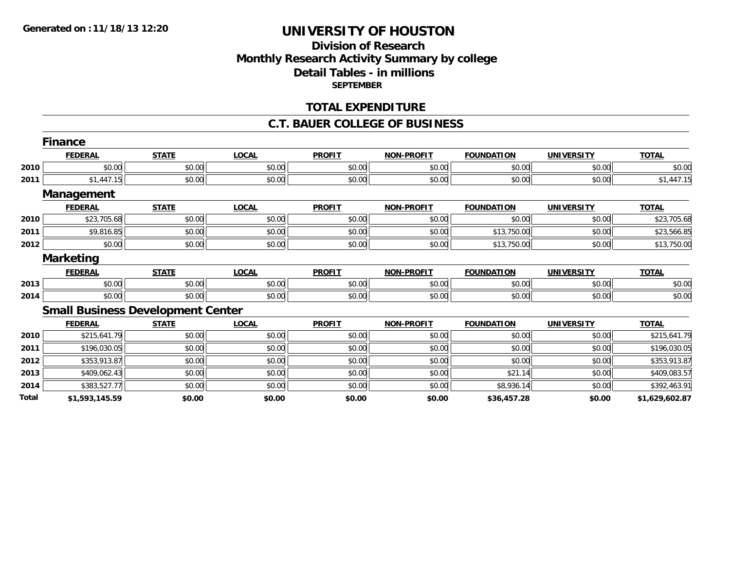## **Division of Research Monthly Research Activity Summary by college Detail Tables - in millions SEPTEMBER**

### **TOTAL EXPENDITURE**

### **C.T. BAUER COLLEGE OF BUSINESS**

|       | <b>Finance</b>                           |              |              |               |                   |                   |                   |                |
|-------|------------------------------------------|--------------|--------------|---------------|-------------------|-------------------|-------------------|----------------|
|       | <b>FEDERAL</b>                           | <b>STATE</b> | <b>LOCAL</b> | <b>PROFIT</b> | <b>NON-PROFIT</b> | <b>FOUNDATION</b> | <b>UNIVERSITY</b> | <b>TOTAL</b>   |
| 2010  | \$0.00                                   | \$0.00       | \$0.00       | \$0.00        | \$0.00            | \$0.00            | \$0.00            | \$0.00         |
| 2011  | \$1,447.15                               | \$0.00       | \$0.00       | \$0.00        | \$0.00            | \$0.00            | \$0.00            | \$1,447.15     |
|       | Management                               |              |              |               |                   |                   |                   |                |
|       | <b>FEDERAL</b>                           | <b>STATE</b> | <b>LOCAL</b> | <b>PROFIT</b> | <b>NON-PROFIT</b> | <b>FOUNDATION</b> | <b>UNIVERSITY</b> | <b>TOTAL</b>   |
| 2010  | \$23,705.68                              | \$0.00       | \$0.00       | \$0.00        | \$0.00            | \$0.00            | \$0.00            | \$23,705.68    |
| 2011  | \$9,816.85                               | \$0.00       | \$0.00       | \$0.00        | \$0.00            | \$13,750.00       | \$0.00            | \$23,566.85    |
| 2012  | \$0.00                                   | \$0.00       | \$0.00       | \$0.00        | \$0.00            | \$13,750.00       | \$0.00            | \$13,750.00    |
|       | <b>Marketing</b>                         |              |              |               |                   |                   |                   |                |
|       | <b>FEDERAL</b>                           | <b>STATE</b> | <b>LOCAL</b> | <b>PROFIT</b> | <b>NON-PROFIT</b> | <b>FOUNDATION</b> | <b>UNIVERSITY</b> | <b>TOTAL</b>   |
| 2013  | \$0.00                                   | \$0.00       | \$0.00       | \$0.00        | \$0.00            | \$0.00            | \$0.00            | \$0.00         |
| 2014  | \$0.00                                   | \$0.00       | \$0.00       | \$0.00        | \$0.00            | \$0.00            | \$0.00            | \$0.00         |
|       | <b>Small Business Development Center</b> |              |              |               |                   |                   |                   |                |
|       | <b>FEDERAL</b>                           | <b>STATE</b> | <b>LOCAL</b> | <b>PROFIT</b> | <b>NON-PROFIT</b> | <b>FOUNDATION</b> | <b>UNIVERSITY</b> | <b>TOTAL</b>   |
| 2010  | \$215,641.79                             | \$0.00       | \$0.00       | \$0.00        | \$0.00            | \$0.00            | \$0.00            | \$215,641.79   |
| 2011  | \$196,030.05                             | \$0.00       | \$0.00       | \$0.00        | \$0.00            | \$0.00            | \$0.00            | \$196,030.05   |
| 2012  | \$353,913.87                             | \$0.00       | \$0.00       | \$0.00        | \$0.00            | \$0.00            | \$0.00            | \$353,913.87   |
| 2013  | \$409,062.43                             | \$0.00       | \$0.00       | \$0.00        | \$0.00            | \$21.14           | \$0.00            | \$409,083.57   |
| 2014  | \$383,527.77                             | \$0.00       | \$0.00       | \$0.00        | \$0.00            | \$8,936.14        | \$0.00            | \$392,463.91   |
| Total | \$1,593,145.59                           | \$0.00       | \$0.00       | \$0.00        | \$0.00            | \$36,457.28       | \$0.00            | \$1,629,602.87 |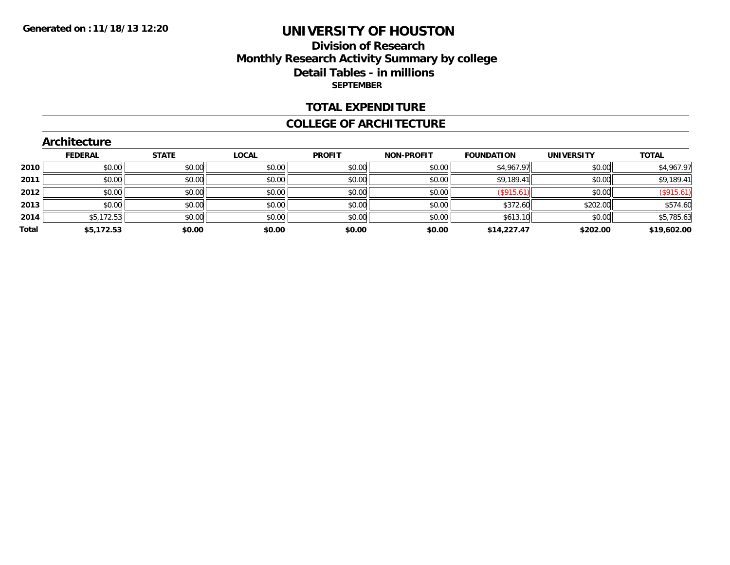## **Division of Research Monthly Research Activity Summary by college Detail Tables - in millions SEPTEMBER**

### **TOTAL EXPENDITURE**

### **COLLEGE OF ARCHITECTURE**

### **Architecture**

|       | <b>FEDERAL</b> | <b>STATE</b> | <u>LOCAL</u> | <b>PROFIT</b> | <b>NON-PROFIT</b> | <b>FOUNDATION</b> | <b>UNIVERSITY</b> | <b>TOTAL</b> |
|-------|----------------|--------------|--------------|---------------|-------------------|-------------------|-------------------|--------------|
| 2010  | \$0.00         | \$0.00       | \$0.00       | \$0.00        | \$0.00            | \$4,967.97        | \$0.00            | \$4,967.97   |
| 2011  | \$0.00         | \$0.00       | \$0.00       | \$0.00        | \$0.00            | \$9,189.41        | \$0.00            | \$9,189.41   |
| 2012  | \$0.00         | \$0.00       | \$0.00       | \$0.00        | \$0.00            | \$915.61          | \$0.00            | (\$915.61)   |
| 2013  | \$0.00         | \$0.00       | \$0.00       | \$0.00        | \$0.00            | \$372.60          | \$202.00          | \$574.60     |
| 2014  | \$5,172.53     | \$0.00       | \$0.00       | \$0.00        | \$0.00            | \$613.10          | \$0.00            | \$5,785.63   |
| Total | \$5,172.53     | \$0.00       | \$0.00       | \$0.00        | \$0.00            | \$14,227.47       | \$202.00          | \$19,602.00  |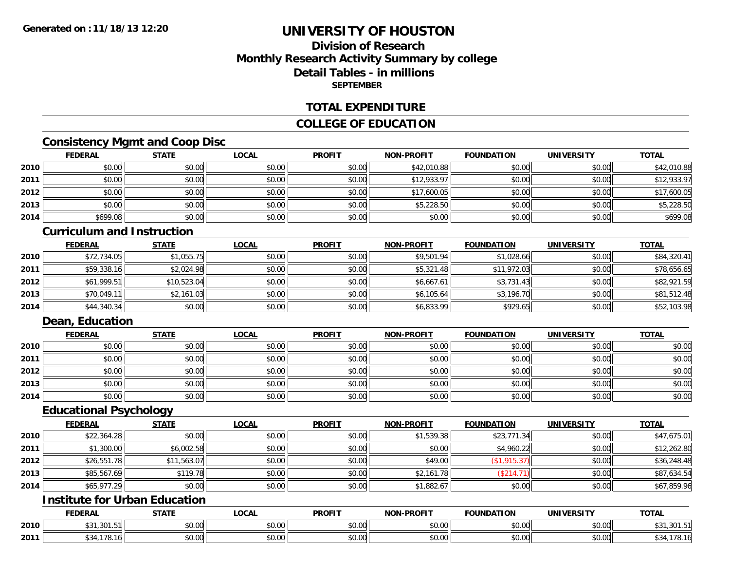# **Division of ResearchMonthly Research Activity Summary by college Detail Tables - in millionsSEPTEMBER**

### **TOTAL EXPENDITURE**

## **COLLEGE OF EDUCATION**

# **Consistency Mgmt and Coop Disc**

|      | <b>FEDERAL</b> | <b>STATE</b> | <u>LOCAL</u> | <b>PROFIT</b> | <b>NON-PROFIT</b> | <b>FOUNDATION</b> | <b>UNIVERSITY</b> | <b>TOTAL</b> |
|------|----------------|--------------|--------------|---------------|-------------------|-------------------|-------------------|--------------|
| 2010 | \$0.00         | \$0.00       | \$0.00       | \$0.00        | \$42,010.88       | \$0.00            | \$0.00            | \$42,010.88  |
| 2011 | \$0.00         | \$0.00       | \$0.00       | \$0.00        | \$12,933.97       | \$0.00            | \$0.00            | \$12,933.97  |
| 2012 | \$0.00         | \$0.00       | \$0.00       | \$0.00        | \$17,600.05       | \$0.00            | \$0.00            | \$17,600.05  |
| 2013 | \$0.00         | \$0.00       | \$0.00       | \$0.00        | \$5,228.50        | \$0.00            | \$0.00            | \$5,228.50   |
| 2014 | \$699.08       | \$0.00       | \$0.00       | \$0.00        | \$0.00            | \$0.00            | \$0.00            | \$699.08     |

### **Curriculum and Instruction**

|      | <b>FEDERAL</b> | <b>STATE</b> | <b>LOCAL</b> | <b>PROFIT</b> | <b>NON-PROFIT</b> | <b>FOUNDATION</b> | <b>UNIVERSITY</b> | <b>TOTAL</b> |
|------|----------------|--------------|--------------|---------------|-------------------|-------------------|-------------------|--------------|
| 2010 | \$72,734.05    | \$1,055.75   | \$0.00       | \$0.00        | \$9,501.94        | \$1,028.66        | \$0.00            | \$84,320.41  |
| 2011 | \$59,338.16    | \$2,024.98   | \$0.00       | \$0.00        | \$5,321.48        | \$11,972.03       | \$0.00            | \$78,656.65  |
| 2012 | \$61,999.51    | \$10,523.04  | \$0.00       | \$0.00        | \$6,667.61        | \$3,731.43        | \$0.00            | \$82,921.59  |
| 2013 | \$70,049.11    | \$2,161.03   | \$0.00       | \$0.00        | \$6,105.64        | \$3,196.70        | \$0.00            | \$81,512.48  |
| 2014 | \$44,340.34    | \$0.00       | \$0.00       | \$0.00        | \$6,833.99        | \$929.65          | \$0.00            | \$52,103.98  |

### **Dean, Education**

|      | <b>FEDERAL</b> | <b>STATE</b> | <u>LOCAL</u> | <b>PROFIT</b> | <b>NON-PROFIT</b> | <b>FOUNDATION</b> | <b>UNIVERSITY</b> | <b>TOTAL</b> |
|------|----------------|--------------|--------------|---------------|-------------------|-------------------|-------------------|--------------|
| 2010 | \$0.00         | \$0.00       | \$0.00       | \$0.00        | \$0.00            | \$0.00            | \$0.00            | \$0.00       |
| 2011 | \$0.00         | \$0.00       | \$0.00       | \$0.00        | \$0.00            | \$0.00            | \$0.00            | \$0.00       |
| 2012 | \$0.00         | \$0.00       | \$0.00       | \$0.00        | \$0.00            | \$0.00            | \$0.00            | \$0.00       |
| 2013 | \$0.00         | \$0.00       | \$0.00       | \$0.00        | \$0.00            | \$0.00            | \$0.00            | \$0.00       |
| 2014 | \$0.00         | \$0.00       | \$0.00       | \$0.00        | \$0.00            | \$0.00            | \$0.00            | \$0.00       |

## **Educational Psychology**

|      | <b>FEDERAL</b> | <b>STATE</b> | <u>LOCAL</u> | <b>PROFIT</b> | <b>NON-PROFIT</b> | <b>FOUNDATION</b> | <b>UNIVERSITY</b> | <b>TOTAL</b> |
|------|----------------|--------------|--------------|---------------|-------------------|-------------------|-------------------|--------------|
| 2010 | \$22,364.28    | \$0.00       | \$0.00       | \$0.00        | \$1,539.38        | \$23,771.34       | \$0.00            | \$47,675.01  |
| 2011 | \$1,300.00     | \$6,002.58   | \$0.00       | \$0.00        | \$0.00            | \$4,960.22        | \$0.00            | \$12,262.80  |
| 2012 | \$26,551.78    | \$11,563.07  | \$0.00       | \$0.00        | \$49.00           | (\$1,915.37)      | \$0.00            | \$36,248.48  |
| 2013 | \$85,567.69    | \$119.78     | \$0.00       | \$0.00        | \$2,161.78        | (\$214.7)<br>71'  | \$0.00            | \$87,634.54  |
| 2014 | \$65,977.29    | \$0.00       | \$0.00       | \$0.00        | \$1,882.67        | \$0.00            | \$0.00            | \$67,859.96  |

# **Institute for Urban Education**

|      | <b>FEDERAL</b>                                    | <b>CTATE</b><br>3 I A I I | <b>LOCAL</b>              | <b>PROFIT</b>  | <b>NON-PROFIT</b>                   | <b>FOUNDATION</b> | UNIVERSITY                    | <b>TOTAL</b>   |
|------|---------------------------------------------------|---------------------------|---------------------------|----------------|-------------------------------------|-------------------|-------------------------------|----------------|
| 2010 | $0.04$ $-4$<br>$\sim$ $\sim$<br>ن. ۱ טכ. ו<br>U J | \$0.00                    | $\sim$<br>$\sim$<br>vv.vv | ტი იი<br>DU.UU | $\theta$ $\theta$ $\theta$<br>DU.UU | \$0.00            | $\sim$ 00<br><b>JU.UU</b>     | 5. ا 30.<br>ັບ |
| 2011 | 70<br>70.                                         | \$0.00                    | ሐ ሴ<br>$\sim$<br>vu.uu    | 0000<br>DU.UG  | 0.00<br><b>DU.UU</b>                | \$0.00            | $\sim$ $\sim$<br><b>JU.UU</b> |                |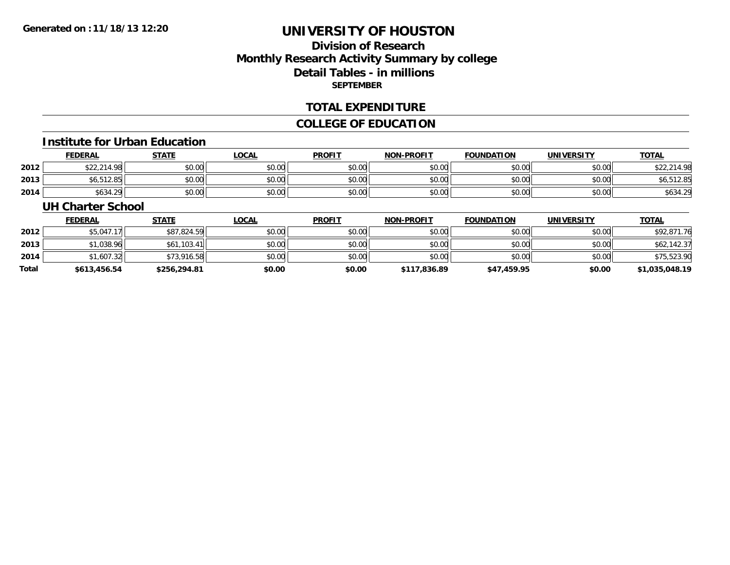# **Division of ResearchMonthly Research Activity Summary by college Detail Tables - in millions SEPTEMBER**

### **TOTAL EXPENDITURE**

## **COLLEGE OF EDUCATION**

#### **Institute for Urban Education**

|      | FEDERAL                             | <b>STATE</b>   | <b>LOCAL</b> | <b>PROFIT</b> | <b>NON-PROFIT</b> | <b>FOUNDATION</b> | <b>UNIVERSITY</b> | <u>TOTAL</u> |
|------|-------------------------------------|----------------|--------------|---------------|-------------------|-------------------|-------------------|--------------|
| 2012 | \$22.214.98<br>\$22.214.98          | 40.00<br>JU.UU | \$0.00       | \$0.00        | \$0.00            | \$0.00            | \$0.00            | \$22,214.98  |
| 2013 | <b>¢ ሪ 510 Q GI</b><br>90, J I Z.OJ | 40.00<br>JU.UU | \$0.00       | \$0.00        | \$0.00            | \$0.00            | \$0.00            | \$6,512.85   |
| 2014 | \$634.29                            | \$0.00         | \$0.00       | \$0.00        | \$0.00            | \$0.00            | \$0.00            | \$634.29     |

### **UH Charter School**

|       | <b>FEDERAL</b> | <u>STATE</u> | <u>LOCAL</u> | <b>PROFIT</b> | <b>NON-PROFIT</b> | <b>FOUNDATION</b> | <b>UNIVERSITY</b> | <b>TOTAL</b>   |
|-------|----------------|--------------|--------------|---------------|-------------------|-------------------|-------------------|----------------|
| 2012  | \$5,047.17     | \$87,824.59  | \$0.00       | \$0.00        | \$0.00            | \$0.00            | \$0.00            | \$92,871.76    |
| 2013  | \$1,038.96     | \$61,103.41  | \$0.00       | \$0.00        | \$0.00            | \$0.00            | \$0.00            | \$62,142.37    |
| 2014  | \$1,607.32     | \$73,916.58  | \$0.00       | \$0.00        | \$0.00            | \$0.00            | \$0.00            | \$75,523.90    |
| Total | \$613,456.54   | \$256,294.81 | \$0.00       | \$0.00        | \$117,836.89      | \$47,459.95       | \$0.00            | \$1,035,048.19 |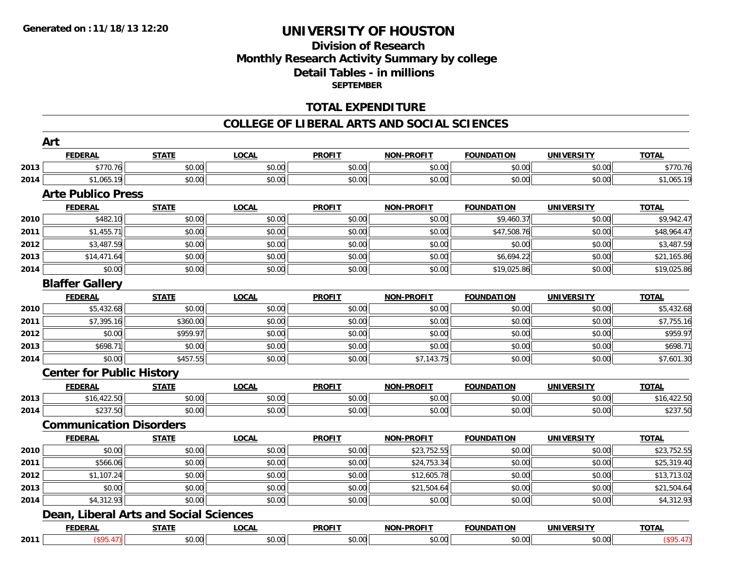## **Division of Research Monthly Research Activity Summary by college Detail Tables - in millions SEPTEMBER**

## **TOTAL EXPENDITURE**

### **COLLEGE OF LIBERAL ARTS AND SOCIAL SCIENCES**

|      | Art                              |                                        |              |               |                   |                   |                   |              |
|------|----------------------------------|----------------------------------------|--------------|---------------|-------------------|-------------------|-------------------|--------------|
|      | <b>FEDERAL</b>                   | <b>STATE</b>                           | <b>LOCAL</b> | <b>PROFIT</b> | <b>NON-PROFIT</b> | <b>FOUNDATION</b> | <b>UNIVERSITY</b> | <b>TOTAL</b> |
| 2013 | \$770.76                         | \$0.00                                 | \$0.00       | \$0.00        | \$0.00            | \$0.00            | \$0.00            | \$770.76     |
| 2014 | \$1,065.19                       | \$0.00                                 | \$0.00       | \$0.00        | \$0.00            | \$0.00            | \$0.00            | \$1,065.19   |
|      | <b>Arte Publico Press</b>        |                                        |              |               |                   |                   |                   |              |
|      | <b>FEDERAL</b>                   | <b>STATE</b>                           | <b>LOCAL</b> | <b>PROFIT</b> | NON-PROFIT        | <b>FOUNDATION</b> | <b>UNIVERSITY</b> | <b>TOTAL</b> |
| 2010 | \$482.10                         | \$0.00                                 | \$0.00       | \$0.00        | \$0.00            | \$9,460.37        | \$0.00            | \$9,942.47   |
| 2011 | \$1,455.71                       | \$0.00                                 | \$0.00       | \$0.00        | \$0.00            | \$47,508.76       | \$0.00            | \$48,964.47  |
| 2012 | \$3,487.59                       | \$0.00                                 | \$0.00       | \$0.00        | \$0.00            | \$0.00            | \$0.00            | \$3,487.59   |
| 2013 | \$14,471.64                      | \$0.00                                 | \$0.00       | \$0.00        | \$0.00            | \$6,694.22        | \$0.00            | \$21,165.86  |
| 2014 | \$0.00                           | \$0.00                                 | \$0.00       | \$0.00        | \$0.00            | \$19,025.86       | \$0.00            | \$19,025.86  |
|      | <b>Blaffer Gallery</b>           |                                        |              |               |                   |                   |                   |              |
|      | <b>FEDERAL</b>                   | <b>STATE</b>                           | <b>LOCAL</b> | <b>PROFIT</b> | NON-PROFIT        | <b>FOUNDATION</b> | <b>UNIVERSITY</b> | <b>TOTAL</b> |
| 2010 | \$5,432.68                       | \$0.00                                 | \$0.00       | \$0.00        | \$0.00            | \$0.00            | \$0.00            | \$5,432.68   |
| 2011 | \$7,395.16                       | \$360.00                               | \$0.00       | \$0.00        | \$0.00            | \$0.00            | \$0.00            | \$7,755.16   |
| 2012 | \$0.00                           | \$959.97                               | \$0.00       | \$0.00        | \$0.00            | \$0.00            | \$0.00            | \$959.97     |
| 2013 | \$698.71                         | \$0.00                                 | \$0.00       | \$0.00        | \$0.00            | \$0.00            | \$0.00            | \$698.71     |
| 2014 | \$0.00                           | \$457.55                               | \$0.00       | \$0.00        | \$7,143.75        | \$0.00            | \$0.00            | \$7,601.30   |
|      | <b>Center for Public History</b> |                                        |              |               |                   |                   |                   |              |
|      | <b>FEDERAL</b>                   | <b>STATE</b>                           | <b>LOCAL</b> | <b>PROFIT</b> | <b>NON-PROFIT</b> | <b>FOUNDATION</b> | <b>UNIVERSITY</b> | <b>TOTAL</b> |
| 2013 | \$16,422.50                      | \$0.00                                 | \$0.00       | \$0.00        | \$0.00            | \$0.00            | \$0.00            | \$16,422.50  |
| 2014 | \$237.50                         | \$0.00                                 | \$0.00       | \$0.00        | \$0.00            | \$0.00            | \$0.00            | \$237.50     |
|      | <b>Communication Disorders</b>   |                                        |              |               |                   |                   |                   |              |
|      | <b>FEDERAL</b>                   | <b>STATE</b>                           | <b>LOCAL</b> | <b>PROFIT</b> | NON-PROFIT        | <b>FOUNDATION</b> | <b>UNIVERSITY</b> | <b>TOTAL</b> |
| 2010 | \$0.00                           | \$0.00                                 | \$0.00       | \$0.00        | \$23,752.55       | \$0.00            | \$0.00            | \$23,752.55  |
| 2011 | \$566.06                         | \$0.00                                 | \$0.00       | \$0.00        | \$24,753.34       | \$0.00            | \$0.00            | \$25,319.40  |
| 2012 | \$1,107.24                       | \$0.00                                 | \$0.00       | \$0.00        | \$12,605.78       | \$0.00            | \$0.00            | \$13,713.02  |
| 2013 | \$0.00                           | \$0.00                                 | \$0.00       | \$0.00        | \$21,504.64       | \$0.00            | \$0.00            | \$21,504.64  |
| 2014 | \$4,312.93                       | \$0.00                                 | \$0.00       | \$0.00        | \$0.00            | \$0.00            | \$0.00            | \$4,312.93   |
|      |                                  | Dean, Liberal Arts and Social Sciences |              |               |                   |                   |                   |              |
|      | <b>FEDERAL</b>                   | <b>STATE</b>                           | <b>LOCAL</b> | <b>PROFIT</b> | <b>NON-PROFIT</b> | <b>FOUNDATION</b> | <b>UNIVERSITY</b> | <b>TOTAL</b> |
| 2011 | (\$95.47)                        | \$0.00                                 | \$0.00       | \$0.00        | \$0.00            | \$0.00            | \$0.00            | (\$95.47)    |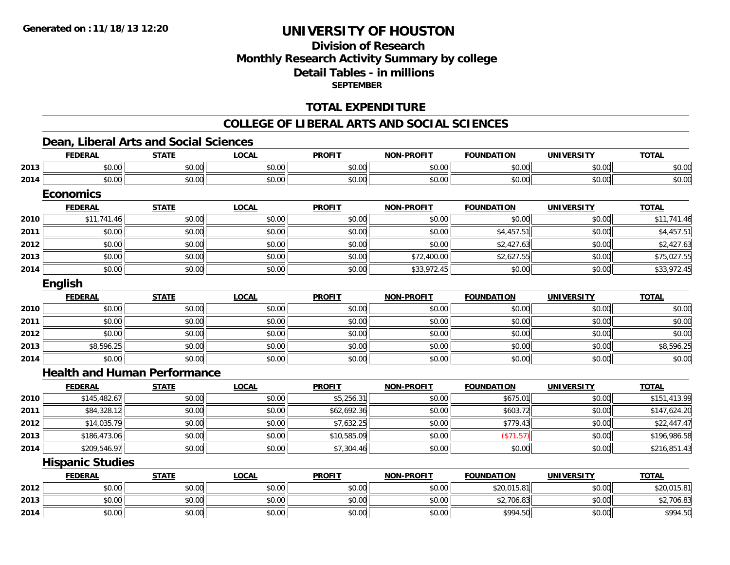# **Division of ResearchMonthly Research Activity Summary by college Detail Tables - in millions SEPTEMBER**

## **TOTAL EXPENDITURE**

### **COLLEGE OF LIBERAL ARTS AND SOCIAL SCIENCES**

## **Dean, Liberal Arts and Social Sciences**

|      | <b>FEDERAL</b>          | <b>STATE</b>                        | <b>LOCAL</b> | <b>PROFIT</b> | <b>NON-PROFIT</b> | <b>FOUNDATION</b> | <b>UNIVERSITY</b> | <b>TOTAL</b> |
|------|-------------------------|-------------------------------------|--------------|---------------|-------------------|-------------------|-------------------|--------------|
| 2013 | \$0.00                  | \$0.00                              | \$0.00       | \$0.00        | \$0.00            | \$0.00            | \$0.00            | \$0.00       |
| 2014 | \$0.00                  | \$0.00                              | \$0.00       | \$0.00        | \$0.00            | \$0.00            | \$0.00            | \$0.00       |
|      | <b>Economics</b>        |                                     |              |               |                   |                   |                   |              |
|      | <b>FEDERAL</b>          | <b>STATE</b>                        | <b>LOCAL</b> | <b>PROFIT</b> | <b>NON-PROFIT</b> | <b>FOUNDATION</b> | <b>UNIVERSITY</b> | <b>TOTAL</b> |
| 2010 | \$11,741.46             | \$0.00                              | \$0.00       | \$0.00        | \$0.00            | \$0.00            | \$0.00            | \$11,741.46  |
| 2011 | \$0.00                  | \$0.00                              | \$0.00       | \$0.00        | \$0.00            | \$4,457.51        | \$0.00            | \$4,457.51   |
| 2012 | \$0.00                  | \$0.00                              | \$0.00       | \$0.00        | \$0.00            | \$2,427.63        | \$0.00            | \$2,427.63   |
| 2013 | \$0.00                  | \$0.00                              | \$0.00       | \$0.00        | \$72,400.00       | \$2,627.55        | \$0.00            | \$75,027.55  |
| 2014 | \$0.00                  | \$0.00                              | \$0.00       | \$0.00        | \$33,972.45       | \$0.00            | \$0.00            | \$33,972.45  |
|      | English                 |                                     |              |               |                   |                   |                   |              |
|      | <b>FEDERAL</b>          | <b>STATE</b>                        | <b>LOCAL</b> | <b>PROFIT</b> | <b>NON-PROFIT</b> | <b>FOUNDATION</b> | <b>UNIVERSITY</b> | <b>TOTAL</b> |
| 2010 | \$0.00                  | \$0.00                              | \$0.00       | \$0.00        | \$0.00            | \$0.00            | \$0.00            | \$0.00       |
| 2011 | \$0.00                  | \$0.00                              | \$0.00       | \$0.00        | \$0.00            | \$0.00            | \$0.00            | \$0.00       |
| 2012 | \$0.00                  | \$0.00                              | \$0.00       | \$0.00        | \$0.00            | \$0.00            | \$0.00            | \$0.00       |
| 2013 | \$8,596.25              | \$0.00                              | \$0.00       | \$0.00        | \$0.00            | \$0.00            | \$0.00            | \$8,596.25   |
| 2014 | \$0.00                  | \$0.00                              | \$0.00       | \$0.00        | \$0.00            | \$0.00            | \$0.00            | \$0.00       |
|      |                         | <b>Health and Human Performance</b> |              |               |                   |                   |                   |              |
|      | <b>FEDERAL</b>          | <b>STATE</b>                        | <b>LOCAL</b> | <b>PROFIT</b> | <b>NON-PROFIT</b> | <b>FOUNDATION</b> | <b>UNIVERSITY</b> | <b>TOTAL</b> |
| 2010 | \$145,482.67            | \$0.00                              | \$0.00       | \$5,256.31    | \$0.00            | \$675.01          | \$0.00            | \$151,413.99 |
| 2011 | \$84,328.12             | \$0.00                              | \$0.00       | \$62,692.36   | \$0.00            | \$603.72          | \$0.00            | \$147,624.20 |
| 2012 | \$14,035.79             | \$0.00                              | \$0.00       | \$7,632.25    | \$0.00            | \$779.43          | \$0.00            | \$22,447.47  |
| 2013 | \$186,473.06            | \$0.00                              | \$0.00       | \$10,585.09   | \$0.00            | (\$71.57)         | \$0.00            | \$196,986.58 |
| 2014 | \$209,546.97            | \$0.00                              | \$0.00       | \$7,304.46    | \$0.00            | \$0.00            | \$0.00            | \$216,851.43 |
|      | <b>Hispanic Studies</b> |                                     |              |               |                   |                   |                   |              |
|      | <b>FEDERAL</b>          | <b>STATE</b>                        | <b>LOCAL</b> | <b>PROFIT</b> | <b>NON-PROFIT</b> | <b>FOUNDATION</b> | <b>UNIVERSITY</b> | <b>TOTAL</b> |
| 2012 | \$0.00                  | \$0.00                              | \$0.00       | \$0.00        | \$0.00            | \$20,015.81       | \$0.00            | \$20,015.81  |
| 2013 | \$0.00                  | \$0.00                              | \$0.00       | \$0.00        | \$0.00            | \$2,706.83        | \$0.00            | \$2,706.83   |
| 2014 | \$0.00                  | \$0.00                              | \$0.00       | \$0.00        | \$0.00            | \$994.50          | \$0.00            | \$994.50     |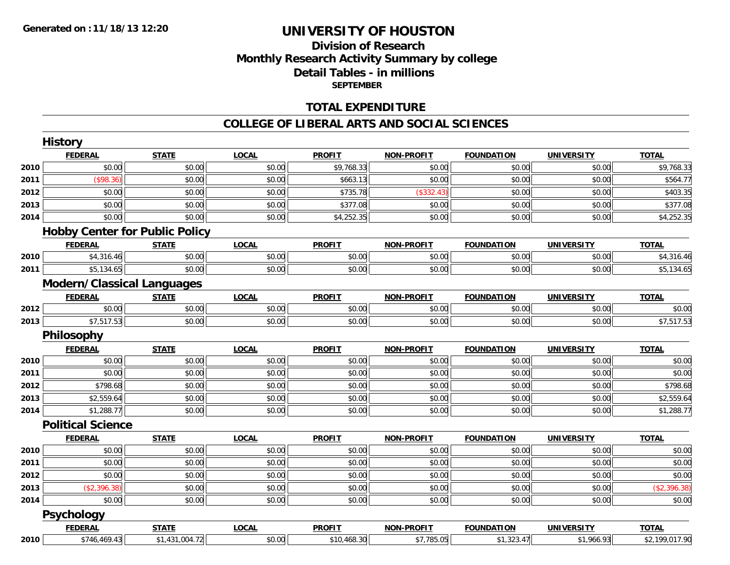# **Division of ResearchMonthly Research Activity Summary by college Detail Tables - in millions SEPTEMBER**

### **TOTAL EXPENDITURE**

### **COLLEGE OF LIBERAL ARTS AND SOCIAL SCIENCES**

|      | <b>History</b>                    |                                       |              |               |                   |                   |                   |                |
|------|-----------------------------------|---------------------------------------|--------------|---------------|-------------------|-------------------|-------------------|----------------|
|      | <b>FEDERAL</b>                    | <b>STATE</b>                          | <b>LOCAL</b> | <b>PROFIT</b> | <b>NON-PROFIT</b> | <b>FOUNDATION</b> | <b>UNIVERSITY</b> | <b>TOTAL</b>   |
| 2010 | \$0.00                            | \$0.00                                | \$0.00       | \$9,768.33    | \$0.00            | \$0.00            | \$0.00            | \$9,768.33     |
| 2011 | (\$98.36)                         | \$0.00                                | \$0.00       | \$663.13      | \$0.00            | \$0.00            | \$0.00            | \$564.77       |
| 2012 | \$0.00                            | \$0.00                                | \$0.00       | \$735.78      | (\$332.43)        | \$0.00            | \$0.00            | \$403.35       |
| 2013 | \$0.00                            | \$0.00                                | \$0.00       | \$377.08      | \$0.00            | \$0.00            | \$0.00            | \$377.08       |
| 2014 | \$0.00                            | \$0.00                                | \$0.00       | \$4,252.35    | \$0.00            | \$0.00            | \$0.00            | \$4,252.35     |
|      |                                   | <b>Hobby Center for Public Policy</b> |              |               |                   |                   |                   |                |
|      | <b>FEDERAL</b>                    | <b>STATE</b>                          | <b>LOCAL</b> | <b>PROFIT</b> | <b>NON-PROFIT</b> | <b>FOUNDATION</b> | <b>UNIVERSITY</b> | <b>TOTAL</b>   |
| 2010 | \$4,316.46                        | \$0.00                                | \$0.00       | \$0.00        | \$0.00            | \$0.00            | \$0.00            | \$4,316.46     |
| 2011 | \$5,134.65                        | \$0.00                                | \$0.00       | \$0.00        | \$0.00            | \$0.00            | \$0.00            | \$5,134.65     |
|      | <b>Modern/Classical Languages</b> |                                       |              |               |                   |                   |                   |                |
|      | <b>FEDERAL</b>                    | <b>STATE</b>                          | <b>LOCAL</b> | <b>PROFIT</b> | <b>NON-PROFIT</b> | <b>FOUNDATION</b> | <b>UNIVERSITY</b> | <b>TOTAL</b>   |
| 2012 | \$0.00                            | \$0.00                                | \$0.00       | \$0.00        | \$0.00            | \$0.00            | \$0.00            | \$0.00         |
| 2013 | \$7,517.53                        | \$0.00                                | \$0.00       | \$0.00        | \$0.00            | \$0.00            | \$0.00            | \$7,517.53     |
|      | Philosophy                        |                                       |              |               |                   |                   |                   |                |
|      | <b>FEDERAL</b>                    | <b>STATE</b>                          | <b>LOCAL</b> | <b>PROFIT</b> | <b>NON-PROFIT</b> | <b>FOUNDATION</b> | <b>UNIVERSITY</b> | <b>TOTAL</b>   |
| 2010 | \$0.00                            | \$0.00                                | \$0.00       | \$0.00        | \$0.00            | \$0.00            | \$0.00            | \$0.00         |
| 2011 | \$0.00                            | \$0.00                                | \$0.00       | \$0.00        | \$0.00            | \$0.00            | \$0.00            | \$0.00         |
| 2012 | \$798.68                          | \$0.00                                | \$0.00       | \$0.00        | \$0.00            | \$0.00            | \$0.00            | \$798.68       |
| 2013 | \$2,559.64                        | \$0.00                                | \$0.00       | \$0.00        | \$0.00            | \$0.00            | \$0.00            | \$2,559.64     |
| 2014 | \$1,288.77                        | \$0.00                                | \$0.00       | \$0.00        | \$0.00            | \$0.00            | \$0.00            | \$1,288.77     |
|      | <b>Political Science</b>          |                                       |              |               |                   |                   |                   |                |
|      | <b>FEDERAL</b>                    | <b>STATE</b>                          | <b>LOCAL</b> | <b>PROFIT</b> | NON-PROFIT        | <b>FOUNDATION</b> | <b>UNIVERSITY</b> | <b>TOTAL</b>   |
| 2010 | \$0.00                            | \$0.00                                | \$0.00       | \$0.00        | \$0.00            | \$0.00            | \$0.00            | \$0.00         |
| 2011 | \$0.00                            | \$0.00                                | \$0.00       | \$0.00        | \$0.00            | \$0.00            | \$0.00            | \$0.00         |
| 2012 | \$0.00                            | \$0.00                                | \$0.00       | \$0.00        | \$0.00            | \$0.00            | \$0.00            | \$0.00         |
| 2013 | (\$2,396.38)                      | \$0.00                                | \$0.00       | \$0.00        | \$0.00            | \$0.00            | \$0.00            | (\$2,396.38)   |
| 2014 | \$0.00                            | \$0.00                                | \$0.00       | \$0.00        | \$0.00            | \$0.00            | \$0.00            | \$0.00         |
|      | <b>Psychology</b>                 |                                       |              |               |                   |                   |                   |                |
|      | <b>FEDERAL</b>                    | <b>STATE</b>                          | <b>LOCAL</b> | <b>PROFIT</b> | <b>NON-PROFIT</b> | <b>FOUNDATION</b> | <b>UNIVERSITY</b> | <b>TOTAL</b>   |
| 2010 | \$746,469.43                      | \$1,431,004.72                        | \$0.00       | \$10,468.30   | \$7,785.05        | \$1,323.47        | \$1,966.93        | \$2,199,017.90 |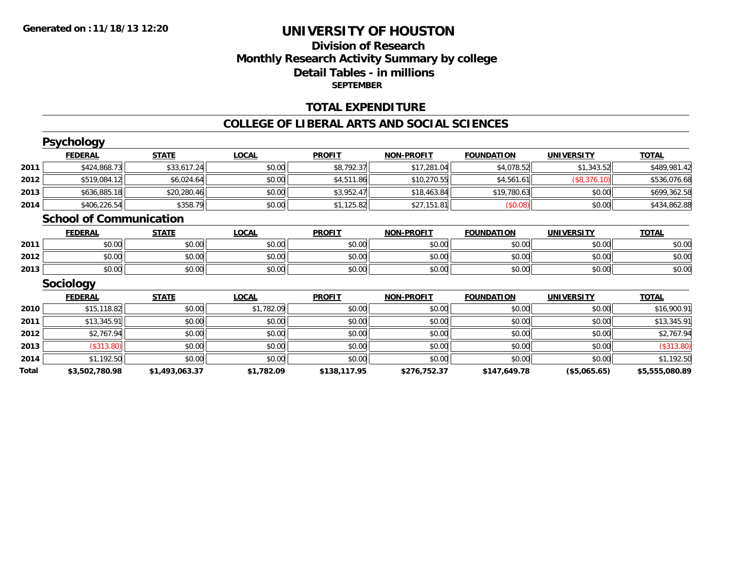## **Division of Research Monthly Research Activity Summary by college Detail Tables - in millions SEPTEMBER**

### **TOTAL EXPENDITURE**

### **COLLEGE OF LIBERAL ARTS AND SOCIAL SCIENCES**

|       | <b>Psychology</b>              |                |              |               |                   |                   |                   |                |
|-------|--------------------------------|----------------|--------------|---------------|-------------------|-------------------|-------------------|----------------|
|       | <b>FEDERAL</b>                 | <b>STATE</b>   | <b>LOCAL</b> | <b>PROFIT</b> | <b>NON-PROFIT</b> | <b>FOUNDATION</b> | <b>UNIVERSITY</b> | <b>TOTAL</b>   |
| 2011  | \$424,868.73                   | \$33,617.24    | \$0.00       | \$8,792.37    | \$17,281.04       | \$4,078.52        | \$1,343.52        | \$489,981.42   |
| 2012  | \$519,084.12                   | \$6,024.64     | \$0.00       | \$4,511.86    | \$10,270.55       | \$4,561.61        | (\$8,376.10)      | \$536,076.68   |
| 2013  | \$636,885.18                   | \$20,280.46    | \$0.00       | \$3,952.47    | \$18,463.84       | \$19,780.63       | \$0.00            | \$699,362.58   |
| 2014  | \$406,226.54                   | \$358.79       | \$0.00       | \$1,125.82    | \$27,151.81       | (\$0.08)          | \$0.00            | \$434,862.88   |
|       | <b>School of Communication</b> |                |              |               |                   |                   |                   |                |
|       | <b>FEDERAL</b>                 | <b>STATE</b>   | <b>LOCAL</b> | <b>PROFIT</b> | <b>NON-PROFIT</b> | <b>FOUNDATION</b> | <b>UNIVERSITY</b> | <b>TOTAL</b>   |
| 2011  | \$0.00                         | \$0.00         | \$0.00       | \$0.00        | \$0.00            | \$0.00            | \$0.00            | \$0.00         |
| 2012  | \$0.00                         | \$0.00         | \$0.00       | \$0.00        | \$0.00            | \$0.00            | \$0.00            | \$0.00         |
| 2013  | \$0.00                         | \$0.00         | \$0.00       | \$0.00        | \$0.00            | \$0.00            | \$0.00            | \$0.00         |
|       | <b>Sociology</b>               |                |              |               |                   |                   |                   |                |
|       | <b>FEDERAL</b>                 | <b>STATE</b>   | <b>LOCAL</b> | <b>PROFIT</b> | <b>NON-PROFIT</b> | <b>FOUNDATION</b> | <b>UNIVERSITY</b> | <b>TOTAL</b>   |
| 2010  | \$15,118.82                    | \$0.00         | \$1,782.09   | \$0.00        | \$0.00            | \$0.00            | \$0.00            | \$16,900.91    |
| 2011  | \$13,345.91                    | \$0.00         | \$0.00       | \$0.00        | \$0.00            | \$0.00            | \$0.00            | \$13,345.91    |
| 2012  | \$2,767.94                     | \$0.00         | \$0.00       | \$0.00        | \$0.00            | \$0.00            | \$0.00            | \$2,767.94     |
| 2013  | (\$313.80)                     | \$0.00         | \$0.00       | \$0.00        | \$0.00            | \$0.00            | \$0.00            | (\$313.80)     |
| 2014  | \$1,192.50                     | \$0.00         | \$0.00       | \$0.00        | \$0.00            | \$0.00            | \$0.00            | \$1,192.50     |
| Total | \$3,502,780.98                 | \$1,493,063.37 | \$1,782.09   | \$138,117.95  | \$276,752.37      | \$147,649.78      | (\$5,065.65)      | \$5,555,080.89 |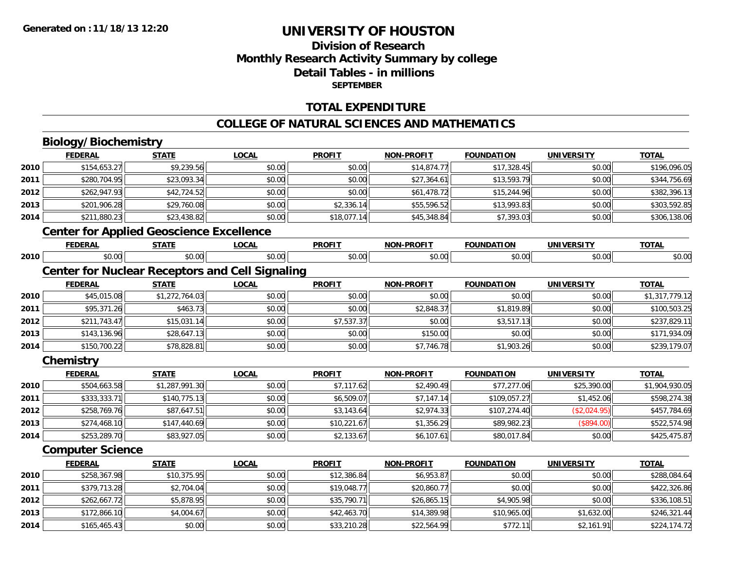# **Division of ResearchMonthly Research Activity Summary by college Detail Tables - in millions SEPTEMBER**

### **TOTAL EXPENDITURE**

### **COLLEGE OF NATURAL SCIENCES AND MATHEMATICS**

# **Biology/Biochemistry**

|      | <b>FEDERAL</b>                                         | <b>STATE</b>   | <b>LOCAL</b> | <b>PROFIT</b> | <b>NON-PROFIT</b> | <b>FOUNDATION</b> | <b>UNIVERSITY</b> | <b>TOTAL</b>   |
|------|--------------------------------------------------------|----------------|--------------|---------------|-------------------|-------------------|-------------------|----------------|
| 2010 | \$154,653.27                                           | \$9,239.56     | \$0.00       | \$0.00        | \$14,874.77       | \$17,328.45       | \$0.00            | \$196,096.05   |
| 2011 | \$280,704.95                                           | \$23,093.34    | \$0.00       | \$0.00        | \$27,364.61       | \$13,593.79       | \$0.00            | \$344,756.69   |
| 2012 | \$262,947.93                                           | \$42,724.52    | \$0.00       | \$0.00        | \$61,478.72       | \$15,244.96       | \$0.00            | \$382,396.13   |
| 2013 | \$201,906.28                                           | \$29,760.08    | \$0.00       | \$2,336.14    | \$55,596.52       | \$13,993.83       | \$0.00            | \$303,592.85   |
| 2014 | \$211,880.23                                           | \$23,438.82    | \$0.00       | \$18,077.14   | \$45,348.84       | \$7,393.03        | \$0.00            | \$306,138.06   |
|      | <b>Center for Applied Geoscience Excellence</b>        |                |              |               |                   |                   |                   |                |
|      | <b>FEDERAL</b>                                         | <b>STATE</b>   | <b>LOCAL</b> | <b>PROFIT</b> | <b>NON-PROFIT</b> | <b>FOUNDATION</b> | <b>UNIVERSITY</b> | <b>TOTAL</b>   |
| 2010 | \$0.00                                                 | \$0.00         | \$0.00       | \$0.00        | \$0.00            | \$0.00            | \$0.00            | \$0.00         |
|      | <b>Center for Nuclear Receptors and Cell Signaling</b> |                |              |               |                   |                   |                   |                |
|      | <b>FEDERAL</b>                                         | <b>STATE</b>   | <b>LOCAL</b> | <b>PROFIT</b> | <b>NON-PROFIT</b> | <b>FOUNDATION</b> | <b>UNIVERSITY</b> | <b>TOTAL</b>   |
| 2010 | \$45,015.08                                            | \$1,272,764.03 | \$0.00       | \$0.00        | \$0.00            | \$0.00            | \$0.00            | \$1,317,779.12 |
| 2011 | \$95,371.26                                            | \$463.73       | \$0.00       | \$0.00        | \$2,848.37        | \$1,819.89        | \$0.00            | \$100,503.25   |
| 2012 | \$211,743.47                                           | \$15,031.14    | \$0.00       | \$7,537.37    | \$0.00            | \$3,517.13        | \$0.00            | \$237,829.11   |
| 2013 | \$143,136.96                                           | \$28,647.13    | \$0.00       | \$0.00        | \$150.00          | \$0.00            | \$0.00            | \$171,934.09   |
| 2014 | \$150,700.22                                           | \$78,828.81    | \$0.00       | \$0.00        | \$7,746.78        | \$1,903.26        | \$0.00            | \$239,179.07   |
|      | Chemistry                                              |                |              |               |                   |                   |                   |                |
|      | <b>FEDERAL</b>                                         | <b>STATE</b>   | <b>LOCAL</b> | <b>PROFIT</b> | <b>NON-PROFIT</b> | <b>FOUNDATION</b> | <b>UNIVERSITY</b> | <b>TOTAL</b>   |
| 2010 | \$504,663.58                                           | \$1,287,991.30 | \$0.00       | \$7,117.62    | \$2,490.49        | \$77,277.06       | \$25,390.00       | \$1,904,930.05 |
| 2011 | \$333,333.71                                           | \$140,775.13   | \$0.00       | \$6,509.07    | \$7,147.14        | \$109,057.27      | \$1,452.06        | \$598,274.38   |
| 2012 | \$258,769.76                                           | \$87,647.51    | \$0.00       | \$3,143.64    | \$2,974.33        | \$107,274.40      | (\$2,024.95)      | \$457,784.69   |
| 2013 | \$274,468.10                                           | \$147,440.69   | \$0.00       | \$10,221.67   | \$1,356.29        | \$89,982.23       | (\$894.00)        | \$522,574.98   |
| 2014 | \$253,289.70                                           | \$83,927.05    | \$0.00       | \$2,133.67    | \$6,107.61        | \$80,017.84       | \$0.00            | \$425,475.87   |
|      | <b>Computer Science</b>                                |                |              |               |                   |                   |                   |                |
|      | <b>FEDERAL</b>                                         | <b>STATE</b>   | <b>LOCAL</b> | <b>PROFIT</b> | <b>NON-PROFIT</b> | <b>FOUNDATION</b> | <b>UNIVERSITY</b> | <b>TOTAL</b>   |
| 2010 | \$258,367.98                                           | \$10,375.95    | \$0.00       | \$12,386.84   | \$6,953.87        | \$0.00            | \$0.00            | \$288,084.64   |
| 2011 | \$379,713.28                                           | \$2,704.04     | \$0.00       | \$19,048.77   | \$20,860.77       | \$0.00            | \$0.00            | \$422,326.86   |
| 2012 | \$262,667.72                                           | \$5,878.95     | \$0.00       | \$35,790.71   | \$26,865.15       | \$4,905.98        | \$0.00            | \$336,108.51   |
| 2013 | \$172,866.10                                           | \$4,004.67     | \$0.00       | \$42,463.70   | \$14,389.98       | \$10,965.00       | \$1,632.00        | \$246,321.44   |
| 2014 | \$165,465.43                                           | \$0.00         | \$0.00       | \$33,210.28   | \$22,564.99       | \$772.11          | \$2,161.91        | \$224,174.72   |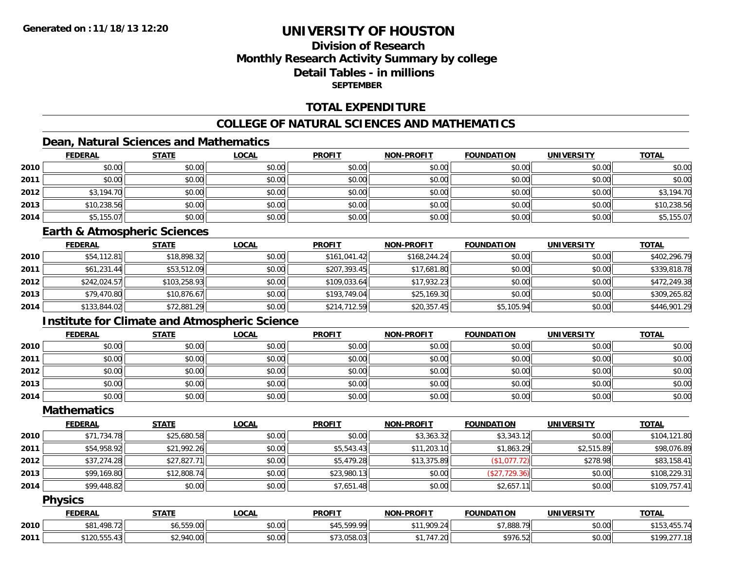# **Division of ResearchMonthly Research Activity Summary by college Detail Tables - in millionsSEPTEMBER**

### **TOTAL EXPENDITURE**

# **COLLEGE OF NATURAL SCIENCES AND MATHEMATICS**

## **Dean, Natural Sciences and Mathematics**

|      | <b>FEDERAL</b> | <b>STATE</b> | <u>LOCAL</u> | <b>PROFIT</b> | <b>NON-PROFIT</b> | <b>FOUNDATION</b> | <b>UNIVERSITY</b> | <b>TOTAL</b> |
|------|----------------|--------------|--------------|---------------|-------------------|-------------------|-------------------|--------------|
| 2010 | \$0.00         | \$0.00       | \$0.00       | \$0.00        | \$0.00            | \$0.00            | \$0.00            | \$0.00       |
| 2011 | \$0.00         | \$0.00       | \$0.00       | \$0.00        | \$0.00            | \$0.00            | \$0.00            | \$0.00       |
| 2012 | \$3,194.70     | \$0.00       | \$0.00       | \$0.00        | \$0.00            | \$0.00            | \$0.00            | \$3,194.70   |
| 2013 | \$10,238.56    | \$0.00       | \$0.00       | \$0.00        | \$0.00            | \$0.00            | \$0.00            | \$10,238.56  |
| 2014 | \$5,155.07     | \$0.00       | \$0.00       | \$0.00        | \$0.00            | \$0.00            | \$0.00            | \$5,155.07   |

### **Earth & Atmospheric Sciences**

|      | <b>FEDERAL</b> | <b>STATE</b> | <u>LOCAL</u> | <b>PROFIT</b> | <b>NON-PROFIT</b> | <b>FOUNDATION</b> | <b>UNIVERSITY</b> | <b>TOTAL</b> |
|------|----------------|--------------|--------------|---------------|-------------------|-------------------|-------------------|--------------|
| 2010 | \$54,112.81    | \$18,898.32  | \$0.00       | \$161,041.42  | \$168,244.24      | \$0.00            | \$0.00            | \$402,296.79 |
| 2011 | \$61,231.44    | \$53,512.09  | \$0.00       | \$207,393.45  | \$17,681.80       | \$0.00            | \$0.00            | \$339,818.78 |
| 2012 | \$242,024.57   | \$103,258.93 | \$0.00       | \$109.033.64  | \$17,932.23       | \$0.00            | \$0.00            | \$472,249.38 |
| 2013 | \$79,470.80    | \$10,876.67  | \$0.00       | \$193.749.04  | \$25,169.30       | \$0.00            | \$0.00            | \$309,265.82 |
| 2014 | \$133,844.02   | \$72,881.29  | \$0.00       | \$214,712.59  | \$20,357.45       | \$5,105.94        | \$0.00            | \$446,901.29 |

# **Institute for Climate and Atmospheric Science**

|      | <u>FEDERAL</u> | <b>STATE</b> | <u>LOCAL</u> | <b>PROFIT</b> | <b>NON-PROFIT</b> | <b>FOUNDATION</b> | <b>UNIVERSITY</b> | <b>TOTAL</b> |
|------|----------------|--------------|--------------|---------------|-------------------|-------------------|-------------------|--------------|
| 2010 | \$0.00         | \$0.00       | \$0.00       | \$0.00        | \$0.00            | \$0.00            | \$0.00            | \$0.00       |
| 2011 | \$0.00         | \$0.00       | \$0.00       | \$0.00        | \$0.00            | \$0.00            | \$0.00            | \$0.00       |
| 2012 | \$0.00         | \$0.00       | \$0.00       | \$0.00        | \$0.00            | \$0.00            | \$0.00            | \$0.00       |
| 2013 | \$0.00         | \$0.00       | \$0.00       | \$0.00        | \$0.00            | \$0.00            | \$0.00            | \$0.00       |
| 2014 | \$0.00         | \$0.00       | \$0.00       | \$0.00        | \$0.00            | \$0.00            | \$0.00            | \$0.00       |

### **Mathematics**

|      | <b>FEDERAL</b> | <u>STATE</u> | <b>LOCAL</b> | <b>PROFIT</b> | <b>NON-PROFIT</b> | <b>FOUNDATION</b> | UNIVERSITY | <b>TOTAL</b> |
|------|----------------|--------------|--------------|---------------|-------------------|-------------------|------------|--------------|
| 2010 | \$71,734.78    | \$25,680.58  | \$0.00       | \$0.00        | \$3,363.32        | \$3,343.12        | \$0.00     | \$104,121.80 |
| 2011 | \$54,958.92    | \$21,992.26  | \$0.00       | \$5,543.43    | \$11,203.10       | \$1,863.29        | \$2,515.89 | \$98,076.89  |
| 2012 | \$37,274.28    | \$27,827.71  | \$0.00       | \$5,479.28    | \$13,375.89       | (\$1,077.72)      | \$278.98   | \$83,158.41  |
| 2013 | \$99,169.80    | \$12,808.74  | \$0.00       | \$23,980.13   | \$0.00            | (S27, 729.36)     | \$0.00     | \$108,229.31 |
| 2014 | \$99,448.82    | \$0.00       | \$0.00       | \$7,651.48    | \$0.00            | \$2,657           | \$0.00     | \$109,757.41 |

### **Physics**

|      | <b>FEDERAL</b>                    | <b>STATE</b>                              | <b>_OCAL</b>   | <b>PROFIT</b>              | <b>NON-PROFIT</b> | <b>FOUNDATION</b> | <b>UNIVERSITY</b> | <b>TOTAL</b>                 |
|------|-----------------------------------|-------------------------------------------|----------------|----------------------------|-------------------|-------------------|-------------------|------------------------------|
| 2010 | $100 - 70$<br>0.1<br>.498.7<br>סכ | $AT = A$<br>nhy.<br>,,,,,,,,,,,           | ስስ ስስ<br>PU.UU | 000000                     | .909.24           | \$7,888.79        | \$0.00            | <b>A</b> 4 F<br>455.<br>ט טו |
| 2011 | \$120.555.                        | $\sim$ $\sim$ $\sim$ $\sim$<br>\$2,940,00 | ታስ ሰሰ<br>JU.UU | <b>OEO OP</b><br>79,090.09 | .747.20           | \$976.52          | \$0.00            | 0777.40<br>\$100             |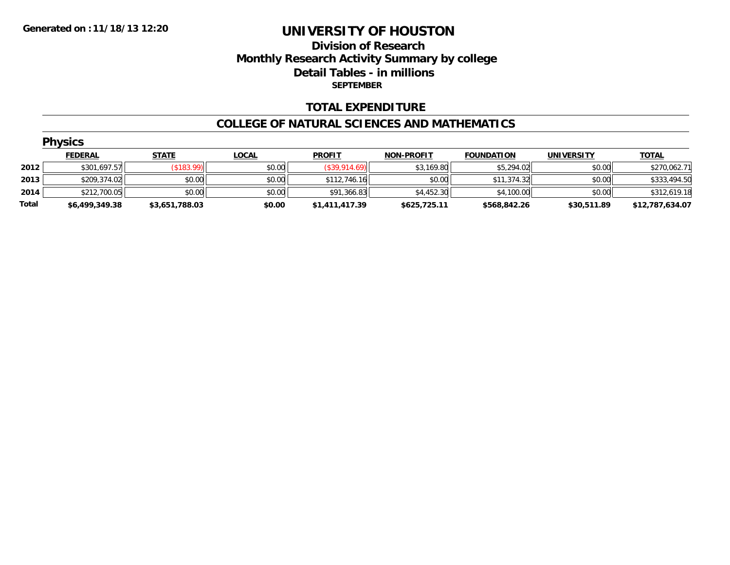# **Division of Research Monthly Research Activity Summary by college Detail Tables - in millions SEPTEMBER**

### **TOTAL EXPENDITURE**

### **COLLEGE OF NATURAL SCIENCES AND MATHEMATICS**

|       | <b>Physics</b> |                |              |                |                   |                   |                   |                 |
|-------|----------------|----------------|--------------|----------------|-------------------|-------------------|-------------------|-----------------|
|       | <b>FEDERAL</b> | <b>STATE</b>   | <u>LOCAL</u> | <b>PROFIT</b>  | <b>NON-PROFIT</b> | <b>FOUNDATION</b> | <b>UNIVERSITY</b> | <b>TOTAL</b>    |
| 2012  | \$301,697.57   | (\$183.99)     | \$0.00       | (S39, 914.69)  | \$3,169.80        | \$5,294.02        | \$0.00            | \$270,062.71    |
| 2013  | \$209,374.02   | \$0.00         | \$0.00       | \$112,746.16   | \$0.00            | \$11,374.32       | \$0.00            | \$333,494.50    |
| 2014  | \$212,700.05   | \$0.00         | \$0.00       | \$91,366.83    | \$4,452.30        | \$4,100.00        | \$0.00            | \$312,619.18    |
| Total | \$6,499,349.38 | \$3,651,788.03 | \$0.00       | \$1,411,417.39 | \$625,725.11      | \$568,842.26      | \$30,511.89       | \$12,787,634.07 |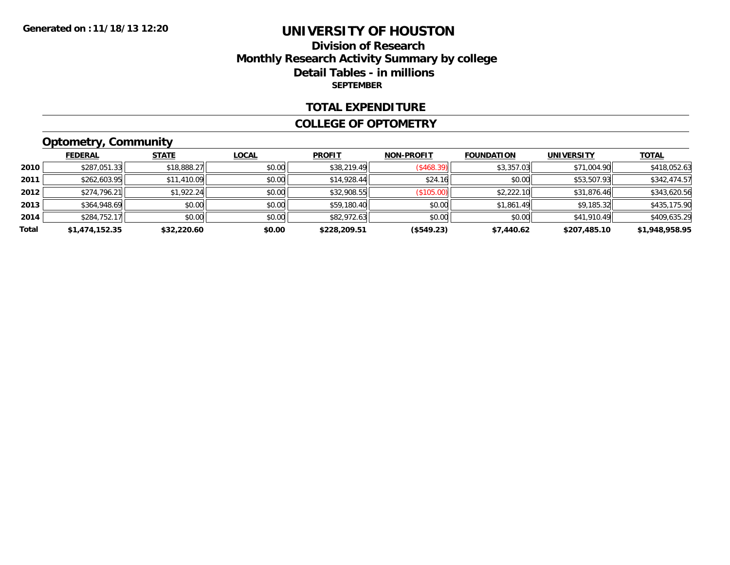## **Division of Research Monthly Research Activity Summary by college Detail Tables - in millions SEPTEMBER**

### **TOTAL EXPENDITURE**

### **COLLEGE OF OPTOMETRY**

# **Optometry, Community**

|       | <b>FEDERAL</b> | <b>STATE</b> | <u>LOCAL</u> | <b>PROFIT</b> | <b>NON-PROFIT</b> | <b>FOUNDATION</b> | <b>UNIVERSITY</b> | <b>TOTAL</b>   |
|-------|----------------|--------------|--------------|---------------|-------------------|-------------------|-------------------|----------------|
| 2010  | \$287,051.33   | \$18,888.27  | \$0.00       | \$38,219.49   | (\$468.39)        | \$3,357.03        | \$71,004.90       | \$418,052.63   |
| 2011  | \$262,603.95   | \$11,410.09  | \$0.00       | \$14,928.44   | \$24.16           | \$0.00            | \$53,507.93       | \$342,474.57   |
| 2012  | \$274,796.21   | \$1,922.24   | \$0.00       | \$32,908.55   | (\$105.00)        | \$2,222.10        | \$31,876.46       | \$343,620.56   |
| 2013  | \$364,948.69   | \$0.00       | \$0.00       | \$59,180.40   | \$0.00            | \$1,861.49        | \$9,185.32        | \$435,175.90   |
| 2014  | \$284,752.17   | \$0.00       | \$0.00       | \$82,972.63   | \$0.00            | \$0.00            | \$41,910.49       | \$409,635.29   |
| Total | \$1,474,152.35 | \$32,220.60  | \$0.00       | \$228,209.51  | (\$549.23)        | \$7,440.62        | \$207,485.10      | \$1,948,958.95 |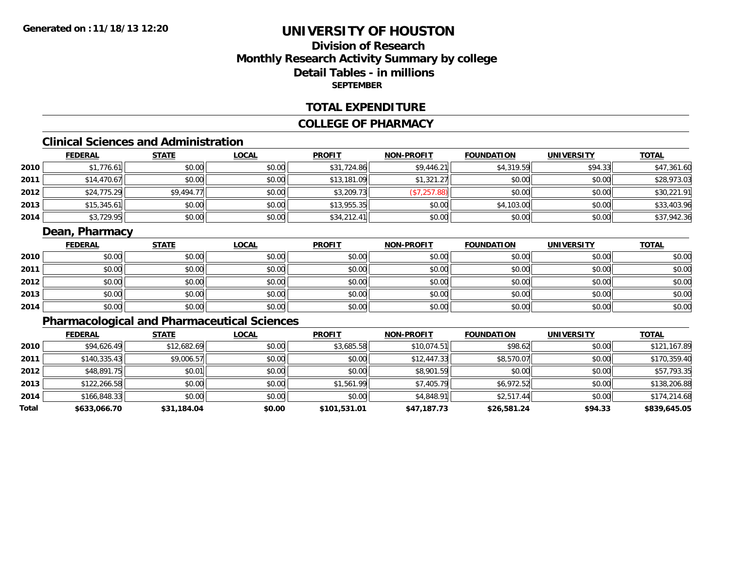# **Division of ResearchMonthly Research Activity Summary by college Detail Tables - in millions SEPTEMBER**

### **TOTAL EXPENDITURE**

### **COLLEGE OF PHARMACY**

# **Clinical Sciences and Administration**

|      | <b>FEDERAL</b> | <b>STATE</b> | <u>LOCAL</u> | <b>PROFIT</b> | <b>NON-PROFIT</b> | <b>FOUNDATION</b> | UNIVERSITY | <b>TOTAL</b> |
|------|----------------|--------------|--------------|---------------|-------------------|-------------------|------------|--------------|
| 2010 | \$1,776.61     | \$0.00       | \$0.00       | \$31,724.86   | \$9,446.21        | \$4,319.59        | \$94.33    | \$47,361.60  |
| 2011 | \$14,470.67    | \$0.00       | \$0.00       | \$13,181.09   | \$1,321.27        | \$0.00            | \$0.00     | \$28,973.03  |
| 2012 | \$24,775.29    | \$9,494.77   | \$0.00       | \$3,209.73    | (\$7,257.88)      | \$0.00            | \$0.00     | \$30,221.91  |
| 2013 | \$15,345.61    | \$0.00       | \$0.00       | \$13,955.35   | \$0.00            | \$4,103.00        | \$0.00     | \$33,403.96  |
| 2014 | \$3,729.95     | \$0.00       | \$0.00       | \$34,212.41   | \$0.00            | \$0.00            | \$0.00     | \$37,942.36  |

# **Dean, Pharmacy**

|      | <b>FEDERAL</b> | <b>STATE</b> | <u>LOCAL</u> | <b>PROFIT</b> | <b>NON-PROFIT</b> | <b>FOUNDATION</b> | <b>UNIVERSITY</b> | <b>TOTAL</b> |
|------|----------------|--------------|--------------|---------------|-------------------|-------------------|-------------------|--------------|
| 2010 | \$0.00         | \$0.00       | \$0.00       | \$0.00        | \$0.00            | \$0.00            | \$0.00            | \$0.00       |
| 2011 | \$0.00         | \$0.00       | \$0.00       | \$0.00        | \$0.00            | \$0.00            | \$0.00            | \$0.00       |
| 2012 | \$0.00         | \$0.00       | \$0.00       | \$0.00        | \$0.00            | \$0.00            | \$0.00            | \$0.00       |
| 2013 | \$0.00         | \$0.00       | \$0.00       | \$0.00        | \$0.00            | \$0.00            | \$0.00            | \$0.00       |
| 2014 | \$0.00         | \$0.00       | \$0.00       | \$0.00        | \$0.00            | \$0.00            | \$0.00            | \$0.00       |

# **Pharmacological and Pharmaceutical Sciences**

|       | <b>FEDERAL</b> | <b>STATE</b> | <b>LOCAL</b> | <b>PROFIT</b> | <b>NON-PROFIT</b> | <b>FOUNDATION</b> | <b>UNIVERSITY</b> | <b>TOTAL</b> |
|-------|----------------|--------------|--------------|---------------|-------------------|-------------------|-------------------|--------------|
| 2010  | \$94,626.49    | \$12,682.69  | \$0.00       | \$3,685.58    | \$10,074.51       | \$98.62           | \$0.00            | \$121,167.89 |
| 2011  | \$140,335.43   | \$9,006.57   | \$0.00       | \$0.00        | \$12,447.33       | \$8,570.07        | \$0.00            | \$170,359.40 |
| 2012  | \$48,891.75    | \$0.01       | \$0.00       | \$0.00        | \$8,901.59        | \$0.00            | \$0.00            | \$57,793.35  |
| 2013  | \$122,266.58   | \$0.00       | \$0.00       | \$1,561.99    | \$7,405.79        | \$6,972.52        | \$0.00            | \$138,206.88 |
| 2014  | \$166,848.33   | \$0.00       | \$0.00       | \$0.00        | \$4,848.91        | \$2,517.44        | \$0.00            | \$174,214.68 |
| Total | \$633,066.70   | \$31,184.04  | \$0.00       | \$101,531.01  | \$47,187.73       | \$26,581.24       | \$94.33           | \$839,645.05 |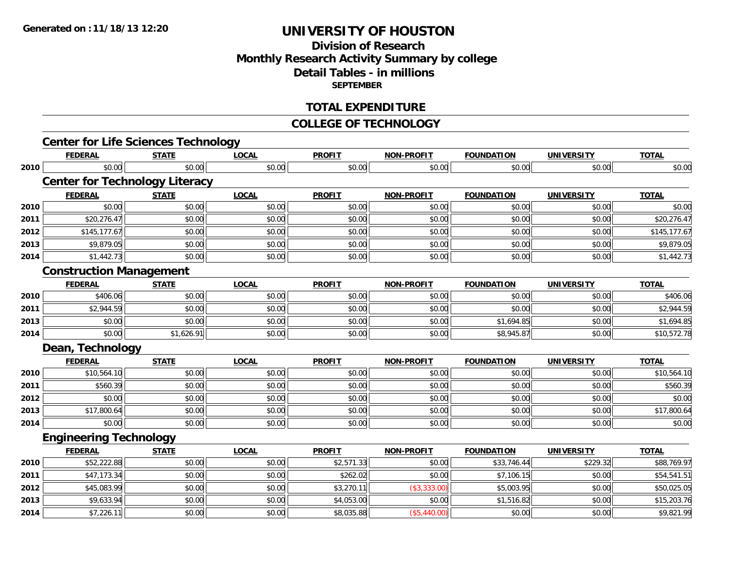# **Division of ResearchMonthly Research Activity Summary by college Detail Tables - in millions SEPTEMBER**

### **TOTAL EXPENDITURE**

### **COLLEGE OF TECHNOLOGY**

|      |                                | <b>Center for Life Sciences Technology</b> |              |               |                   |                   |                   |              |
|------|--------------------------------|--------------------------------------------|--------------|---------------|-------------------|-------------------|-------------------|--------------|
|      | <b>FEDERAL</b>                 | <b>STATE</b>                               | <b>LOCAL</b> | <b>PROFIT</b> | <b>NON-PROFIT</b> | <b>FOUNDATION</b> | <b>UNIVERSITY</b> | <b>TOTAL</b> |
| 2010 | \$0.00                         | \$0.00                                     | \$0.00       | \$0.00        | \$0.00            | \$0.00            | \$0.00            | \$0.00       |
|      |                                | <b>Center for Technology Literacy</b>      |              |               |                   |                   |                   |              |
|      | <b>FEDERAL</b>                 | <b>STATE</b>                               | <b>LOCAL</b> | <b>PROFIT</b> | <b>NON-PROFIT</b> | <b>FOUNDATION</b> | <b>UNIVERSITY</b> | <b>TOTAL</b> |
| 2010 | \$0.00                         | \$0.00                                     | \$0.00       | \$0.00        | \$0.00            | \$0.00            | \$0.00            | \$0.00       |
| 2011 | \$20,276.47                    | \$0.00                                     | \$0.00       | \$0.00        | \$0.00            | \$0.00            | \$0.00            | \$20,276.47  |
| 2012 | \$145,177.67                   | \$0.00                                     | \$0.00       | \$0.00        | \$0.00            | \$0.00            | \$0.00            | \$145,177.67 |
| 2013 | \$9,879.05                     | \$0.00                                     | \$0.00       | \$0.00        | \$0.00            | \$0.00            | \$0.00            | \$9,879.05   |
| 2014 | \$1,442.73                     | \$0.00                                     | \$0.00       | \$0.00        | \$0.00            | \$0.00            | \$0.00            | \$1,442.73   |
|      | <b>Construction Management</b> |                                            |              |               |                   |                   |                   |              |
|      | <b>FEDERAL</b>                 | <b>STATE</b>                               | <b>LOCAL</b> | <b>PROFIT</b> | NON-PROFIT        | <b>FOUNDATION</b> | <b>UNIVERSITY</b> | <b>TOTAL</b> |
| 2010 | \$406.06                       | \$0.00                                     | \$0.00       | \$0.00        | \$0.00            | \$0.00            | \$0.00            | \$406.06     |
| 2011 | \$2,944.59                     | \$0.00                                     | \$0.00       | \$0.00        | \$0.00            | \$0.00            | \$0.00            | \$2,944.59   |
| 2013 | \$0.00                         | \$0.00                                     | \$0.00       | \$0.00        | \$0.00            | \$1,694.85        | \$0.00            | \$1,694.85   |
| 2014 | \$0.00                         | \$1,626.91                                 | \$0.00       | \$0.00        | \$0.00            | \$8,945.87        | \$0.00            | \$10,572.78  |
|      | Dean, Technology               |                                            |              |               |                   |                   |                   |              |
|      | <b>FEDERAL</b>                 | <b>STATE</b>                               | <b>LOCAL</b> | <b>PROFIT</b> | <b>NON-PROFIT</b> | <b>FOUNDATION</b> | <b>UNIVERSITY</b> | <b>TOTAL</b> |
| 2010 | \$10,564.10                    | \$0.00                                     | \$0.00       | \$0.00        | \$0.00            | \$0.00            | \$0.00            | \$10,564.10  |
| 2011 | \$560.39                       | \$0.00                                     | \$0.00       | \$0.00        | \$0.00            | \$0.00            | \$0.00            | \$560.39     |
| 2012 | \$0.00                         | \$0.00                                     | \$0.00       | \$0.00        | \$0.00            | \$0.00            | \$0.00            | \$0.00       |
| 2013 | \$17,800.64                    | \$0.00                                     | \$0.00       | \$0.00        | \$0.00            | \$0.00            | \$0.00            | \$17,800.64  |
| 2014 | \$0.00                         | \$0.00                                     | \$0.00       | \$0.00        | \$0.00            | \$0.00            | \$0.00            | \$0.00       |
|      | <b>Engineering Technology</b>  |                                            |              |               |                   |                   |                   |              |
|      | <b>FEDERAL</b>                 | <b>STATE</b>                               | <b>LOCAL</b> | <b>PROFIT</b> | NON-PROFIT        | <b>FOUNDATION</b> | <b>UNIVERSITY</b> | <b>TOTAL</b> |
| 2010 | \$52,222.88                    | \$0.00                                     | \$0.00       | \$2,571.33    | \$0.00            | \$33,746.44       | \$229.32          | \$88,769.97  |
| 2011 | \$47,173.34                    | \$0.00                                     | \$0.00       | \$262.02      | \$0.00            | \$7,106.15        | \$0.00            | \$54,541.51  |
| 2012 | \$45,083.99                    | \$0.00                                     | \$0.00       | \$3,270.11    | (\$3,333.00)      | \$5,003.95        | \$0.00            | \$50,025.05  |
| 2013 | \$9,633.94                     | \$0.00                                     | \$0.00       | \$4,053.00    | \$0.00            | \$1,516.82        | \$0.00            | \$15,203.76  |
| 2014 | \$7,226.11                     | \$0.00                                     | \$0.00       | \$8,035.88    | (\$5,440.00)      | \$0.00            | \$0.00            | \$9,821.99   |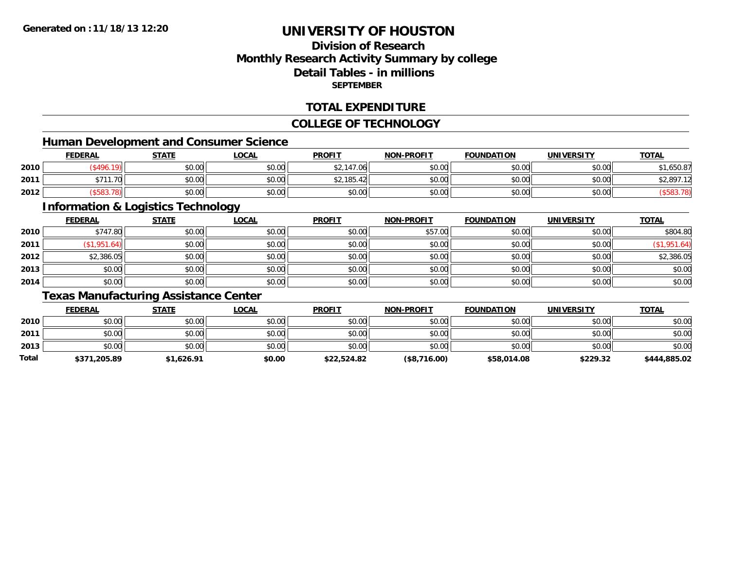# **Division of ResearchMonthly Research Activity Summary by college Detail Tables - in millions SEPTEMBER**

### **TOTAL EXPENDITURE**

### **COLLEGE OF TECHNOLOGY**

## **Human Development and Consumer Science**

|      | <b>FEDERAL</b> | <b>STATE</b> | <b>LOCAL</b> | <b>PROFIT</b> | <b>NON-PROFIT</b> | <b>FOUNDATION</b> | <b>UNIVERSITY</b> | <b>TOTAL</b> |
|------|----------------|--------------|--------------|---------------|-------------------|-------------------|-------------------|--------------|
| 2010 | .<br>$\sim$    | \$0.00       | \$0.00       | \$2,147.06    | \$0.00            | \$0.00            | \$0.00            | √1,650.87م   |
| 2011 | \$711.70       | \$0.00       | \$0.00       | \$2,185.42    | \$0.00            | \$0.00            | \$0.00            | \$2,897.1    |
| 2012 |                | \$0.00       | \$0.00       | \$0.00        | \$0.00            | \$0.00            | \$0.00            |              |

<u> 1989 - Johann Barn, mars ann an t-Amhainn an t-Amhainn an t-Amhainn an t-Amhainn an t-Amhainn an t-Amhainn a</u>

# **Information & Logistics Technology**

|      | <b>FEDERAL</b> | <b>STATE</b> | <b>LOCAL</b> | <b>PROFIT</b> | <b>NON-PROFIT</b> | <b>FOUNDATION</b> | <b>UNIVERSITY</b> | <b>TOTAL</b> |
|------|----------------|--------------|--------------|---------------|-------------------|-------------------|-------------------|--------------|
| 2010 | \$747.80       | \$0.00       | \$0.00       | \$0.00        | \$57.00           | \$0.00            | \$0.00            | \$804.80     |
| 2011 | (\$1,951.64)   | \$0.00       | \$0.00       | \$0.00        | \$0.00            | \$0.00            | \$0.00            | (\$1,951.64) |
| 2012 | \$2,386.05     | \$0.00       | \$0.00       | \$0.00        | \$0.00            | \$0.00            | \$0.00            | \$2,386.05   |
| 2013 | \$0.00         | \$0.00       | \$0.00       | \$0.00        | \$0.00            | \$0.00            | \$0.00            | \$0.00       |
| 2014 | \$0.00         | \$0.00       | \$0.00       | \$0.00        | \$0.00            | \$0.00            | \$0.00            | \$0.00       |

## **Texas Manufacturing Assistance Center**

|       | <b>FEDERAL</b> | STATE      | <u>LOCAL</u> | <b>PROFIT</b> | <b>NON-PROFIT</b> | <b>FOUNDATION</b> | UNIVERSITY | <b>TOTAL</b> |
|-------|----------------|------------|--------------|---------------|-------------------|-------------------|------------|--------------|
| 2010  | \$0.00         | \$0.00     | \$0.00       | \$0.00        | \$0.00            | \$0.00            | \$0.00     | \$0.00       |
| 2011  | \$0.00         | \$0.00     | \$0.00       | \$0.00        | \$0.00            | \$0.00            | \$0.00     | \$0.00       |
| 2013  | \$0.00         | \$0.00     | \$0.00       | \$0.00        | \$0.00            | \$0.00            | \$0.00     | \$0.00       |
| Total | \$371,205.89   | \$1,626.91 | \$0.00       | \$22,524.82   | (\$8,716.00)      | \$58,014.08       | \$229.32   | \$444,885.02 |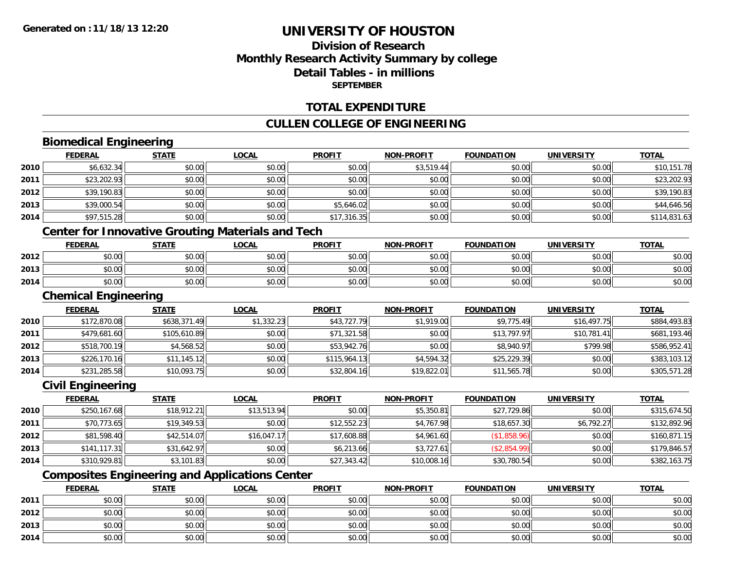# **Division of ResearchMonthly Research Activity Summary by college Detail Tables - in millions SEPTEMBER**

### **TOTAL EXPENDITURE**

## **CULLEN COLLEGE OF ENGINEERING**

# **Biomedical Engineering**

|      | <b>FEDERAL</b>                                           | <b>STATE</b> | <b>LOCAL</b> | <b>PROFIT</b> | <b>NON-PROFIT</b> | <b>FOUNDATION</b> | <b>UNIVERSITY</b> | <b>TOTAL</b> |  |
|------|----------------------------------------------------------|--------------|--------------|---------------|-------------------|-------------------|-------------------|--------------|--|
| 2010 | \$6,632.34                                               | \$0.00       | \$0.00       | \$0.00        | \$3,519.44        | \$0.00            | \$0.00            | \$10,151.78  |  |
| 2011 | \$23,202.93                                              | \$0.00       | \$0.00       | \$0.00        | \$0.00            | \$0.00            | \$0.00            | \$23,202.93  |  |
| 2012 | \$39,190.83                                              | \$0.00       | \$0.00       | \$0.00        | \$0.00            | \$0.00            | \$0.00            | \$39,190.83  |  |
| 2013 | \$39,000.54                                              | \$0.00       | \$0.00       | \$5,646.02    | \$0.00            | \$0.00            | \$0.00            | \$44,646.56  |  |
| 2014 | \$97,515.28                                              | \$0.00       | \$0.00       | \$17,316.35   | \$0.00            | \$0.00            | \$0.00            | \$114,831.63 |  |
|      | <b>Center for Innovative Grouting Materials and Tech</b> |              |              |               |                   |                   |                   |              |  |
|      | <b>FEDERAL</b>                                           | <b>STATE</b> | <u>LOCAL</u> | <b>PROFIT</b> | <b>NON-PROFIT</b> | <b>FOUNDATION</b> | <b>UNIVERSITY</b> | <b>TOTAL</b> |  |
| 2012 | \$0.00                                                   | \$0.00       | \$0.00       | \$0.00        | \$0.00            | \$0.00            | \$0.00            | \$0.00       |  |
| 2013 | \$0.00                                                   | \$0.00       | \$0.00       | \$0.00        | \$0.00            | \$0.00            | \$0.00            | \$0.00       |  |
| 2014 | \$0.00                                                   | \$0.00       | \$0.00       | \$0.00        | \$0.00            | \$0.00            | \$0.00            | \$0.00       |  |
|      | <b>Chemical Engineering</b>                              |              |              |               |                   |                   |                   |              |  |
|      | <b>FEDERAL</b>                                           | <b>STATE</b> | LOCAL        | <b>PROFIT</b> | <b>NON-PROFIT</b> | <b>FOUNDATION</b> | <b>UNIVERSITY</b> | <b>TOTAL</b> |  |
| 2010 | \$172,870.08                                             | \$638,371.49 | \$1,332.23   | \$43,727.79   | \$1,919.00        | \$9,775.49        | \$16,497.75       | \$884,493.83 |  |
| 2011 | \$479,681.60                                             | \$105,610.89 | \$0.00       | \$71,321.58   | \$0.00            | \$13,797.97       | \$10,781.41       | \$681,193.46 |  |
| 2012 | \$518,700.19                                             | \$4,568.52   | \$0.00       | \$53,942.76   | \$0.00            | \$8,940.97        | \$799.98          | \$586,952.41 |  |
| 2013 | \$226,170.16                                             | \$11,145.12  | \$0.00       | \$115,964.13  | \$4,594.32        | \$25,229.39       | \$0.00            | \$383,103.12 |  |
| 2014 | \$231,285.58                                             | \$10,093.75  | \$0.00       | \$32,804.16   | \$19,822.01       | \$11,565.78       | \$0.00            | \$305,571.28 |  |
|      | $\sim$ $\sim$ $\sim$                                     |              |              |               |                   |                   |                   |              |  |

### **Civil Engineering**

|      | <b>FEDERAL</b> | <b>STATE</b> | <u>LOCAL</u> | <b>PROFIT</b> | <b>NON-PROFIT</b> | <b>FOUNDATION</b> | <b>UNIVERSITY</b> | <b>TOTAL</b> |
|------|----------------|--------------|--------------|---------------|-------------------|-------------------|-------------------|--------------|
| 2010 | \$250,167.68   | \$18,912.21  | \$13,513.94  | \$0.00        | \$5,350.81        | \$27,729.86       | \$0.00            | \$315,674.50 |
| 2011 | \$70,773.65    | \$19,349.53  | \$0.00       | \$12,552.23   | \$4,767.98        | \$18,657.30       | \$6,792.27        | \$132,892.96 |
| 2012 | \$81,598.40    | \$42,514.07  | \$16,047.17  | \$17,608.88   | \$4,961.60        | (\$1,858.96)      | \$0.00            | \$160,871.15 |
| 2013 | \$141, 117.31  | \$31,642.97  | \$0.00       | \$6,213.66    | \$3,727.61        | (\$2,854.99)      | \$0.00            | \$179,846.57 |
| 2014 | \$310,929.81   | \$3,101.83   | \$0.00       | \$27,343.42   | \$10,008.16       | \$30,780.54       | \$0.00            | \$382,163.75 |

# **Composites Engineering and Applications Center**

|      | <b>FEDERAL</b> | <b>STATE</b> | <u>LOCAL</u> | <b>PROFIT</b> | <b>NON-PROFIT</b> | <b>FOUNDATION</b> | <b>UNIVERSITY</b> | <b>TOTAL</b> |
|------|----------------|--------------|--------------|---------------|-------------------|-------------------|-------------------|--------------|
| 2011 | \$0.00         | \$0.00       | \$0.00       | \$0.00        | \$0.00            | \$0.00            | \$0.00            | \$0.00       |
| 2012 | \$0.00         | \$0.00       | \$0.00       | \$0.00        | \$0.00            | \$0.00            | \$0.00            | \$0.00       |
| 2013 | \$0.00         | \$0.00       | \$0.00       | \$0.00        | \$0.00            | \$0.00            | \$0.00            | \$0.00       |
| 2014 | \$0.00         | \$0.00       | \$0.00       | \$0.00        | \$0.00            | \$0.00            | \$0.00            | \$0.00       |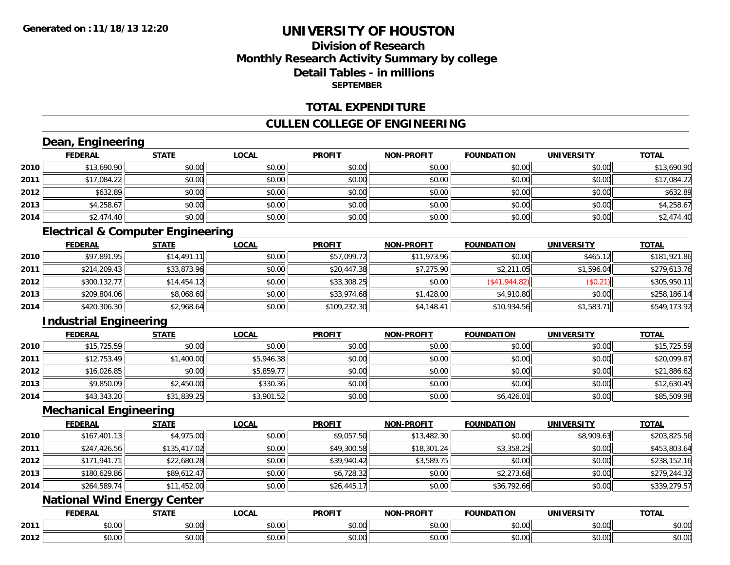# **Division of ResearchMonthly Research Activity Summary by college Detail Tables - in millionsSEPTEMBER**

### **TOTAL EXPENDITURE**

## **CULLEN COLLEGE OF ENGINEERING**

# **Dean, Engineering**

|      | <b>FEDERAL</b> | <b>STATE</b> | <u>LOCAL</u> | <b>PROFIT</b> | <b>NON-PROFIT</b> | <b>FOUNDATION</b> | UNIVERSITY | <b>TOTAL</b> |
|------|----------------|--------------|--------------|---------------|-------------------|-------------------|------------|--------------|
| 2010 | \$13,690.90    | \$0.00       | \$0.00       | \$0.00        | \$0.00            | \$0.00            | \$0.00     | \$13,690.90  |
| 2011 | \$17,084.22    | \$0.00       | \$0.00       | \$0.00        | \$0.00            | \$0.00            | \$0.00     | \$17,084.22  |
| 2012 | \$632.89       | \$0.00       | \$0.00       | \$0.00        | \$0.00            | \$0.00            | \$0.00     | \$632.89     |
| 2013 | \$4,258.67     | \$0.00       | \$0.00       | \$0.00        | \$0.00            | \$0.00            | \$0.00     | \$4,258.67   |
| 2014 | \$2,474.40     | \$0.00       | \$0.00       | \$0.00        | \$0.00            | \$0.00            | \$0.00     | \$2,474.40   |

# **Electrical & Computer Engineering**

|      | <b>FEDERAL</b> | <b>STATE</b> | <u>LOCAL</u> | <b>PROFIT</b> | <b>NON-PROFIT</b> | <b>FOUNDATION</b> | <b>UNIVERSITY</b> | <b>TOTAL</b> |
|------|----------------|--------------|--------------|---------------|-------------------|-------------------|-------------------|--------------|
| 2010 | \$97,891.95    | \$14,491.11  | \$0.00       | \$57,099.72   | \$11,973.96       | \$0.00            | \$465.12          | \$181,921.86 |
| 2011 | \$214,209.43   | \$33,873.96  | \$0.00       | \$20,447.38   | \$7,275.90        | \$2,211.05        | \$1,596.04        | \$279,613.76 |
| 2012 | \$300,132.77   | \$14,454.12  | \$0.00       | \$33,308.25   | \$0.00            | (S41, 944.82)     | (S0.21)           | \$305,950.11 |
| 2013 | \$209,804.06   | \$8,068.60   | \$0.00       | \$33,974.68   | \$1,428.00        | \$4,910.80        | \$0.00            | \$258,186.14 |
| 2014 | \$420,306.30   | \$2,968.64   | \$0.00       | \$109,232.30  | \$4,148.41        | \$10,934.56       | \$1,583.71        | \$549,173.92 |

# **Industrial Engineering**

|      | <u>FEDERAL</u> | <b>STATE</b> | <b>LOCAL</b> | <b>PROFIT</b> | <b>NON-PROFIT</b> | <b>FOUNDATION</b> | <b>UNIVERSITY</b> | <b>TOTAL</b> |
|------|----------------|--------------|--------------|---------------|-------------------|-------------------|-------------------|--------------|
| 2010 | \$15,725.59    | \$0.00       | \$0.00       | \$0.00        | \$0.00            | \$0.00            | \$0.00            | \$15,725.59  |
| 2011 | \$12,753.49    | \$1,400.00   | \$5,946.38   | \$0.00        | \$0.00            | \$0.00            | \$0.00            | \$20,099.87  |
| 2012 | \$16,026.85    | \$0.00       | \$5,859.77   | \$0.00        | \$0.00            | \$0.00            | \$0.00            | \$21,886.62  |
| 2013 | \$9,850.09     | \$2,450.00   | \$330.36     | \$0.00        | \$0.00            | \$0.00            | \$0.00            | \$12,630.45  |
| 2014 | \$43,343.20    | \$31,839.25  | \$3,901.52   | \$0.00        | \$0.00            | \$6,426.01        | \$0.00            | \$85,509.98  |

### **Mechanical Engineering**

|      | <b>FEDERAL</b> | <b>STATE</b> | <u>LOCAL</u> | <b>PROFIT</b> | <b>NON-PROFIT</b> | <b>FOUNDATION</b> | <b>UNIVERSITY</b> | <b>TOTAL</b> |
|------|----------------|--------------|--------------|---------------|-------------------|-------------------|-------------------|--------------|
| 2010 | \$167,401.13   | \$4,975.00   | \$0.00       | \$9,057.50    | \$13,482.30       | \$0.00            | \$8,909.63        | \$203,825.56 |
| 2011 | \$247,426.56   | \$135,417.02 | \$0.00       | \$49,300.58   | \$18,301.24       | \$3,358.25        | \$0.00            | \$453,803.64 |
| 2012 | \$171,941.71   | \$22,680.28  | \$0.00       | \$39,940.42   | \$3,589.75        | \$0.00            | \$0.00            | \$238,152.16 |
| 2013 | \$180,629.86   | \$89,612.47  | \$0.00       | \$6,728.32    | \$0.00            | \$2,273.68        | \$0.00            | \$279,244.32 |
| 2014 | \$264,589.74   | \$11,452.00  | \$0.00       | \$26,445.17   | \$0.00            | \$36,792.66       | \$0.00            | \$339,279.57 |

# **National Wind Energy Center**

|      | <b>FEDERAL</b> | <b>CTATL</b> | <b>_OCAL</b> | <b>PROFIT</b> | NON-DDOELT | <b>FOUNDATION</b> | UNIVERSITY<br>ERJI | <b>TOTAL</b> |
|------|----------------|--------------|--------------|---------------|------------|-------------------|--------------------|--------------|
| 2011 | $\sim$         | ሖ ヘ          | $\sim$ 00    | 0000          | 0000       | 0000              | $\sim$ 00          | $\sim$       |
|      | וט.טי          | JU.UU        | JU.UU        | JU.UU         | PO.OO      | JU.UU             | <b>JU.UU</b>       | JU.UU        |
| 2012 | 0000           | $\sim$ 00    | $\sim$ 00    | $\cdots$      | 0000       | 0000              | $\sim$ 00          | $\cdots$     |
|      | ,uu            | JU.U         | vv.vv        | PO.OO         | PO.OO      | PU.UU             | <b>JU.UU</b>       | <b>JU.UU</b> |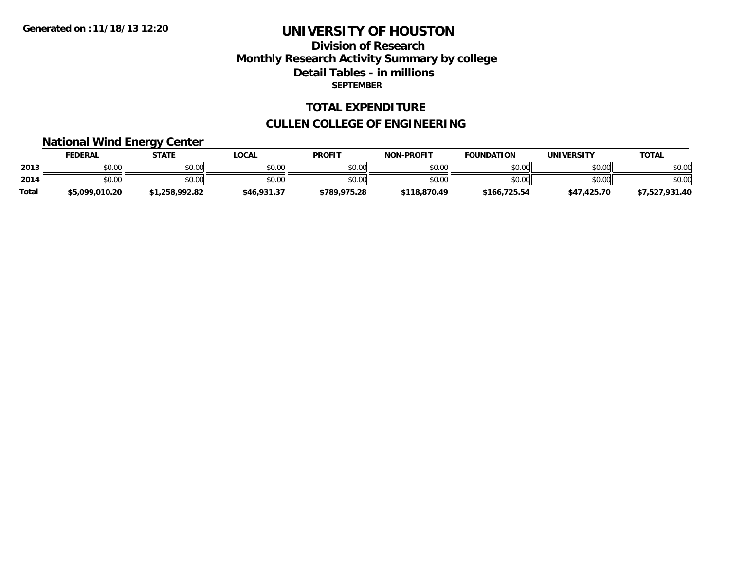## **Division of Research Monthly Research Activity Summary by college Detail Tables - in millions SEPTEMBER**

### **TOTAL EXPENDITURE**

## **CULLEN COLLEGE OF ENGINEERING**

# **National Wind Energy Center**

|              | FEDERAL        | <b>STATE</b>   | LOCAL       | <b>PROFIT</b> | <b>NON-PROFIT</b> | <b>FOUNDATION</b> | UNIVERSITY  | <b>TOTAL</b>   |
|--------------|----------------|----------------|-------------|---------------|-------------------|-------------------|-------------|----------------|
| 2013         | \$0.00         | \$0.00         | \$0.00      | \$0.00        | \$0.00            | \$0.00            | \$0.00      | \$0.00         |
| 2014         | \$0.00         | \$0.00         | \$0.00      | \$0.00        | \$0.00            | \$0.00            | \$0.00      | \$0.00         |
| <b>Total</b> | \$5,099,010.20 | \$1,258,992.82 | \$46,931.37 | \$789,975.28  | \$118,870.49      | \$166,725.54      | \$47,425.70 | \$7,527,931.40 |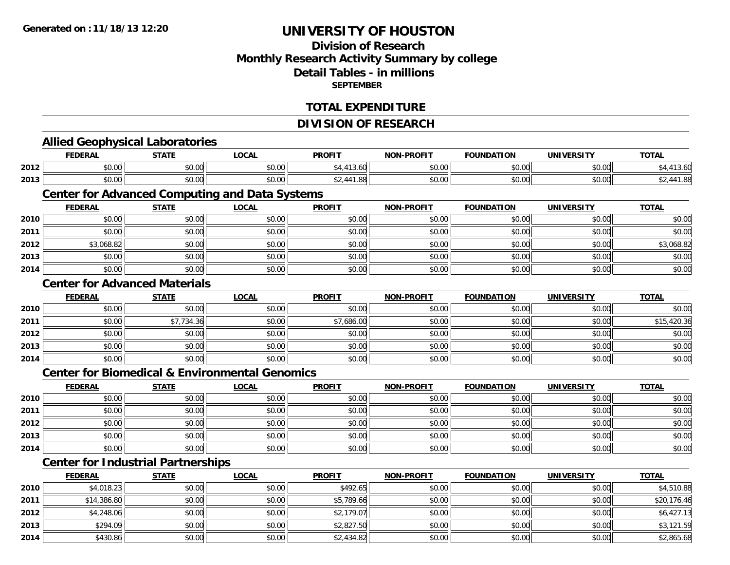# **Division of ResearchMonthly Research Activity Summary by college Detail Tables - in millionsSEPTEMBER**

### **TOTAL EXPENDITURE**

### **DIVISION OF RESEARCH**

# **Allied Geophysical Laboratories**

|      | <b>FEDERAL</b>   | <b>STATE</b>                                                    | OCA                    | <b>PROFIT</b>    | <b>DDAEIT</b><br><b>AIOR</b> | <b>EQUINDATION</b><br>. ON | UNIVERSITY     | TOTA.                |
|------|------------------|-----------------------------------------------------------------|------------------------|------------------|------------------------------|----------------------------|----------------|----------------------|
| 2012 | $\sim$<br>DU.UUI | ሖጣ<br>JU.UU                                                     | 0000<br>JU.UU          | . ou<br>. .      | \$0.00                       | 0000<br>JU.UU              | nn nn<br>JU.UU | 13.OU                |
| 2013 | 0.00<br>וט.טי    | $\uparrow$ $\uparrow$ $\uparrow$ $\uparrow$ $\uparrow$<br>JU.UL | $\sim$ $\sim$<br>JU.UU | --<br>nn<br>1.OO | \$0.00                       | 0000<br>JU.UU              | nn nn<br>pu.uu | 11.00<br><b>1.OC</b> |

# **Center for Advanced Computing and Data Systems**

|      | <b>FEDERAL</b> | <b>STATE</b> | <u>LOCAL</u> | <b>PROFIT</b> | <b>NON-PROFIT</b> | <b>FOUNDATION</b> | <b>UNIVERSITY</b> | <b>TOTAL</b> |
|------|----------------|--------------|--------------|---------------|-------------------|-------------------|-------------------|--------------|
| 2010 | \$0.00         | \$0.00       | \$0.00       | \$0.00        | \$0.00            | \$0.00            | \$0.00            | \$0.00       |
| 2011 | \$0.00         | \$0.00       | \$0.00       | \$0.00        | \$0.00            | \$0.00            | \$0.00            | \$0.00       |
| 2012 | \$3,068.82     | \$0.00       | \$0.00       | \$0.00        | \$0.00            | \$0.00            | \$0.00            | \$3,068.82   |
| 2013 | \$0.00         | \$0.00       | \$0.00       | \$0.00        | \$0.00            | \$0.00            | \$0.00            | \$0.00       |
| 2014 | \$0.00         | \$0.00       | \$0.00       | \$0.00        | \$0.00            | \$0.00            | \$0.00            | \$0.00       |

## **Center for Advanced Materials**

|      | <b>FEDERAL</b> | <b>STATE</b> | <u>LOCAL</u> | <b>PROFIT</b> | <b>NON-PROFIT</b> | <b>FOUNDATION</b> | <b>UNIVERSITY</b> | <b>TOTAL</b> |
|------|----------------|--------------|--------------|---------------|-------------------|-------------------|-------------------|--------------|
| 2010 | \$0.00         | \$0.00       | \$0.00       | \$0.00        | \$0.00            | \$0.00            | \$0.00            | \$0.00       |
| 2011 | \$0.00         | \$7,734.36   | \$0.00       | \$7,686.00    | \$0.00            | \$0.00            | \$0.00            | \$15,420.36  |
| 2012 | \$0.00         | \$0.00       | \$0.00       | \$0.00        | \$0.00            | \$0.00            | \$0.00            | \$0.00       |
| 2013 | \$0.00         | \$0.00       | \$0.00       | \$0.00        | \$0.00            | \$0.00            | \$0.00            | \$0.00       |
| 2014 | \$0.00         | \$0.00       | \$0.00       | \$0.00        | \$0.00            | \$0.00            | \$0.00            | \$0.00       |

## **Center for Biomedical & Environmental Genomics**

|      | <u>FEDERAL</u> | <b>STATE</b> | <u>LOCAL</u> | <b>PROFIT</b> | <b>NON-PROFIT</b> | <b>FOUNDATION</b> | <b>UNIVERSITY</b> | <b>TOTAL</b> |
|------|----------------|--------------|--------------|---------------|-------------------|-------------------|-------------------|--------------|
| 2010 | \$0.00         | \$0.00       | \$0.00       | \$0.00        | \$0.00            | \$0.00            | \$0.00            | \$0.00       |
| 2011 | \$0.00         | \$0.00       | \$0.00       | \$0.00        | \$0.00            | \$0.00            | \$0.00            | \$0.00       |
| 2012 | \$0.00         | \$0.00       | \$0.00       | \$0.00        | \$0.00            | \$0.00            | \$0.00            | \$0.00       |
| 2013 | \$0.00         | \$0.00       | \$0.00       | \$0.00        | \$0.00            | \$0.00            | \$0.00            | \$0.00       |
| 2014 | \$0.00         | \$0.00       | \$0.00       | \$0.00        | \$0.00            | \$0.00            | \$0.00            | \$0.00       |

# **Center for Industrial Partnerships**

|      | <b>FEDERAL</b> | <b>STATE</b> | <b>LOCAL</b> | <b>PROFIT</b> | <b>NON-PROFIT</b> | <b>FOUNDATION</b> | <b>UNIVERSITY</b> | <b>TOTAL</b> |
|------|----------------|--------------|--------------|---------------|-------------------|-------------------|-------------------|--------------|
| 2010 | \$4,018.23     | \$0.00       | \$0.00       | \$492.65      | \$0.00            | \$0.00            | \$0.00            | \$4,510.88   |
| 2011 | \$14,386.80    | \$0.00       | \$0.00       | \$5,789.66    | \$0.00            | \$0.00            | \$0.00            | \$20,176.46  |
| 2012 | \$4,248.06     | \$0.00       | \$0.00       | \$2,179.07    | \$0.00            | \$0.00            | \$0.00            | \$6,427.13   |
| 2013 | \$294.09       | \$0.00       | \$0.00       | \$2,827.50    | \$0.00            | \$0.00            | \$0.00            | \$3,121.59   |
| 2014 | \$430.86       | \$0.00       | \$0.00       | \$2,434.82    | \$0.00            | \$0.00            | \$0.00            | \$2,865.68   |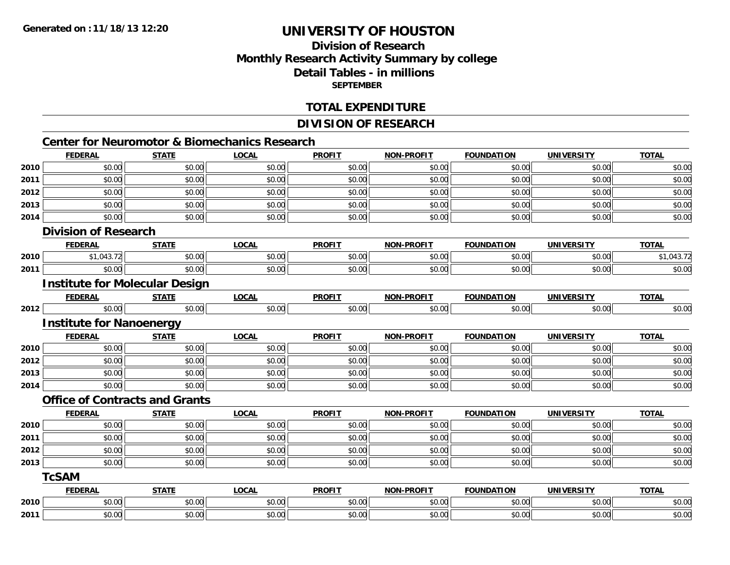# **Division of ResearchMonthly Research Activity Summary by college Detail Tables - in millions SEPTEMBER**

### **TOTAL EXPENDITURE**

## **DIVISION OF RESEARCH**

|      | <b>FEDERAL</b>                        | <b>STATE</b>     | <b>LOCAL</b> | <b>PROFIT</b> | <b>NON-PROFIT</b> | <b>FOUNDATION</b> | <b>UNIVERSITY</b> | <b>TOTAL</b> |  |  |  |
|------|---------------------------------------|------------------|--------------|---------------|-------------------|-------------------|-------------------|--------------|--|--|--|
| 2010 | \$0.00                                | \$0.00           | \$0.00       | \$0.00        | \$0.00            | \$0.00            | \$0.00            | \$0.00       |  |  |  |
| 2011 | \$0.00                                | \$0.00           | \$0.00       | \$0.00        | \$0.00            | \$0.00            | \$0.00            | \$0.00       |  |  |  |
| 2012 | \$0.00                                | \$0.00           | \$0.00       | \$0.00        | \$0.00            | \$0.00            | \$0.00            | \$0.00       |  |  |  |
| 2013 | \$0.00                                | \$0.00           | \$0.00       | \$0.00        | \$0.00            | \$0.00            | \$0.00            | \$0.00       |  |  |  |
| 2014 | \$0.00                                | \$0.00           | \$0.00       | \$0.00        | \$0.00            | \$0.00            | \$0.00            | \$0.00       |  |  |  |
|      | <b>Division of Research</b>           |                  |              |               |                   |                   |                   |              |  |  |  |
|      | <b>FEDERAL</b>                        | <b>STATE</b>     | <b>LOCAL</b> | <b>PROFIT</b> | NON-PROFIT        | <b>FOUNDATION</b> | <b>UNIVERSITY</b> | <b>TOTAL</b> |  |  |  |
| 2010 | \$1,043.72                            | \$0.00           | \$0.00       | \$0.00        | \$0.00            | \$0.00            | \$0.00            | \$1,043.72   |  |  |  |
| 2011 | \$0.00                                | \$0.00           | \$0.00       | \$0.00        | \$0.00            | \$0.00            | \$0.00            | \$0.00       |  |  |  |
|      | <b>Institute for Molecular Design</b> |                  |              |               |                   |                   |                   |              |  |  |  |
|      | <b>FEDERAL</b>                        | <b>STATE</b>     | <b>LOCAL</b> | <b>PROFIT</b> | NON-PROFIT        | <b>FOUNDATION</b> | <b>UNIVERSITY</b> | <b>TOTAL</b> |  |  |  |
| 2012 | \$0.00                                | \$0.00           | \$0.00       | \$0.00        | \$0.00            | \$0.00            | \$0.00            | \$0.00       |  |  |  |
|      | <b>Institute for Nanoenergy</b>       |                  |              |               |                   |                   |                   |              |  |  |  |
|      | <b>FEDERAL</b>                        | <b>STATE</b>     | <b>LOCAL</b> | <b>PROFIT</b> | <b>NON-PROFIT</b> | <b>FOUNDATION</b> | <b>UNIVERSITY</b> | <b>TOTAL</b> |  |  |  |
| 2010 | \$0.00                                | \$0.00           | \$0.00       | \$0.00        | \$0.00            | \$0.00            | \$0.00            | \$0.00       |  |  |  |
| 2012 | \$0.00                                | \$0.00           | \$0.00       | \$0.00        | \$0.00            | \$0.00            | \$0.00            | \$0.00       |  |  |  |
| 2013 | \$0.00                                | \$0.00           | \$0.00       | \$0.00        | \$0.00            | \$0.00            | \$0.00            | \$0.00       |  |  |  |
| 2014 | \$0.00                                | \$0.00           | \$0.00       | \$0.00        | \$0.00            | \$0.00            | \$0.00            | \$0.00       |  |  |  |
|      | <b>Office of Contracts and Grants</b> |                  |              |               |                   |                   |                   |              |  |  |  |
|      | <b>FEDERAL</b>                        | <b>STATE</b>     | <b>LOCAL</b> | <b>PROFIT</b> | <b>NON-PROFIT</b> | <b>FOUNDATION</b> | <b>UNIVERSITY</b> | <b>TOTAL</b> |  |  |  |
| 2010 | \$0.00                                | \$0.00           | \$0.00       | \$0.00        | \$0.00            | \$0.00            | \$0.00            | \$0.00       |  |  |  |
| 2011 | \$0.00                                | \$0.00           | \$0.00       | \$0.00        | \$0.00            | \$0.00            | \$0.00            | \$0.00       |  |  |  |
| 2012 | \$0.00                                | \$0.00           | \$0.00       | \$0.00        | \$0.00            | \$0.00            | \$0.00            | \$0.00       |  |  |  |
| 2013 | \$0.00                                | \$0.00           | \$0.00       | \$0.00        | \$0.00            | \$0.00            | \$0.00            | \$0.00       |  |  |  |
|      | <b>TcSAM</b>                          |                  |              |               |                   |                   |                   |              |  |  |  |
|      | <b>FEDERAL</b>                        | <b>STATE</b>     | <b>LOCAL</b> | <b>PROFIT</b> | <b>NON-PROFIT</b> | <b>FOUNDATION</b> | <b>UNIVERSITY</b> | <b>TOTAL</b> |  |  |  |
|      |                                       |                  |              |               |                   |                   |                   |              |  |  |  |
| 2010 | \$0.00                                | \$0.00<br>\$0.00 | \$0.00       | \$0.00        | \$0.00<br>\$0.00  | \$0.00            | \$0.00            | \$0.00       |  |  |  |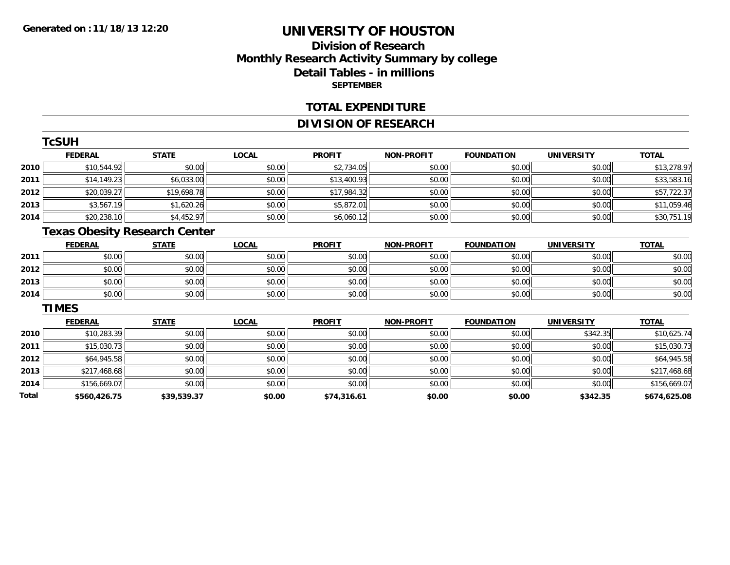# **Division of ResearchMonthly Research Activity Summary by college Detail Tables - in millions SEPTEMBER**

### **TOTAL EXPENDITURE**

## **DIVISION OF RESEARCH**

|       | TcSUH          |                                      |              |               |                   |                   |                   |              |
|-------|----------------|--------------------------------------|--------------|---------------|-------------------|-------------------|-------------------|--------------|
|       | <b>FEDERAL</b> | <b>STATE</b>                         | <b>LOCAL</b> | <b>PROFIT</b> | <b>NON-PROFIT</b> | <b>FOUNDATION</b> | <b>UNIVERSITY</b> | <b>TOTAL</b> |
| 2010  | \$10,544.92    | \$0.00                               | \$0.00       | \$2,734.05    | \$0.00            | \$0.00            | \$0.00            | \$13,278.97  |
| 2011  | \$14,149.23    | \$6,033.00                           | \$0.00       | \$13,400.93   | \$0.00            | \$0.00            | \$0.00            | \$33,583.16  |
| 2012  | \$20,039.27    | \$19,698.78                          | \$0.00       | \$17,984.32   | \$0.00            | \$0.00            | \$0.00            | \$57,722.37  |
| 2013  | \$3,567.19     | \$1,620.26                           | \$0.00       | \$5,872.01    | \$0.00            | \$0.00            | \$0.00            | \$11,059.46  |
| 2014  | \$20,238.10    | \$4,452.97                           | \$0.00       | \$6,060.12    | \$0.00            | \$0.00            | \$0.00            | \$30,751.19  |
|       |                | <b>Texas Obesity Research Center</b> |              |               |                   |                   |                   |              |
|       | <b>FEDERAL</b> | <b>STATE</b>                         | <b>LOCAL</b> | <b>PROFIT</b> | <b>NON-PROFIT</b> | <b>FOUNDATION</b> | <b>UNIVERSITY</b> | <b>TOTAL</b> |
| 2011  | \$0.00         | \$0.00                               | \$0.00       | \$0.00        | \$0.00            | \$0.00            | \$0.00            | \$0.00       |
| 2012  | \$0.00         | \$0.00                               | \$0.00       | \$0.00        | \$0.00            | \$0.00            | \$0.00            | \$0.00       |
| 2013  | \$0.00         | \$0.00                               | \$0.00       | \$0.00        | \$0.00            | \$0.00            | \$0.00            | \$0.00       |
| 2014  | \$0.00         | \$0.00                               | \$0.00       | \$0.00        | \$0.00            | \$0.00            | \$0.00            | \$0.00       |
|       | <b>TIMES</b>   |                                      |              |               |                   |                   |                   |              |
|       | <b>FEDERAL</b> | <b>STATE</b>                         | <b>LOCAL</b> | <b>PROFIT</b> | <b>NON-PROFIT</b> | <b>FOUNDATION</b> | <b>UNIVERSITY</b> | <b>TOTAL</b> |
| 2010  | \$10,283.39    | \$0.00                               | \$0.00       | \$0.00        | \$0.00            | \$0.00            | \$342.35          | \$10,625.74  |
| 2011  | \$15,030.73    | \$0.00                               | \$0.00       | \$0.00        | \$0.00            | \$0.00            | \$0.00            | \$15,030.73  |
| 2012  | \$64,945.58    | \$0.00                               | \$0.00       | \$0.00        | \$0.00            | \$0.00            | \$0.00            | \$64,945.58  |
| 2013  | \$217,468.68   | \$0.00                               | \$0.00       | \$0.00        | \$0.00            | \$0.00            | \$0.00            | \$217,468.68 |
| 2014  | \$156,669.07   | \$0.00                               | \$0.00       | \$0.00        | \$0.00            | \$0.00            | \$0.00            | \$156,669.07 |
| Total | \$560,426.75   | \$39,539.37                          | \$0.00       | \$74,316.61   | \$0.00            | \$0.00            | \$342.35          | \$674,625.08 |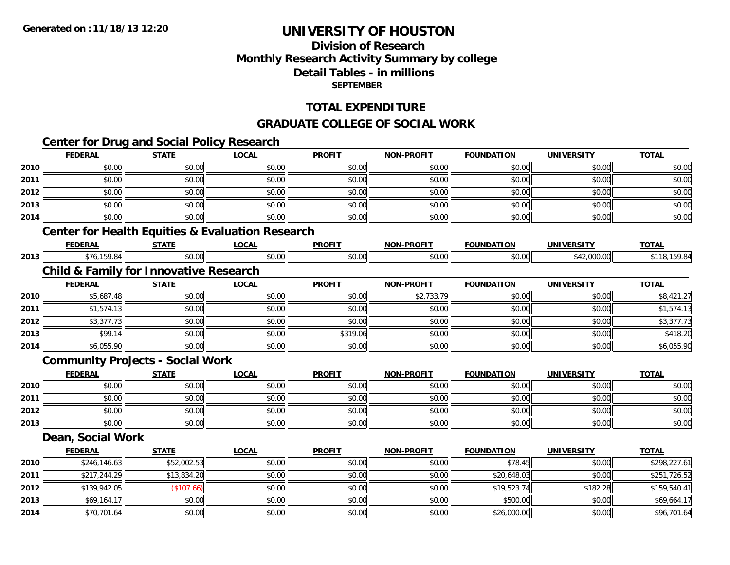# **Division of ResearchMonthly Research Activity Summary by college Detail Tables - in millions SEPTEMBER**

## **TOTAL EXPENDITURE**

### **GRADUATE COLLEGE OF SOCIAL WORK**

# **Center for Drug and Social Policy Research**

|      | <b>FEDERAL</b>    | <b>STATE</b>                                      | <b>LOCAL</b>                                                | <b>PROFIT</b> | <b>NON-PROFIT</b> | <b>FOUNDATION</b> | <b>UNIVERSITY</b> | <b>TOTAL</b> |
|------|-------------------|---------------------------------------------------|-------------------------------------------------------------|---------------|-------------------|-------------------|-------------------|--------------|
| 2010 | \$0.00            | \$0.00                                            | \$0.00                                                      | \$0.00        | \$0.00            | \$0.00            | \$0.00            | \$0.00       |
| 2011 | \$0.00            | \$0.00                                            | \$0.00                                                      | \$0.00        | \$0.00            | \$0.00            | \$0.00            | \$0.00       |
| 2012 | \$0.00            | \$0.00                                            | \$0.00                                                      | \$0.00        | \$0.00            | \$0.00            | \$0.00            | \$0.00       |
| 2013 | \$0.00            | \$0.00                                            | \$0.00                                                      | \$0.00        | \$0.00            | \$0.00            | \$0.00            | \$0.00       |
| 2014 | \$0.00            | \$0.00                                            | \$0.00                                                      | \$0.00        | \$0.00            | \$0.00            | \$0.00            | \$0.00       |
|      |                   |                                                   | <b>Center for Health Equities &amp; Evaluation Research</b> |               |                   |                   |                   |              |
|      | <b>FEDERAL</b>    | <b>STATE</b>                                      | <b>LOCAL</b>                                                | <b>PROFIT</b> | <b>NON-PROFIT</b> | <b>FOUNDATION</b> | <b>UNIVERSITY</b> | <b>TOTAL</b> |
| 2013 | \$76,159.84       | \$0.00                                            | \$0.00                                                      | \$0.00        | \$0.00            | \$0.00            | \$42,000.00       | \$118,159.84 |
|      |                   | <b>Child &amp; Family for Innovative Research</b> |                                                             |               |                   |                   |                   |              |
|      | <b>FEDERAL</b>    | <b>STATE</b>                                      | <b>LOCAL</b>                                                | <b>PROFIT</b> | <b>NON-PROFIT</b> | <b>FOUNDATION</b> | <b>UNIVERSITY</b> | <b>TOTAL</b> |
| 2010 | \$5,687.48        | \$0.00                                            | \$0.00                                                      | \$0.00        | \$2,733.79        | \$0.00            | \$0.00            | \$8,421.27   |
| 2011 | \$1,574.13        | \$0.00                                            | \$0.00                                                      | \$0.00        | \$0.00            | \$0.00            | \$0.00            | \$1,574.13   |
| 2012 | \$3,377.73        | \$0.00                                            | \$0.00                                                      | \$0.00        | \$0.00            | \$0.00            | \$0.00            | \$3,377.73   |
| 2013 | \$99.14           | \$0.00                                            | \$0.00                                                      | \$319.06      | \$0.00            | \$0.00            | \$0.00            | \$418.20     |
| 2014 | \$6,055.90        | \$0.00                                            | \$0.00                                                      | \$0.00        | \$0.00            | \$0.00            | \$0.00            | \$6,055.90   |
|      |                   | <b>Community Projects - Social Work</b>           |                                                             |               |                   |                   |                   |              |
|      | <b>FEDERAL</b>    | <b>STATE</b>                                      | <b>LOCAL</b>                                                | <b>PROFIT</b> | <b>NON-PROFIT</b> | <b>FOUNDATION</b> | <b>UNIVERSITY</b> | <b>TOTAL</b> |
| 2010 | \$0.00            | \$0.00                                            | \$0.00                                                      | \$0.00        | \$0.00            | \$0.00            | \$0.00            | \$0.00       |
| 2011 | \$0.00            | \$0.00                                            | \$0.00                                                      | \$0.00        | \$0.00            | \$0.00            | \$0.00            | \$0.00       |
| 2012 | \$0.00            | \$0.00                                            | \$0.00                                                      | \$0.00        | \$0.00            | \$0.00            | \$0.00            | \$0.00       |
| 2013 | \$0.00            | \$0.00                                            | \$0.00                                                      | \$0.00        | \$0.00            | \$0.00            | \$0.00            | \$0.00       |
|      | Dean, Social Work |                                                   |                                                             |               |                   |                   |                   |              |
|      | <b>FEDERAL</b>    | <b>STATE</b>                                      | <b>LOCAL</b>                                                | <b>PROFIT</b> | <b>NON-PROFIT</b> | <b>FOUNDATION</b> | <b>UNIVERSITY</b> | <b>TOTAL</b> |
| 2010 | \$246,146.63      | \$52,002.53                                       | \$0.00                                                      | \$0.00        | \$0.00            | \$78.45           | \$0.00            | \$298,227.61 |
| 2011 | \$217,244.29      | \$13,834.20                                       | \$0.00                                                      | \$0.00        | \$0.00            | \$20,648.03       | \$0.00            | \$251,726.52 |
| 2012 | \$139,942.05      | (\$107.66)                                        | \$0.00                                                      | \$0.00        | \$0.00            | \$19,523.74       | \$182.28          | \$159,540.41 |
| 2013 | \$69,164.17       | \$0.00                                            | \$0.00                                                      | \$0.00        | \$0.00            | \$500.00          | \$0.00            | \$69,664.17  |
| 2014 | \$70,701.64       | \$0.00                                            | \$0.00                                                      | \$0.00        | \$0.00            | \$26,000.00       | \$0.00            | \$96,701.64  |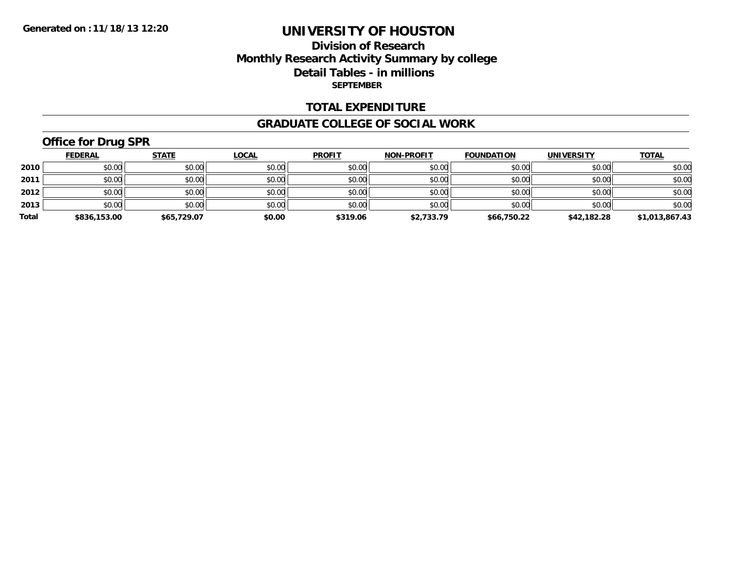## **Division of Research Monthly Research Activity Summary by college Detail Tables - in millions SEPTEMBER**

### **TOTAL EXPENDITURE**

### **GRADUATE COLLEGE OF SOCIAL WORK**

# **Office for Drug SPR**

|       | <b>FEDERAL</b> | <b>STATE</b> | <u>LOCAL</u> | <b>PROFIT</b> | <b>NON-PROFIT</b> | <b>FOUNDATION</b> | <b>UNIVERSITY</b> | <b>TOTAL</b>   |
|-------|----------------|--------------|--------------|---------------|-------------------|-------------------|-------------------|----------------|
| 2010  | \$0.00         | \$0.00       | \$0.00       | \$0.00        | \$0.00            | \$0.00            | \$0.00            | \$0.00         |
| 2011  | \$0.00         | \$0.00       | \$0.00       | \$0.00        | \$0.00            | \$0.00            | \$0.00            | \$0.00         |
| 2012  | \$0.00         | \$0.00       | \$0.00       | \$0.00        | \$0.00            | \$0.00            | \$0.00            | \$0.00         |
| 2013  | \$0.00         | \$0.00       | \$0.00       | \$0.00        | \$0.00            | \$0.00            | \$0.00            | \$0.00         |
| Total | \$836,153.00   | \$65,729.07  | \$0.00       | \$319.06      | \$2.733.79        | \$66,750.22       | \$42,182.28       | \$1,013,867.43 |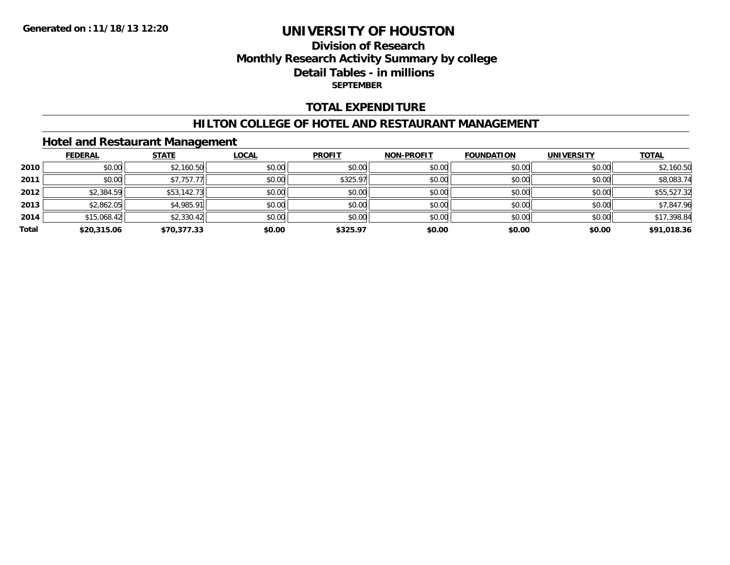## **Division of Research Monthly Research Activity Summary by college Detail Tables - in millions SEPTEMBER**

### **TOTAL EXPENDITURE**

### **HILTON COLLEGE OF HOTEL AND RESTAURANT MANAGEMENT**

## **Hotel and Restaurant Management**

|       | <b>FEDERAL</b> | <b>STATE</b> | <u>LOCAL</u> | <b>PROFIT</b> | <b>NON-PROFIT</b> | <b>FOUNDATION</b> | <b>UNIVERSITY</b> | <b>TOTAL</b> |
|-------|----------------|--------------|--------------|---------------|-------------------|-------------------|-------------------|--------------|
| 2010  | \$0.00         | \$2,160.50   | \$0.00       | \$0.00        | \$0.00            | \$0.00            | \$0.00            | \$2,160.50   |
| 2011  | \$0.00         | \$7,757.77   | \$0.00       | \$325.97      | \$0.00            | \$0.00            | \$0.00            | \$8,083.74   |
| 2012  | \$2,384.59     | \$53,142.73  | \$0.00       | \$0.00        | \$0.00            | \$0.00            | \$0.00            | \$55,527.32  |
| 2013  | \$2,862.05     | \$4,985.91   | \$0.00       | \$0.00        | \$0.00            | \$0.00            | \$0.00            | \$7,847.96   |
| 2014  | \$15,068.42    | \$2,330.42   | \$0.00       | \$0.00        | \$0.00            | \$0.00            | \$0.00            | \$17,398.84  |
| Total | \$20,315.06    | \$70,377.33  | \$0.00       | \$325.97      | \$0.00            | \$0.00            | \$0.00            | \$91,018.36  |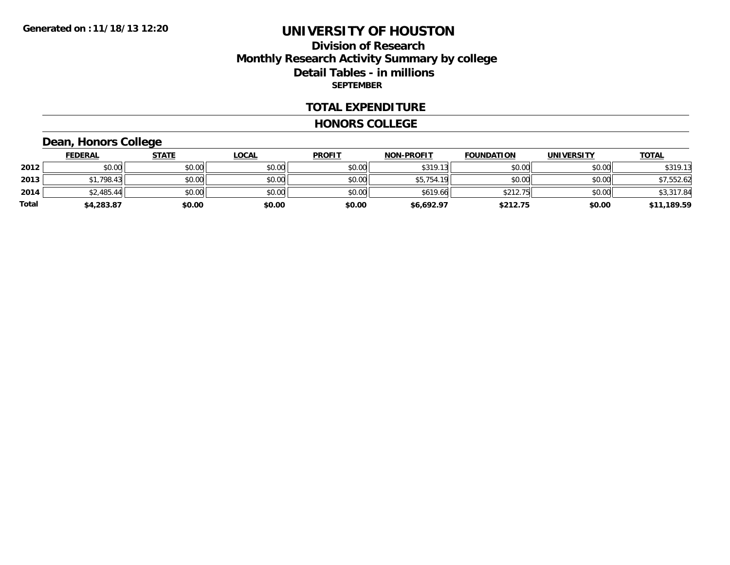## **Division of Research Monthly Research Activity Summary by college Detail Tables - in millions SEPTEMBER**

### **TOTAL EXPENDITURE**

### **HONORS COLLEGE**

# **Dean, Honors College**

|       | <b>FEDERAL</b> | <u>STATE</u> | <b>LOCAL</b> | <b>PROFIT</b> | <b>NON-PROFIT</b> | <b>FOUNDATION</b> | <b>UNIVERSITY</b> | <b>TOTAL</b> |
|-------|----------------|--------------|--------------|---------------|-------------------|-------------------|-------------------|--------------|
| 2012  | \$0.00         | \$0.00       | \$0.00       | \$0.00        | \$319.13          | \$0.00            | \$0.00            | \$319.13     |
| 2013  | \$1,798.43     | \$0.00       | \$0.00       | \$0.00        | \$5,754.19        | \$0.00            | \$0.00            | \$7,552.62   |
| 2014  | \$2,485.44     | \$0.00       | \$0.00       | \$0.00        | \$619.66          | \$212.75          | \$0.00            | \$3,317.84   |
| Total | \$4,283.87     | \$0.00       | \$0.00       | \$0.00        | \$6,692.97        | \$212.75          | \$0.00            | \$11,189.59  |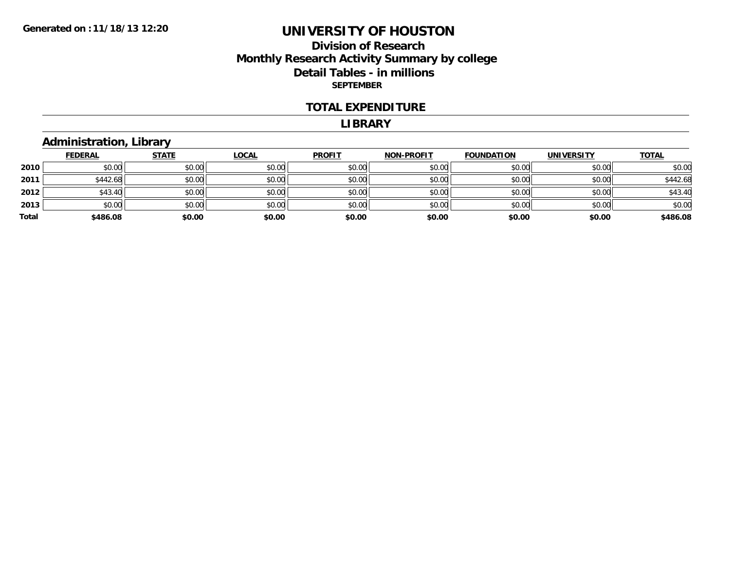## **Division of Research Monthly Research Activity Summary by college Detail Tables - in millions SEPTEMBER**

### **TOTAL EXPENDITURE**

### **LIBRARY**

# **Administration, Library**

|       | <u>FEDERAL</u> | <b>STATE</b> | <b>LOCAL</b> | <b>PROFIT</b> | <b>NON-PROFIT</b> | <b>FOUNDATION</b> | <b>UNIVERSITY</b> | <b>TOTAL</b> |
|-------|----------------|--------------|--------------|---------------|-------------------|-------------------|-------------------|--------------|
| 2010  | \$0.00         | \$0.00       | \$0.00       | \$0.00        | \$0.00            | \$0.00            | \$0.00            | \$0.00       |
| 2011  | \$442.68       | \$0.00       | \$0.00       | \$0.00        | \$0.00            | \$0.00            | \$0.00            | \$442.68     |
| 2012  | \$43.40        | \$0.00       | \$0.00       | \$0.00        | \$0.00            | \$0.00            | \$0.00            | \$43.40      |
| 2013  | \$0.00         | \$0.00       | \$0.00       | \$0.00        | \$0.00            | \$0.00            | \$0.00            | \$0.00       |
| Total | \$486.08       | \$0.00       | \$0.00       | \$0.00        | \$0.00            | \$0.00            | \$0.00            | \$486.08     |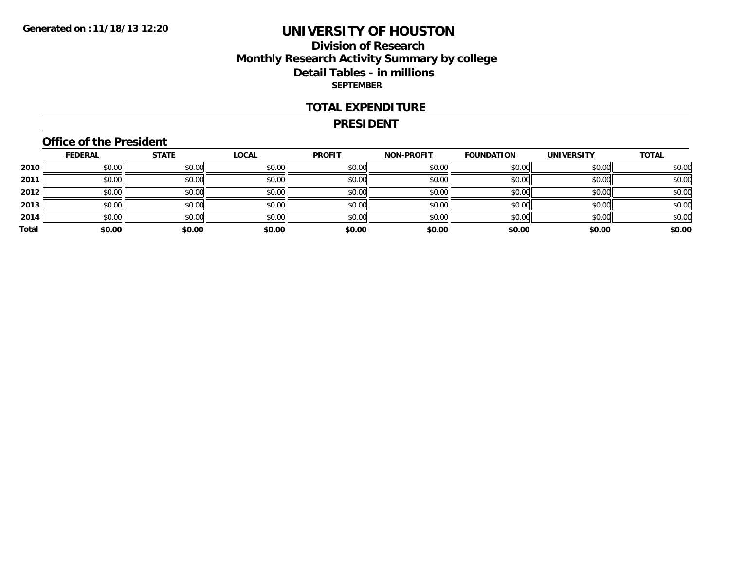## **Division of Research Monthly Research Activity Summary by college Detail Tables - in millions SEPTEMBER**

### **TOTAL EXPENDITURE**

### **PRESIDENT**

## **Office of the President**

|       | <b>FEDERAL</b> | <b>STATE</b> | <b>LOCAL</b> | <b>PROFIT</b> | <b>NON-PROFIT</b> | <b>FOUNDATION</b> | <b>UNIVERSITY</b> | <b>TOTAL</b> |
|-------|----------------|--------------|--------------|---------------|-------------------|-------------------|-------------------|--------------|
| 2010  | \$0.00         | \$0.00       | \$0.00       | \$0.00        | \$0.00            | \$0.00            | \$0.00            | \$0.00       |
| 2011  | \$0.00         | \$0.00       | \$0.00       | \$0.00        | \$0.00            | \$0.00            | \$0.00            | \$0.00       |
| 2012  | \$0.00         | \$0.00       | \$0.00       | \$0.00        | \$0.00            | \$0.00            | \$0.00            | \$0.00       |
| 2013  | \$0.00         | \$0.00       | \$0.00       | \$0.00        | \$0.00            | \$0.00            | \$0.00            | \$0.00       |
| 2014  | \$0.00         | \$0.00       | \$0.00       | \$0.00        | \$0.00            | \$0.00            | \$0.00            | \$0.00       |
| Total | \$0.00         | \$0.00       | \$0.00       | \$0.00        | \$0.00            | \$0.00            | \$0.00            | \$0.00       |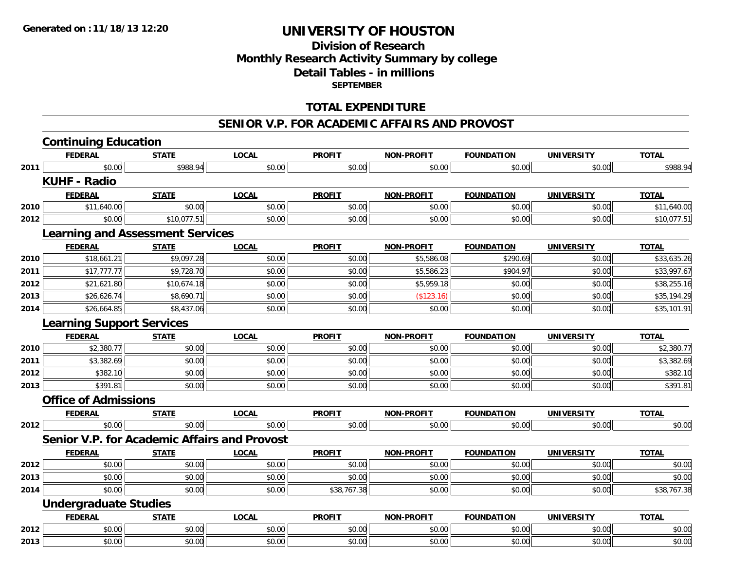## **Division of Research Monthly Research Activity Summary by college Detail Tables - in millions SEPTEMBER**

### **TOTAL EXPENDITURE**

### **SENIOR V.P. FOR ACADEMIC AFFAIRS AND PROVOST**

|      | <b>Continuing Education</b>                         |              |              |               |                   |                   |                   |              |
|------|-----------------------------------------------------|--------------|--------------|---------------|-------------------|-------------------|-------------------|--------------|
|      | <b>FEDERAL</b>                                      | <b>STATE</b> | <b>LOCAL</b> | <b>PROFIT</b> | <b>NON-PROFIT</b> | <b>FOUNDATION</b> | <b>UNIVERSITY</b> | <b>TOTAL</b> |
| 2011 | \$0.00                                              | \$988.94     | \$0.00       | \$0.00        | \$0.00            | \$0.00            | \$0.00            | \$988.94     |
|      | <b>KUHF - Radio</b>                                 |              |              |               |                   |                   |                   |              |
|      | <b>FEDERAL</b>                                      | <b>STATE</b> | <b>LOCAL</b> | <b>PROFIT</b> | <b>NON-PROFIT</b> | <b>FOUNDATION</b> | <b>UNIVERSITY</b> | <b>TOTAL</b> |
| 2010 | \$11,640.00                                         | \$0.00       | \$0.00       | \$0.00        | \$0.00            | \$0.00            | \$0.00            | \$11,640.00  |
| 2012 | \$0.00                                              | \$10,077.51  | \$0.00       | \$0.00        | \$0.00            | \$0.00            | \$0.00            | \$10,077.51  |
|      | <b>Learning and Assessment Services</b>             |              |              |               |                   |                   |                   |              |
|      | <b>FEDERAL</b>                                      | <b>STATE</b> | <b>LOCAL</b> | <b>PROFIT</b> | <b>NON-PROFIT</b> | <b>FOUNDATION</b> | <b>UNIVERSITY</b> | <b>TOTAL</b> |
| 2010 | \$18,661.21                                         | \$9,097.28   | \$0.00       | \$0.00        | \$5,586.08        | \$290.69          | \$0.00            | \$33,635.26  |
| 2011 | \$17,777.77                                         | \$9,728.70   | \$0.00       | \$0.00        | \$5,586.23        | \$904.97          | \$0.00            | \$33,997.67  |
| 2012 | \$21,621.80                                         | \$10,674.18  | \$0.00       | \$0.00        | \$5,959.18        | \$0.00            | \$0.00            | \$38,255.16  |
| 2013 | \$26,626.74                                         | \$8,690.71   | \$0.00       | \$0.00        | (\$123.16)        | \$0.00            | \$0.00            | \$35,194.29  |
| 2014 | \$26,664.85                                         | \$8,437.06   | \$0.00       | \$0.00        | \$0.00            | \$0.00            | \$0.00            | \$35,101.91  |
|      | <b>Learning Support Services</b>                    |              |              |               |                   |                   |                   |              |
|      | <b>FEDERAL</b>                                      | <b>STATE</b> | <b>LOCAL</b> | <b>PROFIT</b> | <b>NON-PROFIT</b> | <b>FOUNDATION</b> | <b>UNIVERSITY</b> | <b>TOTAL</b> |
| 2010 | \$2,380.77                                          | \$0.00       | \$0.00       | \$0.00        | \$0.00            | \$0.00            | \$0.00            | \$2,380.77   |
| 2011 | \$3,382.69                                          | \$0.00       | \$0.00       | \$0.00        | \$0.00            | \$0.00            | \$0.00            | \$3,382.69   |
| 2012 | \$382.10                                            | \$0.00       | \$0.00       | \$0.00        | \$0.00            | \$0.00            | \$0.00            | \$382.10     |
| 2013 | \$391.81                                            | \$0.00       | \$0.00       | \$0.00        | \$0.00            | \$0.00            | \$0.00            | \$391.81     |
|      | <b>Office of Admissions</b>                         |              |              |               |                   |                   |                   |              |
|      | <b>FEDERAL</b>                                      | <b>STATE</b> | <b>LOCAL</b> | <b>PROFIT</b> | <b>NON-PROFIT</b> | <b>FOUNDATION</b> | <b>UNIVERSITY</b> | <b>TOTAL</b> |
| 2012 | \$0.00                                              | \$0.00       | \$0.00       | \$0.00        | \$0.00            | \$0.00            | \$0.00            | \$0.00       |
|      | <b>Senior V.P. for Academic Affairs and Provost</b> |              |              |               |                   |                   |                   |              |
|      | <b>FEDERAL</b>                                      | <b>STATE</b> | <b>LOCAL</b> | <b>PROFIT</b> | <b>NON-PROFIT</b> | <b>FOUNDATION</b> | <b>UNIVERSITY</b> | <b>TOTAL</b> |
| 2012 | \$0.00                                              | \$0.00       | \$0.00       | \$0.00        | \$0.00            | \$0.00            | \$0.00            | \$0.00       |
| 2013 | \$0.00                                              | \$0.00       | \$0.00       | \$0.00        | \$0.00            | \$0.00            | \$0.00            | \$0.00       |
| 2014 | \$0.00                                              | \$0.00       | \$0.00       | \$38,767.38   | \$0.00            | \$0.00            | \$0.00            | \$38,767.38  |
|      | <b>Undergraduate Studies</b>                        |              |              |               |                   |                   |                   |              |
|      | <b>FEDERAL</b>                                      | <b>STATE</b> | <b>LOCAL</b> | <b>PROFIT</b> | <b>NON-PROFIT</b> | <b>FOUNDATION</b> | <b>UNIVERSITY</b> | <b>TOTAL</b> |
| 2012 | \$0.00                                              | \$0.00       | \$0.00       | \$0.00        | \$0.00            | \$0.00            | \$0.00            | \$0.00       |
| 2013 | \$0.00                                              | \$0.00       | \$0.00       | \$0.00        | \$0.00            | \$0.00            | \$0.00            | \$0.00       |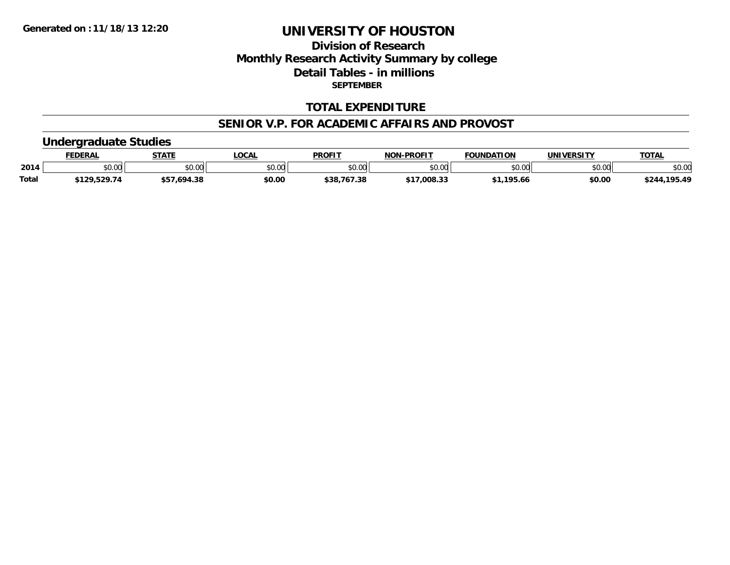# **Division of ResearchMonthly Research Activity Summary by college Detail Tables - in millions SEPTEMBER**

### **TOTAL EXPENDITURE**

### **SENIOR V.P. FOR ACADEMIC AFFAIRS AND PROVOST**

## **Undergraduate Studies**

|              | <b>FEDERAL</b>          | <b>STATE</b>          | <b>LOCAL</b> | <b>PROFIT</b>   | <b>L-PROFIT</b><br>NON | <b>FOUNDATION</b> | UNIVERSITY | <b>TOTAL</b>      |
|--------------|-------------------------|-----------------------|--------------|-----------------|------------------------|-------------------|------------|-------------------|
| 2014         | 0 <sub>n</sub><br>JU.UU | \$0.00                | \$0.00       | ≮N UU<br>DU.UU. | \$0.00                 | \$0.00            | \$0.00     | \$0.00            |
| <b>Total</b> | \$129.529.7             | .694.38<br>ぐにフ<br>. . | \$0.00       | \$38,767.38     | AA<br>\$17.008.33      | 195.66            | \$0.00     | .195.49<br>\$244, |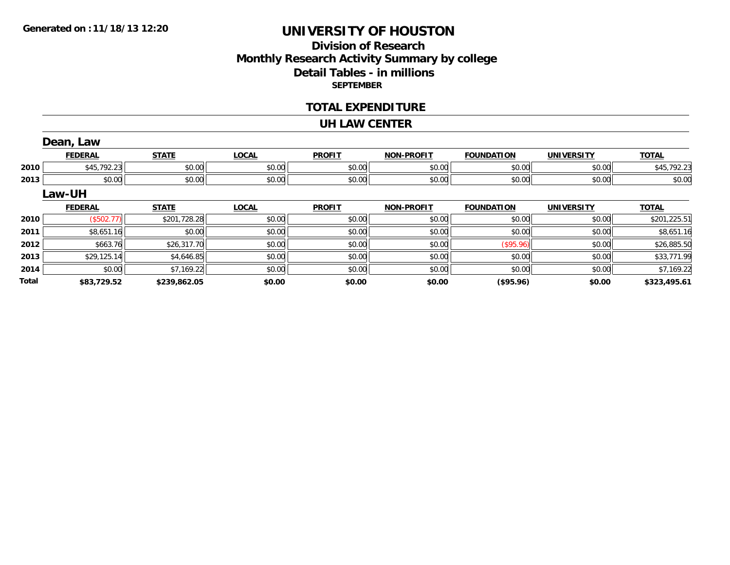# **Division of ResearchMonthly Research Activity Summary by college Detail Tables - in millions SEPTEMBER**

### **TOTAL EXPENDITURE**

### **UH LAW CENTER**

|        | Dean, Law                |               |               |               |                   |                   |                   |              |
|--------|--------------------------|---------------|---------------|---------------|-------------------|-------------------|-------------------|--------------|
|        | <b>FEDERAL</b>           | <b>STATE</b>  | <b>LOCAL</b>  | <b>PROFIT</b> | <b>NON-PROFIT</b> | <b>FOUNDATION</b> | <b>UNIVERSITY</b> | <b>TOTAL</b> |
| 2010   | \$45,792.23              | \$0.00        | \$0.00        | \$0.00        | \$0.00            | \$0.00            | \$0.00            | \$45,792.23  |
| 2013   | \$0.00                   | \$0.00        | \$0.00        | \$0.00        | \$0.00            | \$0.00            | \$0.00            | \$0.00       |
|        | Law-UH                   |               |               |               |                   |                   |                   |              |
|        | <b>FEDERAL</b>           | <b>STATE</b>  | <b>LOCAL</b>  | <b>PROFIT</b> | <b>NON-PROFIT</b> | <b>FOUNDATION</b> | <b>UNIVERSITY</b> | <b>TOTAL</b> |
| 2010   | (\$502.77)               | \$201,728.28  | \$0.00        | \$0.00        | \$0.00            | \$0.00            | \$0.00            | \$201,225.51 |
| $\sim$ | $A \cap I \cap A \cap I$ | $\sim$ $\sim$ | $\sim$ $\sim$ | $\sim$ $\sim$ | $\sim$ $\sim$     | $\sim$ $\sim$     | 0.000             | 0.01541      |

| <b>Total</b> | \$83,729.52 | \$239,862.05 | \$0.00 | \$0.00 | \$0.00 | (\$95.96) | \$0.00 | \$323,495.61 |
|--------------|-------------|--------------|--------|--------|--------|-----------|--------|--------------|
| 2014         | \$0.00      | \$7.169.22   | \$0.00 | \$0.00 | \$0.00 | \$0.00    | \$0.00 | \$7,169.22   |
| 2013         | \$29,125.14 | \$4,646.85   | \$0.00 | \$0.00 | \$0.00 | \$0.00    | \$0.00 | \$33,771.99  |
| 2012         | \$663.76    | \$26,317.70  | \$0.00 | \$0.00 | \$0.00 | \$95.96   | \$0.00 | \$26,885.50  |
| 2011         | \$8,651.16  | \$0.00       | \$0.00 | \$0.00 | \$0.00 | \$0.00    | \$0.00 | \$8,651.16   |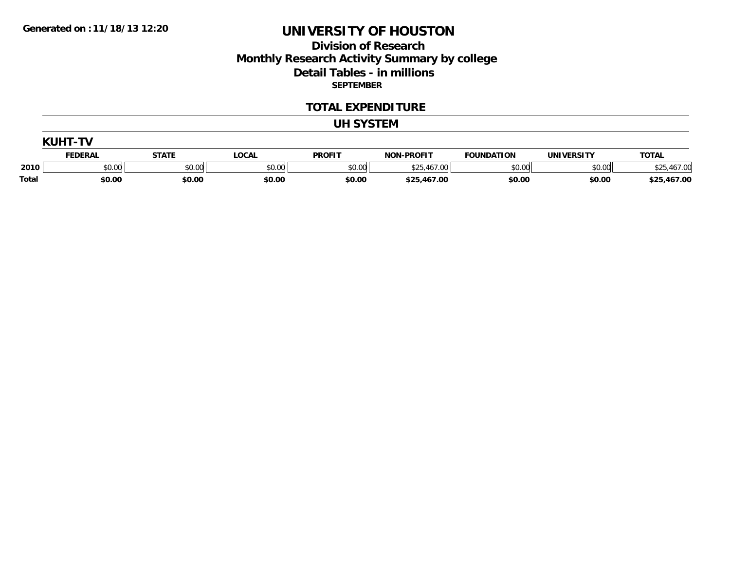## **Division of Research Monthly Research Activity Summary by college Detail Tables - in millions SEPTEMBER**

### **TOTAL EXPENDITURE**

### **UH SYSTEM**

| <b>KUHT-</b> |         |        |              |               |                   |                   |            |              |  |
|--------------|---------|--------|--------------|---------------|-------------------|-------------------|------------|--------------|--|
|              | FEDERAL | STATE  | <b>LOCAL</b> | <b>PROFIT</b> | <b>NON-PROFIT</b> | <b>FOUNDATION</b> | UNIVERSITY | <u>TOTAL</u> |  |
| 2010         | \$0.00  | \$0.00 | \$0.00       | \$0.00        | \$25,467.00       | \$0.00            | \$0.00     | 467.00       |  |
| Total        | \$0.00  | \$0.00 | \$0.00       | \$0.00        | \$25,467.00       | \$0.00            | \$0.00     | \$25,467.00  |  |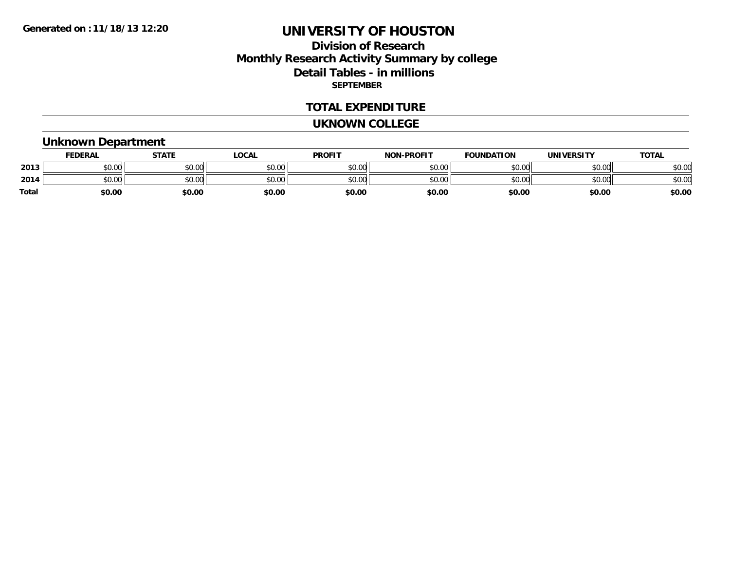## **Division of Research Monthly Research Activity Summary by college Detail Tables - in millions SEPTEMBER**

### **TOTAL EXPENDITURE**

### **UKNOWN COLLEGE**

# **Unknown Department**

|       | <b>FEDERAL</b> | <b>STATE</b>          | <b>_OCAL</b> | <b>PROFIT</b> | <b>NON-PROFIT</b> | <b>FOUNDATION</b> | <b>UNIVERSITY</b> | <b>TOTAL</b> |
|-------|----------------|-----------------------|--------------|---------------|-------------------|-------------------|-------------------|--------------|
| 2013  | \$0.00         | ≮N UU<br><b>JU.UU</b> | \$0.00       | \$0.00        | \$0.00            | \$0.00            | \$0.00            | \$0.00       |
| 2014  | \$0.00         | 0000<br>งบ.บบ         | \$0.00       | \$0.00        | \$0.00            | \$0.00            | \$0.00            | \$0.00       |
| Total | \$0.00         | \$0.00                | \$0.00       | \$0.00        | \$0.00            | \$0.00            | \$0.00            | \$0.00       |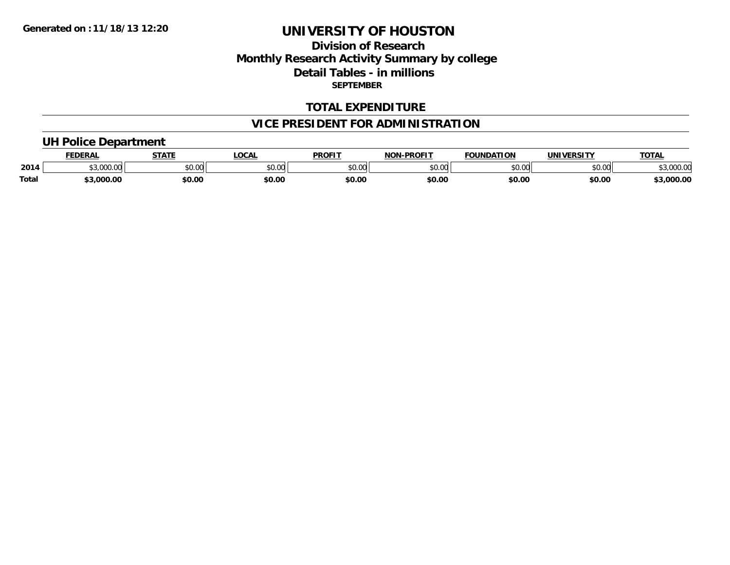### **Division of Research Monthly Research Activity Summary by college Detail Tables - in millions SEPTEMBER**

#### **TOTAL EXPENDITURE**

## **VICE PRESIDENT FOR ADMINISTRATION**

### **UH Police Department**

|              | EDERAI                            | <b>CTATE</b>  | <b>OCAL</b> | <b>PROFIT</b> | <b>DDAEIT</b><br>NIAR | <b>FOUNDATION</b> | UNIVERSITY | <b>TOTAL</b>        |
|--------------|-----------------------------------|---------------|-------------|---------------|-----------------------|-------------------|------------|---------------------|
| 2014         | $\sim$ 000<br>$\sim$<br>,,,,,,,,, | 0.00<br>JU.UU | \$0.00      | 0000<br>JU.UU | nn nn<br>pu.uu        | 0000<br>ט.טע      | \$0.00     | $\Omega$<br>JUUU.UU |
| <b>Total</b> | .000.00                           | \$0.00        | \$0.00      | \$0.00        | \$0.00                | \$0.00            | \$0.00     | .3.000.00           |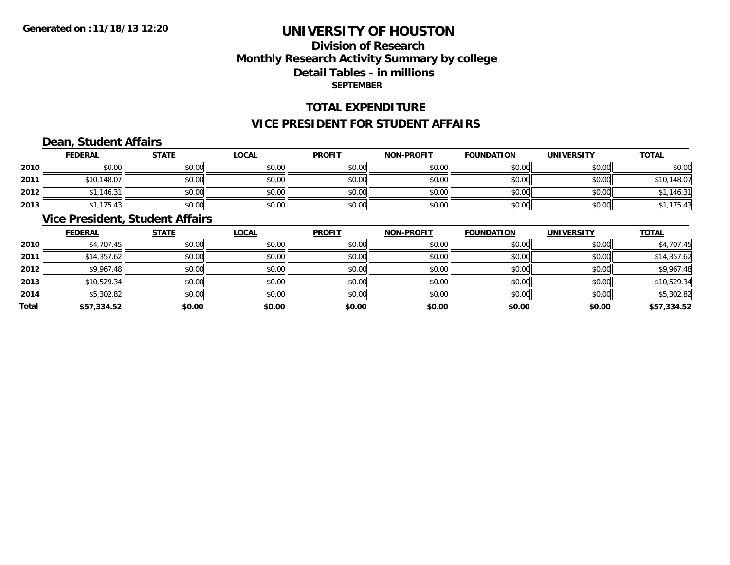# **Division of ResearchMonthly Research Activity Summary by college Detail Tables - in millions SEPTEMBER**

### **TOTAL EXPENDITURE**

#### **VICE PRESIDENT FOR STUDENT AFFAIRS**

# **Dean, Student Affairs**

|      | <b>FEDERAL</b> | <b>STATE</b> | <u>LOCAL</u> | <b>PROFIT</b> | <b>NON-PROFIT</b> | <b>FOUNDATION</b> | <b>UNIVERSITY</b> | <b>TOTAL</b> |
|------|----------------|--------------|--------------|---------------|-------------------|-------------------|-------------------|--------------|
| 2010 | \$0.00         | \$0.00       | \$0.00       | \$0.00        | \$0.00            | \$0.00            | \$0.00            | \$0.00       |
| 2011 | \$10,148.07    | \$0.00       | \$0.00       | \$0.00        | \$0.00            | \$0.00            | \$0.00            | \$10,148.07  |
| 2012 | \$1,146.31     | \$0.00       | \$0.00       | \$0.00        | \$0.00            | \$0.00            | \$0.00            | 1,146.31     |
| 2013 | \$1,175.43     | \$0.00       | \$0.00       | \$0.00        | \$0.00            | \$0.00            | \$0.00            | \$1,175.43   |

### **Vice President, Student Affairs**

|       | <b>FEDERAL</b> | <b>STATE</b> | <b>LOCAL</b> | <b>PROFIT</b> | NON-PROFIT | <b>FOUNDATION</b> | <b>UNIVERSITY</b> | <b>TOTAL</b> |
|-------|----------------|--------------|--------------|---------------|------------|-------------------|-------------------|--------------|
| 2010  | \$4,707.45     | \$0.00       | \$0.00       | \$0.00        | \$0.00     | \$0.00            | \$0.00            | \$4,707.45   |
| 2011  | \$14,357.62    | \$0.00       | \$0.00       | \$0.00        | \$0.00     | \$0.00            | \$0.00            | \$14,357.62  |
| 2012  | \$9,967.48     | \$0.00       | \$0.00       | \$0.00        | \$0.00     | \$0.00            | \$0.00            | \$9,967.48   |
| 2013  | \$10,529.34    | \$0.00       | \$0.00       | \$0.00        | \$0.00     | \$0.00            | \$0.00            | \$10,529.34  |
| 2014  | \$5,302.82     | \$0.00       | \$0.00       | \$0.00        | \$0.00     | \$0.00            | \$0.00            | \$5,302.82   |
| Total | \$57,334.52    | \$0.00       | \$0.00       | \$0.00        | \$0.00     | \$0.00            | \$0.00            | \$57,334.52  |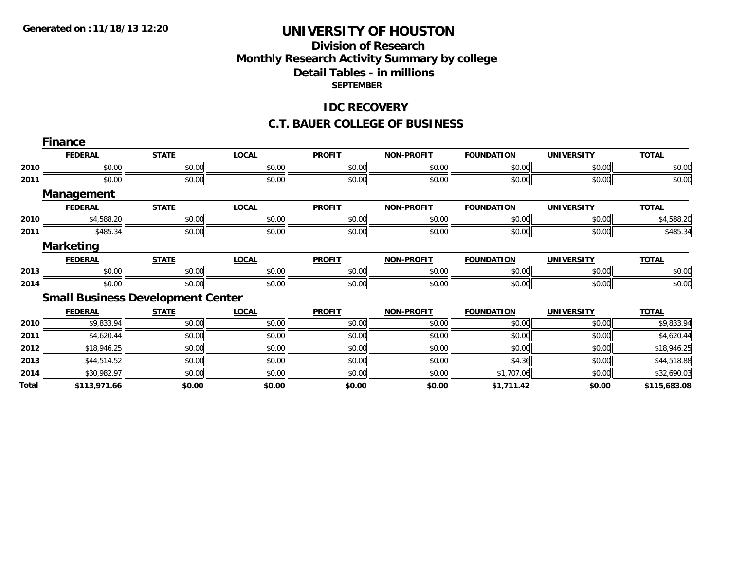### **Division of Research Monthly Research Activity Summary by college Detail Tables - in millions SEPTEMBER**

### **IDC RECOVERY**

#### **C.T. BAUER COLLEGE OF BUSINESS**

|       | <b>Finance</b>   |                                          |              |               |                   |                   |                   |              |
|-------|------------------|------------------------------------------|--------------|---------------|-------------------|-------------------|-------------------|--------------|
|       | <b>FEDERAL</b>   | <b>STATE</b>                             | <b>LOCAL</b> | <b>PROFIT</b> | <b>NON-PROFIT</b> | <b>FOUNDATION</b> | <b>UNIVERSITY</b> | <b>TOTAL</b> |
| 2010  | \$0.00           | \$0.00                                   | \$0.00       | \$0.00        | \$0.00            | \$0.00            | \$0.00            | \$0.00       |
| 2011  | \$0.00           | \$0.00                                   | \$0.00       | \$0.00        | \$0.00            | \$0.00            | \$0.00            | \$0.00       |
|       | Management       |                                          |              |               |                   |                   |                   |              |
|       | <b>FEDERAL</b>   | <b>STATE</b>                             | <b>LOCAL</b> | <b>PROFIT</b> | <b>NON-PROFIT</b> | <b>FOUNDATION</b> | <b>UNIVERSITY</b> | <b>TOTAL</b> |
| 2010  | \$4,588.20       | \$0.00                                   | \$0.00       | \$0.00        | \$0.00            | \$0.00            | \$0.00            | \$4,588.20   |
| 2011  | \$485.34         | \$0.00                                   | \$0.00       | \$0.00        | \$0.00            | \$0.00            | \$0.00            | \$485.34     |
|       | <b>Marketing</b> |                                          |              |               |                   |                   |                   |              |
|       | <b>FEDERAL</b>   | <b>STATE</b>                             | <b>LOCAL</b> | <b>PROFIT</b> | <b>NON-PROFIT</b> | <b>FOUNDATION</b> | <b>UNIVERSITY</b> | <b>TOTAL</b> |
| 2013  | \$0.00           | \$0.00                                   | \$0.00       | \$0.00        | \$0.00            | \$0.00            | \$0.00            | \$0.00       |
| 2014  | \$0.00           | \$0.00                                   | \$0.00       | \$0.00        | \$0.00            | \$0.00            | \$0.00            | \$0.00       |
|       |                  | <b>Small Business Development Center</b> |              |               |                   |                   |                   |              |
|       | <b>FEDERAL</b>   | <b>STATE</b>                             | <b>LOCAL</b> | <b>PROFIT</b> | <b>NON-PROFIT</b> | <b>FOUNDATION</b> | <b>UNIVERSITY</b> | <b>TOTAL</b> |
| 2010  | \$9,833.94       | \$0.00                                   | \$0.00       | \$0.00        | \$0.00            | \$0.00            | \$0.00            | \$9,833.94   |
| 2011  | \$4,620.44       | \$0.00                                   | \$0.00       | \$0.00        | \$0.00            | \$0.00            | \$0.00            | \$4,620.44   |
| 2012  | \$18,946.25      | \$0.00                                   | \$0.00       | \$0.00        | \$0.00            | \$0.00            | \$0.00            | \$18,946.25  |
| 2013  | \$44,514.52      | \$0.00                                   | \$0.00       | \$0.00        | \$0.00            | \$4.36            | \$0.00            | \$44,518.88  |
| 2014  | \$30,982.97      | \$0.00                                   | \$0.00       | \$0.00        | \$0.00            | \$1,707.06        | \$0.00            | \$32,690.03  |
| Total | \$113,971.66     | \$0.00                                   | \$0.00       | \$0.00        | \$0.00            | \$1,711.42        | \$0.00            | \$115,683.08 |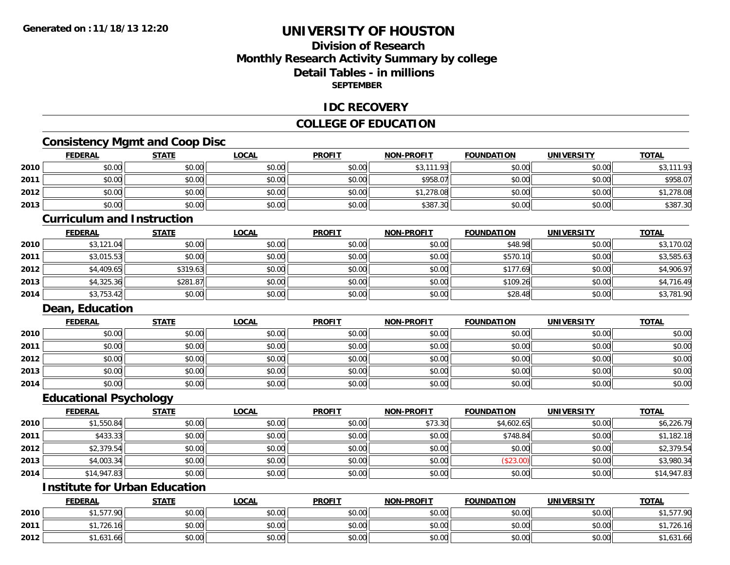**2011**

**2012**

# **UNIVERSITY OF HOUSTON**

# **Division of ResearchMonthly Research Activity Summary by college Detail Tables - in millions SEPTEMBER**

### **IDC RECOVERY**

## **COLLEGE OF EDUCATION**

# **Consistency Mgmt and Coop Disc**

|      | <b>FEDERAL</b>                       | <b>STATE</b> | <b>LOCAL</b> | <b>PROFIT</b> | <b>NON-PROFIT</b> | <b>FOUNDATION</b> | <b>UNIVERSITY</b> | <b>TOTAL</b> |
|------|--------------------------------------|--------------|--------------|---------------|-------------------|-------------------|-------------------|--------------|
| 2010 | \$0.00                               | \$0.00       | \$0.00       | \$0.00        | \$3,111.93        | \$0.00            | \$0.00            | \$3,111.93   |
| 2011 | \$0.00                               | \$0.00       | \$0.00       | \$0.00        | \$958.07          | \$0.00            | \$0.00            | \$958.07     |
| 2012 | \$0.00                               | \$0.00       | \$0.00       | \$0.00        | \$1,278.08        | \$0.00            | \$0.00            | \$1,278.08   |
| 2013 | \$0.00                               | \$0.00       | \$0.00       | \$0.00        | \$387.30          | \$0.00            | \$0.00            | \$387.30     |
|      | <b>Curriculum and Instruction</b>    |              |              |               |                   |                   |                   |              |
|      | <b>FEDERAL</b>                       | <b>STATE</b> | <b>LOCAL</b> | <b>PROFIT</b> | <b>NON-PROFIT</b> | <b>FOUNDATION</b> | <b>UNIVERSITY</b> | <b>TOTAL</b> |
| 2010 | \$3,121.04                           | \$0.00       | \$0.00       | \$0.00        | \$0.00            | \$48.98           | \$0.00            | \$3,170.02   |
| 2011 | \$3,015.53                           | \$0.00       | \$0.00       | \$0.00        | \$0.00            | \$570.10          | \$0.00            | \$3,585.63   |
| 2012 | \$4,409.65                           | \$319.63     | \$0.00       | \$0.00        | \$0.00            | \$177.69          | \$0.00            | \$4,906.97   |
| 2013 | \$4,325.36                           | \$281.87     | \$0.00       | \$0.00        | \$0.00            | \$109.26          | \$0.00            | \$4,716.49   |
| 2014 | \$3,753.42                           | \$0.00       | \$0.00       | \$0.00        | \$0.00            | \$28.48           | \$0.00            | \$3,781.90   |
|      | Dean, Education                      |              |              |               |                   |                   |                   |              |
|      | <b>FEDERAL</b>                       | <b>STATE</b> | <b>LOCAL</b> | <b>PROFIT</b> | <b>NON-PROFIT</b> | <b>FOUNDATION</b> | <b>UNIVERSITY</b> | <b>TOTAL</b> |
| 2010 | \$0.00                               | \$0.00       | \$0.00       | \$0.00        | \$0.00            | \$0.00            | \$0.00            | \$0.00       |
| 2011 | \$0.00                               | \$0.00       | \$0.00       | \$0.00        | \$0.00            | \$0.00            | \$0.00            | \$0.00       |
| 2012 | \$0.00                               | \$0.00       | \$0.00       | \$0.00        | \$0.00            | \$0.00            | \$0.00            | \$0.00       |
| 2013 | \$0.00                               | \$0.00       | \$0.00       | \$0.00        | \$0.00            | \$0.00            | \$0.00            | \$0.00       |
| 2014 | \$0.00                               | \$0.00       | \$0.00       | \$0.00        | \$0.00            | \$0.00            | \$0.00            | \$0.00       |
|      | <b>Educational Psychology</b>        |              |              |               |                   |                   |                   |              |
|      | <b>FEDERAL</b>                       | <b>STATE</b> | <b>LOCAL</b> | <b>PROFIT</b> | <b>NON-PROFIT</b> | <b>FOUNDATION</b> | <b>UNIVERSITY</b> | <b>TOTAL</b> |
| 2010 | \$1,550.84                           | \$0.00       | \$0.00       | \$0.00        | \$73.30           | \$4,602.65        | \$0.00            | \$6,226.79   |
| 2011 | \$433.33                             | \$0.00       | \$0.00       | \$0.00        | \$0.00            | \$748.84          | \$0.00            | \$1,182.18   |
| 2012 | \$2,379.54                           | \$0.00       | \$0.00       | \$0.00        | \$0.00            | \$0.00            | \$0.00            | \$2,379.54   |
| 2013 | \$4,003.34                           | \$0.00       | \$0.00       | \$0.00        | \$0.00            | (\$23.00)         | \$0.00            | \$3,980.34   |
| 2014 | \$14,947.83                          | \$0.00       | \$0.00       | \$0.00        | \$0.00            | \$0.00            | \$0.00            | \$14,947.83  |
|      | <b>Institute for Urban Education</b> |              |              |               |                   |                   |                   |              |
|      | <b>FEDERAL</b>                       | <b>STATE</b> | <b>LOCAL</b> | <b>PROFIT</b> | <b>NON-PROFIT</b> | <b>FOUNDATION</b> | <b>UNIVERSITY</b> | <b>TOTAL</b> |
| 2010 | \$1,577.90                           | \$0.00       | \$0.00       | \$0.00        | \$0.00            | \$0.00            | \$0.00            | \$1,577.90   |

\$1,726.16 \$0.00 \$0.00 \$0.00 \$0.00 \$0.00 \$0.00 \$1,726.16

\$1,631.66 \$0.00 \$0.00 \$0.00 \$0.00 \$0.00 \$0.00 \$1,631.66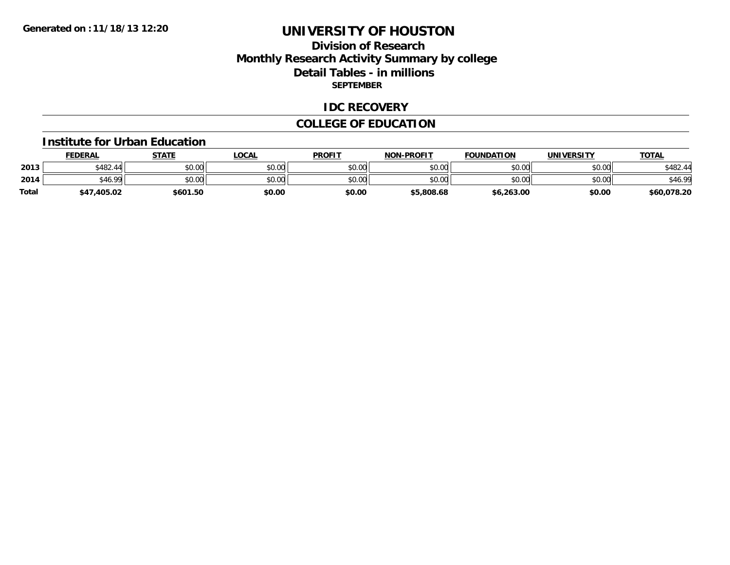# **Division of ResearchMonthly Research Activity Summary by college Detail Tables - in millions SEPTEMBER**

#### **IDC RECOVERY**

## **COLLEGE OF EDUCATION**

#### **Institute for Urban Education**

|       | <b>FEDERAL</b> | STATE    | LOCAL          | <b>PROFIT</b> | <b>NON-PROFIT</b> | <b>FOUNDATION</b> | UNIVERSITY | <b>TOTAL</b> |
|-------|----------------|----------|----------------|---------------|-------------------|-------------------|------------|--------------|
| 2013  | \$482.44       | \$0.00   | ≮N UU<br>JU.UU | \$0.00        | \$0.00            | \$0.00            | \$0.00     | \$482.44     |
| 2014  | \$46.99        | \$0.00   | \$0.00         | \$0.00        | \$0.00            | \$0.00            | \$0.00     | \$46.99      |
| Total | \$47,405.02    | \$601.50 | \$0.00         | \$0.00        | \$5,808.68        | \$6,263.00        | \$0.00     | \$60,078.20  |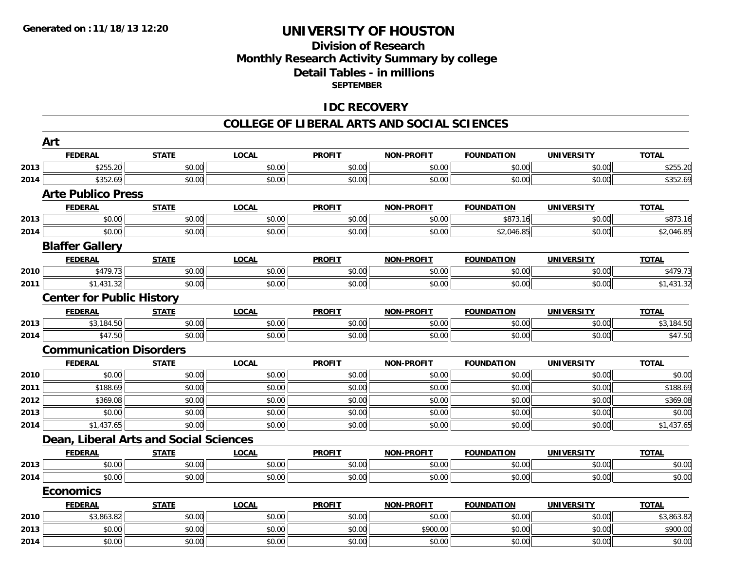## **Division of Research Monthly Research Activity Summary by college Detail Tables - in millions SEPTEMBER**

### **IDC RECOVERY**

#### **COLLEGE OF LIBERAL ARTS AND SOCIAL SCIENCES**

|      | Art                                    |              |              |               |                   |                   |                   |              |
|------|----------------------------------------|--------------|--------------|---------------|-------------------|-------------------|-------------------|--------------|
|      | <b>FEDERAL</b>                         | <b>STATE</b> | <b>LOCAL</b> | <b>PROFIT</b> | <b>NON-PROFIT</b> | <b>FOUNDATION</b> | <u>UNIVERSITY</u> | <b>TOTAL</b> |
| 2013 | \$255.20                               | \$0.00       | \$0.00       | \$0.00        | \$0.00            | \$0.00            | \$0.00            | \$255.20     |
| 2014 | \$352.69                               | \$0.00       | \$0.00       | \$0.00        | \$0.00            | \$0.00            | \$0.00            | \$352.69     |
|      | <b>Arte Publico Press</b>              |              |              |               |                   |                   |                   |              |
|      | <b>FEDERAL</b>                         | <b>STATE</b> | <b>LOCAL</b> | <b>PROFIT</b> | <b>NON-PROFIT</b> | <b>FOUNDATION</b> | <b>UNIVERSITY</b> | <b>TOTAL</b> |
| 2013 | \$0.00                                 | \$0.00       | \$0.00       | \$0.00        | \$0.00            | \$873.16          | \$0.00            | \$873.16     |
| 2014 | \$0.00                                 | \$0.00       | \$0.00       | \$0.00        | \$0.00            | \$2,046.85        | \$0.00            | \$2,046.85   |
|      | <b>Blaffer Gallery</b>                 |              |              |               |                   |                   |                   |              |
|      | <b>FEDERAL</b>                         | <b>STATE</b> | <b>LOCAL</b> | <b>PROFIT</b> | <b>NON-PROFIT</b> | <b>FOUNDATION</b> | <b>UNIVERSITY</b> | <b>TOTAL</b> |
| 2010 | \$479.73                               | \$0.00       | \$0.00       | \$0.00        | \$0.00            | \$0.00            | \$0.00            | \$479.73     |
| 2011 | \$1,431.32                             | \$0.00       | \$0.00       | \$0.00        | \$0.00            | \$0.00            | \$0.00            | \$1,431.32   |
|      | <b>Center for Public History</b>       |              |              |               |                   |                   |                   |              |
|      | <b>FEDERAL</b>                         | <b>STATE</b> | <b>LOCAL</b> | <b>PROFIT</b> | <b>NON-PROFIT</b> | <b>FOUNDATION</b> | <b>UNIVERSITY</b> | <b>TOTAL</b> |
| 2013 | \$3,184.50                             | \$0.00       | \$0.00       | \$0.00        | \$0.00            | \$0.00            | \$0.00            | \$3,184.50   |
| 2014 | \$47.50                                | \$0.00       | \$0.00       | \$0.00        | \$0.00            | \$0.00            | \$0.00            | \$47.50      |
|      | <b>Communication Disorders</b>         |              |              |               |                   |                   |                   |              |
|      | <b>FEDERAL</b>                         | <b>STATE</b> | <b>LOCAL</b> | <b>PROFIT</b> | <b>NON-PROFIT</b> | <b>FOUNDATION</b> | <b>UNIVERSITY</b> | <b>TOTAL</b> |
| 2010 | \$0.00                                 | \$0.00       | \$0.00       | \$0.00        | \$0.00            | \$0.00            | \$0.00            | \$0.00       |
| 2011 | \$188.69                               | \$0.00       | \$0.00       | \$0.00        | \$0.00            | \$0.00            | \$0.00            | \$188.69     |
| 2012 | \$369.08                               | \$0.00       | \$0.00       | \$0.00        | \$0.00            | \$0.00            | \$0.00            | \$369.08     |
| 2013 | \$0.00                                 | \$0.00       | \$0.00       | \$0.00        | \$0.00            | \$0.00            | \$0.00            | \$0.00       |
| 2014 | \$1,437.65                             | \$0.00       | \$0.00       | \$0.00        | \$0.00            | \$0.00            | \$0.00            | \$1,437.65   |
|      | Dean, Liberal Arts and Social Sciences |              |              |               |                   |                   |                   |              |
|      | <b>FEDERAL</b>                         | <b>STATE</b> | <b>LOCAL</b> | <b>PROFIT</b> | <b>NON-PROFIT</b> | <b>FOUNDATION</b> | <b>UNIVERSITY</b> | <b>TOTAL</b> |
| 2013 | \$0.00                                 | \$0.00       | \$0.00       | \$0.00        | \$0.00            | \$0.00            | \$0.00            | \$0.00       |
| 2014 | \$0.00                                 | \$0.00       | \$0.00       | \$0.00        | \$0.00            | \$0.00            | \$0.00            | \$0.00       |
|      | <b>Economics</b>                       |              |              |               |                   |                   |                   |              |
|      | <b>FEDERAL</b>                         | <b>STATE</b> | <b>LOCAL</b> | <b>PROFIT</b> | <b>NON-PROFIT</b> | <b>FOUNDATION</b> | UNIVERSITY        | <b>TOTAL</b> |
| 2010 | \$3,863.82                             | \$0.00       | \$0.00       | \$0.00        | \$0.00            | \$0.00            | \$0.00            | \$3,863.82   |
| 2013 | \$0.00                                 | \$0.00       | \$0.00       | \$0.00        | \$900.00          | \$0.00            | \$0.00            | \$900.00     |
| 2014 | \$0.00                                 | \$0.00       | \$0.00       | \$0.00        | \$0.00            | \$0.00            | \$0.00            | \$0.00       |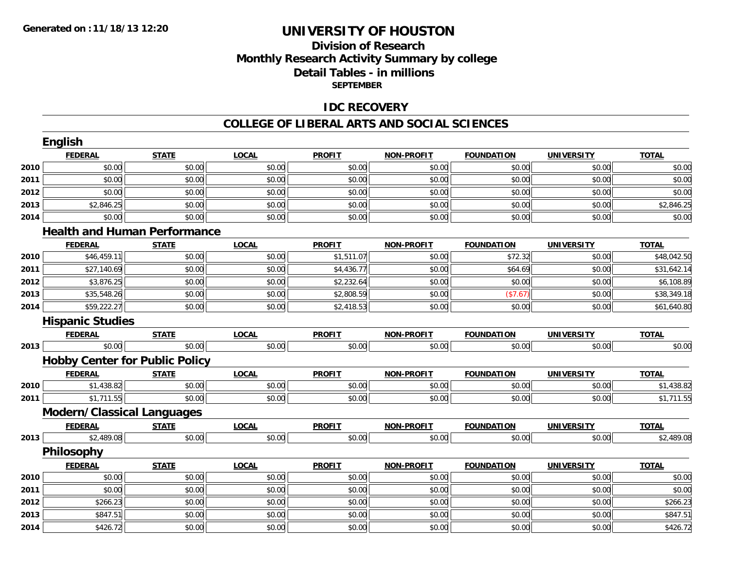# **Division of ResearchMonthly Research Activity Summary by college Detail Tables - in millions SEPTEMBER**

### **IDC RECOVERY**

#### **COLLEGE OF LIBERAL ARTS AND SOCIAL SCIENCES**

|      | English                               |              |              |               |                   |                   |                   |              |
|------|---------------------------------------|--------------|--------------|---------------|-------------------|-------------------|-------------------|--------------|
|      | <b>FEDERAL</b>                        | <b>STATE</b> | <b>LOCAL</b> | <b>PROFIT</b> | <b>NON-PROFIT</b> | <b>FOUNDATION</b> | <b>UNIVERSITY</b> | <b>TOTAL</b> |
| 2010 | \$0.00                                | \$0.00       | \$0.00       | \$0.00        | \$0.00            | \$0.00            | \$0.00            | \$0.00       |
| 2011 | \$0.00                                | \$0.00       | \$0.00       | \$0.00        | \$0.00            | \$0.00            | \$0.00            | \$0.00       |
| 2012 | \$0.00                                | \$0.00       | \$0.00       | \$0.00        | \$0.00            | \$0.00            | \$0.00            | \$0.00       |
| 2013 | \$2,846.25                            | \$0.00       | \$0.00       | \$0.00        | \$0.00            | \$0.00            | \$0.00            | \$2,846.25   |
| 2014 | \$0.00                                | \$0.00       | \$0.00       | \$0.00        | \$0.00            | \$0.00            | \$0.00            | \$0.00       |
|      | <b>Health and Human Performance</b>   |              |              |               |                   |                   |                   |              |
|      | <b>FEDERAL</b>                        | <b>STATE</b> | <b>LOCAL</b> | <b>PROFIT</b> | <b>NON-PROFIT</b> | <b>FOUNDATION</b> | <b>UNIVERSITY</b> | <b>TOTAL</b> |
| 2010 | \$46,459.11                           | \$0.00       | \$0.00       | \$1,511.07    | \$0.00            | \$72.32           | \$0.00            | \$48,042.50  |
| 2011 | \$27,140.69                           | \$0.00       | \$0.00       | \$4,436.77    | \$0.00            | \$64.69           | \$0.00            | \$31,642.14  |
| 2012 | \$3,876.25                            | \$0.00       | \$0.00       | \$2,232.64    | \$0.00            | \$0.00            | \$0.00            | \$6,108.89   |
| 2013 | \$35,548.26                           | \$0.00       | \$0.00       | \$2,808.59    | \$0.00            | (\$7.67)          | \$0.00            | \$38,349.18  |
| 2014 | \$59,222.27                           | \$0.00       | \$0.00       | \$2,418.53    | \$0.00            | \$0.00            | \$0.00            | \$61,640.80  |
|      | <b>Hispanic Studies</b>               |              |              |               |                   |                   |                   |              |
|      | <b>FEDERAL</b>                        | <b>STATE</b> | <b>LOCAL</b> | <b>PROFIT</b> | <b>NON-PROFIT</b> | <b>FOUNDATION</b> | <b>UNIVERSITY</b> | <b>TOTAL</b> |
| 2013 | \$0.00                                | \$0.00       | \$0.00       | \$0.00        | \$0.00            | \$0.00            | \$0.00            | \$0.00       |
|      | <b>Hobby Center for Public Policy</b> |              |              |               |                   |                   |                   |              |
|      | <b>FEDERAL</b>                        | <b>STATE</b> | <b>LOCAL</b> | <b>PROFIT</b> | <b>NON-PROFIT</b> | <b>FOUNDATION</b> | <b>UNIVERSITY</b> | <b>TOTAL</b> |
| 2010 | \$1,438.82                            | \$0.00       | \$0.00       | \$0.00        | \$0.00            | \$0.00            | \$0.00            | \$1,438.82   |
| 2011 | \$1,711.55                            | \$0.00       | \$0.00       | \$0.00        | \$0.00            | \$0.00            | \$0.00            | \$1,711.55   |
|      | <b>Modern/Classical Languages</b>     |              |              |               |                   |                   |                   |              |
|      | <b>FEDERAL</b>                        | <b>STATE</b> | <b>LOCAL</b> | <b>PROFIT</b> | <b>NON-PROFIT</b> | <b>FOUNDATION</b> | <b>UNIVERSITY</b> | <b>TOTAL</b> |
| 2013 | \$2,489.08                            | \$0.00       | \$0.00       | \$0.00        | \$0.00            | \$0.00            | \$0.00            | \$2,489.08   |
|      | <b>Philosophy</b>                     |              |              |               |                   |                   |                   |              |
|      | <b>FEDERAL</b>                        | <b>STATE</b> | <b>LOCAL</b> | <b>PROFIT</b> | <b>NON-PROFIT</b> | <b>FOUNDATION</b> | <b>UNIVERSITY</b> | <b>TOTAL</b> |
| 2010 | \$0.00                                | \$0.00       | \$0.00       | \$0.00        | \$0.00            | \$0.00            | \$0.00            | \$0.00       |
| 2011 | \$0.00                                | \$0.00       | \$0.00       | \$0.00        | \$0.00            | \$0.00            | \$0.00            | \$0.00       |
| 2012 | \$266.23                              | \$0.00       | \$0.00       | \$0.00        | \$0.00            | \$0.00            | \$0.00            | \$266.23     |
| 2013 | \$847.51                              | \$0.00       | \$0.00       | \$0.00        | \$0.00            | \$0.00            | \$0.00            | \$847.51     |
| 2014 | \$426.72                              | \$0.00       | \$0.00       | \$0.00        | \$0.00            | \$0.00            | \$0.00            | \$426.72     |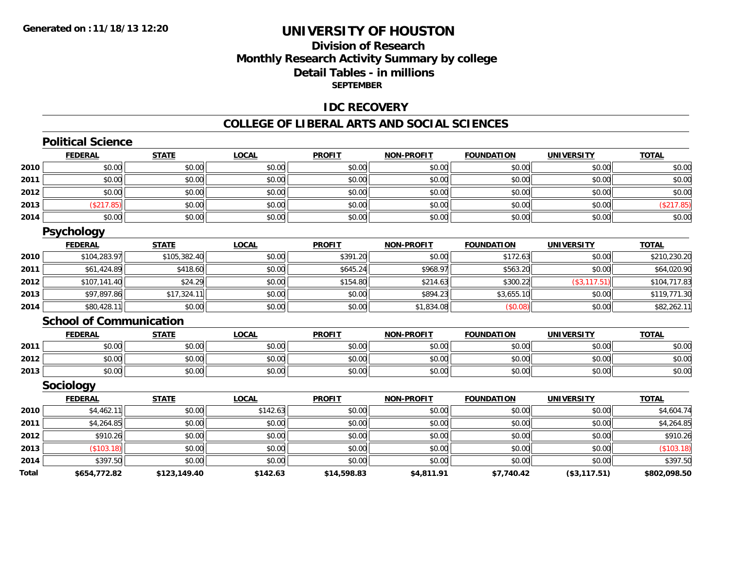# **Division of ResearchMonthly Research Activity Summary by college Detail Tables - in millions SEPTEMBER**

### **IDC RECOVERY**

#### **COLLEGE OF LIBERAL ARTS AND SOCIAL SCIENCES**

|       | <b>Political Science</b>       |              |              |               |                   |                   |                   |              |
|-------|--------------------------------|--------------|--------------|---------------|-------------------|-------------------|-------------------|--------------|
|       | <b>FEDERAL</b>                 | <b>STATE</b> | <b>LOCAL</b> | <b>PROFIT</b> | <b>NON-PROFIT</b> | <b>FOUNDATION</b> | <b>UNIVERSITY</b> | <b>TOTAL</b> |
| 2010  | \$0.00                         | \$0.00       | \$0.00       | \$0.00        | \$0.00            | \$0.00            | \$0.00            | \$0.00       |
| 2011  | \$0.00                         | \$0.00       | \$0.00       | \$0.00        | \$0.00            | \$0.00            | \$0.00            | \$0.00       |
| 2012  | \$0.00                         | \$0.00       | \$0.00       | \$0.00        | \$0.00            | \$0.00            | \$0.00            | \$0.00       |
| 2013  | (\$217.85)                     | \$0.00       | \$0.00       | \$0.00        | \$0.00            | \$0.00            | \$0.00            | (\$217.85)   |
| 2014  | \$0.00                         | \$0.00       | \$0.00       | \$0.00        | \$0.00            | \$0.00            | \$0.00            | \$0.00       |
|       | <b>Psychology</b>              |              |              |               |                   |                   |                   |              |
|       | <b>FEDERAL</b>                 | <b>STATE</b> | <b>LOCAL</b> | <b>PROFIT</b> | <b>NON-PROFIT</b> | <b>FOUNDATION</b> | <b>UNIVERSITY</b> | <b>TOTAL</b> |
| 2010  | \$104,283.97                   | \$105,382.40 | \$0.00       | \$391.20      | \$0.00            | \$172.63          | \$0.00            | \$210,230.20 |
| 2011  | \$61,424.89                    | \$418.60     | \$0.00       | \$645.24      | \$968.97          | \$563.20          | \$0.00            | \$64,020.90  |
| 2012  | \$107,141.40                   | \$24.29      | \$0.00       | \$154.80      | \$214.63          | \$300.22          | (\$3,117.51)      | \$104,717.83 |
| 2013  | \$97,897.86                    | \$17,324.11  | \$0.00       | \$0.00        | \$894.23          | \$3,655.10        | \$0.00            | \$119,771.30 |
| 2014  | \$80,428.11                    | \$0.00       | \$0.00       | \$0.00        | \$1,834.08        | (\$0.08)          | \$0.00            | \$82,262.11  |
|       | <b>School of Communication</b> |              |              |               |                   |                   |                   |              |
|       | <b>FEDERAL</b>                 | <b>STATE</b> | <b>LOCAL</b> | <b>PROFIT</b> | <b>NON-PROFIT</b> | <b>FOUNDATION</b> | <b>UNIVERSITY</b> | <b>TOTAL</b> |
| 2011  | \$0.00                         | \$0.00       | \$0.00       | \$0.00        | \$0.00            | \$0.00            | \$0.00            | \$0.00       |
| 2012  | \$0.00                         | \$0.00       | \$0.00       | \$0.00        | \$0.00            | \$0.00            | \$0.00            | \$0.00       |
| 2013  | \$0.00                         | \$0.00       | \$0.00       | \$0.00        | \$0.00            | \$0.00            | \$0.00            | \$0.00       |
|       | <b>Sociology</b>               |              |              |               |                   |                   |                   |              |
|       | <b>FEDERAL</b>                 | <b>STATE</b> | <b>LOCAL</b> | <b>PROFIT</b> | <b>NON-PROFIT</b> | <b>FOUNDATION</b> | <b>UNIVERSITY</b> | <b>TOTAL</b> |
| 2010  | \$4,462.11                     | \$0.00       | \$142.63     | \$0.00        | \$0.00            | \$0.00            | \$0.00            | \$4,604.74   |
| 2011  | \$4,264.85                     | \$0.00       | \$0.00       | \$0.00        | \$0.00            | \$0.00            | \$0.00            | \$4,264.85   |
| 2012  | \$910.26                       | \$0.00       | \$0.00       | \$0.00        | \$0.00            | \$0.00            | \$0.00            | \$910.26     |
| 2013  | (\$103.18)                     | \$0.00       | \$0.00       | \$0.00        | \$0.00            | \$0.00            | \$0.00            | (\$103.18)   |
| 2014  | \$397.50                       | \$0.00       | \$0.00       | \$0.00        | \$0.00            | \$0.00            | \$0.00            | \$397.50     |
| Total | \$654,772.82                   | \$123,149.40 | \$142.63     | \$14,598.83   | \$4,811.91        | \$7,740.42        | (\$3,117.51)      | \$802,098.50 |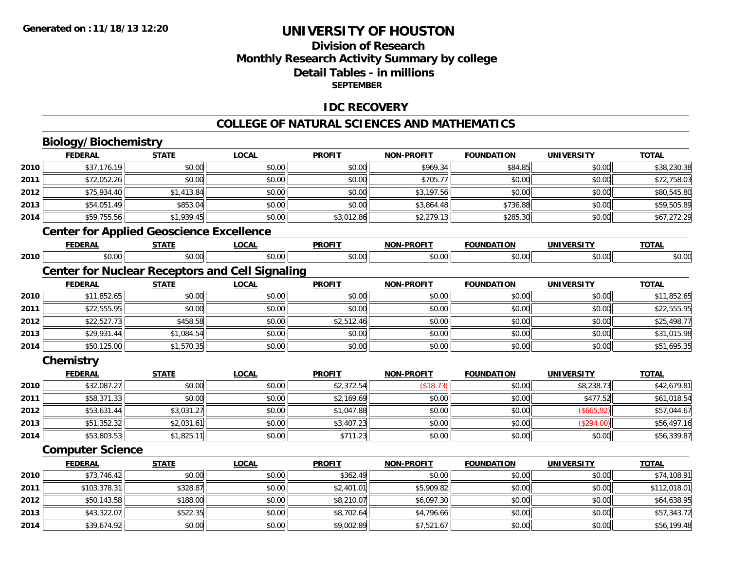# **Division of ResearchMonthly Research Activity Summary by college Detail Tables - in millions SEPTEMBER**

### **IDC RECOVERY**

#### **COLLEGE OF NATURAL SCIENCES AND MATHEMATICS**

# **Biology/Biochemistry**

|      | <b>FEDERAL</b>                                         | <b>STATE</b> | <b>LOCAL</b> | <b>PROFIT</b> | <b>NON-PROFIT</b> | <b>FOUNDATION</b> | <b>UNIVERSITY</b> | <b>TOTAL</b> |
|------|--------------------------------------------------------|--------------|--------------|---------------|-------------------|-------------------|-------------------|--------------|
| 2010 | \$37,176.19                                            | \$0.00       | \$0.00       | \$0.00        | \$969.34          | \$84.85           | \$0.00            | \$38,230.38  |
| 2011 | \$72,052.26                                            | \$0.00       | \$0.00       | \$0.00        | \$705.77          | \$0.00            | \$0.00            | \$72,758.03  |
| 2012 | \$75,934.40                                            | \$1,413.84   | \$0.00       | \$0.00        | \$3,197.56        | \$0.00            | \$0.00            | \$80,545.80  |
| 2013 | \$54,051.49                                            | \$853.04     | \$0.00       | \$0.00        | \$3,864.48        | \$736.88          | \$0.00            | \$59,505.89  |
| 2014 | \$59,755.56                                            | \$1,939.45   | \$0.00       | \$3,012.86    | \$2,279.13        | \$285.30          | \$0.00            | \$67,272.29  |
|      | <b>Center for Applied Geoscience Excellence</b>        |              |              |               |                   |                   |                   |              |
|      | <b>FEDERAL</b>                                         | <b>STATE</b> | <b>LOCAL</b> | <b>PROFIT</b> | <b>NON-PROFIT</b> | <b>FOUNDATION</b> | <b>UNIVERSITY</b> | <b>TOTAL</b> |
| 2010 | \$0.00                                                 | \$0.00       | \$0.00       | \$0.00        | \$0.00            | \$0.00            | \$0.00            | \$0.00       |
|      | <b>Center for Nuclear Receptors and Cell Signaling</b> |              |              |               |                   |                   |                   |              |
|      | <b>FEDERAL</b>                                         | <b>STATE</b> | <b>LOCAL</b> | <b>PROFIT</b> | <b>NON-PROFIT</b> | <b>FOUNDATION</b> | <b>UNIVERSITY</b> | <b>TOTAL</b> |
| 2010 | \$11,852.65                                            | \$0.00       | \$0.00       | \$0.00        | \$0.00            | \$0.00            | \$0.00            | \$11,852.65  |
| 2011 | \$22,555.95                                            | \$0.00       | \$0.00       | \$0.00        | \$0.00            | \$0.00            | \$0.00            | \$22,555.95  |
| 2012 | \$22,527.73                                            | \$458.58     | \$0.00       | \$2,512.46    | \$0.00            | \$0.00            | \$0.00            | \$25,498.77  |
| 2013 | \$29,931.44                                            | \$1,084.54   | \$0.00       | \$0.00        | \$0.00            | \$0.00            | \$0.00            | \$31,015.98  |
| 2014 | \$50,125.00                                            | \$1,570.35   | \$0.00       | \$0.00        | \$0.00            | \$0.00            | \$0.00            | \$51,695.35  |
|      | Chemistry                                              |              |              |               |                   |                   |                   |              |
|      | <b>FEDERAL</b>                                         | <b>STATE</b> | <b>LOCAL</b> | <b>PROFIT</b> | <b>NON-PROFIT</b> | <b>FOUNDATION</b> | <b>UNIVERSITY</b> | <b>TOTAL</b> |
| 2010 | \$32,087.27                                            | \$0.00       | \$0.00       | \$2,372.54    | (\$18.73)         | \$0.00            | \$8,238.73        | \$42,679.81  |
| 2011 | \$58,371.33                                            | \$0.00       | \$0.00       | \$2,169.69    | \$0.00            | \$0.00            | \$477.52          | \$61,018.54  |
| 2012 | \$53,631.44                                            | \$3,031.27   | \$0.00       | \$1,047.88    | \$0.00            | \$0.00            | (\$665.92)        | \$57,044.67  |
| 2013 | \$51,352.32                                            | \$2,031.61   | \$0.00       | \$3,407.23    | \$0.00            | \$0.00            | (\$294.00)        | \$56,497.16  |
| 2014 | \$53,803.53                                            | \$1,825.11   | \$0.00       | \$711.23      | \$0.00            | \$0.00            | \$0.00            | \$56,339.87  |
|      | <b>Computer Science</b>                                |              |              |               |                   |                   |                   |              |
|      | <b>FEDERAL</b>                                         | <b>STATE</b> | <b>LOCAL</b> | <b>PROFIT</b> | <b>NON-PROFIT</b> | <b>FOUNDATION</b> | <b>UNIVERSITY</b> | <b>TOTAL</b> |
| 2010 | \$73,746.42                                            | \$0.00       | \$0.00       | \$362.49      | \$0.00            | \$0.00            | \$0.00            | \$74,108.91  |
| 2011 | \$103,378.31                                           | \$328.87     | \$0.00       | \$2,401.01    | \$5,909.82        | \$0.00            | \$0.00            | \$112,018.01 |
| 2012 | \$50,143.58                                            | \$188.00     | \$0.00       | \$8,210.07    | \$6,097.30        | \$0.00            | \$0.00            | \$64,638.95  |
| 2013 | \$43,322.07                                            | \$522.35     | \$0.00       | \$8,702.64    | \$4,796.66        | \$0.00            | \$0.00            | \$57,343.72  |
| 2014 | \$39,674.92                                            | \$0.00       | \$0.00       | \$9,002.89    | \$7,521.67        | \$0.00            | \$0.00            | \$56,199.48  |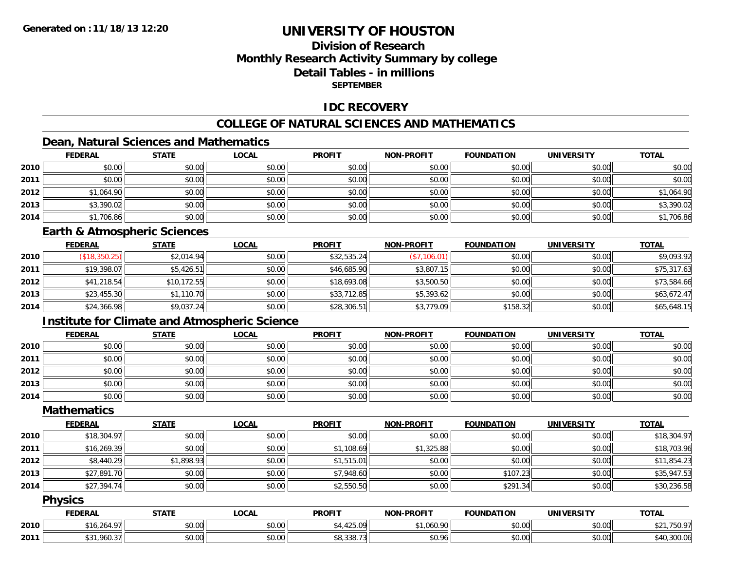## **Division of ResearchMonthly Research Activity Summary by college Detail Tables - in millionsSEPTEMBER**

### **IDC RECOVERY**

## **COLLEGE OF NATURAL SCIENCES AND MATHEMATICS**

## **Dean, Natural Sciences and Mathematics**

|      | <u>FEDERAL</u> | <b>STATE</b> | <u>LOCAL</u> | <b>PROFIT</b> | <b>NON-PROFIT</b> | <b>FOUNDATION</b> | <b>UNIVERSITY</b> | <b>TOTAL</b> |
|------|----------------|--------------|--------------|---------------|-------------------|-------------------|-------------------|--------------|
| 2010 | \$0.00         | \$0.00       | \$0.00       | \$0.00        | \$0.00            | \$0.00            | \$0.00            | \$0.00       |
| 2011 | \$0.00         | \$0.00       | \$0.00       | \$0.00        | \$0.00            | \$0.00            | \$0.00            | \$0.00       |
| 2012 | \$1,064.90     | \$0.00       | \$0.00       | \$0.00        | \$0.00            | \$0.00            | \$0.00            | \$1,064.90   |
| 2013 | \$3,390.02     | \$0.00       | \$0.00       | \$0.00        | \$0.00            | \$0.00            | \$0.00            | \$3,390.02   |
| 2014 | \$1,706.86     | \$0.00       | \$0.00       | \$0.00        | \$0.00            | \$0.00            | \$0.00            | \$1,706.86   |

### **Earth & Atmospheric Sciences**

|      | <b>FEDERAL</b> | <u>STATE</u> | <b>LOCAL</b> | <b>PROFIT</b> | <b>NON-PROFIT</b> | <b>FOUNDATION</b> | <b>UNIVERSITY</b> | <b>TOTAL</b> |
|------|----------------|--------------|--------------|---------------|-------------------|-------------------|-------------------|--------------|
| 2010 | (\$18,350.25)  | \$2,014.94   | \$0.00       | \$32,535.24   | (\$7,106.01)      | \$0.00            | \$0.00            | \$9,093.92   |
| 2011 | \$19,398.07    | \$5,426.51   | \$0.00       | \$46,685.90   | \$3,807.15        | \$0.00            | \$0.00            | \$75,317.63  |
| 2012 | \$41,218.54    | \$10,172.55  | \$0.00       | \$18,693.08   | \$3,500.50        | \$0.00            | \$0.00            | \$73,584.66  |
| 2013 | \$23,455.30    | \$1,110.70   | \$0.00       | \$33,712.85   | \$5,393.62        | \$0.00            | \$0.00            | \$63,672.47  |
| 2014 | \$24,366.98    | \$9,037.24   | \$0.00       | \$28,306.51   | \$3,779.09        | \$158.32          | \$0.00            | \$65,648.15  |

# **Institute for Climate and Atmospheric Science**

|      | <b>FEDERAL</b> | <b>STATE</b> | <b>LOCAL</b> | <b>PROFIT</b> | <b>NON-PROFIT</b> | <b>FOUNDATION</b> | <b>UNIVERSITY</b> | <b>TOTAL</b> |
|------|----------------|--------------|--------------|---------------|-------------------|-------------------|-------------------|--------------|
| 2010 | \$0.00         | \$0.00       | \$0.00       | \$0.00        | \$0.00            | \$0.00            | \$0.00            | \$0.00       |
| 2011 | \$0.00         | \$0.00       | \$0.00       | \$0.00        | \$0.00            | \$0.00            | \$0.00            | \$0.00       |
| 2012 | \$0.00         | \$0.00       | \$0.00       | \$0.00        | \$0.00            | \$0.00            | \$0.00            | \$0.00       |
| 2013 | \$0.00         | \$0.00       | \$0.00       | \$0.00        | \$0.00            | \$0.00            | \$0.00            | \$0.00       |
| 2014 | \$0.00         | \$0.00       | \$0.00       | \$0.00        | \$0.00            | \$0.00            | \$0.00            | \$0.00       |

#### **Mathematics**

|      | <b>FEDERAL</b> | <b>STATE</b> | <u>LOCAL</u> | <b>PROFIT</b> | <b>NON-PROFIT</b> | <b>FOUNDATION</b> | <b>UNIVERSITY</b> | <b>TOTAL</b> |
|------|----------------|--------------|--------------|---------------|-------------------|-------------------|-------------------|--------------|
| 2010 | \$18,304.97    | \$0.00       | \$0.00       | \$0.00        | \$0.00            | \$0.00            | \$0.00            | \$18,304.97  |
| 2011 | \$16,269.39    | \$0.00       | \$0.00       | \$1,108.69    | \$1,325.88        | \$0.00            | \$0.00            | \$18,703.96  |
| 2012 | \$8,440.29     | \$1,898.93   | \$0.00       | \$1,515.01    | \$0.00            | \$0.00            | \$0.00            | \$11,854.23  |
| 2013 | \$27,891.70    | \$0.00       | \$0.00       | \$7,948.60    | \$0.00            | \$107.23          | \$0.00            | \$35,947.53  |
| 2014 | \$27,394.74    | \$0.00       | \$0.00       | \$2,550.50    | \$0.00            | \$291.34          | \$0.00            | \$30,236.58  |

#### **Physics**

|      | <b>FEDERAL</b>                   | $C = A + C$   | .OCAI                  | <b>PROFIT</b>                               | $LDD$ $N$<br>៱៲កស             | <b>DUNDATION</b>                       | $-1 - 1 - 1$         | <b>TOTAL</b> |
|------|----------------------------------|---------------|------------------------|---------------------------------------------|-------------------------------|----------------------------------------|----------------------|--------------|
| 2010 | $\sim$<br>Ан.                    | 0000<br>pu.uu | $\sim$ 00<br>₽∪.∪∪     | $\sqrt{2}$<br>$\sim$<br>. محل. ل <u>ح</u> د | 00 NAN 01                     | $\overline{a}$ $\overline{a}$<br>vv.vv | 0.00<br>vu.vu        | , JU         |
| 2011 | $\uparrow$ $\uparrow$<br>,,,,,,, | 0000<br>JU.UU | ተ ሶ<br>$\sim$<br>vu.uu | JO.JJO.J                                    | $*$ $\cap$ $\Omega$<br>PO. AO | JU.UU                                  | 0.00<br><b>JU.UU</b> | 40,300.0     |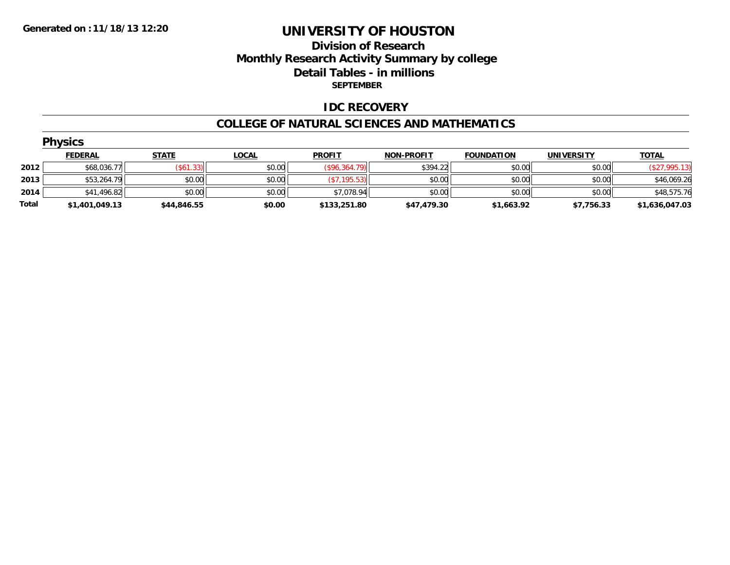## **Division of Research Monthly Research Activity Summary by college Detail Tables - in millions SEPTEMBER**

#### **IDC RECOVERY**

#### **COLLEGE OF NATURAL SCIENCES AND MATHEMATICS**

|       | <b>Physics</b> |              |              |               |                   |                   |                   |                |  |  |  |  |
|-------|----------------|--------------|--------------|---------------|-------------------|-------------------|-------------------|----------------|--|--|--|--|
|       | <b>FEDERAL</b> | <b>STATE</b> | <b>LOCAL</b> | <b>PROFIT</b> | <b>NON-PROFIT</b> | <b>FOUNDATION</b> | <b>UNIVERSITY</b> | <b>TOTAL</b>   |  |  |  |  |
| 2012  | \$68,036.77    | (\$61.33)    | \$0.00       | (\$96,364.79) | \$394.22          | \$0.00            | \$0.00            | (\$27,995.13)  |  |  |  |  |
| 2013  | \$53,264.79    | \$0.00       | \$0.00       | (\$7,195.53)  | \$0.00            | \$0.00            | \$0.00            | \$46,069.26    |  |  |  |  |
| 2014  | \$41,496.82    | \$0.00       | \$0.00       | \$7,078.94    | \$0.00            | \$0.00            | \$0.00            | \$48,575.76    |  |  |  |  |
| Total | \$1,401,049.13 | \$44,846.55  | \$0.00       | \$133,251.80  | \$47,479.30       | \$1,663.92        | \$7,756.33        | \$1,636,047.03 |  |  |  |  |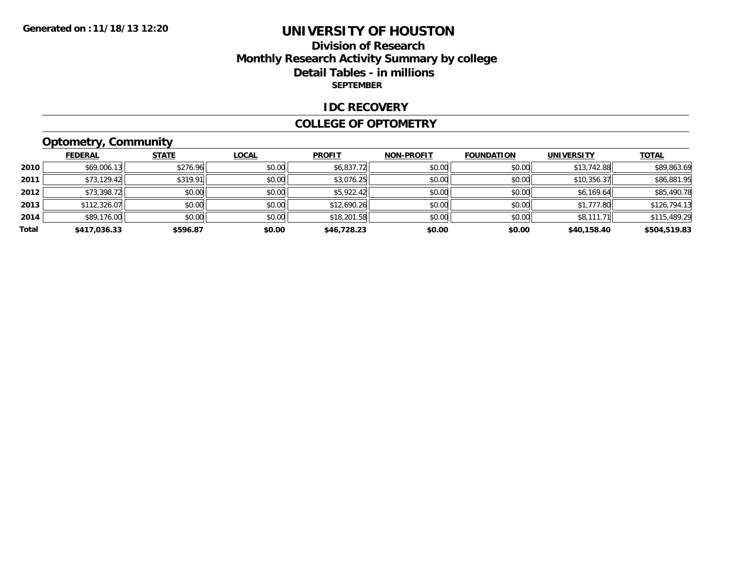## **Division of Research Monthly Research Activity Summary by college Detail Tables - in millions SEPTEMBER**

#### **IDC RECOVERY**

#### **COLLEGE OF OPTOMETRY**

# **Optometry, Community**

|       | <b>FEDERAL</b> | <b>STATE</b> | <b>LOCAL</b> | <b>PROFIT</b> | <b>NON-PROFIT</b> | <b>FOUNDATION</b> | <b>UNIVERSITY</b> | <b>TOTAL</b> |
|-------|----------------|--------------|--------------|---------------|-------------------|-------------------|-------------------|--------------|
| 2010  | \$69,006.13    | \$276.96     | \$0.00       | \$6,837.72    | \$0.00            | \$0.00            | \$13,742.88       | \$89,863.69  |
| 2011  | \$73,129.42    | \$319.91     | \$0.00       | \$3,076.25    | \$0.00            | \$0.00            | \$10,356.37       | \$86,881.95  |
| 2012  | \$73,398.72    | \$0.00       | \$0.00       | \$5,922.42    | \$0.00            | \$0.00            | \$6,169.64        | \$85,490.78  |
| 2013  | \$112,326.07   | \$0.00       | \$0.00       | \$12,690.26   | \$0.00            | \$0.00            | \$1,777.80        | \$126,794.13 |
| 2014  | \$89,176.00    | \$0.00       | \$0.00       | \$18,201.58   | \$0.00            | \$0.00            | \$8,111.71        | \$115,489.29 |
| Total | \$417,036.33   | \$596.87     | \$0.00       | \$46,728.23   | \$0.00            | \$0.00            | \$40,158.40       | \$504,519.83 |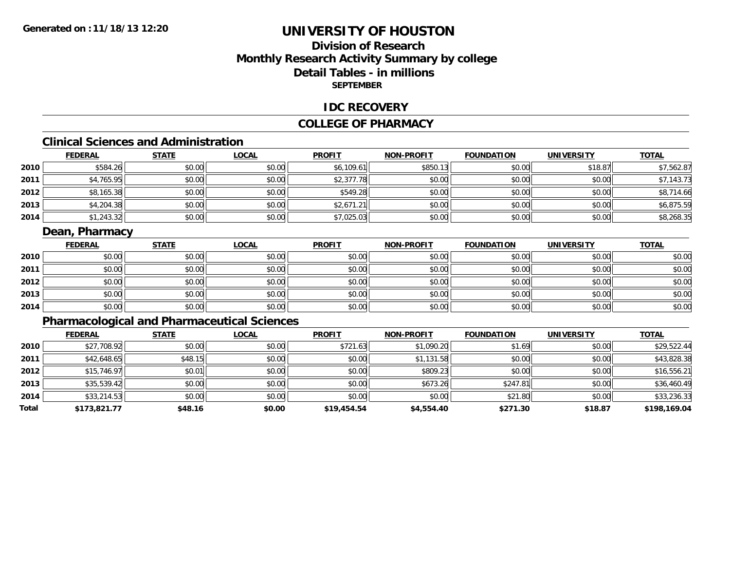## **Division of ResearchMonthly Research Activity Summary by college Detail Tables - in millions SEPTEMBER**

### **IDC RECOVERY**

### **COLLEGE OF PHARMACY**

# **Clinical Sciences and Administration**

|      | <b>FEDERAL</b> | <b>STATE</b> | <b>LOCAL</b> | <b>PROFIT</b> | <b>NON-PROFIT</b> | <b>FOUNDATION</b> | <b>UNIVERSITY</b> | <b>TOTAL</b> |
|------|----------------|--------------|--------------|---------------|-------------------|-------------------|-------------------|--------------|
| 2010 | \$584.26       | \$0.00       | \$0.00       | \$6,109.61    | \$850.13          | \$0.00            | \$18.87           | \$7,562.87   |
| 2011 | \$4,765.95     | \$0.00       | \$0.00       | \$2,377.78    | \$0.00            | \$0.00            | \$0.00            | \$7,143.73   |
| 2012 | \$8,165.38     | \$0.00       | \$0.00       | \$549.28      | \$0.00            | \$0.00            | \$0.00            | \$8,714.66   |
| 2013 | \$4,204.38     | \$0.00       | \$0.00       | \$2,671.21    | \$0.00            | \$0.00            | \$0.00            | \$6,875.59   |
| 2014 | \$1,243.32     | \$0.00       | \$0.00       | \$7,025.03    | \$0.00            | \$0.00            | \$0.00            | \$8,268.35   |

# **Dean, Pharmacy**

|      | <u>FEDERAL</u> | <b>STATE</b> | <b>LOCAL</b> | <b>PROFIT</b> | <b>NON-PROFIT</b> | <b>FOUNDATION</b> | <b>UNIVERSITY</b> | <b>TOTAL</b> |
|------|----------------|--------------|--------------|---------------|-------------------|-------------------|-------------------|--------------|
| 2010 | \$0.00         | \$0.00       | \$0.00       | \$0.00        | \$0.00            | \$0.00            | \$0.00            | \$0.00       |
| 2011 | \$0.00         | \$0.00       | \$0.00       | \$0.00        | \$0.00            | \$0.00            | \$0.00            | \$0.00       |
| 2012 | \$0.00         | \$0.00       | \$0.00       | \$0.00        | \$0.00            | \$0.00            | \$0.00            | \$0.00       |
| 2013 | \$0.00         | \$0.00       | \$0.00       | \$0.00        | \$0.00            | \$0.00            | \$0.00            | \$0.00       |
| 2014 | \$0.00         | \$0.00       | \$0.00       | \$0.00        | \$0.00            | \$0.00            | \$0.00            | \$0.00       |

# **Pharmacological and Pharmaceutical Sciences**

|       | <b>FEDERAL</b> | <b>STATE</b> | <b>LOCAL</b> | <b>PROFIT</b> | <b>NON-PROFIT</b> | <b>FOUNDATION</b> | <b>UNIVERSITY</b> | <b>TOTAL</b> |
|-------|----------------|--------------|--------------|---------------|-------------------|-------------------|-------------------|--------------|
| 2010  | \$27,708.92    | \$0.00       | \$0.00       | \$721.63      | \$1,090.20        | \$1.69            | \$0.00            | \$29,522.44  |
| 2011  | \$42,648.65    | \$48.15      | \$0.00       | \$0.00        | \$1,131.58        | \$0.00            | \$0.00            | \$43,828.38  |
| 2012  | \$15,746.97    | \$0.01       | \$0.00       | \$0.00        | \$809.23          | \$0.00            | \$0.00            | \$16,556.21  |
| 2013  | \$35,539.42    | \$0.00       | \$0.00       | \$0.00        | \$673.26          | \$247.81          | \$0.00            | \$36,460.49  |
| 2014  | \$33,214.53    | \$0.00       | \$0.00       | \$0.00        | \$0.00            | \$21.80           | \$0.00            | \$33,236.33  |
| Total | \$173,821.77   | \$48.16      | \$0.00       | \$19,454.54   | \$4,554.40        | \$271.30          | \$18.87           | \$198,169.04 |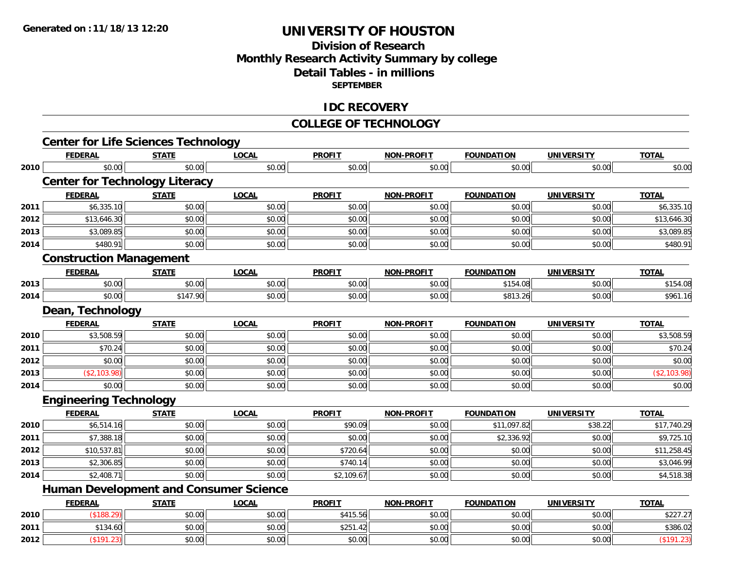# **Division of ResearchMonthly Research Activity Summary by college Detail Tables - in millions SEPTEMBER**

### **IDC RECOVERY**

#### **COLLEGE OF TECHNOLOGY**

|      | <b>Center for Life Sciences Technology</b>    |              |              |               |                   |                   |                   |              |
|------|-----------------------------------------------|--------------|--------------|---------------|-------------------|-------------------|-------------------|--------------|
|      | <b>FEDERAL</b>                                | <b>STATE</b> | <b>LOCAL</b> | <b>PROFIT</b> | <b>NON-PROFIT</b> | <b>FOUNDATION</b> | <b>UNIVERSITY</b> | <b>TOTAL</b> |
| 2010 | \$0.00                                        | \$0.00       | \$0.00       | \$0.00        | \$0.00            | \$0.00            | \$0.00            | \$0.00       |
|      | <b>Center for Technology Literacy</b>         |              |              |               |                   |                   |                   |              |
|      | <b>FEDERAL</b>                                | <b>STATE</b> | <b>LOCAL</b> | <b>PROFIT</b> | <b>NON-PROFIT</b> | <b>FOUNDATION</b> | <b>UNIVERSITY</b> | <b>TOTAL</b> |
| 2011 | \$6,335.10                                    | \$0.00       | \$0.00       | \$0.00        | \$0.00            | \$0.00            | \$0.00            | \$6,335.10   |
| 2012 | \$13,646.30                                   | \$0.00       | \$0.00       | \$0.00        | \$0.00            | \$0.00            | \$0.00            | \$13,646.30  |
| 2013 | \$3,089.85                                    | \$0.00       | \$0.00       | \$0.00        | \$0.00            | \$0.00            | \$0.00            | \$3,089.85   |
| 2014 | \$480.91                                      | \$0.00       | \$0.00       | \$0.00        | \$0.00            | \$0.00            | \$0.00            | \$480.91     |
|      | <b>Construction Management</b>                |              |              |               |                   |                   |                   |              |
|      | <b>FEDERAL</b>                                | <b>STATE</b> | <b>LOCAL</b> | <b>PROFIT</b> | <b>NON-PROFIT</b> | <b>FOUNDATION</b> | <b>UNIVERSITY</b> | <b>TOTAL</b> |
| 2013 | \$0.00                                        | \$0.00       | \$0.00       | \$0.00        | \$0.00            | \$154.08          | \$0.00            | \$154.08     |
| 2014 | \$0.00                                        | \$147.90     | \$0.00       | \$0.00        | \$0.00            | \$813.26          | \$0.00            | \$961.16     |
|      | Dean, Technology                              |              |              |               |                   |                   |                   |              |
|      | <b>FEDERAL</b>                                | <b>STATE</b> | <b>LOCAL</b> | <b>PROFIT</b> | <b>NON-PROFIT</b> | <b>FOUNDATION</b> | <b>UNIVERSITY</b> | <b>TOTAL</b> |
| 2010 | \$3,508.59                                    | \$0.00       | \$0.00       | \$0.00        | \$0.00            | \$0.00            | \$0.00            | \$3,508.59   |
| 2011 | \$70.24                                       | \$0.00       | \$0.00       | \$0.00        | \$0.00            | \$0.00            | \$0.00            | \$70.24      |
| 2012 | \$0.00                                        | \$0.00       | \$0.00       | \$0.00        | \$0.00            | \$0.00            | \$0.00            | \$0.00       |
| 2013 | (\$2,103.98)                                  | \$0.00       | \$0.00       | \$0.00        | \$0.00            | \$0.00            | \$0.00            | (\$2,103.98) |
| 2014 | \$0.00                                        | \$0.00       | \$0.00       | \$0.00        | \$0.00            | \$0.00            | \$0.00            | \$0.00       |
|      | <b>Engineering Technology</b>                 |              |              |               |                   |                   |                   |              |
|      | <b>FEDERAL</b>                                | <b>STATE</b> | <b>LOCAL</b> | <b>PROFIT</b> | <b>NON-PROFIT</b> | <b>FOUNDATION</b> | <b>UNIVERSITY</b> | <b>TOTAL</b> |
| 2010 | \$6,514.16                                    | \$0.00       | \$0.00       | \$90.09       | \$0.00            | \$11,097.82       | \$38.22           | \$17,740.29  |
| 2011 | \$7,388.18                                    | \$0.00       | \$0.00       | \$0.00        | \$0.00            | \$2,336.92        | \$0.00            | \$9,725.10   |
| 2012 | \$10,537.81                                   | \$0.00       | \$0.00       | \$720.64      | \$0.00            | \$0.00            | \$0.00            | \$11,258.45  |
| 2013 | \$2,306.85                                    | \$0.00       | \$0.00       | \$740.14      | \$0.00            | \$0.00            | \$0.00            | \$3,046.99   |
| 2014 | \$2,408.71                                    | \$0.00       | \$0.00       | \$2,109.67    | \$0.00            | \$0.00            | \$0.00            | \$4,518.38   |
|      | <b>Human Development and Consumer Science</b> |              |              |               |                   |                   |                   |              |
|      | <b>FEDERAL</b>                                | <b>STATE</b> | <b>LOCAL</b> | <b>PROFIT</b> | <b>NON-PROFIT</b> | <b>FOUNDATION</b> | <b>UNIVERSITY</b> | <b>TOTAL</b> |
| 2010 | (\$188.29)                                    | \$0.00       | \$0.00       | \$415.56      | \$0.00            | \$0.00            | \$0.00            | \$227.27     |
| 2011 | \$134.60                                      | \$0.00       | \$0.00       | \$251.42      | \$0.00            | \$0.00            | \$0.00            | \$386.02     |
| 2012 | (\$191.23)                                    | \$0.00       | \$0.00       | \$0.00        | \$0.00            | \$0.00            | \$0.00            | (\$191.23)   |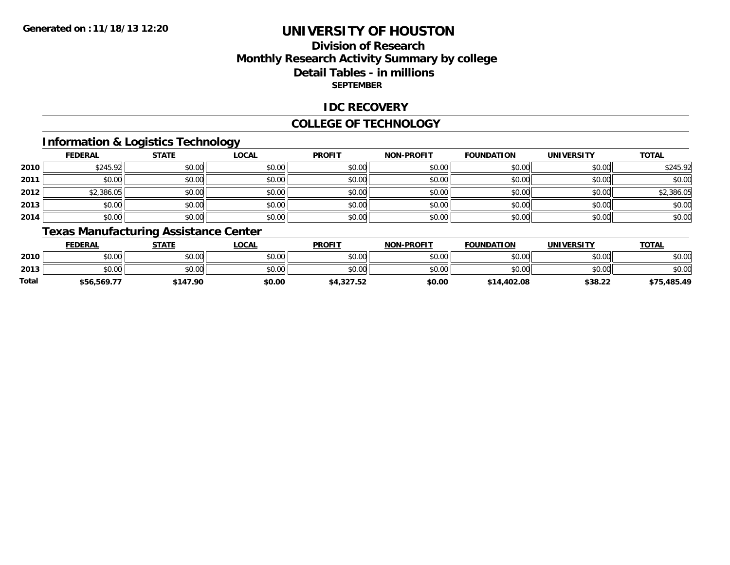# **Division of ResearchMonthly Research Activity Summary by college Detail Tables - in millions SEPTEMBER**

### **IDC RECOVERY**

#### **COLLEGE OF TECHNOLOGY**

## **Information & Logistics Technology**

|      | <b>FEDERAL</b> | <b>STATE</b> | <u>LOCAL</u> | <b>PROFIT</b> | <b>NON-PROFIT</b> | <b>FOUNDATION</b> | <b>UNIVERSITY</b> | <b>TOTAL</b> |
|------|----------------|--------------|--------------|---------------|-------------------|-------------------|-------------------|--------------|
| 2010 | \$245.92       | \$0.00       | \$0.00       | \$0.00        | \$0.00            | \$0.00            | \$0.00            | \$245.92     |
| 2011 | \$0.00         | \$0.00       | \$0.00       | \$0.00        | \$0.00            | \$0.00            | \$0.00            | \$0.00       |
| 2012 | \$2,386.05     | \$0.00       | \$0.00       | \$0.00        | \$0.00            | \$0.00            | \$0.00            | \$2,386.05   |
| 2013 | \$0.00         | \$0.00       | \$0.00       | \$0.00        | \$0.00            | \$0.00            | \$0.00            | \$0.00       |
| 2014 | \$0.00         | \$0.00       | \$0.00       | \$0.00        | \$0.00            | \$0.00            | \$0.00            | \$0.00       |

# **Texas Manufacturing Assistance Center**

|              | <b>FEDERAL</b> | <b>STATE</b> | LOCAL  | <b>PROFIT</b> | <b>NON-PROFIT</b> | <b>FOUNDATION</b> | <b>UNIVERSITY</b> | <b>TOTAL</b> |
|--------------|----------------|--------------|--------|---------------|-------------------|-------------------|-------------------|--------------|
| 2010         | \$0.00         | \$0.00       | \$0.00 | \$0.00        | \$0.00            | \$0.00            | \$0.00            | \$0.00       |
| 2013         | \$0.00         | \$0.00       | \$0.00 | \$0.00        | \$0.00            | \$0.00            | \$0.00            | \$0.00       |
| <b>Total</b> | \$56,569.77    | \$147.90     | \$0.00 | \$4,327.52    | \$0.00            | \$14,402.08       | \$38.22           | \$75,485.49  |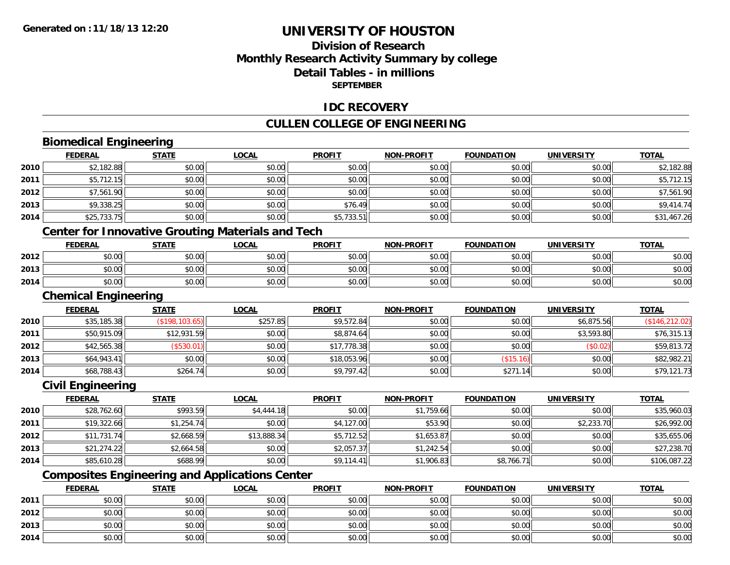# **Division of ResearchMonthly Research Activity Summary by college Detail Tables - in millions SEPTEMBER**

### **IDC RECOVERY**

# **CULLEN COLLEGE OF ENGINEERING**

# **Biomedical Engineering**

|      | <b>FEDERAL</b>                                 | <b>STATE</b>    | <b>LOCAL</b>                                             | <b>PROFIT</b> | <b>NON-PROFIT</b> | <b>FOUNDATION</b> | <b>UNIVERSITY</b> | <b>TOTAL</b>    |
|------|------------------------------------------------|-----------------|----------------------------------------------------------|---------------|-------------------|-------------------|-------------------|-----------------|
| 2010 | \$2,182.88                                     | \$0.00          | \$0.00                                                   | \$0.00        | \$0.00            | \$0.00            | \$0.00            | \$2,182.88      |
| 2011 | \$5,712.15                                     | \$0.00          | \$0.00                                                   | \$0.00        | \$0.00            | \$0.00            | \$0.00            | \$5,712.15      |
| 2012 | \$7,561.90                                     | \$0.00          | \$0.00                                                   | \$0.00        | \$0.00            | \$0.00            | \$0.00            | \$7,561.90      |
| 2013 | \$9,338.25                                     | \$0.00          | \$0.00                                                   | \$76.49       | \$0.00            | \$0.00            | \$0.00            | \$9,414.74      |
| 2014 | \$25,733.75                                    | \$0.00          | \$0.00                                                   | \$5,733.51    | \$0.00            | \$0.00            | \$0.00            | \$31,467.26     |
|      |                                                |                 | <b>Center for Innovative Grouting Materials and Tech</b> |               |                   |                   |                   |                 |
|      | <b>FEDERAL</b>                                 | <b>STATE</b>    | <b>LOCAL</b>                                             | <b>PROFIT</b> | <b>NON-PROFIT</b> | <b>FOUNDATION</b> | <b>UNIVERSITY</b> | <b>TOTAL</b>    |
| 2012 | \$0.00                                         | \$0.00          | \$0.00                                                   | \$0.00        | \$0.00            | \$0.00            | \$0.00            | \$0.00          |
| 2013 | \$0.00                                         | \$0.00          | \$0.00                                                   | \$0.00        | \$0.00            | \$0.00            | \$0.00            | \$0.00          |
| 2014 | \$0.00                                         | \$0.00          | \$0.00                                                   | \$0.00        | \$0.00            | \$0.00            | \$0.00            | \$0.00          |
|      | <b>Chemical Engineering</b>                    |                 |                                                          |               |                   |                   |                   |                 |
|      | <b>FEDERAL</b>                                 | <b>STATE</b>    | <b>LOCAL</b>                                             | <b>PROFIT</b> | <b>NON-PROFIT</b> | <b>FOUNDATION</b> | <b>UNIVERSITY</b> | <b>TOTAL</b>    |
| 2010 | \$35,185.38                                    | (\$198, 103.65) | \$257.85                                                 | \$9,572.84    | \$0.00            | \$0.00            | \$6,875.56        | (\$146, 212.02) |
| 2011 | \$50,915.09                                    | \$12,931.59     | \$0.00                                                   | \$8,874.64    | \$0.00            | \$0.00            | \$3,593.80        | \$76,315.13     |
| 2012 | \$42,565.38                                    | (\$530.01)      | \$0.00                                                   | \$17,778.38   | \$0.00            | \$0.00            | (\$0.02)          | \$59,813.72     |
| 2013 | \$64,943.41                                    | \$0.00          | \$0.00                                                   | \$18,053.96   | \$0.00            | (\$15.16)         | \$0.00            | \$82,982.21     |
| 2014 | \$68,788.43                                    | \$264.74        | \$0.00                                                   | \$9,797.42    | \$0.00            | \$271.14          | \$0.00            | \$79,121.73     |
|      | <b>Civil Engineering</b>                       |                 |                                                          |               |                   |                   |                   |                 |
|      | <b>FEDERAL</b>                                 | <b>STATE</b>    | <b>LOCAL</b>                                             | <b>PROFIT</b> | <b>NON-PROFIT</b> | <b>FOUNDATION</b> | <b>UNIVERSITY</b> | <b>TOTAL</b>    |
| 2010 | \$28,762.60                                    | \$993.59        | \$4,444.18                                               | \$0.00        | \$1,759.66        | \$0.00            | \$0.00            | \$35,960.03     |
| 2011 | \$19,322.66                                    | \$1,254.74      | \$0.00                                                   | \$4,127.00    | \$53.90           | \$0.00            | \$2,233.70        | \$26,992.00     |
| 2012 | \$11,731.74                                    | \$2,668.59      | \$13,888.34                                              | \$5,712.52    | \$1,653.87        | \$0.00            | \$0.00            | \$35,655.06     |
| 2013 | \$21,274.22                                    | \$2,664.58      | \$0.00                                                   | \$2,057.37    | \$1,242.54        | \$0.00            | \$0.00            | \$27,238.70     |
| 2014 | \$85,610.28                                    | \$688.99        | \$0.00                                                   | \$9,114.41    | \$1,906.83        | \$8,766.71        | \$0.00            | \$106,087.22    |
|      | Compositor Engineering and Applications Contor |                 |                                                          |               |                   |                   |                   |                 |

#### **Composites Engineering and Applications Center**

|      | <b>FEDERAL</b> | <b>STATE</b> | <b>LOCAL</b> | <b>PROFIT</b> | <b>NON-PROFIT</b> | <b>FOUNDATION</b> | <b>UNIVERSITY</b> | <b>TOTAL</b> |
|------|----------------|--------------|--------------|---------------|-------------------|-------------------|-------------------|--------------|
| 2011 | \$0.00         | \$0.00       | \$0.00       | \$0.00        | \$0.00            | \$0.00            | \$0.00            | \$0.00       |
| 2012 | \$0.00         | \$0.00       | \$0.00       | \$0.00        | \$0.00            | \$0.00            | \$0.00            | \$0.00       |
| 2013 | \$0.00         | \$0.00       | \$0.00       | \$0.00        | \$0.00            | \$0.00            | \$0.00            | \$0.00       |
| 2014 | \$0.00         | \$0.00       | \$0.00       | \$0.00        | \$0.00            | \$0.00            | \$0.00            | \$0.00       |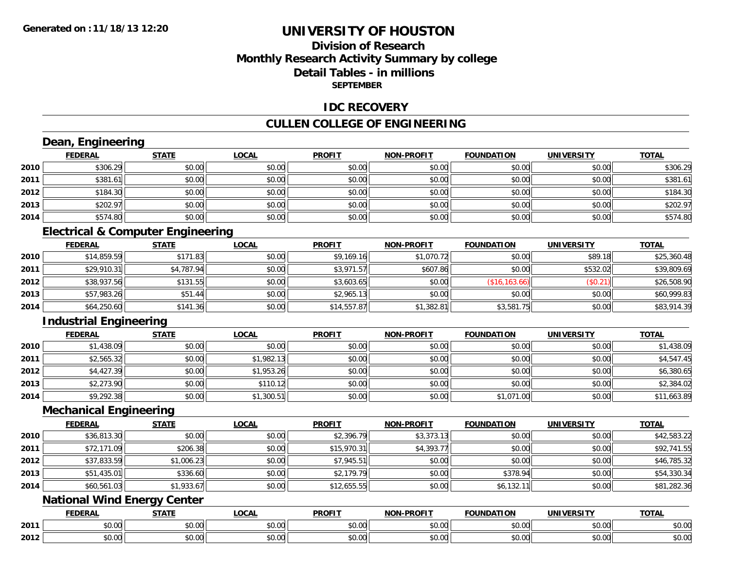## **Division of ResearchMonthly Research Activity Summary by college Detail Tables - in millionsSEPTEMBER**

### **IDC RECOVERY**

### **CULLEN COLLEGE OF ENGINEERING**

# **Dean, Engineering**

|      | <b>FEDERAL</b> | <b>STATE</b> | <u>LOCAL</u> | <b>PROFIT</b> | <b>NON-PROFIT</b> | <b>FOUNDATION</b> | <b>UNIVERSITY</b> | <u>TOTAL</u> |
|------|----------------|--------------|--------------|---------------|-------------------|-------------------|-------------------|--------------|
| 2010 | \$306.29       | \$0.00       | \$0.00       | \$0.00        | \$0.00            | \$0.00            | \$0.00            | \$306.29     |
| 2011 | \$381.61       | \$0.00       | \$0.00       | \$0.00        | \$0.00            | \$0.00            | \$0.00            | \$381.61     |
| 2012 | \$184.30       | \$0.00       | \$0.00       | \$0.00        | \$0.00            | \$0.00            | \$0.00            | \$184.30     |
| 2013 | \$202.97       | \$0.00       | \$0.00       | \$0.00        | \$0.00            | \$0.00            | \$0.00            | \$202.97     |
| 2014 | \$574.80       | \$0.00       | \$0.00       | \$0.00        | \$0.00            | \$0.00            | \$0.00            | \$574.80     |

## **Electrical & Computer Engineering**

|      | <b>FEDERAL</b> | <b>STATE</b> | <u>LOCAL</u> | <b>PROFIT</b> | <b>NON-PROFIT</b> | <b>FOUNDATION</b> | <b>UNIVERSITY</b> | <b>TOTAL</b> |
|------|----------------|--------------|--------------|---------------|-------------------|-------------------|-------------------|--------------|
| 2010 | \$14,859.59    | \$171.83     | \$0.00       | \$9,169.16    | \$1,070.72        | \$0.00            | \$89.18           | \$25,360.48  |
| 2011 | \$29,910.31    | \$4,787.94   | \$0.00       | \$3,971.57    | \$607.86          | \$0.00            | \$532.02          | \$39,809.69  |
| 2012 | \$38,937.56    | \$131.55     | \$0.00       | \$3,603.65    | \$0.00            | (S16.163.66)      | (S0.21)           | \$26,508.90  |
| 2013 | \$57,983.26    | \$51.44      | \$0.00       | \$2,965.13    | \$0.00            | \$0.00            | \$0.00            | \$60,999.83  |
| 2014 | \$64,250.60    | \$141.36     | \$0.00       | \$14,557.87   | \$1,382.81        | \$3,581.75        | \$0.00            | \$83,914.39  |

## **Industrial Engineering**

|      | <b>FEDERAL</b> | <b>STATE</b> | <u>LOCAL</u> | <b>PROFIT</b> | <b>NON-PROFIT</b> | <b>FOUNDATION</b> | <b>UNIVERSITY</b> | <b>TOTAL</b> |
|------|----------------|--------------|--------------|---------------|-------------------|-------------------|-------------------|--------------|
| 2010 | \$1,438.09     | \$0.00       | \$0.00       | \$0.00        | \$0.00            | \$0.00            | \$0.00            | \$1,438.09   |
| 2011 | \$2,565.32     | \$0.00       | \$1,982.13   | \$0.00        | \$0.00            | \$0.00            | \$0.00            | \$4,547.45   |
| 2012 | \$4,427.39     | \$0.00       | \$1,953.26   | \$0.00        | \$0.00            | \$0.00            | \$0.00            | \$6,380.65   |
| 2013 | \$2,273.90     | \$0.00       | \$110.12     | \$0.00        | \$0.00            | \$0.00            | \$0.00            | \$2,384.02   |
| 2014 | \$9,292.38     | \$0.00       | \$1,300.51   | \$0.00        | \$0.00            | \$1,071.00        | \$0.00            | \$11,663.89  |

#### **Mechanical Engineering**

|      | <b>FEDERAL</b> | <b>STATE</b> | <u>LOCAL</u> | <b>PROFIT</b> | <b>NON-PROFIT</b> | <b>FOUNDATION</b> | <b>UNIVERSITY</b> | <b>TOTAL</b> |
|------|----------------|--------------|--------------|---------------|-------------------|-------------------|-------------------|--------------|
| 2010 | \$36,813.30    | \$0.00       | \$0.00       | \$2,396.79    | \$3,373.13        | \$0.00            | \$0.00            | \$42,583.22  |
| 2011 | \$72,171.09    | \$206.38     | \$0.00       | \$15,970.31   | \$4,393.77        | \$0.00            | \$0.00            | \$92,741.55  |
| 2012 | \$37,833.59    | \$1,006.23   | \$0.00       | \$7,945.51    | \$0.00            | \$0.00            | \$0.00            | \$46,785.32  |
| 2013 | \$51,435.01    | \$336.60     | \$0.00       | \$2,179.79    | \$0.00            | \$378.94          | \$0.00            | \$54,330.34  |
| 2014 | \$60,561.03    | \$1,933.67   | \$0.00       | \$12,655.55   | \$0.00            | \$6,132.11        | \$0.00            | \$81,282.36  |

# **National Wind Energy Center**

|      | <b>FEDERAL</b> | <b>CTATL</b> | <b>_OCAL</b> | <b>PROFIT</b> | NON-DDOELT | <b>FOUNDATION</b> | UNIVERSITY<br>ERJI | <b>TOTAL</b> |
|------|----------------|--------------|--------------|---------------|------------|-------------------|--------------------|--------------|
| 2011 | $\sim$         | ሖ ヘ          | $\sim$ 00    | 0000          | 0000       | 0000              | $\sim$ $\sim$      | $\sim$       |
|      | וט.טי          | JU.UU        | JU.UU        | JU.UU         | PO.OO      | JU.UU             | <b>JU.UU</b>       | JU.UU        |
| 2012 | 0000           | $\sim$ 00    | $\sim$ 00    | $\cdots$      | 0000       | 0000              | $\sim$ $\sim$      | $\cdots$     |
|      | ,uu            | JU.U         | vv.vv        | JU.UU         | PO.OO      | PU.UU             | <b>JU.UU</b>       | <b>JU.UU</b> |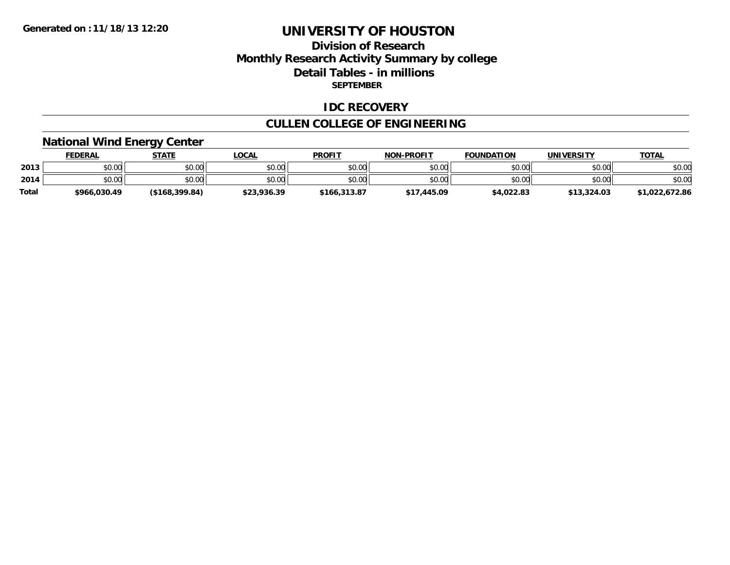## **Division of Research Monthly Research Activity Summary by college Detail Tables - in millions SEPTEMBER**

#### **IDC RECOVERY**

# **CULLEN COLLEGE OF ENGINEERING**

# **National Wind Energy Center**

|              | <u>FEDERAL</u> | <b>STATE</b>      | <u>LOCAL</u> | <b>PROFIT</b> | <b>NON-PROFIT</b> | <b>FOUNDATION</b> | UNIVERSITY  | <b>TOTAL</b>   |
|--------------|----------------|-------------------|--------------|---------------|-------------------|-------------------|-------------|----------------|
| 2013         | \$0.00         | \$0.00            | \$0.00       | \$0.00        | \$0.00            | \$0.00            | \$0.00      | \$0.00         |
| 2014         | \$0.00         | \$0.00            | \$0.00       | \$0.00        | \$0.00            | \$0.00            | \$0.00      | \$0.00         |
| <b>Total</b> | \$966.030.49   | $($ \$168.399.84) | \$23,936.39  | \$166,313.87  | \$17,445.09       | \$4,022.83        | \$13,324.03 | \$1,022,672.86 |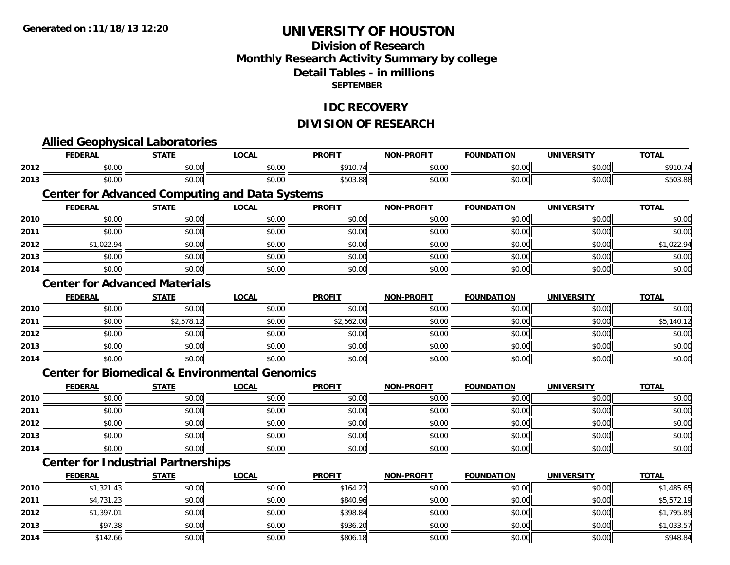**2013**

**2014**

# **UNIVERSITY OF HOUSTON**

# **Division of ResearchMonthly Research Activity Summary by college Detail Tables - in millions SEPTEMBER**

### **IDC RECOVERY**

# **DIVISION OF RESEARCH**

|      | <b>Allied Geophysical Laboratories</b>    |              |                                                           |               |                   |                   |                   |              |
|------|-------------------------------------------|--------------|-----------------------------------------------------------|---------------|-------------------|-------------------|-------------------|--------------|
|      | <b>FEDERAL</b>                            | <b>STATE</b> | <b>LOCAL</b>                                              | <b>PROFIT</b> | <b>NON-PROFIT</b> | <b>FOUNDATION</b> | <b>UNIVERSITY</b> | <b>TOTAL</b> |
| 2012 | \$0.00                                    | \$0.00       | \$0.00                                                    | \$910.74      | \$0.00            | \$0.00            | \$0.00            | \$910.74     |
| 2013 | \$0.00                                    | \$0.00       | \$0.00                                                    | \$503.88      | \$0.00            | \$0.00            | \$0.00            | \$503.88     |
|      |                                           |              | <b>Center for Advanced Computing and Data Systems</b>     |               |                   |                   |                   |              |
|      | <b>FEDERAL</b>                            | <b>STATE</b> | <b>LOCAL</b>                                              | <b>PROFIT</b> | <b>NON-PROFIT</b> | <b>FOUNDATION</b> | <b>UNIVERSITY</b> | <b>TOTAL</b> |
| 2010 | \$0.00                                    | \$0.00       | \$0.00                                                    | \$0.00        | \$0.00            | \$0.00            | \$0.00            | \$0.00       |
| 2011 | \$0.00                                    | \$0.00       | \$0.00                                                    | \$0.00        | \$0.00            | \$0.00            | \$0.00            | \$0.00       |
| 2012 | \$1,022.94                                | \$0.00       | \$0.00                                                    | \$0.00        | \$0.00            | \$0.00            | \$0.00            | \$1,022.94   |
| 2013 | \$0.00                                    | \$0.00       | \$0.00                                                    | \$0.00        | \$0.00            | \$0.00            | \$0.00            | \$0.00       |
| 2014 | \$0.00                                    | \$0.00       | \$0.00                                                    | \$0.00        | \$0.00            | \$0.00            | \$0.00            | \$0.00       |
|      | <b>Center for Advanced Materials</b>      |              |                                                           |               |                   |                   |                   |              |
|      | <b>FEDERAL</b>                            | <b>STATE</b> | <b>LOCAL</b>                                              | <b>PROFIT</b> | <b>NON-PROFIT</b> | <b>FOUNDATION</b> | <b>UNIVERSITY</b> | <b>TOTAL</b> |
| 2010 | \$0.00                                    | \$0.00       | \$0.00                                                    | \$0.00        | \$0.00            | \$0.00            | \$0.00            | \$0.00       |
| 2011 | \$0.00                                    | \$2,578.12   | \$0.00                                                    | \$2,562.00    | \$0.00            | \$0.00            | \$0.00            | \$5,140.12   |
| 2012 | \$0.00                                    | \$0.00       | \$0.00                                                    | \$0.00        | \$0.00            | \$0.00            | \$0.00            | \$0.00       |
| 2013 | \$0.00                                    | \$0.00       | \$0.00                                                    | \$0.00        | \$0.00            | \$0.00            | \$0.00            | \$0.00       |
| 2014 | \$0.00                                    | \$0.00       | \$0.00                                                    | \$0.00        | \$0.00            | \$0.00            | \$0.00            | \$0.00       |
|      |                                           |              | <b>Center for Biomedical &amp; Environmental Genomics</b> |               |                   |                   |                   |              |
|      | <b>FEDERAL</b>                            | <b>STATE</b> | <b>LOCAL</b>                                              | <b>PROFIT</b> | <b>NON-PROFIT</b> | <b>FOUNDATION</b> | <b>UNIVERSITY</b> | <b>TOTAL</b> |
| 2010 | \$0.00                                    | \$0.00       | \$0.00                                                    | \$0.00        | \$0.00            | \$0.00            | \$0.00            | \$0.00       |
| 2011 | \$0.00                                    | \$0.00       | \$0.00                                                    | \$0.00        | \$0.00            | \$0.00            | \$0.00            | \$0.00       |
| 2012 | \$0.00                                    | \$0.00       | \$0.00                                                    | \$0.00        | \$0.00            | \$0.00            | \$0.00            | \$0.00       |
| 2013 | \$0.00                                    | \$0.00       | \$0.00                                                    | \$0.00        | \$0.00            | \$0.00            | \$0.00            | \$0.00       |
| 2014 | \$0.00                                    | \$0.00       | \$0.00                                                    | \$0.00        | \$0.00            | \$0.00            | \$0.00            | \$0.00       |
|      | <b>Center for Industrial Partnerships</b> |              |                                                           |               |                   |                   |                   |              |
|      | <b>FEDERAL</b>                            | <b>STATE</b> | <b>LOCAL</b>                                              | <b>PROFIT</b> | <b>NON-PROFIT</b> | <b>FOUNDATION</b> | <b>UNIVERSITY</b> | <b>TOTAL</b> |
| 2010 | \$1,321.43                                | \$0.00       | \$0.00                                                    | \$164.22      | \$0.00            | \$0.00            | \$0.00            | \$1,485.65   |
| 2011 | \$4,731.23                                | \$0.00       | \$0.00                                                    | \$840.96      | \$0.00            | \$0.00            | \$0.00            | \$5,572.19   |
| 2012 | \$1,397.01                                | \$0.00       | \$0.00                                                    | \$398.84      | \$0.00            | \$0.00            | \$0.00            | \$1,795.85   |

\$97.38 \$0.00 \$0.00 \$936.20 \$0.00 \$0.00 \$0.00 \$1,033.57

4 \$142.66 \$142.66 \$0.00 \$0.00 \$0.00 \$0.00 \$0.00 \$806.18 \$0.00 \$0.00 \$0.00 \$0.00 \$948.84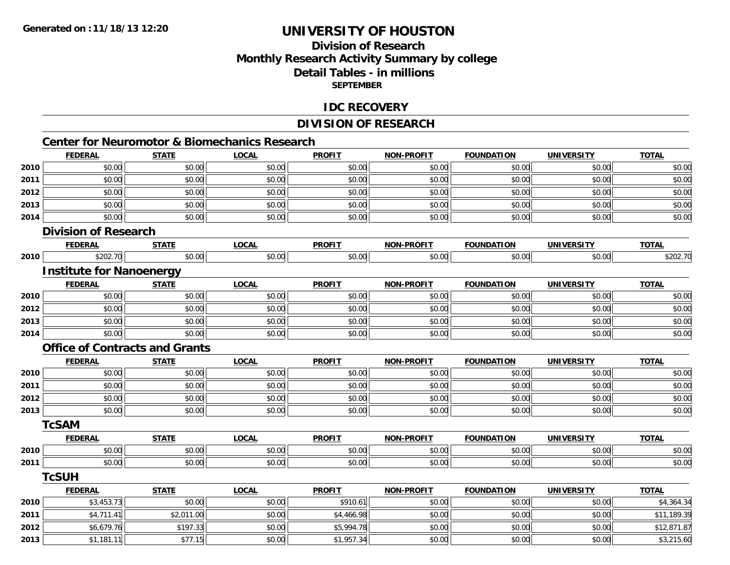**2013**

# **UNIVERSITY OF HOUSTON**

# **Division of ResearchMonthly Research Activity Summary by college Detail Tables - in millions SEPTEMBER**

### **IDC RECOVERY**

#### **DIVISION OF RESEARCH**

|      |                                                                            |              |              | <b>DIVISION OF RESEARCH</b> |                   |                   |                   |              |
|------|----------------------------------------------------------------------------|--------------|--------------|-----------------------------|-------------------|-------------------|-------------------|--------------|
|      | <b>Center for Neuromotor &amp; Biomechanics Research</b><br><b>FEDERAL</b> | <b>STATE</b> | <b>LOCAL</b> | <b>PROFIT</b>               | <b>NON-PROFIT</b> | <b>FOUNDATION</b> | <b>UNIVERSITY</b> | <b>TOTAL</b> |
| 2010 | \$0.00                                                                     | \$0.00       | \$0.00       | \$0.00                      | \$0.00            | \$0.00            | \$0.00            | \$0.00       |
| 2011 | \$0.00                                                                     | \$0.00       | \$0.00       | \$0.00                      | \$0.00            | \$0.00            | \$0.00            | \$0.00       |
| 2012 | \$0.00                                                                     | \$0.00       | \$0.00       | \$0.00                      | \$0.00            | \$0.00            | \$0.00            | \$0.00       |
| 2013 | \$0.00                                                                     | \$0.00       | \$0.00       | \$0.00                      | \$0.00            | \$0.00            | \$0.00            | \$0.00       |
| 2014 | \$0.00                                                                     | \$0.00       | \$0.00       | \$0.00                      | \$0.00            | \$0.00            | \$0.00            | \$0.00       |
|      | <b>Division of Research</b>                                                |              |              |                             |                   |                   |                   |              |
|      | <b>FEDERAL</b>                                                             | <b>STATE</b> | <b>LOCAL</b> | <b>PROFIT</b>               | <b>NON-PROFIT</b> | <b>FOUNDATION</b> | <b>UNIVERSITY</b> | <b>TOTAL</b> |
| 2010 | \$202.70                                                                   | \$0.00       | \$0.00       | \$0.00                      | \$0.00            | \$0.00            | \$0.00            | \$202.70     |
|      | <b>Institute for Nanoenergy</b>                                            |              |              |                             |                   |                   |                   |              |
|      | <b>FEDERAL</b>                                                             | <b>STATE</b> | <b>LOCAL</b> | <b>PROFIT</b>               | <b>NON-PROFIT</b> | <b>FOUNDATION</b> | <b>UNIVERSITY</b> | <b>TOTAL</b> |
| 2010 | \$0.00                                                                     | \$0.00       | \$0.00       | \$0.00                      | \$0.00            | \$0.00            | \$0.00            | \$0.00       |
| 2012 | \$0.00                                                                     | \$0.00       | \$0.00       | \$0.00                      | \$0.00            | \$0.00            | \$0.00            | \$0.00       |
| 2013 | \$0.00                                                                     | \$0.00       | \$0.00       | \$0.00                      | \$0.00            | \$0.00            | \$0.00            | \$0.00       |
| 2014 | \$0.00                                                                     | \$0.00       | \$0.00       | \$0.00                      | \$0.00            | \$0.00            | \$0.00            | \$0.00       |
|      | <b>Office of Contracts and Grants</b>                                      |              |              |                             |                   |                   |                   |              |
|      | <b>FEDERAL</b>                                                             | <b>STATE</b> | <b>LOCAL</b> | <b>PROFIT</b>               | <b>NON-PROFIT</b> | <b>FOUNDATION</b> | <b>UNIVERSITY</b> | <b>TOTAL</b> |
| 2010 | \$0.00                                                                     | \$0.00       | \$0.00       | \$0.00                      | \$0.00            | \$0.00            | \$0.00            | \$0.00       |
| 2011 | \$0.00                                                                     | \$0.00       | \$0.00       | \$0.00                      | \$0.00            | \$0.00            | \$0.00            | \$0.00       |
| 2012 | \$0.00                                                                     | \$0.00       | \$0.00       | \$0.00                      | \$0.00            | \$0.00            | \$0.00            | \$0.00       |
| 2013 | \$0.00                                                                     | \$0.00       | \$0.00       | \$0.00                      | \$0.00            | \$0.00            | \$0.00            | \$0.00       |
|      | <b>TcSAM</b>                                                               |              |              |                             |                   |                   |                   |              |
|      | <b>FEDERAL</b>                                                             | <b>STATE</b> | <b>LOCAL</b> | <b>PROFIT</b>               | <b>NON-PROFIT</b> | <b>FOUNDATION</b> | <b>UNIVERSITY</b> | <b>TOTAL</b> |
| 2010 | \$0.00                                                                     | \$0.00       | \$0.00       | \$0.00                      | \$0.00            | \$0.00            | \$0.00            | \$0.00       |
| 2011 | \$0.00                                                                     | \$0.00       | \$0.00       | \$0.00                      | \$0.00            | \$0.00            | \$0.00            | \$0.00       |
|      | <b>TcSUH</b>                                                               |              |              |                             |                   |                   |                   |              |
|      | <b>FEDERAL</b>                                                             | <b>STATE</b> | <b>LOCAL</b> | <b>PROFIT</b>               | <b>NON-PROFIT</b> | <b>FOUNDATION</b> | <b>UNIVERSITY</b> | <b>TOTAL</b> |
| 2010 | \$3,453.73                                                                 | \$0.00       | \$0.00       | \$910.61                    | \$0.00            | \$0.00            | \$0.00            | \$4,364.34   |
| 2011 | \$4,711.41                                                                 | \$2,011.00   | \$0.00       | \$4,466.98                  | \$0.00            | \$0.00            | \$0.00            | \$11,189.39  |
| 2012 | \$6,679.76                                                                 | \$197.33     | \$0.00       | \$5,994.78                  | \$0.00            | \$0.00            | \$0.00            | \$12,871.87  |

 $\textbf{3} \quad \textbf{\textcolor{blue}{\textbf{3}}} \quad \textbf{\textcolor{blue}{\textbf{3}}} \quad \textbf{\textcolor{blue}{\textbf{3}}} \quad \textbf{\textcolor{blue}{\textbf{3}}} \quad \textbf{\textcolor{blue}{\textbf{3}}} \quad \textbf{\textcolor{blue}{\textbf{3}}} \quad \textbf{\textcolor{blue}{\textbf{3}}} \quad \textbf{\textcolor{blue}{\textbf{3}}} \quad \textbf{\textcolor{blue}{\textbf{3}}} \quad \textbf{\textcolor{blue}{\textbf{3}}} \quad \textbf{\textcolor{blue}{\textbf{3}}} \quad \textbf{\textcolor{blue}{\textbf{3}}} \quad \textbf{\textcolor{blue$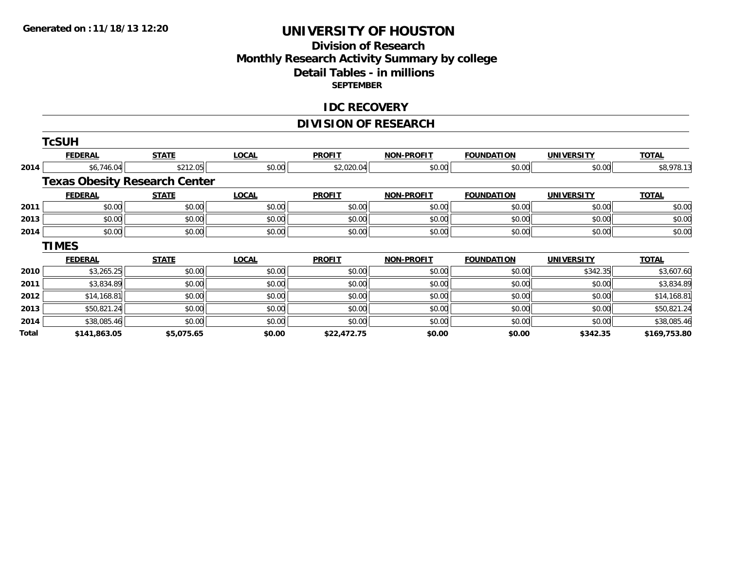### **Division of Research Monthly Research Activity Summary by college Detail Tables - in millions SEPTEMBER**

#### **IDC RECOVERY**

## **DIVISION OF RESEARCH**

|       | <b>TcSUH</b>                         |              |              |               |                   |                   |                   |              |
|-------|--------------------------------------|--------------|--------------|---------------|-------------------|-------------------|-------------------|--------------|
|       | <b>FEDERAL</b>                       | <b>STATE</b> | <b>LOCAL</b> | <b>PROFIT</b> | <b>NON-PROFIT</b> | <b>FOUNDATION</b> | <b>UNIVERSITY</b> | <b>TOTAL</b> |
| 2014  | \$6,746.04                           | \$212.05     | \$0.00       | \$2,020.04    | \$0.00            | \$0.00            | \$0.00            | \$8,978.13   |
|       | <b>Texas Obesity Research Center</b> |              |              |               |                   |                   |                   |              |
|       | <b>FEDERAL</b>                       | <b>STATE</b> | <b>LOCAL</b> | <b>PROFIT</b> | <b>NON-PROFIT</b> | <b>FOUNDATION</b> | <b>UNIVERSITY</b> | <b>TOTAL</b> |
| 2011  | \$0.00                               | \$0.00       | \$0.00       | \$0.00        | \$0.00            | \$0.00            | \$0.00            | \$0.00       |
| 2013  | \$0.00                               | \$0.00       | \$0.00       | \$0.00        | \$0.00            | \$0.00            | \$0.00            | \$0.00       |
| 2014  | \$0.00                               | \$0.00       | \$0.00       | \$0.00        | \$0.00            | \$0.00            | \$0.00            | \$0.00       |
|       | <b>TIMES</b>                         |              |              |               |                   |                   |                   |              |
|       | <b>FEDERAL</b>                       | <b>STATE</b> | <b>LOCAL</b> | <b>PROFIT</b> | <b>NON-PROFIT</b> | <b>FOUNDATION</b> | <b>UNIVERSITY</b> | <b>TOTAL</b> |
| 2010  | \$3,265.25                           | \$0.00       | \$0.00       | \$0.00        | \$0.00            | \$0.00            | \$342.35          | \$3,607.60   |
| 2011  | \$3,834.89                           | \$0.00       | \$0.00       | \$0.00        | \$0.00            | \$0.00            | \$0.00            | \$3,834.89   |
| 2012  | \$14,168.81                          | \$0.00       | \$0.00       | \$0.00        | \$0.00            | \$0.00            | \$0.00            | \$14,168.81  |
| 2013  | \$50,821.24                          | \$0.00       | \$0.00       | \$0.00        | \$0.00            | \$0.00            | \$0.00            | \$50,821.24  |
| 2014  | \$38,085.46                          | \$0.00       | \$0.00       | \$0.00        | \$0.00            | \$0.00            | \$0.00            | \$38,085.46  |
| Total | \$141,863.05                         | \$5,075.65   | \$0.00       | \$22,472.75   | \$0.00            | \$0.00            | \$342.35          | \$169,753.80 |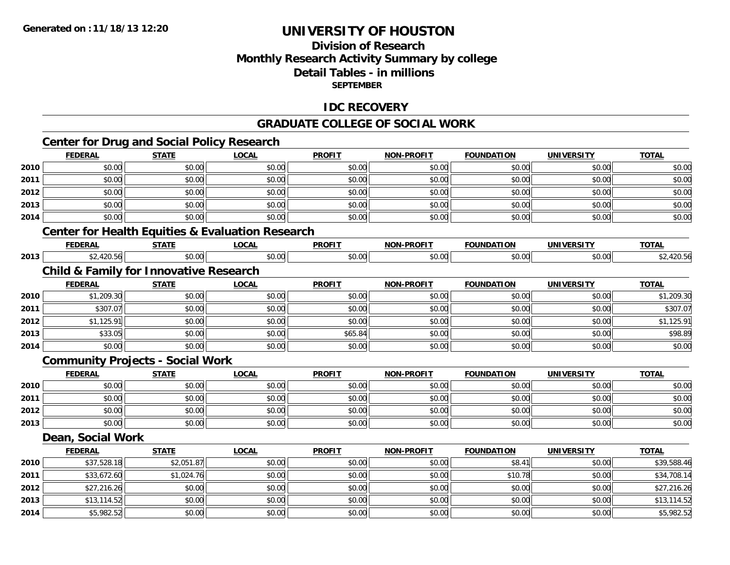# **Division of ResearchMonthly Research Activity Summary by college Detail Tables - in millions SEPTEMBER**

## **IDC RECOVERY**

#### **GRADUATE COLLEGE OF SOCIAL WORK**

# **Center for Drug and Social Policy Research**

|      | <b>FEDERAL</b>                                              | <b>STATE</b> | <b>LOCAL</b> | <b>PROFIT</b> | <b>NON-PROFIT</b> | <b>FOUNDATION</b> | <b>UNIVERSITY</b> | <b>TOTAL</b> |
|------|-------------------------------------------------------------|--------------|--------------|---------------|-------------------|-------------------|-------------------|--------------|
| 2010 | \$0.00                                                      | \$0.00       | \$0.00       | \$0.00        | \$0.00            | \$0.00            | \$0.00            | \$0.00       |
| 2011 | \$0.00                                                      | \$0.00       | \$0.00       | \$0.00        | \$0.00            | \$0.00            | \$0.00            | \$0.00       |
| 2012 | \$0.00                                                      | \$0.00       | \$0.00       | \$0.00        | \$0.00            | \$0.00            | \$0.00            | \$0.00       |
| 2013 | \$0.00                                                      | \$0.00       | \$0.00       | \$0.00        | \$0.00            | \$0.00            | \$0.00            | \$0.00       |
| 2014 | \$0.00                                                      | \$0.00       | \$0.00       | \$0.00        | \$0.00            | \$0.00            | \$0.00            | \$0.00       |
|      | <b>Center for Health Equities &amp; Evaluation Research</b> |              |              |               |                   |                   |                   |              |
|      | <b>FEDERAL</b>                                              | <b>STATE</b> | <b>LOCAL</b> | <b>PROFIT</b> | <b>NON-PROFIT</b> | <b>FOUNDATION</b> | <b>UNIVERSITY</b> | <b>TOTAL</b> |
| 2013 | \$2,420.56                                                  | \$0.00       | \$0.00       | \$0.00        | \$0.00            | \$0.00            | \$0.00            | \$2,420.56   |
|      | <b>Child &amp; Family for Innovative Research</b>           |              |              |               |                   |                   |                   |              |
|      | <b>FEDERAL</b>                                              | <b>STATE</b> | <b>LOCAL</b> | <b>PROFIT</b> | <b>NON-PROFIT</b> | <b>FOUNDATION</b> | <b>UNIVERSITY</b> | <b>TOTAL</b> |
| 2010 | \$1,209.30                                                  | \$0.00       | \$0.00       | \$0.00        | \$0.00            | \$0.00            | \$0.00            | \$1,209.30   |
| 2011 | \$307.07                                                    | \$0.00       | \$0.00       | \$0.00        | \$0.00            | \$0.00            | \$0.00            | \$307.07     |
| 2012 | \$1,125.91                                                  | \$0.00       | \$0.00       | \$0.00        | \$0.00            | \$0.00            | \$0.00            | \$1,125.91   |
| 2013 | \$33.05                                                     | \$0.00       | \$0.00       | \$65.84       | \$0.00            | \$0.00            | \$0.00            | \$98.89      |
| 2014 | \$0.00                                                      | \$0.00       | \$0.00       | \$0.00        | \$0.00            | \$0.00            | \$0.00            | \$0.00       |
|      | <b>Community Projects - Social Work</b>                     |              |              |               |                   |                   |                   |              |
|      | <b>FEDERAL</b>                                              | <b>STATE</b> | <b>LOCAL</b> | <b>PROFIT</b> | <b>NON-PROFIT</b> | <b>FOUNDATION</b> | <b>UNIVERSITY</b> | <b>TOTAL</b> |
| 2010 | \$0.00                                                      | \$0.00       | \$0.00       | \$0.00        | \$0.00            | \$0.00            | \$0.00            | \$0.00       |
| 2011 | \$0.00                                                      | \$0.00       | \$0.00       | \$0.00        | \$0.00            | \$0.00            | \$0.00            | \$0.00       |
| 2012 | \$0.00                                                      | \$0.00       | \$0.00       | \$0.00        | \$0.00            | \$0.00            | \$0.00            | \$0.00       |
| 2013 | \$0.00                                                      | \$0.00       | \$0.00       | \$0.00        | \$0.00            | \$0.00            | \$0.00            | \$0.00       |
|      | Dean, Social Work                                           |              |              |               |                   |                   |                   |              |
|      | <b>FEDERAL</b>                                              | <b>STATE</b> | <b>LOCAL</b> | <b>PROFIT</b> | <b>NON-PROFIT</b> | <b>FOUNDATION</b> | <b>UNIVERSITY</b> | <b>TOTAL</b> |
| 2010 | \$37,528.18                                                 | \$2,051.87   | \$0.00       | \$0.00        | \$0.00            | \$8.41            | \$0.00            | \$39,588.46  |
| 2011 | \$33,672.60                                                 | \$1,024.76   | \$0.00       | \$0.00        | \$0.00            | \$10.78           | \$0.00            | \$34,708.14  |
| 2012 | \$27,216.26                                                 | \$0.00       | \$0.00       | \$0.00        | \$0.00            | \$0.00            | \$0.00            | \$27,216.26  |
| 2013 | \$13,114.52                                                 | \$0.00       | \$0.00       | \$0.00        | \$0.00            | \$0.00            | \$0.00            | \$13,114.52  |
| 2014 | \$5,982.52                                                  | \$0.00       | \$0.00       | \$0.00        | \$0.00            | \$0.00            | \$0.00            | \$5,982.52   |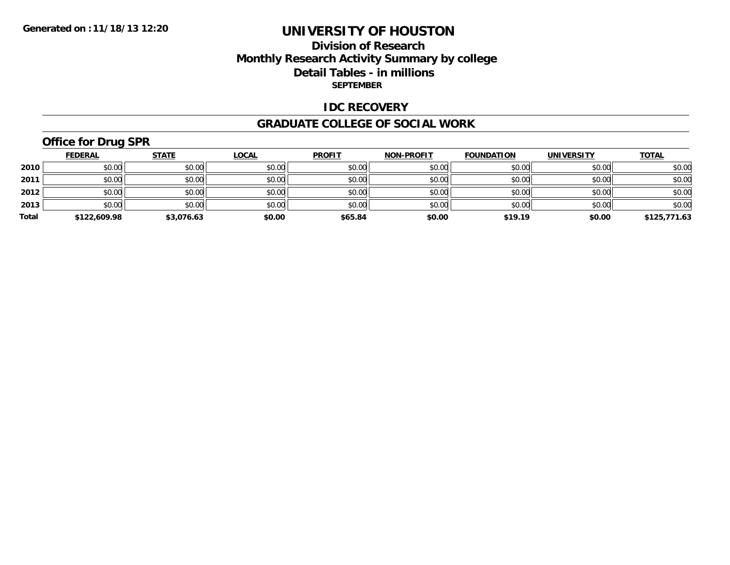## **Division of Research Monthly Research Activity Summary by college Detail Tables - in millions SEPTEMBER**

#### **IDC RECOVERY**

#### **GRADUATE COLLEGE OF SOCIAL WORK**

# **Office for Drug SPR**

|       | <b>FEDERAL</b> | <b>STATE</b> | <b>LOCAL</b> | <b>PROFIT</b> | <b>NON-PROFIT</b> | <b>FOUNDATION</b> | <b>UNIVERSITY</b> | <b>TOTAL</b> |
|-------|----------------|--------------|--------------|---------------|-------------------|-------------------|-------------------|--------------|
| 2010  | \$0.00         | \$0.00       | \$0.00       | \$0.00        | \$0.00            | \$0.00            | \$0.00            | \$0.00       |
| 2011  | \$0.00         | \$0.00       | \$0.00       | \$0.00        | \$0.00            | \$0.00            | \$0.00            | \$0.00       |
| 2012  | \$0.00         | \$0.00       | \$0.00       | \$0.00        | \$0.00            | \$0.00            | \$0.00            | \$0.00       |
| 2013  | \$0.00         | \$0.00       | \$0.00       | \$0.00        | \$0.00            | \$0.00            | \$0.00            | \$0.00       |
| Total | \$122,609.98   | \$3.076.63   | \$0.00       | \$65.84       | \$0.00            | \$19.19           | \$0.00            | \$125,771.63 |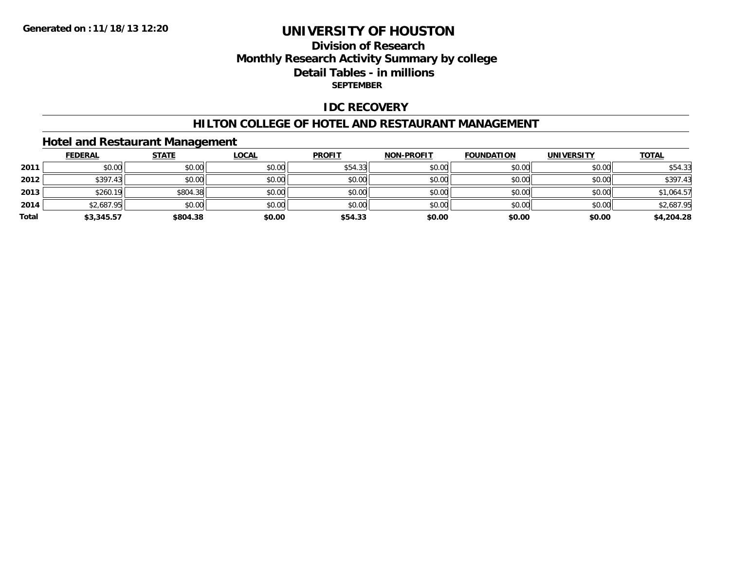# **Division of ResearchMonthly Research Activity Summary by college Detail Tables - in millions SEPTEMBER**

#### **IDC RECOVERY**

#### **HILTON COLLEGE OF HOTEL AND RESTAURANT MANAGEMENT**

### **Hotel and Restaurant Management**

|       | <b>FEDERAL</b> | <b>STATE</b> | <u>LOCAL</u> | <b>PROFIT</b> | <b>NON-PROFIT</b> | <b>FOUNDATION</b> | <b>UNIVERSITY</b> | <b>TOTAL</b> |
|-------|----------------|--------------|--------------|---------------|-------------------|-------------------|-------------------|--------------|
| 2011  | \$0.00         | \$0.00       | \$0.00       | \$54.33       | \$0.00            | \$0.00            | \$0.00            | \$54.33      |
| 2012  | \$397.43       | \$0.00       | \$0.00       | \$0.00        | \$0.00            | \$0.00            | \$0.00            | \$397.43     |
| 2013  | \$260.19       | \$804.38     | \$0.00       | \$0.00        | \$0.00            | \$0.00            | \$0.00            | \$1,064.57   |
| 2014  | \$2,687.95     | \$0.00       | \$0.00       | \$0.00        | \$0.00            | \$0.00            | \$0.00            | \$2,687.95   |
| Total | \$3,345.57     | \$804.38     | \$0.00       | \$54.33       | \$0.00            | \$0.00            | \$0.00            | \$4,204.28   |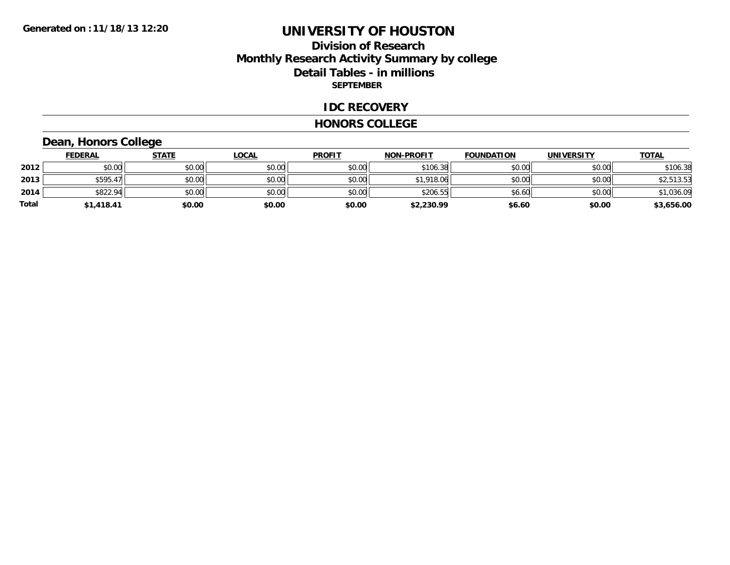# **Division of ResearchMonthly Research Activity Summary by college Detail Tables - in millions SEPTEMBER**

#### **IDC RECOVERY**

#### **HONORS COLLEGE**

# **Dean, Honors College**

|       | <b>FEDERAL</b> | <u>STATE</u> | <b>LOCAL</b> | <b>PROFIT</b> | <b>NON-PROFIT</b> | <b>FOUNDATION</b> | <b>UNIVERSITY</b> | <b>TOTAL</b> |
|-------|----------------|--------------|--------------|---------------|-------------------|-------------------|-------------------|--------------|
| 2012  | \$0.00         | \$0.00       | \$0.00       | \$0.00        | \$106.38          | \$0.00            | \$0.00            | \$106.38     |
| 2013  | \$595.47       | \$0.00       | \$0.00       | \$0.00        | \$1,918.06        | \$0.00            | \$0.00            | \$2,513.53   |
| 2014  | \$822.94       | \$0.00       | \$0.00       | \$0.00        | \$206.55          | \$6.60            | \$0.00            | \$1,036.09   |
| Total | \$1,418.41     | \$0.00       | \$0.00       | \$0.00        | \$2,230.99        | \$6.60            | \$0.00            | \$3,656.00   |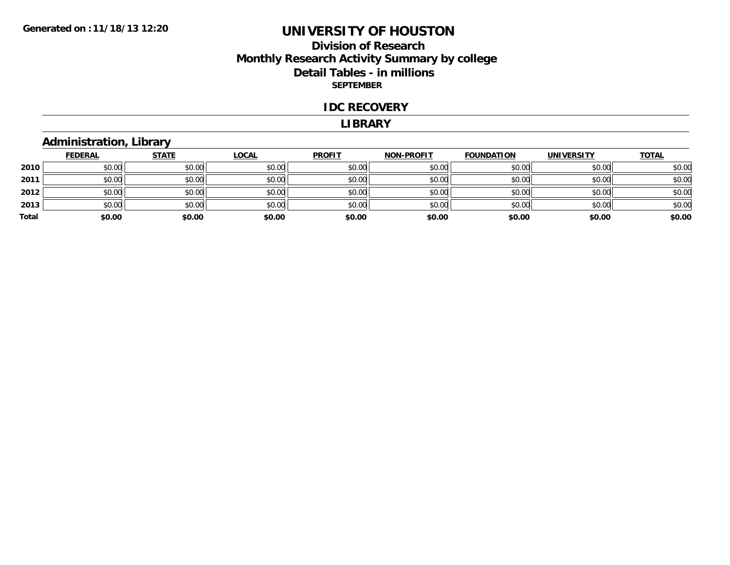## **Division of Research Monthly Research Activity Summary by college Detail Tables - in millions SEPTEMBER**

#### **IDC RECOVERY**

#### **LIBRARY**

# **Administration, Library**

|       | <b>FEDERAL</b> | <b>STATE</b> | <b>LOCAL</b> | <b>PROFIT</b> | <b>NON-PROFIT</b> | <b>FOUNDATION</b> | <b>UNIVERSITY</b> | <b>TOTAL</b> |
|-------|----------------|--------------|--------------|---------------|-------------------|-------------------|-------------------|--------------|
| 2010  | \$0.00         | \$0.00       | \$0.00       | \$0.00        | \$0.00            | \$0.00            | \$0.00            | \$0.00       |
| 2011  | \$0.00         | \$0.00       | \$0.00       | \$0.00        | \$0.00            | \$0.00            | \$0.00            | \$0.00       |
| 2012  | \$0.00         | \$0.00       | \$0.00       | \$0.00        | \$0.00            | \$0.00            | \$0.00            | \$0.00       |
| 2013  | \$0.00         | \$0.00       | \$0.00       | \$0.00        | \$0.00            | \$0.00            | \$0.00            | \$0.00       |
| Total | \$0.00         | \$0.00       | \$0.00       | \$0.00        | \$0.00            | \$0.00            | \$0.00            | \$0.00       |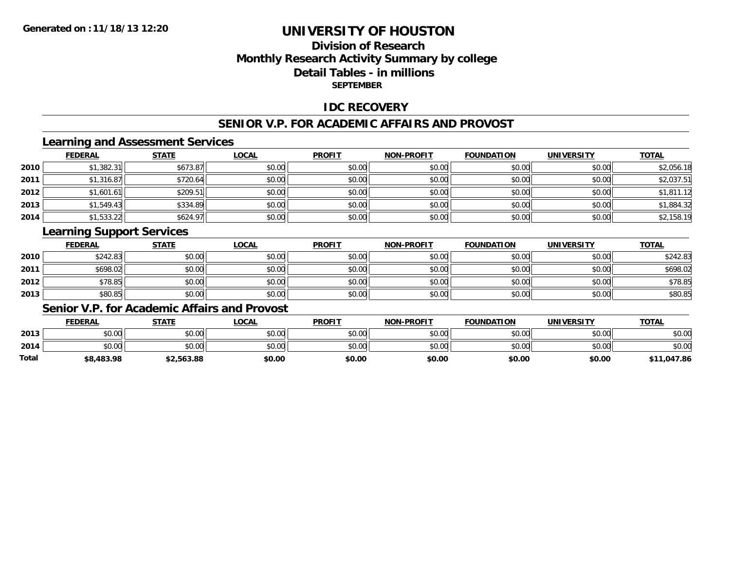# **Division of ResearchMonthly Research Activity Summary by college Detail Tables - in millions SEPTEMBER**

### **IDC RECOVERY**

# **SENIOR V.P. FOR ACADEMIC AFFAIRS AND PROVOST**

### **Learning and Assessment Services**

|      | <b>FEDERAL</b> | <b>STATE</b> | <u>LOCAL</u> | <b>PROFIT</b> | <b>NON-PROFIT</b> | <b>FOUNDATION</b> | <b>UNIVERSITY</b> | <b>TOTAL</b> |
|------|----------------|--------------|--------------|---------------|-------------------|-------------------|-------------------|--------------|
| 2010 | \$1,382.31     | \$673.87     | \$0.00       | \$0.00        | \$0.00            | \$0.00            | \$0.00            | \$2,056.18   |
| 2011 | \$1,316.87     | \$720.64     | \$0.00       | \$0.00        | \$0.00            | \$0.00            | \$0.00            | \$2,037.51   |
| 2012 | \$1,601.61     | \$209.51     | \$0.00       | \$0.00        | \$0.00            | \$0.00            | \$0.00            | \$1,811.12   |
| 2013 | \$1,549.43     | \$334.89     | \$0.00       | \$0.00        | \$0.00            | \$0.00            | \$0.00            | \$1,884.32   |
| 2014 | \$1,533.22     | \$624.97     | \$0.00       | \$0.00        | \$0.00            | \$0.00            | \$0.00            | \$2,158.19   |

### **Learning Support Services**

|      | <b>FEDERAL</b> | <b>STATE</b> | <u>LOCAL</u> | <b>PROFIT</b> | <b>NON-PROFIT</b> | <b>FOUNDATION</b> | <b>UNIVERSITY</b> | <b>TOTAL</b> |
|------|----------------|--------------|--------------|---------------|-------------------|-------------------|-------------------|--------------|
| 2010 | \$242.83       | \$0.00       | \$0.00       | \$0.00        | \$0.00            | \$0.00            | \$0.00            | \$242.83     |
| 2011 | \$698.02       | \$0.00       | \$0.00       | \$0.00        | \$0.00            | \$0.00            | \$0.00            | \$698.02     |
| 2012 | \$78.85        | \$0.00       | \$0.00       | \$0.00        | \$0.00            | \$0.00            | \$0.00            | \$78.85      |
| 2013 | \$80.85        | \$0.00       | \$0.00       | \$0.00        | \$0.00            | \$0.00            | \$0.00            | \$80.85      |

#### **Senior V.P. for Academic Affairs and Provost**

|       | <b>FEDERAL</b> | <b>STATE</b> | <b>LOCAL</b> | <b>PROFIT</b> | <b>NON-PROFIT</b> | <b>FOUNDATION</b> | UNIVERSITY | <b>TOTAL</b> |
|-------|----------------|--------------|--------------|---------------|-------------------|-------------------|------------|--------------|
| 2013  | \$0.00         | \$0.00       | \$0.00       | \$0.00        | \$0.00            | \$0.00            | \$0.00     | \$0.00       |
| 2014  | \$0.00         | \$0.00       | \$0.00       | \$0.00        | \$0.00            | \$0.00            | \$0.00     | \$0.00       |
| Total | \$8,483.98     | \$2,563.88   | \$0.00       | \$0.00        | \$0.00            | \$0.00            | \$0.00     | \$11,047.86  |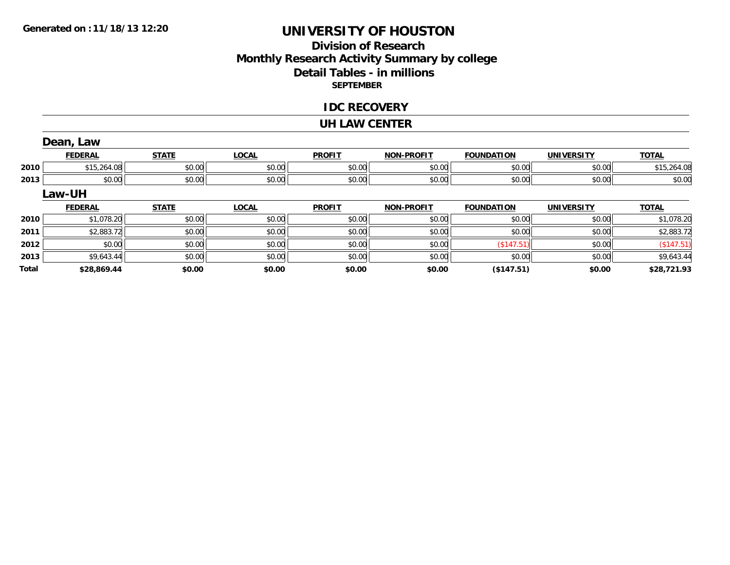**Total**

# **UNIVERSITY OF HOUSTON**

# **Division of ResearchMonthly Research Activity Summary by college Detail Tables - in millions SEPTEMBER**

### **IDC RECOVERY**

#### **UH LAW CENTER**

|      | Dean, Law      |              |              |               |                   |                   |                   |              |
|------|----------------|--------------|--------------|---------------|-------------------|-------------------|-------------------|--------------|
|      | <b>FEDERAL</b> | <b>STATE</b> | <b>LOCAL</b> | <b>PROFIT</b> | <b>NON-PROFIT</b> | <b>FOUNDATION</b> | <b>UNIVERSITY</b> | <b>TOTAL</b> |
| 2010 | \$15,264.08    | \$0.00       | \$0.00       | \$0.00        | \$0.00            | \$0.00            | \$0.00            | \$15,264.08  |
| 2013 | \$0.00         | \$0.00       | \$0.00       | \$0.00        | \$0.00            | \$0.00            | \$0.00            | \$0.00       |
|      | Law-UH         |              |              |               |                   |                   |                   |              |
|      |                |              |              |               |                   |                   |                   |              |
|      | <b>FEDERAL</b> | <b>STATE</b> | <b>LOCAL</b> | <b>PROFIT</b> | <b>NON-PROFIT</b> | <b>FOUNDATION</b> | <b>UNIVERSITY</b> | <b>TOTAL</b> |
| 2010 | \$1,078.20     | \$0.00       | \$0.00       | \$0.00        | \$0.00            | \$0.00            | \$0.00            | \$1,078.20   |
| 2011 | \$2,883.72     | \$0.00       | \$0.00       | \$0.00        | \$0.00            | \$0.00            | \$0.00            | \$2,883.72   |
| 2012 | \$0.00         | \$0.00       | \$0.00       | \$0.00        | \$0.00            | (\$147.51)        | \$0.00            | (\$147.51)   |

**\$28,869.44 \$0.00 \$0.00 \$0.00 \$0.00 (\$147.51) \$0.00 \$28,721.93**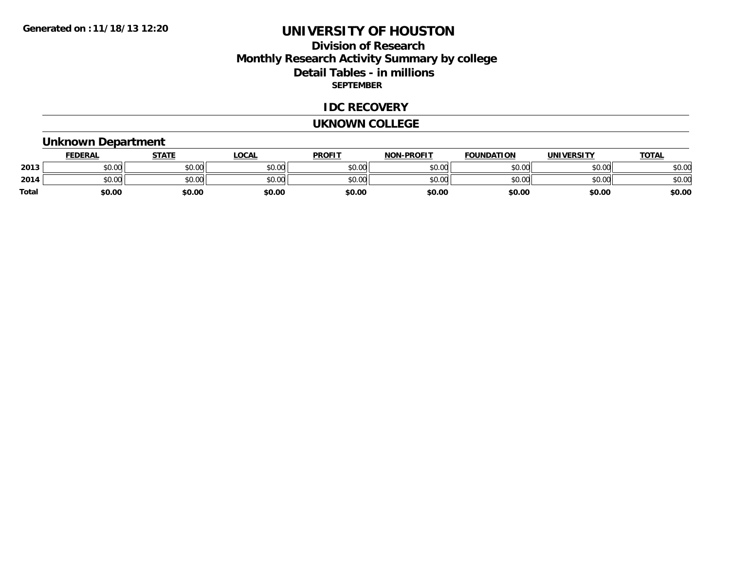## **Division of Research Monthly Research Activity Summary by college Detail Tables - in millions SEPTEMBER**

#### **IDC RECOVERY**

#### **UKNOWN COLLEGE**

# **Unknown Department**

|              | <b>FEDERAL</b> | STATE  | LOCAL  | <b>PROFIT</b> | <b>NON-PROFIT</b> | <b>FOUNDATION</b> | <b>UNIVERSITY</b> | <b>TOTAL</b> |
|--------------|----------------|--------|--------|---------------|-------------------|-------------------|-------------------|--------------|
| 2013         | \$0.00         | \$0.00 | \$0.00 | \$0.00        | \$0.00            | \$0.00            | \$0.00            | \$0.00       |
| 2014         | \$0.00         | \$0.00 | \$0.00 | \$0.00        | \$0.00            | \$0.00            | \$0.00            | \$0.00       |
| <b>Total</b> | \$0.00         | \$0.00 | \$0.00 | \$0.00        | \$0.00            | \$0.00            | \$0.00            | \$0.00       |